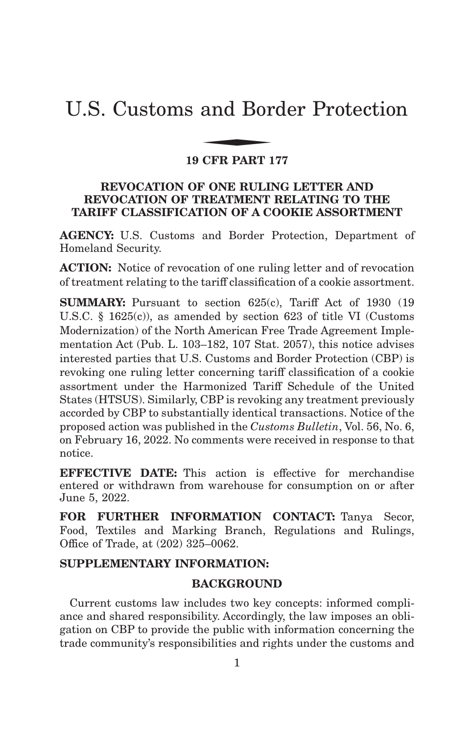# U.S. Customs and Border Protection and Bor

## **19 CFR PART 177**

# **REVOCATION OF ONE RULING LETTER AND REVOCATION OF TREATMENT RELATING TO THE TARIFF CLASSIFICATION OF A COOKIE ASSORTMENT**

**AGENCY:** U.S. Customs and Border Protection, Department of Homeland Security.

**ACTION:** Notice of revocation of one ruling letter and of revocation of treatment relating to the tariff classification of a cookie assortment.

**SUMMARY:** Pursuant to section 625(c), Tariff Act of 1930 (19) U.S.C. § 1625(c)), as amended by section 623 of title VI (Customs Modernization) of the North American Free Trade Agreement Implementation Act (Pub. L. 103–182, 107 Stat. 2057), this notice advises interested parties that U.S. Customs and Border Protection (CBP) is revoking one ruling letter concerning tariff classification of a cookie assortment under the Harmonized Tariff Schedule of the United States (HTSUS). Similarly, CBP is revoking any treatment previously accorded by CBP to substantially identical transactions. Notice of the proposed action was published in the *Customs Bulletin*, Vol. 56, No. 6, on February 16, 2022. No comments were received in response to that notice.

**EFFECTIVE DATE:** This action is effective for merchandise entered or withdrawn from warehouse for consumption on or after June 5, 2022.

**FOR FURTHER INFORMATION CONTACT:** Tanya Secor, Food, Textiles and Marking Branch, Regulations and Rulings, Office of Trade, at (202) 325–0062.

# **SUPPLEMENTARY INFORMATION:**

# **BACKGROUND**

Current customs law includes two key concepts: informed compliance and shared responsibility. Accordingly, the law imposes an obligation on CBP to provide the public with information concerning the trade community's responsibilities and rights under the customs and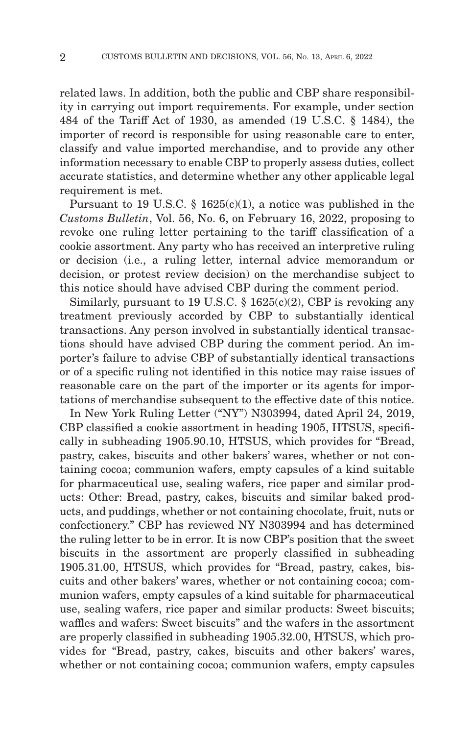related laws. In addition, both the public and CBP share responsibility in carrying out import requirements. For example, under section 484 of the Tariff Act of 1930, as amended (19 U.S.C. § 1484), the importer of record is responsible for using reasonable care to enter, classify and value imported merchandise, and to provide any other information necessary to enable CBP to properly assess duties, collect accurate statistics, and determine whether any other applicable legal requirement is met.

Pursuant to 19 U.S.C. § 1625(c)(1), a notice was published in the *Customs Bulletin*, Vol. 56, No. 6, on February 16, 2022, proposing to revoke one ruling letter pertaining to the tariff classification of a cookie assortment. Any party who has received an interpretive ruling or decision (i.e., a ruling letter, internal advice memorandum or decision, or protest review decision) on the merchandise subject to this notice should have advised CBP during the comment period.

Similarly, pursuant to 19 U.S.C.  $\S$  1625(c)(2), CBP is revoking any treatment previously accorded by CBP to substantially identical transactions. Any person involved in substantially identical transactions should have advised CBP during the comment period. An importer's failure to advise CBP of substantially identical transactions or of a specific ruling not identified in this notice may raise issues of reasonable care on the part of the importer or its agents for importations of merchandise subsequent to the effective date of this notice.

In New York Ruling Letter ("NY") N303994, dated April 24, 2019, CBP classified a cookie assortment in heading 1905, HTSUS, specifically in subheading 1905.90.10, HTSUS, which provides for "Bread, pastry, cakes, biscuits and other bakers' wares, whether or not containing cocoa; communion wafers, empty capsules of a kind suitable for pharmaceutical use, sealing wafers, rice paper and similar products: Other: Bread, pastry, cakes, biscuits and similar baked products, and puddings, whether or not containing chocolate, fruit, nuts or confectionery." CBP has reviewed NY N303994 and has determined the ruling letter to be in error. It is now CBP's position that the sweet biscuits in the assortment are properly classified in subheading 1905.31.00, HTSUS, which provides for "Bread, pastry, cakes, biscuits and other bakers' wares, whether or not containing cocoa; communion wafers, empty capsules of a kind suitable for pharmaceutical use, sealing wafers, rice paper and similar products: Sweet biscuits; waffles and wafers: Sweet biscuits" and the wafers in the assortment are properly classified in subheading 1905.32.00, HTSUS, which provides for "Bread, pastry, cakes, biscuits and other bakers' wares, whether or not containing cocoa; communion wafers, empty capsules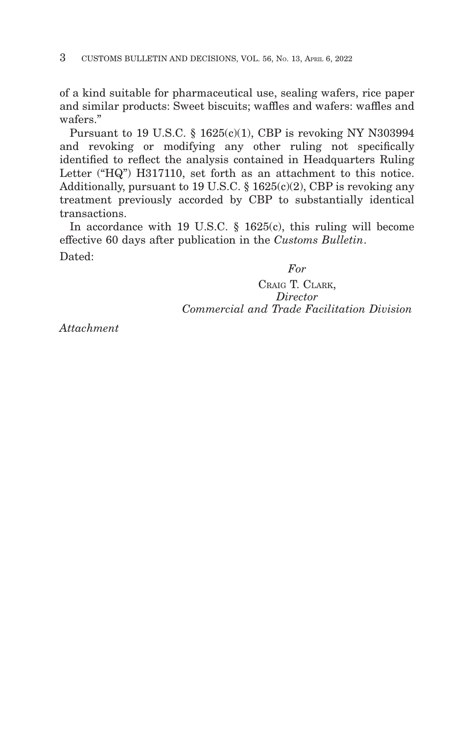of a kind suitable for pharmaceutical use, sealing wafers, rice paper and similar products: Sweet biscuits; waffles and wafers: waffles and wafers."

Pursuant to 19 U.S.C. § 1625(c)(1), CBP is revoking NY N303994 and revoking or modifying any other ruling not specifically identified to reflect the analysis contained in Headquarters Ruling Letter ("HQ") H317110, set forth as an attachment to this notice. Additionally, pursuant to 19 U.S.C.  $\S$  1625(c)(2), CBP is revoking any treatment previously accorded by CBP to substantially identical transactions.

In accordance with 19 U.S.C. § 1625(c), this ruling will become effective 60 days after publication in the *Customs Bulletin*. Dated:

*For*

CRAIG T. CLARK, *Director Commercial and Trade Facilitation Division*

*Attachment*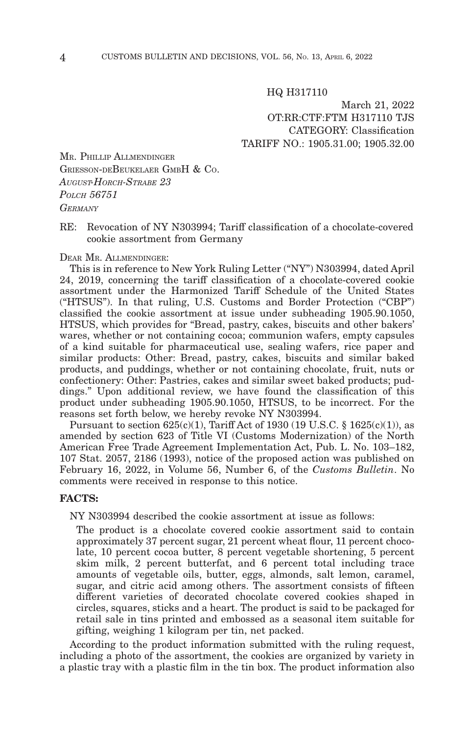#### HQ H317110

# March 21, 2022 OT:RR:CTF:FTM H317110 TJS CATEGORY: Classification TARIFF NO.: 1905.31.00; 1905.32.00

MR. PHILLIP ALLMENDINGER GRIESSON-DEBEUKELAER GMBH & CO. *AUGUST-HORCH-STRABE 23 POLCH 56751 GERMANY*

RE: Revocation of NY N303994; Tariff classification of a chocolate-covered cookie assortment from Germany

#### DEAR MR. ALLMENDINGER:

This is in reference to New York Ruling Letter ("NY") N303994, dated April 24, 2019, concerning the tariff classification of a chocolate-covered cookie assortment under the Harmonized Tariff Schedule of the United States ("HTSUS"). In that ruling, U.S. Customs and Border Protection ("CBP") classified the cookie assortment at issue under subheading 1905.90.1050, HTSUS, which provides for "Bread, pastry, cakes, biscuits and other bakers' wares, whether or not containing cocoa; communion wafers, empty capsules of a kind suitable for pharmaceutical use, sealing wafers, rice paper and similar products: Other: Bread, pastry, cakes, biscuits and similar baked products, and puddings, whether or not containing chocolate, fruit, nuts or confectionery: Other: Pastries, cakes and similar sweet baked products; puddings." Upon additional review, we have found the classification of this product under subheading 1905.90.1050, HTSUS, to be incorrect. For the reasons set forth below, we hereby revoke NY N303994.

Pursuant to section  $625(c)(1)$ , Tariff Act of 1930 (19 U.S.C. § 1625 $(c)(1)$ ), as amended by section 623 of Title VI (Customs Modernization) of the North American Free Trade Agreement Implementation Act, Pub. L. No. 103–182, 107 Stat. 2057, 2186 (1993), notice of the proposed action was published on February 16, 2022, in Volume 56, Number 6, of the *Customs Bulletin*. No comments were received in response to this notice.

#### **FACTS:**

NY N303994 described the cookie assortment at issue as follows:

The product is a chocolate covered cookie assortment said to contain approximately 37 percent sugar, 21 percent wheat flour, 11 percent chocolate, 10 percent cocoa butter, 8 percent vegetable shortening, 5 percent skim milk, 2 percent butterfat, and 6 percent total including trace amounts of vegetable oils, butter, eggs, almonds, salt lemon, caramel, sugar, and citric acid among others. The assortment consists of fifteen different varieties of decorated chocolate covered cookies shaped in circles, squares, sticks and a heart. The product is said to be packaged for retail sale in tins printed and embossed as a seasonal item suitable for gifting, weighing  $\overline{1}$  kilogram per tin, net packed.

According to the product information submitted with the ruling request, including a photo of the assortment, the cookies are organized by variety in a plastic tray with a plastic film in the tin box. The product information also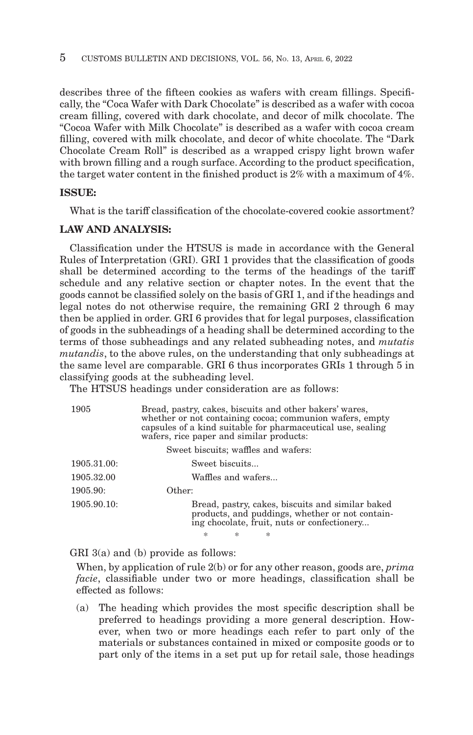describes three of the fifteen cookies as wafers with cream fillings. Specifically, the "Coca Wafer with Dark Chocolate" is described as a wafer with cocoa cream filling, covered with dark chocolate, and decor of milk chocolate. The "Cocoa Wafer with Milk Chocolate" is described as a wafer with cocoa cream filling, covered with milk chocolate, and decor of white chocolate. The "Dark Chocolate Cream Roll" is described as a wrapped crispy light brown wafer with brown filling and a rough surface. According to the product specification, the target water content in the finished product is 2% with a maximum of 4%.

### **ISSUE:**

What is the tariff classification of the chocolate-covered cookie assortment?

### **LAW AND ANALYSIS:**

Classification under the HTSUS is made in accordance with the General Rules of Interpretation (GRI). GRI 1 provides that the classification of goods shall be determined according to the terms of the headings of the tariff schedule and any relative section or chapter notes. In the event that the goods cannot be classified solely on the basis of GRI 1, and if the headings and legal notes do not otherwise require, the remaining GRI 2 through 6 may then be applied in order. GRI 6 provides that for legal purposes, classification of goods in the subheadings of a heading shall be determined according to the terms of those subheadings and any related subheading notes, and *mutatis mutandis*, to the above rules, on the understanding that only subheadings at the same level are comparable. GRI 6 thus incorporates GRIs 1 through 5 in classifying goods at the subheading level.

The HTSUS headings under consideration are as follows:

| 1905                                | Bread, pastry, cakes, biscuits and other bakers' wares,<br>whether or not containing cocoa; communion wafers, empty<br>capsules of a kind suitable for pharmaceutical use, sealing<br>wafers, rice paper and similar products: |  |  |  |
|-------------------------------------|--------------------------------------------------------------------------------------------------------------------------------------------------------------------------------------------------------------------------------|--|--|--|
| Sweet biscuits; waffles and wafers: |                                                                                                                                                                                                                                |  |  |  |
| 1905.31.00:                         | Sweet biscuits                                                                                                                                                                                                                 |  |  |  |
| 1905.32.00                          | Waffles and wafers                                                                                                                                                                                                             |  |  |  |
| 1905.90:                            | Other:                                                                                                                                                                                                                         |  |  |  |
| 1905.90.10:                         | Bread, pastry, cakes, biscuits and similar baked<br>products, and puddings, whether or not containing chocolate, fruit, nuts or confectionery                                                                                  |  |  |  |

\*\* \*

GRI 3(a) and (b) provide as follows:

When, by application of rule 2(b) or for any other reason, goods are, *prima facie*, classifiable under two or more headings, classification shall be effected as follows:

(a) The heading which provides the most specific description shall be preferred to headings providing a more general description. However, when two or more headings each refer to part only of the materials or substances contained in mixed or composite goods or to part only of the items in a set put up for retail sale, those headings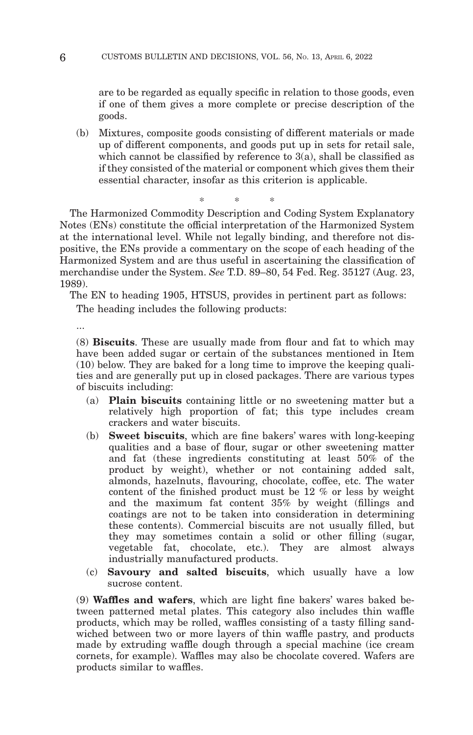are to be regarded as equally specific in relation to those goods, even if one of them gives a more complete or precise description of the goods.

(b) Mixtures, composite goods consisting of different materials or made up of different components, and goods put up in sets for retail sale, which cannot be classified by reference to  $3(a)$ , shall be classified as if they consisted of the material or component which gives them their essential character, insofar as this criterion is applicable.

\*\* \* The Harmonized Commodity Description and Coding System Explanatory Notes (ENs) constitute the official interpretation of the Harmonized System at the international level. While not legally binding, and therefore not dispositive, the ENs provide a commentary on the scope of each heading of the Harmonized System and are thus useful in ascertaining the classification of merchandise under the System. *See* T.D. 89–80, 54 Fed. Reg. 35127 (Aug. 23, 1989).

The EN to heading 1905, HTSUS, provides in pertinent part as follows: The heading includes the following products:

...

(8) **Biscuits**. These are usually made from flour and fat to which may have been added sugar or certain of the substances mentioned in Item (10) below. They are baked for a long time to improve the keeping qualities and are generally put up in closed packages. There are various types of biscuits including:

- (a) **Plain biscuits** containing little or no sweetening matter but a relatively high proportion of fat; this type includes cream crackers and water biscuits.
- (b) **Sweet biscuits**, which are fine bakers' wares with long-keeping qualities and a base of flour, sugar or other sweetening matter and fat (these ingredients constituting at least 50% of the product by weight), whether or not containing added salt, almonds, hazelnuts, flavouring, chocolate, coffee, etc. The water content of the finished product must be 12 % or less by weight and the maximum fat content 35% by weight (fillings and coatings are not to be taken into consideration in determining these contents). Commercial biscuits are not usually filled, but they may sometimes contain a solid or other filling (sugar, vegetable fat, chocolate, etc.). They are almost always industrially manufactured products.
- (c) **Savoury and salted biscuits**, which usually have a low sucrose content.

(9) **Waffles and wafers**, which are light fine bakers' wares baked between patterned metal plates. This category also includes thin waffle products, which may be rolled, waffles consisting of a tasty filling sandwiched between two or more layers of thin waffle pastry, and products made by extruding waffle dough through a special machine (ice cream cornets, for example). Waffles may also be chocolate covered. Wafers are products similar to waffles.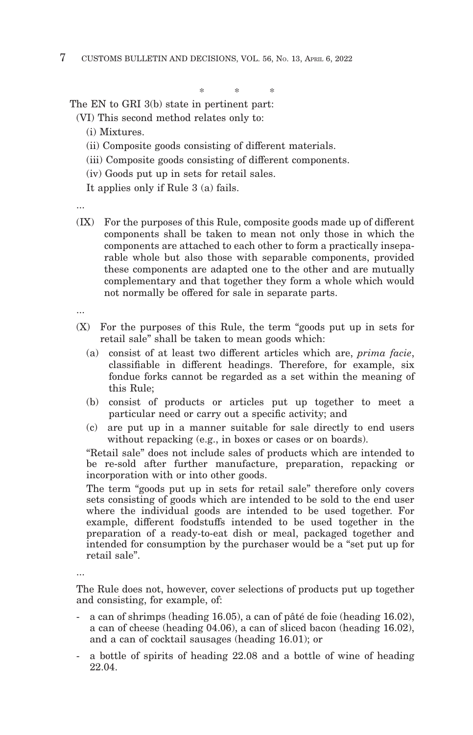\*\* \*

The EN to GRI 3(b) state in pertinent part:

- (VI) This second method relates only to:
	- (i) Mixtures.
	- (ii) Composite goods consisting of different materials.
	- (iii) Composite goods consisting of different components.
	- (iv) Goods put up in sets for retail sales.
	- It applies only if Rule 3 (a) fails.
- ...
- (IX) For the purposes of this Rule, composite goods made up of different components shall be taken to mean not only those in which the components are attached to each other to form a practically inseparable whole but also those with separable components, provided these components are adapted one to the other and are mutually complementary and that together they form a whole which would not normally be offered for sale in separate parts.
- ...
- (X) For the purposes of this Rule, the term "goods put up in sets for retail sale" shall be taken to mean goods which:
	- (a) consist of at least two different articles which are, *prima facie*, classifiable in different headings. Therefore, for example, six fondue forks cannot be regarded as a set within the meaning of this Rule;
	- (b) consist of products or articles put up together to meet a particular need or carry out a specific activity; and
	- (c) are put up in a manner suitable for sale directly to end users without repacking (e.g., in boxes or cases or on boards).

"Retail sale" does not include sales of products which are intended to be re-sold after further manufacture, preparation, repacking or incorporation with or into other goods.

The term "goods put up in sets for retail sale" therefore only covers sets consisting of goods which are intended to be sold to the end user where the individual goods are intended to be used together. For example, different foodstuffs intended to be used together in the preparation of a ready-to-eat dish or meal, packaged together and intended for consumption by the purchaser would be a "set put up for retail sale".

...

The Rule does not, however, cover selections of products put up together and consisting, for example, of:

- a can of shrimps (heading 16.05), a can of pâté de foie (heading 16.02), a can of cheese (heading 04.06), a can of sliced bacon (heading 16.02), and a can of cocktail sausages (heading 16.01); or
- a bottle of spirits of heading 22.08 and a bottle of wine of heading 22.04.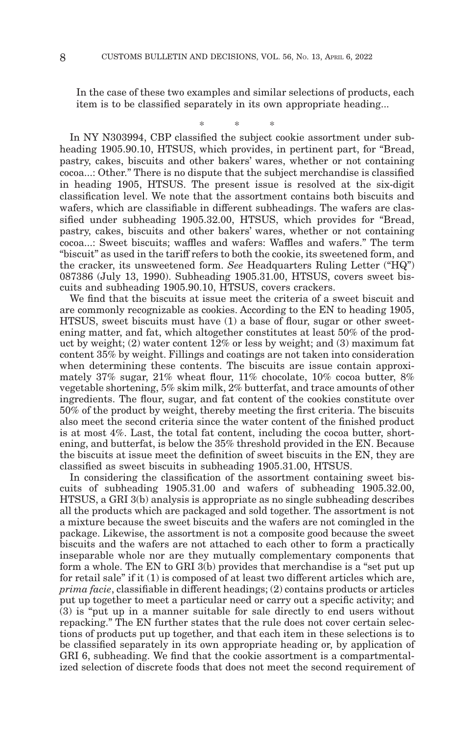In the case of these two examples and similar selections of products, each item is to be classified separately in its own appropriate heading...

\*\* \* In NY N303994, CBP classified the subject cookie assortment under subheading 1905.90.10, HTSUS, which provides, in pertinent part, for "Bread, pastry, cakes, biscuits and other bakers' wares, whether or not containing cocoa...: Other." There is no dispute that the subject merchandise is classified in heading 1905, HTSUS. The present issue is resolved at the six-digit classification level. We note that the assortment contains both biscuits and wafers, which are classifiable in different subheadings. The wafers are classified under subheading 1905.32.00, HTSUS, which provides for "Bread, pastry, cakes, biscuits and other bakers' wares, whether or not containing cocoa...: Sweet biscuits; waffles and wafers: Waffles and wafers." The term "biscuit" as used in the tariff refers to both the cookie, its sweetened form, and the cracker, its unsweetened form. *See* Headquarters Ruling Letter ("HQ") 087386 (July 13, 1990). Subheading 1905.31.00, HTSUS, covers sweet biscuits and subheading 1905.90.10, HTSUS, covers crackers.

We find that the biscuits at issue meet the criteria of a sweet biscuit and are commonly recognizable as cookies. According to the EN to heading 1905, HTSUS, sweet biscuits must have (1) a base of flour, sugar or other sweetening matter, and fat, which altogether constitutes at least 50% of the product by weight; (2) water content 12% or less by weight; and (3) maximum fat content 35% by weight. Fillings and coatings are not taken into consideration when determining these contents. The biscuits are issue contain approximately 37% sugar, 21% wheat flour, 11% chocolate, 10% cocoa butter, 8% vegetable shortening, 5% skim milk, 2% butterfat, and trace amounts of other ingredients. The flour, sugar, and fat content of the cookies constitute over 50% of the product by weight, thereby meeting the first criteria. The biscuits also meet the second criteria since the water content of the finished product is at most 4%. Last, the total fat content, including the cocoa butter, shortening, and butterfat, is below the 35% threshold provided in the EN. Because the biscuits at issue meet the definition of sweet biscuits in the EN, they are classified as sweet biscuits in subheading 1905.31.00, HTSUS.

In considering the classification of the assortment containing sweet biscuits of subheading 1905.31.00 and wafers of subheading 1905.32.00, HTSUS, a GRI 3(b) analysis is appropriate as no single subheading describes all the products which are packaged and sold together. The assortment is not a mixture because the sweet biscuits and the wafers are not comingled in the package. Likewise, the assortment is not a composite good because the sweet biscuits and the wafers are not attached to each other to form a practically inseparable whole nor are they mutually complementary components that form a whole. The EN to GRI 3(b) provides that merchandise is a "set put up for retail sale" if it (1) is composed of at least two different articles which are, *prima facie*, classifiable in different headings; (2) contains products or articles put up together to meet a particular need or carry out a specific activity; and (3) is "put up in a manner suitable for sale directly to end users without repacking." The EN further states that the rule does not cover certain selections of products put up together, and that each item in these selections is to be classified separately in its own appropriate heading or, by application of GRI 6, subheading. We find that the cookie assortment is a compartmentalized selection of discrete foods that does not meet the second requirement of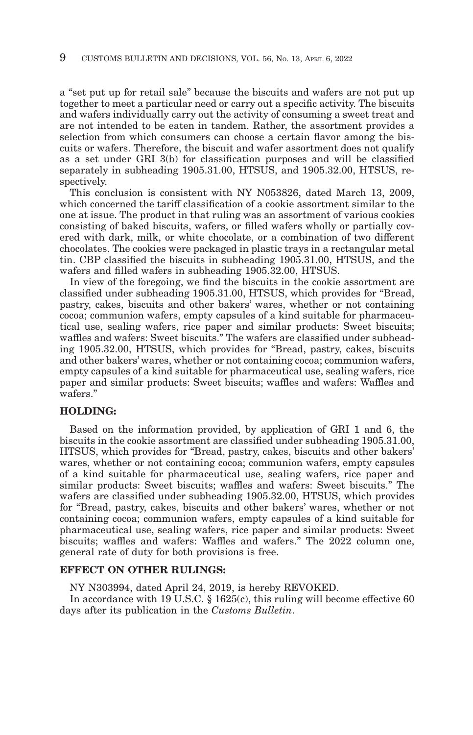a "set put up for retail sale" because the biscuits and wafers are not put up together to meet a particular need or carry out a specific activity. The biscuits and wafers individually carry out the activity of consuming a sweet treat and are not intended to be eaten in tandem. Rather, the assortment provides a selection from which consumers can choose a certain flavor among the biscuits or wafers. Therefore, the biscuit and wafer assortment does not qualify as a set under GRI 3(b) for classification purposes and will be classified separately in subheading 1905.31.00, HTSUS, and 1905.32.00, HTSUS, respectively.

This conclusion is consistent with NY N053826, dated March 13, 2009, which concerned the tariff classification of a cookie assortment similar to the one at issue. The product in that ruling was an assortment of various cookies consisting of baked biscuits, wafers, or filled wafers wholly or partially covered with dark, milk, or white chocolate, or a combination of two different chocolates. The cookies were packaged in plastic trays in a rectangular metal tin. CBP classified the biscuits in subheading 1905.31.00, HTSUS, and the wafers and filled wafers in subheading 1905.32.00, HTSUS.

In view of the foregoing, we find the biscuits in the cookie assortment are classified under subheading 1905.31.00, HTSUS, which provides for "Bread, pastry, cakes, biscuits and other bakers' wares, whether or not containing cocoa; communion wafers, empty capsules of a kind suitable for pharmaceutical use, sealing wafers, rice paper and similar products: Sweet biscuits; waffles and wafers: Sweet biscuits." The wafers are classified under subheading 1905.32.00, HTSUS, which provides for "Bread, pastry, cakes, biscuits and other bakers' wares, whether or not containing cocoa; communion wafers, empty capsules of a kind suitable for pharmaceutical use, sealing wafers, rice paper and similar products: Sweet biscuits; waffles and wafers: Waffles and wafers."

#### **HOLDING:**

Based on the information provided, by application of GRI 1 and 6, the biscuits in the cookie assortment are classified under subheading 1905.31.00, HTSUS, which provides for "Bread, pastry, cakes, biscuits and other bakers' wares, whether or not containing cocoa; communion wafers, empty capsules of a kind suitable for pharmaceutical use, sealing wafers, rice paper and similar products: Sweet biscuits; waffles and wafers: Sweet biscuits." The wafers are classified under subheading 1905.32.00, HTSUS, which provides for "Bread, pastry, cakes, biscuits and other bakers' wares, whether or not containing cocoa; communion wafers, empty capsules of a kind suitable for pharmaceutical use, sealing wafers, rice paper and similar products: Sweet biscuits; waffles and wafers: Waffles and wafers." The 2022 column one, general rate of duty for both provisions is free.

#### **EFFECT ON OTHER RULINGS:**

NY N303994, dated April 24, 2019, is hereby REVOKED.

In accordance with 19 U.S.C. § 1625(c), this ruling will become effective 60 days after its publication in the *Customs Bulletin*.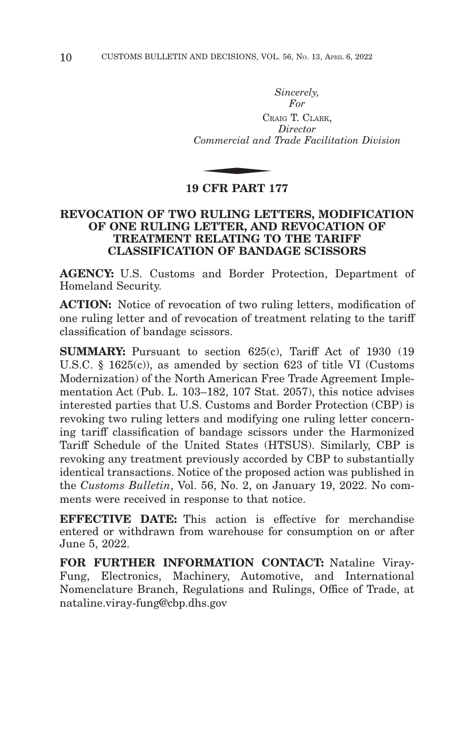*Sincerely, For* CRAIG T. CLARK, *Director Commercial and Trade Facilitation Division*  $\frac{C_R}{T}$ <br>Commercial and

# **19 CFR PART 177**

## **REVOCATION OF TWO RULING LETTERS, MODIFICATION OF ONE RULING LETTER, AND REVOCATION OF TREATMENT RELATING TO THE TARIFF CLASSIFICATION OF BANDAGE SCISSORS**

**AGENCY:** U.S. Customs and Border Protection, Department of Homeland Security.

**ACTION:** Notice of revocation of two ruling letters, modification of one ruling letter and of revocation of treatment relating to the tariff classification of bandage scissors.

**SUMMARY:** Pursuant to section 625(c), Tariff Act of 1930 (19) U.S.C. § 1625(c)), as amended by section 623 of title VI (Customs Modernization) of the North American Free Trade Agreement Implementation Act (Pub. L. 103–182, 107 Stat. 2057), this notice advises interested parties that U.S. Customs and Border Protection (CBP) is revoking two ruling letters and modifying one ruling letter concerning tariff classification of bandage scissors under the Harmonized Tariff Schedule of the United States (HTSUS). Similarly, CBP is revoking any treatment previously accorded by CBP to substantially identical transactions. Notice of the proposed action was published in the *Customs Bulletin*, Vol. 56, No. 2, on January 19, 2022. No comments were received in response to that notice.

**EFFECTIVE DATE:** This action is effective for merchandise entered or withdrawn from warehouse for consumption on or after June 5, 2022.

**FOR FURTHER INFORMATION CONTACT:** Nataline Viray-Fung, Electronics, Machinery, Automotive, and International Nomenclature Branch, Regulations and Rulings, Office of Trade, at nataline.viray-fung@cbp.dhs.gov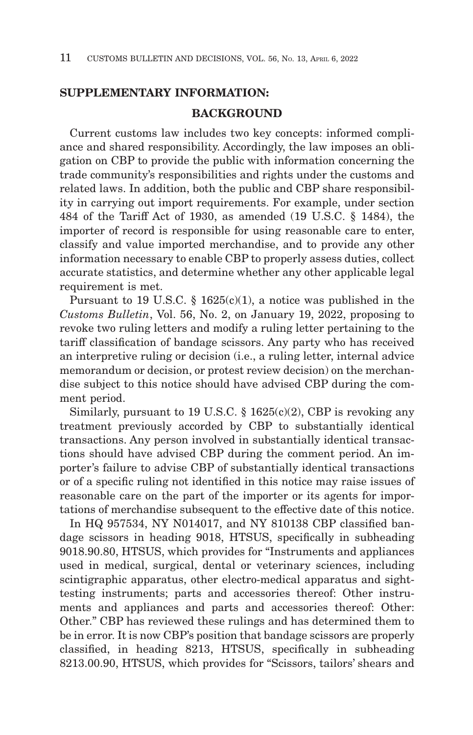# **SUPPLEMENTARY INFORMATION:**

## **BACKGROUND**

Current customs law includes two key concepts: informed compliance and shared responsibility. Accordingly, the law imposes an obligation on CBP to provide the public with information concerning the trade community's responsibilities and rights under the customs and related laws. In addition, both the public and CBP share responsibility in carrying out import requirements. For example, under section 484 of the Tariff Act of 1930, as amended (19 U.S.C. § 1484), the importer of record is responsible for using reasonable care to enter, classify and value imported merchandise, and to provide any other information necessary to enable CBP to properly assess duties, collect accurate statistics, and determine whether any other applicable legal requirement is met.

Pursuant to 19 U.S.C. § 1625(c)(1), a notice was published in the *Customs Bulletin*, Vol. 56, No. 2, on January 19, 2022, proposing to revoke two ruling letters and modify a ruling letter pertaining to the tariff classification of bandage scissors. Any party who has received an interpretive ruling or decision (i.e., a ruling letter, internal advice memorandum or decision, or protest review decision) on the merchandise subject to this notice should have advised CBP during the comment period.

Similarly, pursuant to 19 U.S.C.  $\S$  1625(c)(2), CBP is revoking any treatment previously accorded by CBP to substantially identical transactions. Any person involved in substantially identical transactions should have advised CBP during the comment period. An importer's failure to advise CBP of substantially identical transactions or of a specific ruling not identified in this notice may raise issues of reasonable care on the part of the importer or its agents for importations of merchandise subsequent to the effective date of this notice.

In HQ 957534, NY N014017, and NY 810138 CBP classified bandage scissors in heading 9018, HTSUS, specifically in subheading 9018.90.80, HTSUS, which provides for "Instruments and appliances used in medical, surgical, dental or veterinary sciences, including scintigraphic apparatus, other electro-medical apparatus and sighttesting instruments; parts and accessories thereof: Other instruments and appliances and parts and accessories thereof: Other: Other." CBP has reviewed these rulings and has determined them to be in error. It is now CBP's position that bandage scissors are properly classified, in heading 8213, HTSUS, specifically in subheading 8213.00.90, HTSUS, which provides for "Scissors, tailors' shears and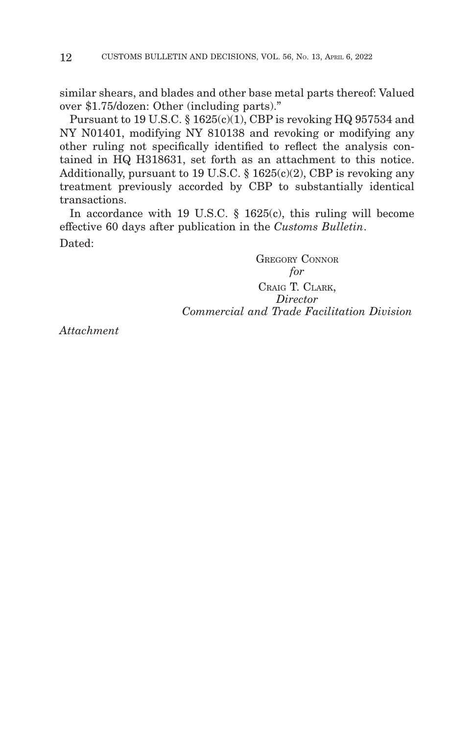similar shears, and blades and other base metal parts thereof: Valued over \$1.75/dozen: Other (including parts)."

Pursuant to 19 U.S.C. § 1625(c)(1), CBP is revoking HQ 957534 and NY N01401, modifying NY 810138 and revoking or modifying any other ruling not specifically identified to reflect the analysis contained in HQ H318631, set forth as an attachment to this notice. Additionally, pursuant to 19 U.S.C.  $\S 1625(c)(2)$ , CBP is revoking any treatment previously accorded by CBP to substantially identical transactions.

In accordance with 19 U.S.C. § 1625(c), this ruling will become effective 60 days after publication in the *Customs Bulletin*. Dated:

> GREGORY CONNOR *for* CRAIG T. CLARK, *Director Commercial and Trade Facilitation Division*

*Attachment*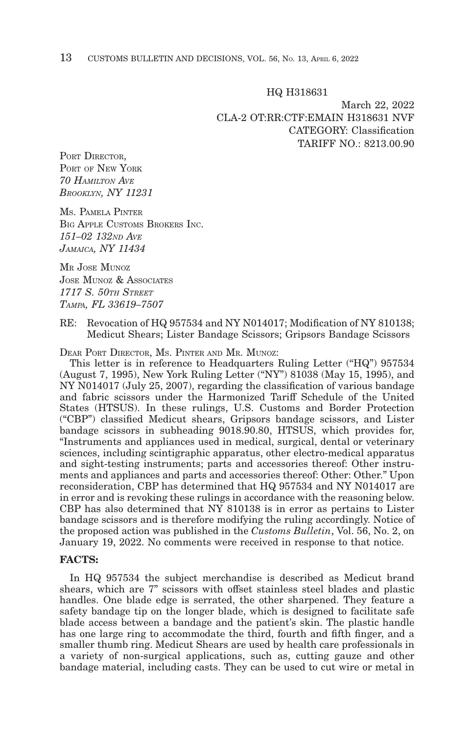HQ H318631

March 22, 2022 CLA-2 OT:RR:CTF:EMAIN H318631 NVF CATEGORY: Classification TARIFF NO.: 8213.00.90

PORT DIRECTOR. PORT OF NEW YORK *70 HAMILTON AVE BROOKLYN, NY 11231*

MS. PAMELA PINTER BIG APPLE CUSTOMS BROKERS INC. *151–02 132ND AVE JAMAICA, NY 11434*

MR JOSE MUNOZ JOSE MINOZ & ASSOCIATES *1717 S. 50TH STREET TAMPA, FL 33619–7507*

#### RE: Revocation of HQ 957534 and NY N014017; Modification of NY 810138; Medicut Shears; Lister Bandage Scissors; Gripsors Bandage Scissors

DEAR PORT DIRECTOR, MS. PINTER AND MR. MUNOZ:

This letter is in reference to Headquarters Ruling Letter ("HQ") 957534 (August 7, 1995), New York Ruling Letter ("NY") 81038 (May 15, 1995), and NY N014017 (July 25, 2007), regarding the classification of various bandage and fabric scissors under the Harmonized Tariff Schedule of the United States (HTSUS). In these rulings, U.S. Customs and Border Protection ("CBP") classified Medicut shears, Gripsors bandage scissors, and Lister bandage scissors in subheading 9018.90.80, HTSUS, which provides for, "Instruments and appliances used in medical, surgical, dental or veterinary sciences, including scintigraphic apparatus, other electro-medical apparatus and sight-testing instruments; parts and accessories thereof: Other instruments and appliances and parts and accessories thereof: Other: Other." Upon reconsideration, CBP has determined that HQ 957534 and NY N014017 are in error and is revoking these rulings in accordance with the reasoning below. CBP has also determined that NY 810138 is in error as pertains to Lister bandage scissors and is therefore modifying the ruling accordingly. Notice of the proposed action was published in the *Customs Bulletin*, Vol. 56, No. 2, on January 19, 2022. No comments were received in response to that notice.

#### **FACTS:**

In HQ 957534 the subject merchandise is described as Medicut brand shears, which are 7" scissors with offset stainless steel blades and plastic handles. One blade edge is serrated, the other sharpened. They feature a safety bandage tip on the longer blade, which is designed to facilitate safe blade access between a bandage and the patient's skin. The plastic handle has one large ring to accommodate the third, fourth and fifth finger, and a smaller thumb ring. Medicut Shears are used by health care professionals in a variety of non-surgical applications, such as, cutting gauze and other bandage material, including casts. They can be used to cut wire or metal in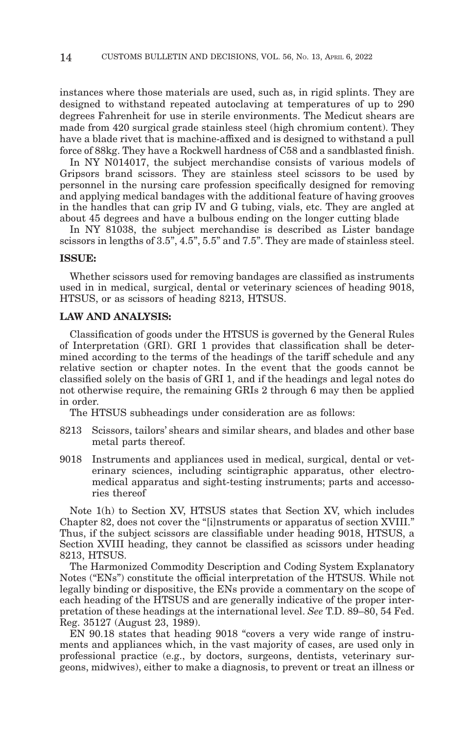instances where those materials are used, such as, in rigid splints. They are designed to withstand repeated autoclaving at temperatures of up to 290 degrees Fahrenheit for use in sterile environments. The Medicut shears are made from 420 surgical grade stainless steel (high chromium content). They have a blade rivet that is machine-affixed and is designed to withstand a pull force of 88kg. They have a Rockwell hardness of C58 and a sandblasted finish.

In NY N014017, the subject merchandise consists of various models of Gripsors brand scissors. They are stainless steel scissors to be used by personnel in the nursing care profession specifically designed for removing and applying medical bandages with the additional feature of having grooves in the handles that can grip IV and G tubing, vials, etc. They are angled at about 45 degrees and have a bulbous ending on the longer cutting blade

In NY 81038, the subject merchandise is described as Lister bandage scissors in lengths of 3.5", 4.5", 5.5" and 7.5". They are made of stainless steel.

#### **ISSUE:**

Whether scissors used for removing bandages are classified as instruments used in in medical, surgical, dental or veterinary sciences of heading 9018, HTSUS, or as scissors of heading 8213, HTSUS.

#### **LAW AND ANALYSIS:**

Classification of goods under the HTSUS is governed by the General Rules of Interpretation (GRI). GRI 1 provides that classification shall be determined according to the terms of the headings of the tariff schedule and any relative section or chapter notes. In the event that the goods cannot be classified solely on the basis of GRI 1, and if the headings and legal notes do not otherwise require, the remaining GRIs 2 through 6 may then be applied in order.

The HTSUS subheadings under consideration are as follows:

- 8213 Scissors, tailors' shears and similar shears, and blades and other base metal parts thereof.
- 9018 Instruments and appliances used in medical, surgical, dental or veterinary sciences, including scintigraphic apparatus, other electromedical apparatus and sight-testing instruments; parts and accessories thereof

Note 1(h) to Section XV, HTSUS states that Section XV, which includes Chapter 82, does not cover the "[i]nstruments or apparatus of section XVIII." Thus, if the subject scissors are classifiable under heading 9018, HTSUS, a Section XVIII heading, they cannot be classified as scissors under heading 8213, HTSUS.

The Harmonized Commodity Description and Coding System Explanatory Notes ("ENs") constitute the official interpretation of the HTSUS. While not legally binding or dispositive, the ENs provide a commentary on the scope of each heading of the HTSUS and are generally indicative of the proper interpretation of these headings at the international level. *See* T.D. 89–80, 54 Fed. Reg. 35127 (August 23, 1989).

EN 90.18 states that heading 9018 "covers a very wide range of instruments and appliances which, in the vast majority of cases, are used only in professional practice (e.g., by doctors, surgeons, dentists, veterinary surgeons, midwives), either to make a diagnosis, to prevent or treat an illness or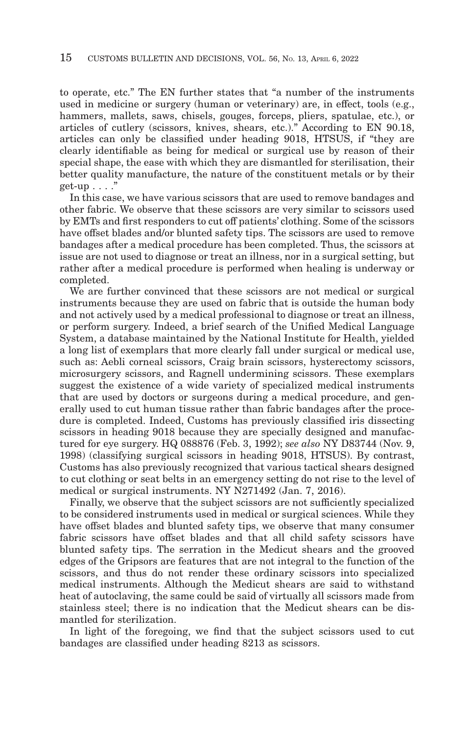to operate, etc." The EN further states that "a number of the instruments used in medicine or surgery (human or veterinary) are, in effect, tools (e.g., hammers, mallets, saws, chisels, gouges, forceps, pliers, spatulae, etc.), or articles of cutlery (scissors, knives, shears, etc.)." According to EN 90.18, articles can only be classified under heading 9018, HTSUS, if "they are clearly identifiable as being for medical or surgical use by reason of their special shape, the ease with which they are dismantled for sterilisation, their better quality manufacture, the nature of the constituent metals or by their get-up  $\ldots$  ."

In this case, we have various scissors that are used to remove bandages and other fabric. We observe that these scissors are very similar to scissors used by EMTs and first responders to cut off patients' clothing. Some of the scissors have offset blades and/or blunted safety tips. The scissors are used to remove bandages after a medical procedure has been completed. Thus, the scissors at issue are not used to diagnose or treat an illness, nor in a surgical setting, but rather after a medical procedure is performed when healing is underway or completed.

We are further convinced that these scissors are not medical or surgical instruments because they are used on fabric that is outside the human body and not actively used by a medical professional to diagnose or treat an illness, or perform surgery. Indeed, a brief search of the Unified Medical Language System, a database maintained by the National Institute for Health, yielded a long list of exemplars that more clearly fall under surgical or medical use, such as: Aebli corneal scissors, Craig brain scissors, hysterectomy scissors, microsurgery scissors, and Ragnell undermining scissors. These exemplars suggest the existence of a wide variety of specialized medical instruments that are used by doctors or surgeons during a medical procedure, and generally used to cut human tissue rather than fabric bandages after the procedure is completed. Indeed, Customs has previously classified iris dissecting scissors in heading 9018 because they are specially designed and manufactured for eye surgery. HQ 088876 (Feb. 3, 1992); *see also* NY D83744 (Nov. 9, 1998) (classifying surgical scissors in heading 9018, HTSUS). By contrast, Customs has also previously recognized that various tactical shears designed to cut clothing or seat belts in an emergency setting do not rise to the level of medical or surgical instruments. NY N271492 (Jan. 7, 2016).

Finally, we observe that the subject scissors are not sufficiently specialized to be considered instruments used in medical or surgical sciences. While they have offset blades and blunted safety tips, we observe that many consumer fabric scissors have offset blades and that all child safety scissors have blunted safety tips. The serration in the Medicut shears and the grooved edges of the Gripsors are features that are not integral to the function of the scissors, and thus do not render these ordinary scissors into specialized medical instruments. Although the Medicut shears are said to withstand heat of autoclaving, the same could be said of virtually all scissors made from stainless steel; there is no indication that the Medicut shears can be dismantled for sterilization.

In light of the foregoing, we find that the subject scissors used to cut bandages are classified under heading 8213 as scissors.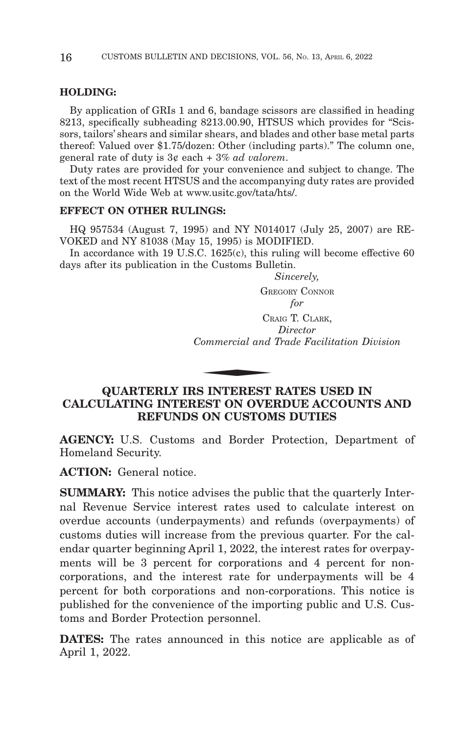#### **HOLDING:**

By application of GRIs 1 and 6, bandage scissors are classified in heading 8213, specifically subheading 8213.00.90, HTSUS which provides for "Scissors, tailors' shears and similar shears, and blades and other base metal parts thereof: Valued over \$1.75/dozen: Other (including parts)." The column one, general rate of duty is 3¢ each + 3% *ad valorem*.

Duty rates are provided for your convenience and subject to change. The text of the most recent HTSUS and the accompanying duty rates are provided on the World Wide Web at www.usitc.gov/tata/hts/.

### **EFFECT ON OTHER RULINGS:**

HQ 957534 (August 7, 1995) and NY N014017 (July 25, 2007) are RE-VOKED and NY 81038 (May 15, 1995) is MODIFIED.

In accordance with 19 U.S.C. 1625(c), this ruling will become effective 60 days after its publication in the Customs Bulletin.

#### *Sincerely,*

GREGORY CONNOR

*for*

CRAIG T. CLARK, *Director Commercial and Trade Facilitation Division* CR<br>CR<br>Commercial and<br>COMPERIENCE

# **QUARTERLY IRS INTEREST RATES USED IN CALCULATING INTEREST ON OVERDUE ACCOUNTS AND REFUNDS ON CUSTOMS DUTIES**

**AGENCY:** U.S. Customs and Border Protection, Department of Homeland Security.

**ACTION:** General notice.

**SUMMARY:** This notice advises the public that the quarterly Internal Revenue Service interest rates used to calculate interest on overdue accounts (underpayments) and refunds (overpayments) of customs duties will increase from the previous quarter. For the calendar quarter beginning April 1, 2022, the interest rates for overpayments will be 3 percent for corporations and 4 percent for noncorporations, and the interest rate for underpayments will be 4 percent for both corporations and non-corporations. This notice is published for the convenience of the importing public and U.S. Customs and Border Protection personnel.

**DATES:** The rates announced in this notice are applicable as of April 1, 2022.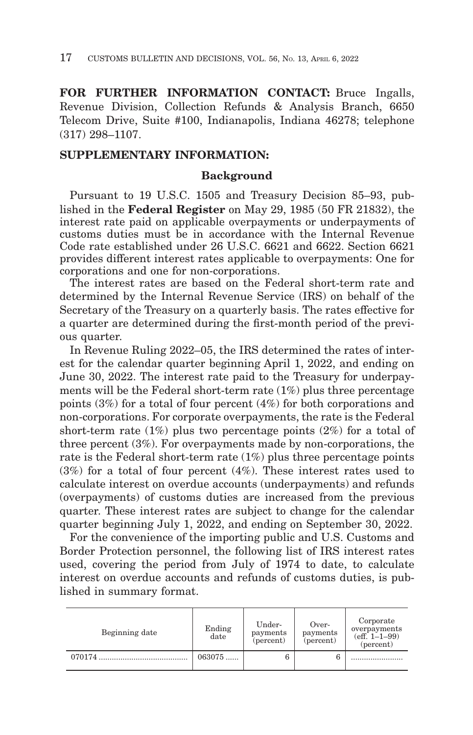**FOR FURTHER INFORMATION CONTACT:** Bruce Ingalls, Revenue Division, Collection Refunds & Analysis Branch, 6650 Telecom Drive, Suite #100, Indianapolis, Indiana 46278; telephone (317) 298–1107.

# **SUPPLEMENTARY INFORMATION:**

### **Background**

Pursuant to 19 U.S.C. 1505 and Treasury Decision 85–93, published in the **Federal Register** on May 29, 1985 (50 FR 21832), the interest rate paid on applicable overpayments or underpayments of customs duties must be in accordance with the Internal Revenue Code rate established under 26 U.S.C. 6621 and 6622. Section 6621 provides different interest rates applicable to overpayments: One for corporations and one for non-corporations.

The interest rates are based on the Federal short-term rate and determined by the Internal Revenue Service (IRS) on behalf of the Secretary of the Treasury on a quarterly basis. The rates effective for a quarter are determined during the first-month period of the previous quarter.

In Revenue Ruling 2022–05, the IRS determined the rates of interest for the calendar quarter beginning April 1, 2022, and ending on June 30, 2022. The interest rate paid to the Treasury for underpayments will be the Federal short-term rate  $(1%)$  plus three percentage points (3%) for a total of four percent (4%) for both corporations and non-corporations. For corporate overpayments, the rate is the Federal short-term rate  $(1\%)$  plus two percentage points  $(2\%)$  for a total of three percent (3%). For overpayments made by non-corporations, the rate is the Federal short-term rate (1%) plus three percentage points (3%) for a total of four percent (4%). These interest rates used to calculate interest on overdue accounts (underpayments) and refunds (overpayments) of customs duties are increased from the previous quarter. These interest rates are subject to change for the calendar quarter beginning July 1, 2022, and ending on September 30, 2022.

For the convenience of the importing public and U.S. Customs and Border Protection personnel, the following list of IRS interest rates used, covering the period from July of 1974 to date, to calculate interest on overdue accounts and refunds of customs duties, is published in summary format.

| Beginning date | Ending<br>date | Under-<br>payments<br>(percent) | Over-<br>payments<br>(percent) | Corporate<br>overpayments<br>$(eff. 1-1-99)$<br>(percent) |
|----------------|----------------|---------------------------------|--------------------------------|-----------------------------------------------------------|
| 070174         | $063075$       | 6                               |                                |                                                           |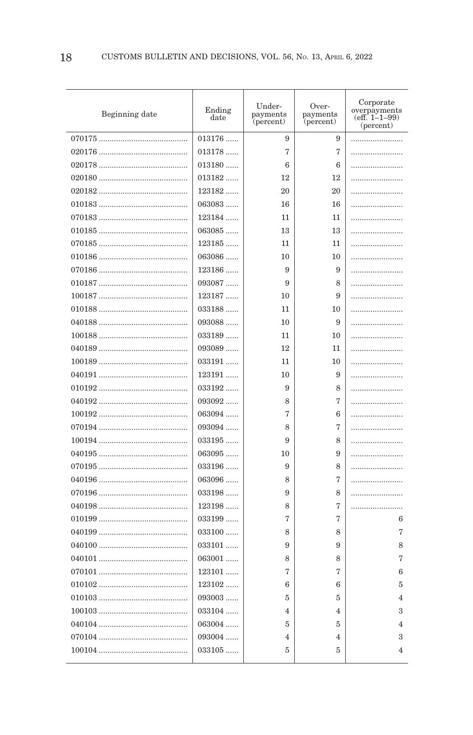| Beginning date | Ending<br>$_{\rm date}$ | Under-<br>payments<br>(percent) | Over-<br>payments<br>(percent) | Corporate<br>overpayments<br>(eff. $1-1-99$ )<br>(percent) |
|----------------|-------------------------|---------------------------------|--------------------------------|------------------------------------------------------------|
|                | $013176$                | 9                               | 9                              |                                                            |
|                | $013178$                | 7                               | 7                              |                                                            |
|                | $013180$                | 6                               | 6                              |                                                            |
|                | $013182$                | 12                              | 12                             |                                                            |
|                | 123182                  | 20                              | 20                             |                                                            |
|                | $063083$                | 16                              | 16                             |                                                            |
|                | 123184                  | 11                              | 11                             |                                                            |
|                | $063085$                | 13                              | 13                             |                                                            |
|                | $123185\,\ldots\ldots$  | 11                              | 11                             |                                                            |
|                | $063086$                | 10                              | 10                             |                                                            |
|                | 123186                  | 9                               | 9                              |                                                            |
|                | 093087                  | 9                               | 8                              |                                                            |
|                | 123187                  | 10                              | 9                              |                                                            |
|                | 033188                  | 11                              | 10                             |                                                            |
|                | $093088$                | 10                              | 9                              |                                                            |
|                | 033189                  | 11                              | 10                             |                                                            |
|                | 093089                  | 12                              | 11                             |                                                            |
|                | 033191                  | 11                              | 10                             |                                                            |
|                | 123191                  | 10                              | 9                              |                                                            |
|                | $033192$                | 9                               | 8                              |                                                            |
|                | $093092$                | 8                               | 7                              |                                                            |
|                | 063094                  | 7                               | 6                              |                                                            |
|                | 093094                  | 8                               | 7                              |                                                            |
|                | $033195$                | 9                               | 8                              |                                                            |
|                | $063095$                | 10                              | 9                              |                                                            |
|                | 033196                  | 9                               | 8                              |                                                            |
|                | 063096                  | 8                               | 7                              |                                                            |
|                | $033198\,\ldots\ldots$  | 9                               | 8                              |                                                            |
|                | 123198                  | 8                               | 7                              |                                                            |
|                | $033199$                | 7                               | 7                              | 6                                                          |
|                | 033100                  | 8                               | 8                              | 7                                                          |
|                | 033101                  | 9                               | 9                              | 8                                                          |
|                | 063001                  | 8                               | 8                              | 7                                                          |
|                | 123101                  | 7                               | 7                              | 6                                                          |
|                | 123102                  | 6                               | 6                              | 5                                                          |
|                | 093003                  | 5                               | 5                              | $\overline{4}$                                             |
|                | 033104                  | 4                               | 4                              | 3                                                          |
|                | $063004$                | 5                               | 5                              | $\overline{4}$                                             |
|                | 093004                  | 4                               | 4                              | 3                                                          |
|                | $033105$                | 5                               | 5                              | 4                                                          |
|                |                         |                                 |                                |                                                            |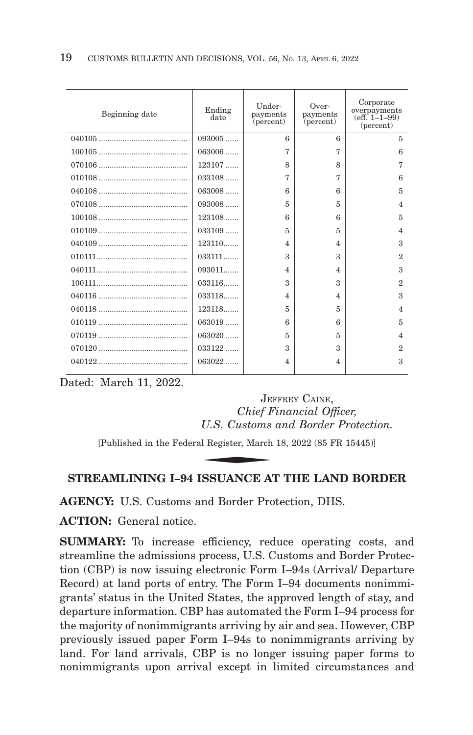| Beginning date | Ending<br>date | Under-<br>payments<br>(percent) | Over-<br>payments<br>(percent) | Corporate<br>overpayments<br>$(eff. 1-1-99)$<br>(percent) |
|----------------|----------------|---------------------------------|--------------------------------|-----------------------------------------------------------|
|                | $093005$       | 6                               | 6                              | 5                                                         |
|                | $063006$       | 7                               | 7                              | 6                                                         |
|                | 123107         | 8                               | 8                              | 7                                                         |
|                | $033108$       | 7                               | 7                              | 6                                                         |
|                | $063008$       | 6                               | 6                              | 5                                                         |
|                | $093008$       | 5                               | 5                              | $\overline{\mathbf{4}}$                                   |
|                | $123108$       | 6                               | 6                              | 5                                                         |
|                | $033109$       | 5                               | 5                              | $\overline{4}$                                            |
|                | 123110         | $\overline{\mathcal{A}}$        | $\overline{4}$                 | $\boldsymbol{\mathcal{S}}$                                |
|                | $033111$       | 3                               | $\mathcal{R}$                  | $\overline{2}$                                            |
|                | 093011         | $\overline{\mathcal{A}}$        | $\overline{4}$                 | $\boldsymbol{\mathcal{S}}$                                |
|                | 033116         | 3                               | $\mathcal{R}$                  | $\overline{2}$                                            |
|                | 033118         | $\overline{\mathcal{A}}$        | $\overline{4}$                 | $\boldsymbol{\mathcal{S}}$                                |
|                | 123118         | 5                               | 5                              | $\overline{\mathbf{4}}$                                   |
|                | $063019$       | 6                               | 6                              | 5                                                         |
|                | $063020$       | $\overline{5}$                  | 5                              | $\overline{\mathbf{4}}$                                   |
|                | $033122$       | 3                               | $\mathcal{R}$                  | $\mathbf{2}$                                              |
|                | $063022$       | $\overline{4}$                  | $\overline{4}$                 | $\boldsymbol{\mathcal{S}}$                                |

Dated: March 11, 2022.

JEFFREY CAINE, *Chief Financial Officer, U.S. Customs and Border Protection.* JEI<br>Chief F<br>U.S. Customs<br>al Register, March<br>CISTIANCE AT

[Published in the Federal Register, March 18, 2022 (85 FR 15445)]

# **STREAMLINING I–94 ISSUANCE AT THE LAND BORDER**

**AGENCY:** U.S. Customs and Border Protection, DHS.

**ACTION:** General notice.

**SUMMARY:** To increase efficiency, reduce operating costs, and streamline the admissions process, U.S. Customs and Border Protection (CBP) is now issuing electronic Form I–94s (Arrival/ Departure Record) at land ports of entry. The Form I–94 documents nonimmigrants' status in the United States, the approved length of stay, and departure information. CBP has automated the Form I–94 process for the majority of nonimmigrants arriving by air and sea. However, CBP previously issued paper Form I–94s to nonimmigrants arriving by land. For land arrivals, CBP is no longer issuing paper forms to nonimmigrants upon arrival except in limited circumstances and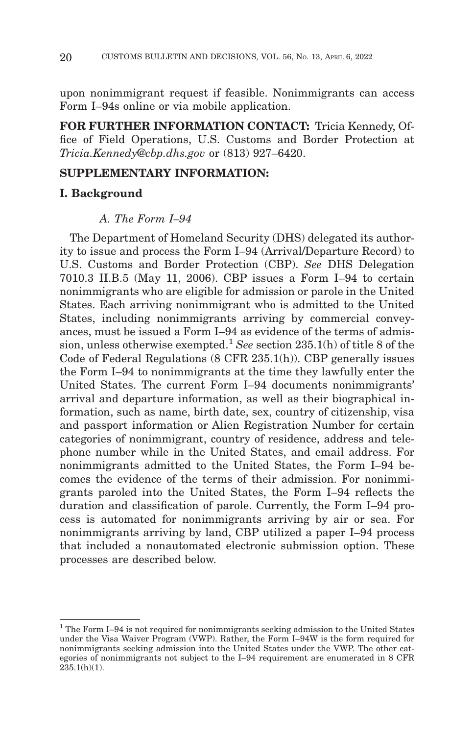upon nonimmigrant request if feasible. Nonimmigrants can access Form I–94s online or via mobile application.

**FOR FURTHER INFORMATION CONTACT:** Tricia Kennedy, Office of Field Operations, U.S. Customs and Border Protection at *Tricia.Kennedy@cbp.dhs.gov* or (813) 927–6420.

# **SUPPLEMENTARY INFORMATION:**

## **I. Background**

#### *A. The Form I–94*

The Department of Homeland Security (DHS) delegated its authority to issue and process the Form I–94 (Arrival/Departure Record) to U.S. Customs and Border Protection (CBP). *See* DHS Delegation 7010.3 II.B.5 (May 11, 2006). CBP issues a Form I–94 to certain nonimmigrants who are eligible for admission or parole in the United States. Each arriving nonimmigrant who is admitted to the United States, including nonimmigrants arriving by commercial conveyances, must be issued a Form I–94 as evidence of the terms of admission, unless otherwise exempted.1 *See* section 235.1(h) of title 8 of the Code of Federal Regulations (8 CFR 235.1(h)). CBP generally issues the Form I–94 to nonimmigrants at the time they lawfully enter the United States. The current Form I–94 documents nonimmigrants' arrival and departure information, as well as their biographical information, such as name, birth date, sex, country of citizenship, visa and passport information or Alien Registration Number for certain categories of nonimmigrant, country of residence, address and telephone number while in the United States, and email address. For nonimmigrants admitted to the United States, the Form I–94 becomes the evidence of the terms of their admission. For nonimmigrants paroled into the United States, the Form I–94 reflects the duration and classification of parole. Currently, the Form I–94 process is automated for nonimmigrants arriving by air or sea. For nonimmigrants arriving by land, CBP utilized a paper I–94 process that included a nonautomated electronic submission option. These processes are described below.

<sup>&</sup>lt;sup>1</sup> The Form I–94 is not required for nonimmigrants seeking admission to the United States under the Visa Waiver Program (VWP). Rather, the Form I–94W is the form required for nonimmigrants seeking admission into the United States under the VWP. The other categories of nonimmigrants not subject to the I–94 requirement are enumerated in 8 CFR  $235.1(h)(1)$ .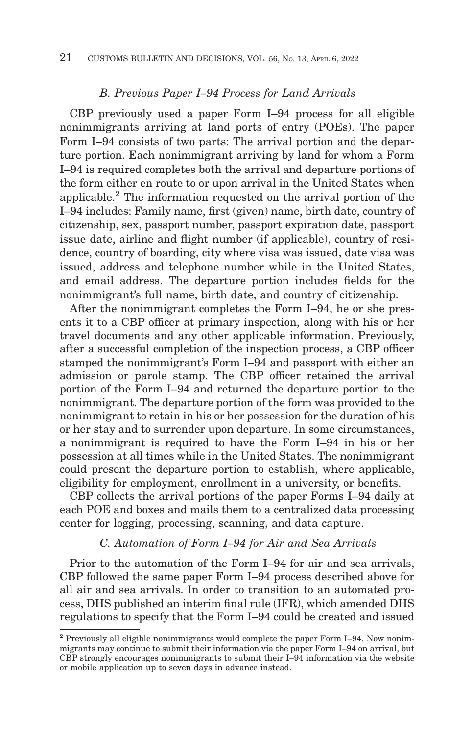## *B. Previous Paper I–94 Process for Land Arrivals*

CBP previously used a paper Form I–94 process for all eligible nonimmigrants arriving at land ports of entry (POEs). The paper Form I–94 consists of two parts: The arrival portion and the departure portion. Each nonimmigrant arriving by land for whom a Form I–94 is required completes both the arrival and departure portions of the form either en route to or upon arrival in the United States when applicable.2 The information requested on the arrival portion of the I–94 includes: Family name, first (given) name, birth date, country of citizenship, sex, passport number, passport expiration date, passport issue date, airline and flight number (if applicable), country of residence, country of boarding, city where visa was issued, date visa was issued, address and telephone number while in the United States, and email address. The departure portion includes fields for the nonimmigrant's full name, birth date, and country of citizenship.

After the nonimmigrant completes the Form I–94, he or she presents it to a CBP officer at primary inspection, along with his or her travel documents and any other applicable information. Previously, after a successful completion of the inspection process, a CBP officer stamped the nonimmigrant's Form I–94 and passport with either an admission or parole stamp. The CBP officer retained the arrival portion of the Form I–94 and returned the departure portion to the nonimmigrant. The departure portion of the form was provided to the nonimmigrant to retain in his or her possession for the duration of his or her stay and to surrender upon departure. In some circumstances, a nonimmigrant is required to have the Form I–94 in his or her possession at all times while in the United States. The nonimmigrant could present the departure portion to establish, where applicable, eligibility for employment, enrollment in a university, or benefits.

CBP collects the arrival portions of the paper Forms I–94 daily at each POE and boxes and mails them to a centralized data processing center for logging, processing, scanning, and data capture.

# *C. Automation of Form I–94 for Air and Sea Arrivals*

Prior to the automation of the Form I–94 for air and sea arrivals, CBP followed the same paper Form I–94 process described above for all air and sea arrivals. In order to transition to an automated process, DHS published an interim final rule (IFR), which amended DHS regulations to specify that the Form I–94 could be created and issued

<sup>2</sup> Previously all eligible nonimmigrants would complete the paper Form I–94. Now nonimmigrants may continue to submit their information via the paper Form I–94 on arrival, but CBP strongly encourages nonimmigrants to submit their I–94 information via the website or mobile application up to seven days in advance instead.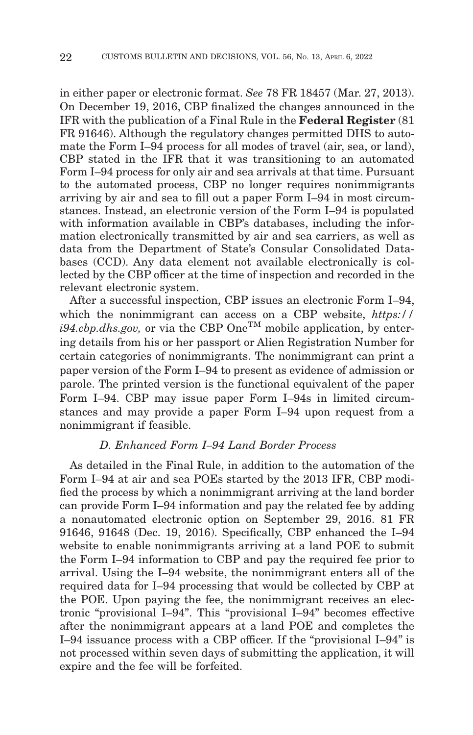in either paper or electronic format. *See* 78 FR 18457 (Mar. 27, 2013). On December 19, 2016, CBP finalized the changes announced in the IFR with the publication of a Final Rule in the **Federal Register** (81 FR 91646). Although the regulatory changes permitted DHS to automate the Form I–94 process for all modes of travel (air, sea, or land), CBP stated in the IFR that it was transitioning to an automated Form I–94 process for only air and sea arrivals at that time. Pursuant to the automated process, CBP no longer requires nonimmigrants arriving by air and sea to fill out a paper Form I–94 in most circumstances. Instead, an electronic version of the Form I–94 is populated with information available in CBP's databases, including the information electronically transmitted by air and sea carriers, as well as data from the Department of State's Consular Consolidated Databases (CCD). Any data element not available electronically is collected by the CBP officer at the time of inspection and recorded in the relevant electronic system.

After a successful inspection, CBP issues an electronic Form I–94, which the nonimmigrant can access on a CBP website, *https://*  $i94.cbp.dhs.gov$ , or via the CBP One<sup>TM</sup> mobile application, by entering details from his or her passport or Alien Registration Number for certain categories of nonimmigrants. The nonimmigrant can print a paper version of the Form I–94 to present as evidence of admission or parole. The printed version is the functional equivalent of the paper Form I–94. CBP may issue paper Form I–94s in limited circumstances and may provide a paper Form I–94 upon request from a nonimmigrant if feasible.

## *D. Enhanced Form I–94 Land Border Process*

As detailed in the Final Rule, in addition to the automation of the Form I–94 at air and sea POEs started by the 2013 IFR, CBP modified the process by which a nonimmigrant arriving at the land border can provide Form I–94 information and pay the related fee by adding a nonautomated electronic option on September 29, 2016. 81 FR 91646, 91648 (Dec. 19, 2016). Specifically, CBP enhanced the I–94 website to enable nonimmigrants arriving at a land POE to submit the Form I–94 information to CBP and pay the required fee prior to arrival. Using the I–94 website, the nonimmigrant enters all of the required data for I–94 processing that would be collected by CBP at the POE. Upon paying the fee, the nonimmigrant receives an electronic "provisional I–94". This "provisional I–94" becomes effective after the nonimmigrant appears at a land POE and completes the I–94 issuance process with a CBP officer. If the ''provisional I–94'' is not processed within seven days of submitting the application, it will expire and the fee will be forfeited.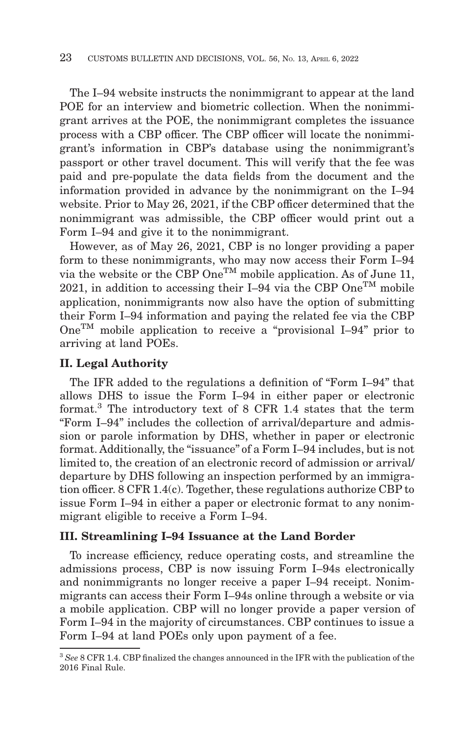The I–94 website instructs the nonimmigrant to appear at the land POE for an interview and biometric collection. When the nonimmigrant arrives at the POE, the nonimmigrant completes the issuance process with a CBP officer. The CBP officer will locate the nonimmigrant's information in CBP's database using the nonimmigrant's passport or other travel document. This will verify that the fee was paid and pre-populate the data fields from the document and the information provided in advance by the nonimmigrant on the I–94 website. Prior to May 26, 2021, if the CBP officer determined that the nonimmigrant was admissible, the CBP officer would print out a Form I–94 and give it to the nonimmigrant.

However, as of May 26, 2021, CBP is no longer providing a paper form to these nonimmigrants, who may now access their Form I–94 via the website or the CBP OneTM mobile application. As of June 11, 2021, in addition to accessing their I–94 via the CBP One<sup>TM</sup> mobile application, nonimmigrants now also have the option of submitting their Form I–94 information and paying the related fee via the CBP One<sup>TM</sup> mobile application to receive a "provisional I–94" prior to arriving at land POEs.

### **II. Legal Authority**

The IFR added to the regulations a definition of "Form I–94" that allows DHS to issue the Form I–94 in either paper or electronic format.3 The introductory text of 8 CFR 1.4 states that the term ''Form I–94'' includes the collection of arrival/departure and admission or parole information by DHS, whether in paper or electronic format. Additionally, the ''issuance'' of a Form I–94 includes, but is not limited to, the creation of an electronic record of admission or arrival/ departure by DHS following an inspection performed by an immigration officer. 8 CFR 1.4(c). Together, these regulations authorize CBP to issue Form I–94 in either a paper or electronic format to any nonimmigrant eligible to receive a Form I–94.

## **III. Streamlining I–94 Issuance at the Land Border**

To increase efficiency, reduce operating costs, and streamline the admissions process, CBP is now issuing Form I–94s electronically and nonimmigrants no longer receive a paper I–94 receipt. Nonimmigrants can access their Form I–94s online through a website or via a mobile application. CBP will no longer provide a paper version of Form I–94 in the majority of circumstances. CBP continues to issue a Form I–94 at land POEs only upon payment of a fee.

<sup>3</sup>*See* 8 CFR 1.4. CBP finalized the changes announced in the IFR with the publication of the 2016 Final Rule.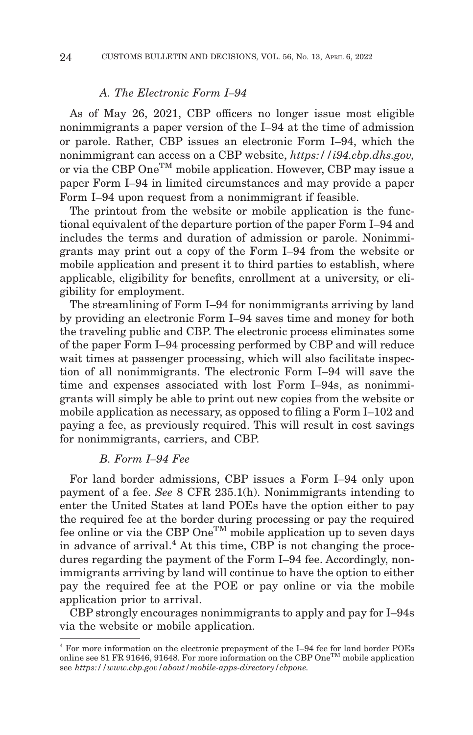#### *A. The Electronic Form I–94*

As of May 26, 2021, CBP officers no longer issue most eligible nonimmigrants a paper version of the I–94 at the time of admission or parole. Rather, CBP issues an electronic Form I–94, which the nonimmigrant can access on a CBP website, *https://i94.cbp.dhs.gov,* or via the CBP One<sup>TM</sup> mobile application. However, CBP may issue a paper Form I–94 in limited circumstances and may provide a paper Form I–94 upon request from a nonimmigrant if feasible.

The printout from the website or mobile application is the functional equivalent of the departure portion of the paper Form I–94 and includes the terms and duration of admission or parole. Nonimmigrants may print out a copy of the Form I–94 from the website or mobile application and present it to third parties to establish, where applicable, eligibility for benefits, enrollment at a university, or eligibility for employment.

The streamlining of Form I–94 for nonimmigrants arriving by land by providing an electronic Form I–94 saves time and money for both the traveling public and CBP. The electronic process eliminates some of the paper Form I–94 processing performed by CBP and will reduce wait times at passenger processing, which will also facilitate inspection of all nonimmigrants. The electronic Form I–94 will save the time and expenses associated with lost Form I–94s, as nonimmigrants will simply be able to print out new copies from the website or mobile application as necessary, as opposed to filing a Form I–102 and paying a fee, as previously required. This will result in cost savings for nonimmigrants, carriers, and CBP.

## *B. Form I–94 Fee*

For land border admissions, CBP issues a Form I–94 only upon payment of a fee. *See* 8 CFR 235.1(h). Nonimmigrants intending to enter the United States at land POEs have the option either to pay the required fee at the border during processing or pay the required fee online or via the CBP OneTM mobile application up to seven days in advance of arrival.<sup>4</sup> At this time, CBP is not changing the procedures regarding the payment of the Form I–94 fee. Accordingly, nonimmigrants arriving by land will continue to have the option to either pay the required fee at the POE or pay online or via the mobile application prior to arrival.

CBP strongly encourages nonimmigrants to apply and pay for I–94s via the website or mobile application.

<sup>4</sup> For more information on the electronic prepayment of the I–94 fee for land border POEs online see 81 FR 91646, 91648. For more information on the CBP One<sup>TM</sup> mobile application see *https://www.cbp.gov/about/mobile-apps-directory/cbpone.*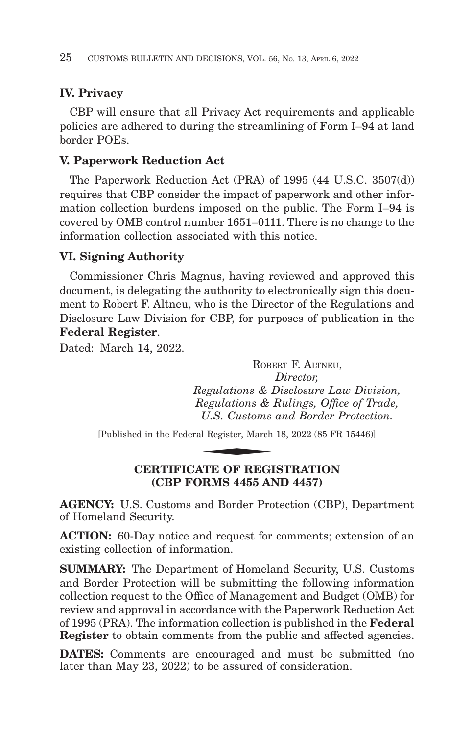# **IV. Privacy**

CBP will ensure that all Privacy Act requirements and applicable policies are adhered to during the streamlining of Form I–94 at land border POEs.

# **V. Paperwork Reduction Act**

The Paperwork Reduction Act (PRA) of 1995 (44 U.S.C. 3507(d)) requires that CBP consider the impact of paperwork and other information collection burdens imposed on the public. The Form I–94 is covered by OMB control number 1651–0111. There is no change to the information collection associated with this notice.

# **VI. Signing Authority**

Commissioner Chris Magnus, having reviewed and approved this document, is delegating the authority to electronically sign this document to Robert F. Altneu, who is the Director of the Regulations and Disclosure Law Division for CBP, for purposes of publication in the **Federal Register**.

Dated: March 14, 2022.

ROBERT F. ALTNEU. *Director, Regulations & Disclosure Law Division, Regulations & Rulings, Office of Trade, U.S. Customs and Border Protection.* Regulations & 1<br>Regulations &<br>U.S. Customs<br>al Register, March<br>NTE OF PECU

[Published in the Federal Register, March 18, 2022 (85 FR 15446)]

# **CERTIFICATE OF REGISTRATION (CBP FORMS 4455 AND 4457)**

**AGENCY:** U.S. Customs and Border Protection (CBP), Department of Homeland Security.

**ACTION:** 60-Day notice and request for comments; extension of an existing collection of information.

**SUMMARY:** The Department of Homeland Security, U.S. Customs and Border Protection will be submitting the following information collection request to the Office of Management and Budget (OMB) for review and approval in accordance with the Paperwork Reduction Act of 1995 (PRA). The information collection is published in the **Federal Register** to obtain comments from the public and affected agencies.

**DATES:** Comments are encouraged and must be submitted (no later than May 23, 2022) to be assured of consideration.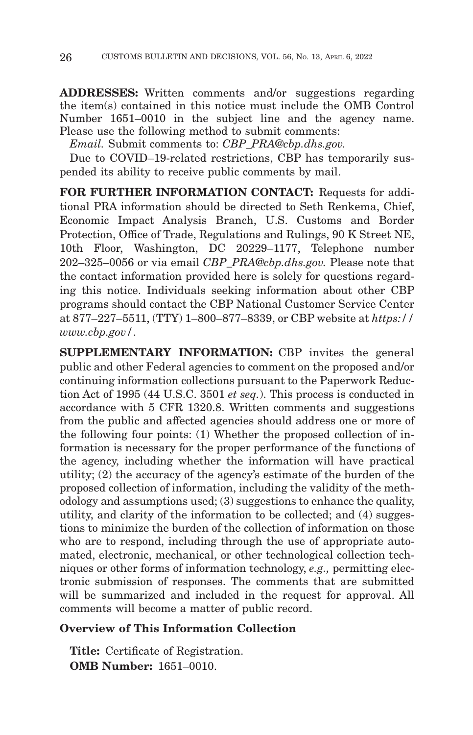**ADDRESSES:** Written comments and/or suggestions regarding the item(s) contained in this notice must include the OMB Control Number 1651–0010 in the subject line and the agency name. Please use the following method to submit comments:

*Email.* Submit comments to: *CBP\_PRA@cbp.dhs.gov.*

Due to COVID–19-related restrictions, CBP has temporarily suspended its ability to receive public comments by mail.

**FOR FURTHER INFORMATION CONTACT:** Requests for additional PRA information should be directed to Seth Renkema, Chief, Economic Impact Analysis Branch, U.S. Customs and Border Protection, Office of Trade, Regulations and Rulings, 90 K Street NE, 10th Floor, Washington, DC 20229–1177, Telephone number 202–325–0056 or via email *CBP\_PRA@cbp.dhs.gov.* Please note that the contact information provided here is solely for questions regarding this notice. Individuals seeking information about other CBP programs should contact the CBP National Customer Service Center at 877–227–5511, (TTY) 1–800–877–8339, or CBP website at *https:// www.cbp.gov/*.

**SUPPLEMENTARY INFORMATION:** CBP invites the general public and other Federal agencies to comment on the proposed and/or continuing information collections pursuant to the Paperwork Reduction Act of 1995 (44 U.S.C. 3501 *et seq.*). This process is conducted in accordance with 5 CFR 1320.8. Written comments and suggestions from the public and affected agencies should address one or more of the following four points: (1) Whether the proposed collection of information is necessary for the proper performance of the functions of the agency, including whether the information will have practical utility; (2) the accuracy of the agency's estimate of the burden of the proposed collection of information, including the validity of the methodology and assumptions used; (3) suggestions to enhance the quality, utility, and clarity of the information to be collected; and (4) suggestions to minimize the burden of the collection of information on those who are to respond, including through the use of appropriate automated, electronic, mechanical, or other technological collection techniques or other forms of information technology, *e.g.,* permitting electronic submission of responses. The comments that are submitted will be summarized and included in the request for approval. All comments will become a matter of public record.

# **Overview of This Information Collection**

**Title:** Certificate of Registration. **OMB Number:** 1651–0010.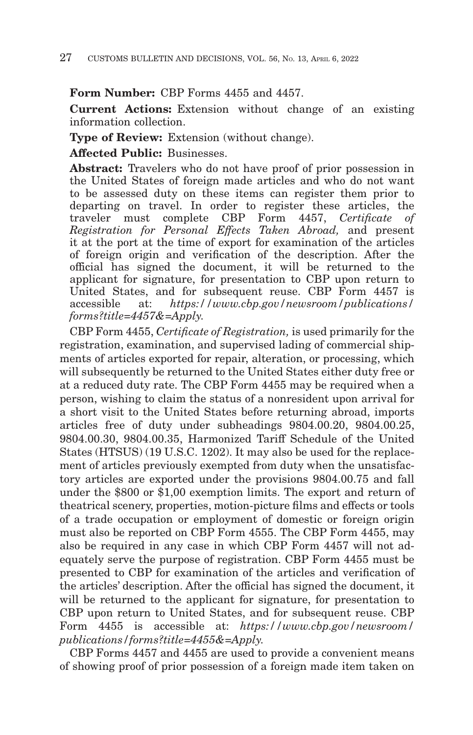# **Form Number:** CBP Forms 4455 and 4457.

**Current Actions:** Extension without change of an existing information collection.

**Type of Review:** Extension (without change).

**Affected Public:** Businesses.

**Abstract:** Travelers who do not have proof of prior possession in the United States of foreign made articles and who do not want to be assessed duty on these items can register them prior to departing on travel. In order to register these articles, the traveler must complete CBP Form 4457, *Certificate of Registration for Personal Effects Taken Abroad,* and present it at the port at the time of export for examination of the articles of foreign origin and verification of the description. After the official has signed the document, it will be returned to the applicant for signature, for presentation to CBP upon return to United States, and for subsequent reuse. CBP Form 4457 is accessible at: *https://www.cbp.gov/newsroom/publications/ forms?title=4457&=Apply.*

CBP Form 4455, *Certificate of Registration,* is used primarily for the registration, examination, and supervised lading of commercial shipments of articles exported for repair, alteration, or processing, which will subsequently be returned to the United States either duty free or at a reduced duty rate. The CBP Form 4455 may be required when a person, wishing to claim the status of a nonresident upon arrival for a short visit to the United States before returning abroad, imports articles free of duty under subheadings 9804.00.20, 9804.00.25, 9804.00.30, 9804.00.35, Harmonized Tariff Schedule of the United States (HTSUS) (19 U.S.C. 1202). It may also be used for the replacement of articles previously exempted from duty when the unsatisfactory articles are exported under the provisions 9804.00.75 and fall under the \$800 or \$1,00 exemption limits. The export and return of theatrical scenery, properties, motion-picture films and effects or tools of a trade occupation or employment of domestic or foreign origin must also be reported on CBP Form 4555. The CBP Form 4455, may also be required in any case in which CBP Form 4457 will not adequately serve the purpose of registration. CBP Form 4455 must be presented to CBP for examination of the articles and verification of the articles' description. After the official has signed the document, it will be returned to the applicant for signature, for presentation to CBP upon return to United States, and for subsequent reuse. CBP Form 4455 is accessible at: *https://www.cbp.gov/newsroom/ publications/forms?title=4455&=Apply.*

CBP Forms 4457 and 4455 are used to provide a convenient means of showing proof of prior possession of a foreign made item taken on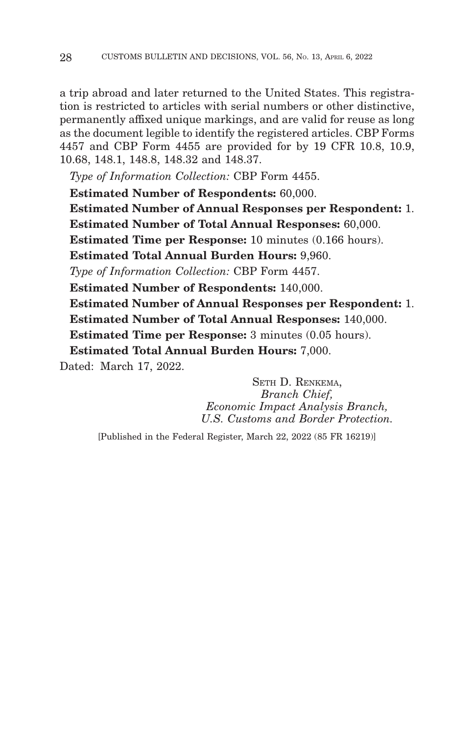a trip abroad and later returned to the United States. This registration is restricted to articles with serial numbers or other distinctive, permanently affixed unique markings, and are valid for reuse as long as the document legible to identify the registered articles. CBP Forms 4457 and CBP Form 4455 are provided for by 19 CFR 10.8, 10.9, 10.68, 148.1, 148.8, 148.32 and 148.37.

*Type of Information Collection:* CBP Form 4455.

**Estimated Number of Respondents:** 60,000. **Estimated Number of Annual Responses per Respondent:** 1. **Estimated Number of Total Annual Responses:** 60,000. **Estimated Time per Response:** 10 minutes (0.166 hours). **Estimated Total Annual Burden Hours:** 9,960. *Type of Information Collection:* CBP Form 4457. **Estimated Number of Respondents:** 140,000. **Estimated Number of Annual Responses per Respondent:** 1. **Estimated Number of Total Annual Responses:** 140,000. **Estimated Time per Response:** 3 minutes (0.05 hours). **Estimated Total Annual Burden Hours:** 7,000. Dated: March 17, 2022.

> SETH D. RENKEMA, *Branch Chief, Economic Impact Analysis Branch, U.S. Customs and Border Protection.*

[Published in the Federal Register, March 22, 2022 (85 FR 16219)]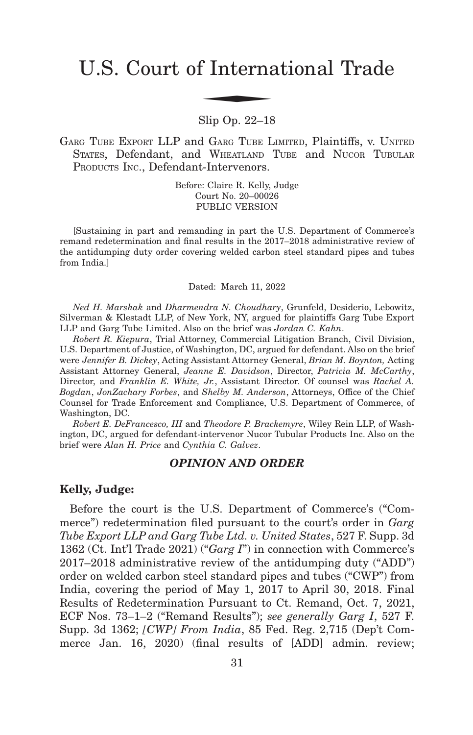# U.S. Court of International Trade f Interna

Slip Op. 22–18

GARG TUBE EXPORT LLP and GARG TUBE LIMITED, Plaintiffs, v. UNITED STATES, Defendant, and WHEATLAND TUBE and NUCOR TUBULAR PRODUCTS INC., Defendant-Intervenors.

> Before: Claire R. Kelly, Judge Court No. 20–00026 PUBLIC VERSION

[Sustaining in part and remanding in part the U.S. Department of Commerce's remand redetermination and final results in the 2017–2018 administrative review of the antidumping duty order covering welded carbon steel standard pipes and tubes from India.]

Dated: March 11, 2022

*Ned H. Marshak* and *Dharmendra N. Choudhary*, Grunfeld, Desiderio, Lebowitz, Silverman & Klestadt LLP, of New York, NY, argued for plaintiffs Garg Tube Export LLP and Garg Tube Limited. Also on the brief was *Jordan C. Kahn*.

*Robert R. Kiepura*, Trial Attorney, Commercial Litigation Branch, Civil Division, U.S. Department of Justice, of Washington, DC, argued for defendant. Also on the brief were *Jennifer B. Dickey*, Acting Assistant Attorney General, *Brian M. Boynton,* Acting Assistant Attorney General, *Jeanne E. Davidson*, Director, *Patricia M. McCarthy*, Director, and *Franklin E. White, Jr.*, Assistant Director. Of counsel was *Rachel A. Bogdan*, *JonZachary Forbes*, and *Shelby M. Anderson*, Attorneys, Office of the Chief Counsel for Trade Enforcement and Compliance, U.S. Department of Commerce, of Washington, DC.

*Robert E. DeFrancesco, III* and *Theodore P. Brackemyre*, Wiley Rein LLP, of Washington, DC, argued for defendant-intervenor Nucor Tubular Products Inc. Also on the brief were *Alan H. Price* and *Cynthia C. Galvez*.

## *OPINION AND ORDER*

## **Kelly, Judge:**

Before the court is the U.S. Department of Commerce's ("Commerce") redetermination filed pursuant to the court's order in *Garg Tube Export LLP and Garg Tube Ltd. v. United States*, 527 F. Supp. 3d 1362 (Ct. Int'l Trade 2021) ("*Garg I*") in connection with Commerce's 2017–2018 administrative review of the antidumping duty ("ADD") order on welded carbon steel standard pipes and tubes ("CWP") from India, covering the period of May 1, 2017 to April 30, 2018. Final Results of Redetermination Pursuant to Ct. Remand, Oct. 7, 2021, ECF Nos. 73–1–2 ("Remand Results"); *see generally Garg I*, 527 F. Supp. 3d 1362; *[CWP] From India*, 85 Fed. Reg. 2,715 (Dep't Commerce Jan. 16, 2020) (final results of [ADD] admin. review;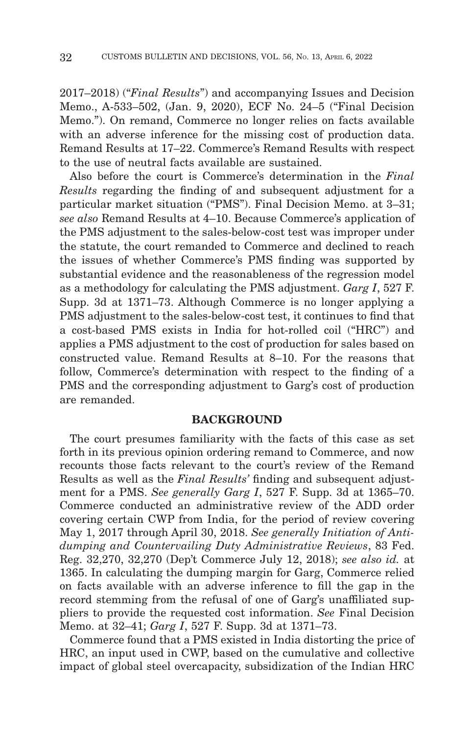2017–2018) ("*Final Results*") and accompanying Issues and Decision Memo., A-533–502, (Jan. 9, 2020), ECF No. 24–5 ("Final Decision Memo."). On remand, Commerce no longer relies on facts available with an adverse inference for the missing cost of production data. Remand Results at 17–22. Commerce's Remand Results with respect to the use of neutral facts available are sustained.

Also before the court is Commerce's determination in the *Final Results* regarding the finding of and subsequent adjustment for a particular market situation ("PMS"). Final Decision Memo. at 3–31; *see also* Remand Results at 4–10. Because Commerce's application of the PMS adjustment to the sales-below-cost test was improper under the statute, the court remanded to Commerce and declined to reach the issues of whether Commerce's PMS finding was supported by substantial evidence and the reasonableness of the regression model as a methodology for calculating the PMS adjustment. *Garg I*, 527 F. Supp. 3d at 1371–73. Although Commerce is no longer applying a PMS adjustment to the sales-below-cost test, it continues to find that a cost-based PMS exists in India for hot-rolled coil ("HRC") and applies a PMS adjustment to the cost of production for sales based on constructed value. Remand Results at 8–10. For the reasons that follow, Commerce's determination with respect to the finding of a PMS and the corresponding adjustment to Garg's cost of production are remanded.

## **BACKGROUND**

The court presumes familiarity with the facts of this case as set forth in its previous opinion ordering remand to Commerce, and now recounts those facts relevant to the court's review of the Remand Results as well as the *Final Results'* finding and subsequent adjustment for a PMS. *See generally Garg I*, 527 F. Supp. 3d at 1365–70. Commerce conducted an administrative review of the ADD order covering certain CWP from India, for the period of review covering May 1, 2017 through April 30, 2018. *See generally Initiation of Antidumping and Countervailing Duty Administrative Reviews*, 83 Fed. Reg. 32,270, 32,270 (Dep't Commerce July 12, 2018); *see also id.* at 1365. In calculating the dumping margin for Garg, Commerce relied on facts available with an adverse inference to fill the gap in the record stemming from the refusal of one of Garg's unaffiliated suppliers to provide the requested cost information. *See* Final Decision Memo. at 32–41; *Garg I*, 527 F. Supp. 3d at 1371–73.

Commerce found that a PMS existed in India distorting the price of HRC, an input used in CWP, based on the cumulative and collective impact of global steel overcapacity, subsidization of the Indian HRC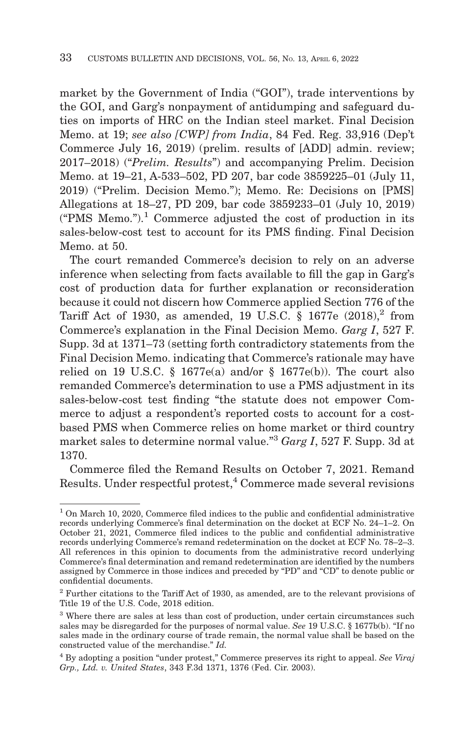market by the Government of India ("GOI"), trade interventions by the GOI, and Garg's nonpayment of antidumping and safeguard duties on imports of HRC on the Indian steel market. Final Decision Memo. at 19; *see also [CWP] from India*, 84 Fed. Reg. 33,916 (Dep't Commerce July 16, 2019) (prelim. results of [ADD] admin. review; 2017–2018) ("*Prelim. Results*") and accompanying Prelim. Decision Memo. at 19–21, A-533–502, PD 207, bar code 3859225–01 (July 11, 2019) ("Prelim. Decision Memo."); Memo. Re: Decisions on [PMS] Allegations at 18–27, PD 209, bar code 3859233–01 (July 10, 2019)  $("PMS Memo.")$ <sup>1</sup> Commerce adjusted the cost of production in its sales-below-cost test to account for its PMS finding. Final Decision Memo. at 50.

The court remanded Commerce's decision to rely on an adverse inference when selecting from facts available to fill the gap in Garg's cost of production data for further explanation or reconsideration because it could not discern how Commerce applied Section 776 of the Tariff Act of 1930, as amended, 19 U.S.C.  $\S$  1677e (2018),<sup>2</sup> from Commerce's explanation in the Final Decision Memo. *Garg I*, 527 F. Supp. 3d at 1371–73 (setting forth contradictory statements from the Final Decision Memo. indicating that Commerce's rationale may have relied on 19 U.S.C. § 1677e(a) and/or § 1677e(b)). The court also remanded Commerce's determination to use a PMS adjustment in its sales-below-cost test finding "the statute does not empower Commerce to adjust a respondent's reported costs to account for a costbased PMS when Commerce relies on home market or third country market sales to determine normal value."3 *Garg I*, 527 F. Supp. 3d at 1370.

Commerce filed the Remand Results on October 7, 2021. Remand Results. Under respectful protest, $4 \text{ Commerce made several revisions}$ 

 $1$  On March 10, 2020, Commerce filed indices to the public and confidential administrative records underlying Commerce's final determination on the docket at ECF No. 24–1–2. On October 21, 2021, Commerce filed indices to the public and confidential administrative records underlying Commerce's remand redetermination on the docket at ECF No. 78–2–3. All references in this opinion to documents from the administrative record underlying Commerce's final determination and remand redetermination are identified by the numbers assigned by Commerce in those indices and preceded by "PD" and "CD" to denote public or confidential documents.

<sup>&</sup>lt;sup>2</sup> Further citations to the Tariff Act of 1930, as amended, are to the relevant provisions of Title 19 of the U.S. Code, 2018 edition.

<sup>&</sup>lt;sup>3</sup> Where there are sales at less than cost of production, under certain circumstances such sales may be disregarded for the purposes of normal value. *See* 19 U.S.C. § 1677b(b). "If no sales made in the ordinary course of trade remain, the normal value shall be based on the constructed value of the merchandise." *Id.*

<sup>4</sup> By adopting a position "under protest," Commerce preserves its right to appeal. *See Viraj Grp., Ltd. v. United States*, 343 F.3d 1371, 1376 (Fed. Cir. 2003).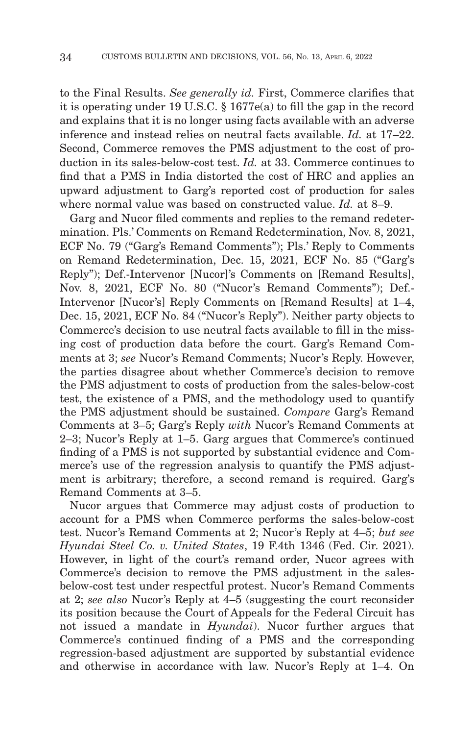to the Final Results. *See generally id.* First, Commerce clarifies that it is operating under 19 U.S.C. § 1677e(a) to fill the gap in the record and explains that it is no longer using facts available with an adverse inference and instead relies on neutral facts available. *Id.* at 17–22. Second, Commerce removes the PMS adjustment to the cost of production in its sales-below-cost test. *Id.* at 33. Commerce continues to find that a PMS in India distorted the cost of HRC and applies an upward adjustment to Garg's reported cost of production for sales where normal value was based on constructed value. *Id.* at 8–9.

Garg and Nucor filed comments and replies to the remand redetermination. Pls.' Comments on Remand Redetermination, Nov. 8, 2021, ECF No. 79 ("Garg's Remand Comments"); Pls.' Reply to Comments on Remand Redetermination, Dec. 15, 2021, ECF No. 85 ("Garg's Reply"); Def.-Intervenor [Nucor]'s Comments on [Remand Results], Nov. 8, 2021, ECF No. 80 ("Nucor's Remand Comments"); Def.- Intervenor [Nucor's] Reply Comments on [Remand Results] at 1–4, Dec. 15, 2021, ECF No. 84 ("Nucor's Reply"). Neither party objects to Commerce's decision to use neutral facts available to fill in the missing cost of production data before the court. Garg's Remand Comments at 3; *see* Nucor's Remand Comments; Nucor's Reply. However, the parties disagree about whether Commerce's decision to remove the PMS adjustment to costs of production from the sales-below-cost test, the existence of a PMS, and the methodology used to quantify the PMS adjustment should be sustained. *Compare* Garg's Remand Comments at 3–5; Garg's Reply *with* Nucor's Remand Comments at 2–3; Nucor's Reply at 1–5. Garg argues that Commerce's continued finding of a PMS is not supported by substantial evidence and Commerce's use of the regression analysis to quantify the PMS adjustment is arbitrary; therefore, a second remand is required. Garg's Remand Comments at 3–5.

Nucor argues that Commerce may adjust costs of production to account for a PMS when Commerce performs the sales-below-cost test. Nucor's Remand Comments at 2; Nucor's Reply at 4–5; *but see Hyundai Steel Co. v. United States*, 19 F.4th 1346 (Fed. Cir. 2021). However, in light of the court's remand order, Nucor agrees with Commerce's decision to remove the PMS adjustment in the salesbelow-cost test under respectful protest. Nucor's Remand Comments at 2; *see also* Nucor's Reply at 4–5 (suggesting the court reconsider its position because the Court of Appeals for the Federal Circuit has not issued a mandate in *Hyundai*). Nucor further argues that Commerce's continued finding of a PMS and the corresponding regression-based adjustment are supported by substantial evidence and otherwise in accordance with law. Nucor's Reply at 1–4. On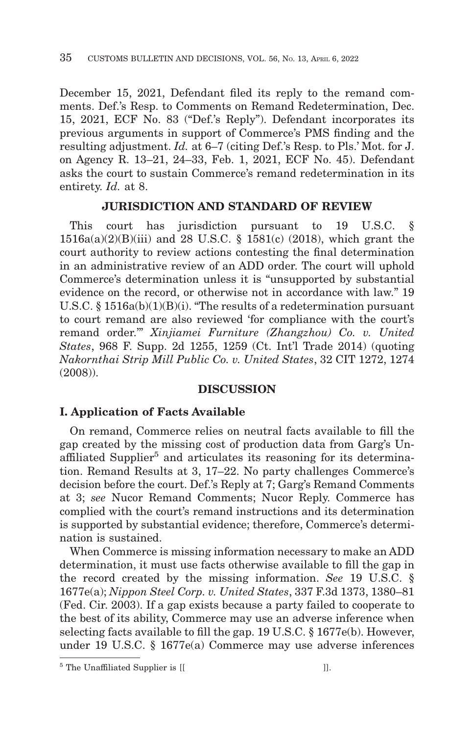December 15, 2021, Defendant filed its reply to the remand comments. Def.'s Resp. to Comments on Remand Redetermination, Dec. 15, 2021, ECF No. 83 ("Def.'s Reply"). Defendant incorporates its previous arguments in support of Commerce's PMS finding and the resulting adjustment. *Id.* at 6–7 (citing Def.'s Resp. to Pls.' Mot. for J. on Agency R. 13–21, 24–33, Feb. 1, 2021, ECF No. 45). Defendant asks the court to sustain Commerce's remand redetermination in its entirety. *Id.* at 8.

# **JURISDICTION AND STANDARD OF REVIEW**

This court has jurisdiction pursuant to 19 U.S.C. § 1516a(a)(2)(B)(iii) and 28 U.S.C. § 1581(c) (2018), which grant the court authority to review actions contesting the final determination in an administrative review of an ADD order. The court will uphold Commerce's determination unless it is "unsupported by substantial evidence on the record, or otherwise not in accordance with law." 19 U.S.C. § 1516a(b)(1)(B)(i). "The results of a redetermination pursuant to court remand are also reviewed 'for compliance with the court's remand order.'" *Xinjiamei Furniture (Zhangzhou) Co. v. United States*, 968 F. Supp. 2d 1255, 1259 (Ct. Int'l Trade 2014) (quoting *Nakornthai Strip Mill Public Co. v. United States*, 32 CIT 1272, 1274 (2008)).

# **DISCUSSION**

# **I. Application of Facts Available**

On remand, Commerce relies on neutral facts available to fill the gap created by the missing cost of production data from Garg's Unaffiliated Supplier<sup>5</sup> and articulates its reasoning for its determination. Remand Results at 3, 17–22. No party challenges Commerce's decision before the court. Def.'s Reply at 7; Garg's Remand Comments at 3; *see* Nucor Remand Comments; Nucor Reply. Commerce has complied with the court's remand instructions and its determination is supported by substantial evidence; therefore, Commerce's determination is sustained.

When Commerce is missing information necessary to make an ADD determination, it must use facts otherwise available to fill the gap in the record created by the missing information. *See* 19 U.S.C. § 1677e(a); *Nippon Steel Corp. v. United States*, 337 F.3d 1373, 1380–81 (Fed. Cir. 2003). If a gap exists because a party failed to cooperate to the best of its ability, Commerce may use an adverse inference when selecting facts available to fill the gap. 19 U.S.C. § 1677e(b). However, under 19 U.S.C. § 1677e(a) Commerce may use adverse inferences

<sup>&</sup>lt;sup>5</sup> The Unaffiliated Supplier is [[[[[]].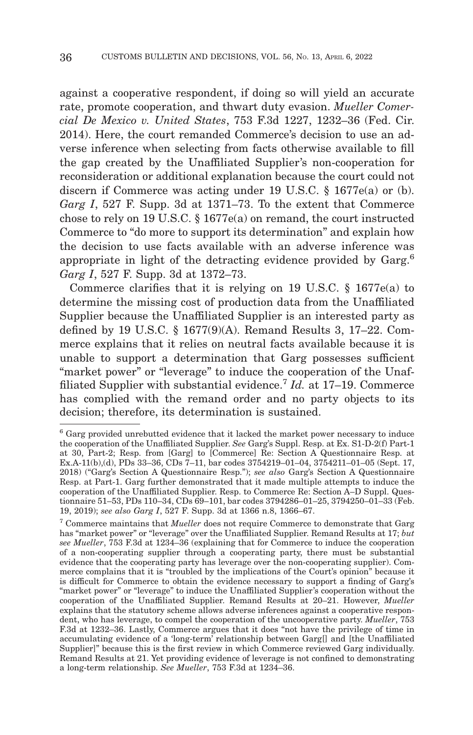against a cooperative respondent, if doing so will yield an accurate rate, promote cooperation, and thwart duty evasion. *Mueller Comercial De Mexico v. United States*, 753 F.3d 1227, 1232–36 (Fed. Cir. 2014). Here, the court remanded Commerce's decision to use an adverse inference when selecting from facts otherwise available to fill the gap created by the Unaffiliated Supplier's non-cooperation for reconsideration or additional explanation because the court could not discern if Commerce was acting under 19 U.S.C. § 1677e(a) or (b). *Garg I*, 527 F. Supp. 3d at 1371–73. To the extent that Commerce chose to rely on 19 U.S.C. § 1677e(a) on remand, the court instructed Commerce to "do more to support its determination" and explain how the decision to use facts available with an adverse inference was appropriate in light of the detracting evidence provided by Garg.<sup>6</sup> *Garg I*, 527 F. Supp. 3d at 1372–73.

Commerce clarifies that it is relying on 19 U.S.C. § 1677e(a) to determine the missing cost of production data from the Unaffiliated Supplier because the Unaffiliated Supplier is an interested party as defined by 19 U.S.C. § 1677(9)(A). Remand Results 3, 17–22. Commerce explains that it relies on neutral facts available because it is unable to support a determination that Garg possesses sufficient "market power" or "leverage" to induce the cooperation of the Unaffiliated Supplier with substantial evidence.7 *Id.* at 17–19. Commerce has complied with the remand order and no party objects to its decision; therefore, its determination is sustained.

<sup>6</sup> Garg provided unrebutted evidence that it lacked the market power necessary to induce the cooperation of the Unaffiliated Supplier. *See* Garg's Suppl. Resp. at Ex. S1-D-2(f) Part-1 at 30, Part-2; Resp. from [Garg] to [Commerce] Re: Section A Questionnaire Resp. at Ex.A-11(b),(d), PDs 33–36, CDs 7–11, bar codes 3754219–01–04, 3754211–01–05 (Sept. 17, 2018) ("Garg's Section A Questionnaire Resp."); *see also* Garg's Section A Questionnaire Resp. at Part-1. Garg further demonstrated that it made multiple attempts to induce the cooperation of the Unaffiliated Supplier. Resp. to Commerce Re: Section A–D Suppl. Questionnaire 51–53, PDs 110–34, CDs 69–101, bar codes 3794286–01–25, 3794250–01–33 (Feb. 19, 2019); *see also Garg I*, 527 F. Supp. 3d at 1366 n.8, 1366–67.

<sup>7</sup> Commerce maintains that *Mueller* does not require Commerce to demonstrate that Garg has "market power" or "leverage" over the Unaffiliated Supplier. Remand Results at 17; *but see Mueller*, 753 F.3d at 1234–36 (explaining that for Commerce to induce the cooperation of a non-cooperating supplier through a cooperating party, there must be substantial evidence that the cooperating party has leverage over the non-cooperating supplier). Commerce complains that it is "troubled by the implications of the Court's opinion" because it is difficult for Commerce to obtain the evidence necessary to support a finding of Garg's "market power" or "leverage" to induce the Unaffiliated Supplier's cooperation without the cooperation of the Unaffiliated Supplier. Remand Results at 20–21. However, *Mueller* explains that the statutory scheme allows adverse inferences against a cooperative respondent, who has leverage, to compel the cooperation of the uncooperative party. *Mueller*, 753 F.3d at 1232–36. Lastly, Commerce argues that it does "not have the privilege of time in accumulating evidence of a 'long-term' relationship between Garg[] and [the Unaffiliated Supplier]" because this is the first review in which Commerce reviewed Garg individually. Remand Results at 21. Yet providing evidence of leverage is not confined to demonstrating a long-term relationship. *See Mueller*, 753 F.3d at 1234–36.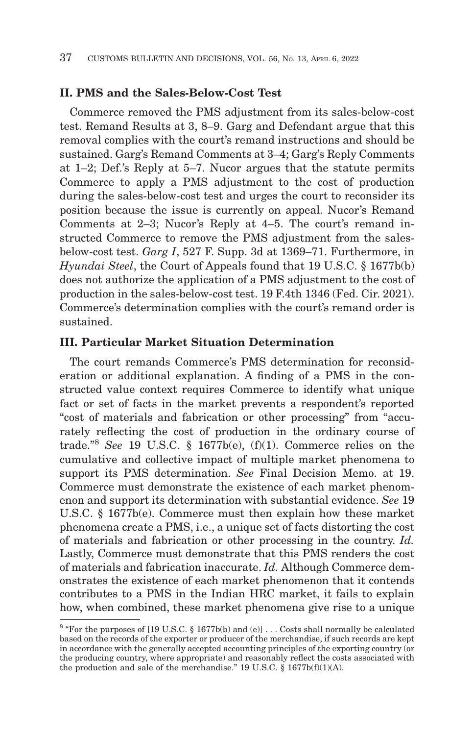# **II. PMS and the Sales-Below-Cost Test**

Commerce removed the PMS adjustment from its sales-below-cost test. Remand Results at 3, 8–9. Garg and Defendant argue that this removal complies with the court's remand instructions and should be sustained. Garg's Remand Comments at 3–4; Garg's Reply Comments at 1–2; Def.'s Reply at 5–7. Nucor argues that the statute permits Commerce to apply a PMS adjustment to the cost of production during the sales-below-cost test and urges the court to reconsider its position because the issue is currently on appeal. Nucor's Remand Comments at 2–3; Nucor's Reply at 4–5. The court's remand instructed Commerce to remove the PMS adjustment from the salesbelow-cost test. *Garg I*, 527 F. Supp. 3d at 1369–71. Furthermore, in *Hyundai Steel*, the Court of Appeals found that 19 U.S.C. § 1677b(b) does not authorize the application of a PMS adjustment to the cost of production in the sales-below-cost test. 19 F.4th 1346 (Fed. Cir. 2021). Commerce's determination complies with the court's remand order is sustained.

# **III. Particular Market Situation Determination**

The court remands Commerce's PMS determination for reconsideration or additional explanation. A finding of a PMS in the constructed value context requires Commerce to identify what unique fact or set of facts in the market prevents a respondent's reported "cost of materials and fabrication or other processing" from "accurately reflecting the cost of production in the ordinary course of trade."8 *See* 19 U.S.C. § 1677b(e), (f)(1). Commerce relies on the cumulative and collective impact of multiple market phenomena to support its PMS determination. *See* Final Decision Memo. at 19. Commerce must demonstrate the existence of each market phenomenon and support its determination with substantial evidence. *See* 19 U.S.C. § 1677b(e). Commerce must then explain how these market phenomena create a PMS, i.e., a unique set of facts distorting the cost of materials and fabrication or other processing in the country. *Id.* Lastly, Commerce must demonstrate that this PMS renders the cost of materials and fabrication inaccurate. *Id.* Although Commerce demonstrates the existence of each market phenomenon that it contends contributes to a PMS in the Indian HRC market, it fails to explain how, when combined, these market phenomena give rise to a unique

 $8$  "For the purposes of [19 U.S.C. § 1677b(b) and (e)] ... Costs shall normally be calculated based on the records of the exporter or producer of the merchandise, if such records are kept in accordance with the generally accepted accounting principles of the exporting country (or the producing country, where appropriate) and reasonably reflect the costs associated with the production and sale of the merchandise." 19 U.S.C.  $\S$  1677b(f)(1)(A).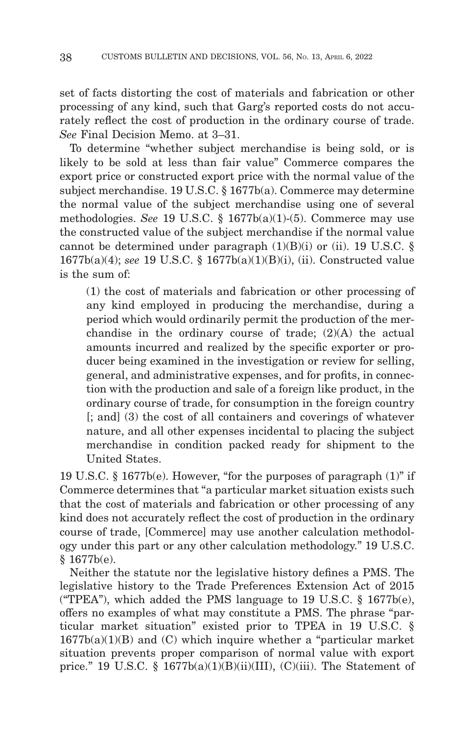set of facts distorting the cost of materials and fabrication or other processing of any kind, such that Garg's reported costs do not accurately reflect the cost of production in the ordinary course of trade. *See* Final Decision Memo. at 3–31.

To determine "whether subject merchandise is being sold, or is likely to be sold at less than fair value" Commerce compares the export price or constructed export price with the normal value of the subject merchandise. 19 U.S.C. § 1677b(a). Commerce may determine the normal value of the subject merchandise using one of several methodologies. *See* 19 U.S.C. § 1677b(a)(1)-(5). Commerce may use the constructed value of the subject merchandise if the normal value cannot be determined under paragraph  $(1)(B)(i)$  or (ii). 19 U.S.C. § 1677b(a)(4); *see* 19 U.S.C. § 1677b(a)(1)(B)(i), (ii). Constructed value is the sum of:

(1) the cost of materials and fabrication or other processing of any kind employed in producing the merchandise, during a period which would ordinarily permit the production of the merchandise in the ordinary course of trade; (2)(A) the actual amounts incurred and realized by the specific exporter or producer being examined in the investigation or review for selling, general, and administrative expenses, and for profits, in connection with the production and sale of a foreign like product, in the ordinary course of trade, for consumption in the foreign country [; and] (3) the cost of all containers and coverings of whatever nature, and all other expenses incidental to placing the subject merchandise in condition packed ready for shipment to the United States.

19 U.S.C. § 1677b(e). However, "for the purposes of paragraph (1)" if Commerce determines that "a particular market situation exists such that the cost of materials and fabrication or other processing of any kind does not accurately reflect the cost of production in the ordinary course of trade, [Commerce] may use another calculation methodology under this part or any other calculation methodology." 19 U.S.C. § 1677b(e).

Neither the statute nor the legislative history defines a PMS. The legislative history to the Trade Preferences Extension Act of 2015 ("TPEA"), which added the PMS language to 19 U.S.C. § 1677b(e), offers no examples of what may constitute a PMS. The phrase "particular market situation" existed prior to TPEA in 19 U.S.C. § 1677b(a)(1)(B) and (C) which inquire whether a "particular market situation prevents proper comparison of normal value with export price." 19 U.S.C. § 1677b(a)(1)(B)(ii)(III), (C)(iii). The Statement of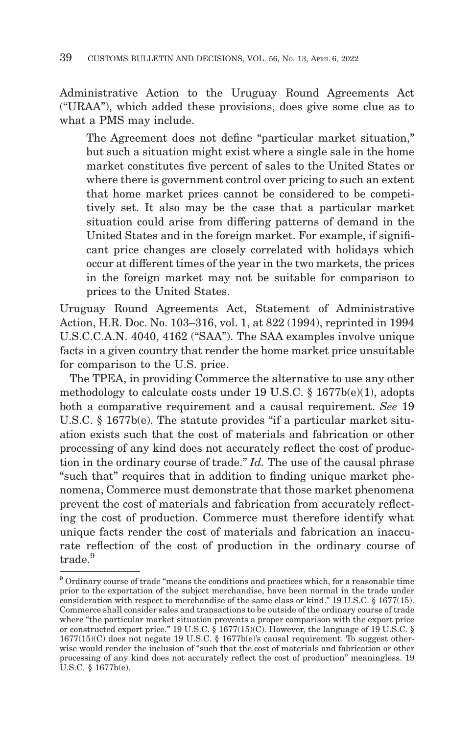Administrative Action to the Uruguay Round Agreements Act ("URAA"), which added these provisions, does give some clue as to what a PMS may include.

The Agreement does not define "particular market situation," but such a situation might exist where a single sale in the home market constitutes five percent of sales to the United States or where there is government control over pricing to such an extent that home market prices cannot be considered to be competitively set. It also may be the case that a particular market situation could arise from differing patterns of demand in the United States and in the foreign market. For example, if significant price changes are closely correlated with holidays which occur at different times of the year in the two markets, the prices in the foreign market may not be suitable for comparison to prices to the United States.

Uruguay Round Agreements Act, Statement of Administrative Action, H.R. Doc. No. 103–316, vol. 1, at 822 (1994), reprinted in 1994 U.S.C.C.A.N. 4040, 4162 ("SAA"). The SAA examples involve unique facts in a given country that render the home market price unsuitable for comparison to the U.S. price.

The TPEA, in providing Commerce the alternative to use any other methodology to calculate costs under 19 U.S.C. § 1677b(e)(1), adopts both a comparative requirement and a causal requirement. *See* 19 U.S.C. § 1677b(e). The statute provides "if a particular market situation exists such that the cost of materials and fabrication or other processing of any kind does not accurately reflect the cost of production in the ordinary course of trade." *Id.* The use of the causal phrase "such that" requires that in addition to finding unique market phenomena, Commerce must demonstrate that those market phenomena prevent the cost of materials and fabrication from accurately reflecting the cost of production. Commerce must therefore identify what unique facts render the cost of materials and fabrication an inaccurate reflection of the cost of production in the ordinary course of trade.<sup>9</sup>

<sup>9</sup> Ordinary course of trade "means the conditions and practices which, for a reasonable time prior to the exportation of the subject merchandise, have been normal in the trade under consideration with respect to merchandise of the same class or kind." 19 U.S.C. § 1677(15). Commerce shall consider sales and transactions to be outside of the ordinary course of trade where "the particular market situation prevents a proper comparison with the export price or constructed export price." 19 U.S.C.  $\hat{\S}$  1677(15)( $\hat{C}$ ). However, the language of 19 U.S.C.  $\hat{\S}$  $1677(15)$ (C) does not negate 19 U.S.C. § 1677b(e)'s causal requirement. To suggest otherwise would render the inclusion of "such that the cost of materials and fabrication or other processing of any kind does not accurately reflect the cost of production" meaningless. 19 U.S.C. § 1677b(e).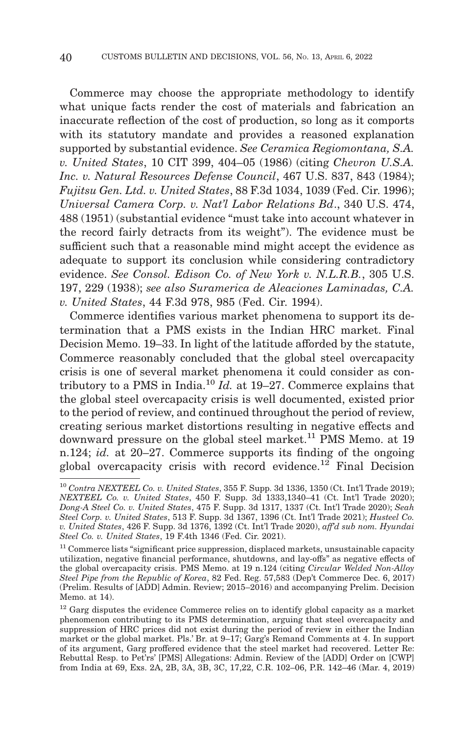Commerce may choose the appropriate methodology to identify what unique facts render the cost of materials and fabrication an inaccurate reflection of the cost of production, so long as it comports with its statutory mandate and provides a reasoned explanation supported by substantial evidence. *See Ceramica Regiomontana, S.A. v. United States*, 10 CIT 399, 404–05 (1986) (citing *Chevron U.S.A. Inc. v. Natural Resources Defense Council*, 467 U.S. 837, 843 (1984); *Fujitsu Gen. Ltd. v. United States*, 88 F.3d 1034, 1039 (Fed. Cir. 1996); *Universal Camera Corp. v. Nat'l Labor Relations Bd*., 340 U.S. 474, 488 (1951) (substantial evidence "must take into account whatever in the record fairly detracts from its weight"). The evidence must be sufficient such that a reasonable mind might accept the evidence as adequate to support its conclusion while considering contradictory evidence. *See Consol. Edison Co. of New York v. N.L.R.B.*, 305 U.S. 197, 229 (1938); *see also Suramerica de Aleaciones Laminadas, C.A. v. United States*, 44 F.3d 978, 985 (Fed. Cir. 1994).

Commerce identifies various market phenomena to support its determination that a PMS exists in the Indian HRC market. Final Decision Memo. 19–33. In light of the latitude afforded by the statute, Commerce reasonably concluded that the global steel overcapacity crisis is one of several market phenomena it could consider as contributory to a PMS in India.10 *Id.* at 19–27. Commerce explains that the global steel overcapacity crisis is well documented, existed prior to the period of review, and continued throughout the period of review, creating serious market distortions resulting in negative effects and downward pressure on the global steel market.<sup>11</sup> PMS Memo. at 19 n.124; *id.* at 20–27. Commerce supports its finding of the ongoing global overcapacity crisis with record evidence.<sup>12</sup> Final Decision

<sup>10</sup>*Contra NEXTEEL Co. v. United States*, 355 F. Supp. 3d 1336, 1350 (Ct. Int'l Trade 2019); *NEXTEEL Co. v. United States*, 450 F. Supp. 3d 1333,1340–41 (Ct. Int'l Trade 2020); *Dong-A Steel Co. v. United States*, 475 F. Supp. 3d 1317, 1337 (Ct. Int'l Trade 2020); *Seah Steel Corp. v. United States*, 513 F. Supp. 3d 1367, 1396 (Ct. Int'l Trade 2021); *Husteel Co. v. United States*, 426 F. Supp. 3d 1376, 1392 (Ct. Int'l Trade 2020), *aff'd sub nom. Hyundai Steel Co. v. United States*, 19 F.4th 1346 (Fed. Cir. 2021).

 $^{11}$  Commerce lists "significant price suppression, displaced markets, unsustainable capacity utilization, negative financial performance, shutdowns, and lay-offs" as negative effects of the global overcapacity crisis. PMS Memo. at 19 n.124 (citing *Circular Welded Non-Alloy Steel Pipe from the Republic of Korea*, 82 Fed. Reg. 57,583 (Dep't Commerce Dec. 6, 2017) (Prelim. Results of [ADD] Admin. Review; 2015–2016) and accompanying Prelim. Decision Memo. at 14).

 $12$  Garg disputes the evidence Commerce relies on to identify global capacity as a market phenomenon contributing to its PMS determination, arguing that steel overcapacity and suppression of HRC prices did not exist during the period of review in either the Indian market or the global market. Pls.' Br. at 9–17; Garg's Remand Comments at 4. In support of its argument, Garg proffered evidence that the steel market had recovered. Letter Re: Rebuttal Resp. to Pet'rs' [PMS] Allegations: Admin. Review of the [ADD] Order on [CWP] from India at 69, Exs. 2A, 2B, 3A, 3B, 3C, 17,22, C.R. 102–06, P.R. 142–46 (Mar. 4, 2019)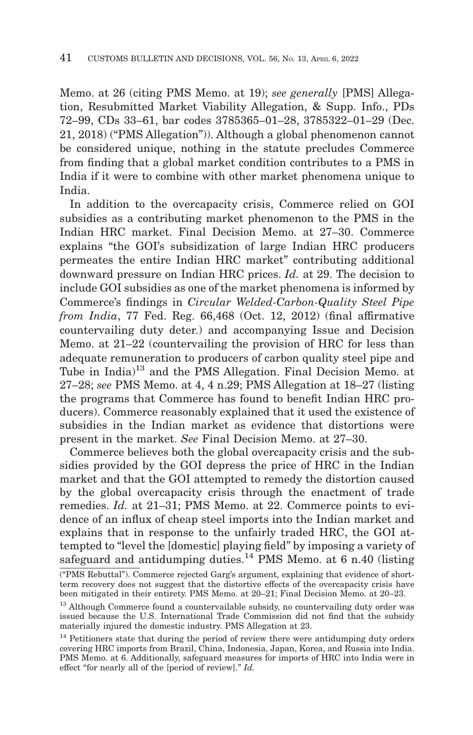Memo. at 26 (citing PMS Memo. at 19); *see generally* [PMS] Allegation, Resubmitted Market Viability Allegation, & Supp. Info., PDs 72–99, CDs 33–61, bar codes 3785365–01–28, 3785322–01–29 (Dec. 21, 2018) ("PMS Allegation")). Although a global phenomenon cannot be considered unique, nothing in the statute precludes Commerce from finding that a global market condition contributes to a PMS in India if it were to combine with other market phenomena unique to India.

In addition to the overcapacity crisis, Commerce relied on GOI subsidies as a contributing market phenomenon to the PMS in the Indian HRC market. Final Decision Memo. at 27–30. Commerce explains "the GOI's subsidization of large Indian HRC producers permeates the entire Indian HRC market" contributing additional downward pressure on Indian HRC prices. *Id.* at 29. The decision to include GOI subsidies as one of the market phenomena is informed by Commerce's findings in *Circular Welded-Carbon-Quality Steel Pipe from India*, 77 Fed. Reg. 66,468 (Oct. 12, 2012) (final affirmative countervailing duty deter.) and accompanying Issue and Decision Memo. at 21–22 (countervailing the provision of HRC for less than adequate remuneration to producers of carbon quality steel pipe and Tube in India)13 and the PMS Allegation. Final Decision Memo. at 27–28; *see* PMS Memo. at 4, 4 n.29; PMS Allegation at 18–27 (listing the programs that Commerce has found to benefit Indian HRC producers). Commerce reasonably explained that it used the existence of subsidies in the Indian market as evidence that distortions were present in the market. *See* Final Decision Memo. at 27–30.

Commerce believes both the global overcapacity crisis and the subsidies provided by the GOI depress the price of HRC in the Indian market and that the GOI attempted to remedy the distortion caused by the global overcapacity crisis through the enactment of trade remedies. *Id.* at 21–31; PMS Memo. at 22. Commerce points to evidence of an influx of cheap steel imports into the Indian market and explains that in response to the unfairly traded HRC, the GOI attempted to "level the [domestic] playing field" by imposing a variety of safeguard and antidumping duties.<sup>14</sup> PMS Memo. at  $6$  n.40 (listing

<sup>(&</sup>quot;PMS Rebuttal"). Commerce rejected Garg's argument, explaining that evidence of shortterm recovery does not suggest that the distortive effects of the overcapacity crisis have been mitigated in their entirety. PMS Memo. at 20–21; Final Decision Memo. at 20–23.

<sup>&</sup>lt;sup>13</sup> Although Commerce found a countervailable subsidy, no countervailing duty order was issued because the U.S. International Trade Commission did not find that the subsidy materially injured the domestic industry. PMS Allegation at 23.

<sup>&</sup>lt;sup>14</sup> Petitioners state that during the period of review there were antidumping duty orders covering HRC imports from Brazil, China, Indonesia, Japan, Korea, and Russia into India. PMS Memo. at 6. Additionally, safeguard measures for imports of HRC into India were in effect "for nearly all of the [period of review]." *Id.*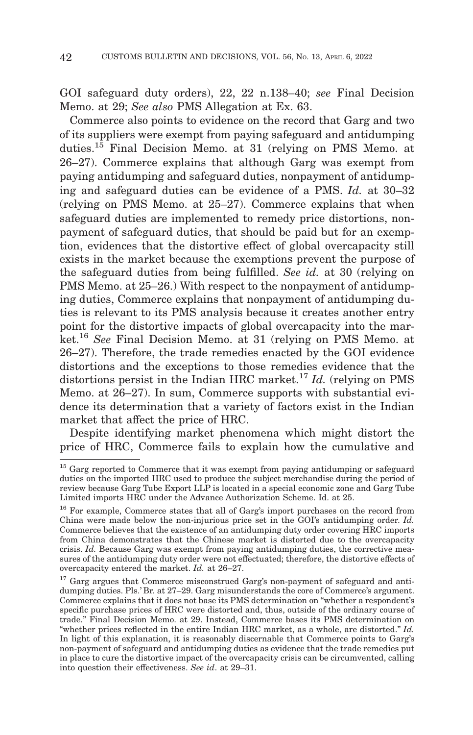GOI safeguard duty orders), 22, 22 n.138–40; *see* Final Decision Memo. at 29; *See also* PMS Allegation at Ex. 63.

Commerce also points to evidence on the record that Garg and two of its suppliers were exempt from paying safeguard and antidumping duties.15 Final Decision Memo. at 31 (relying on PMS Memo. at 26–27). Commerce explains that although Garg was exempt from paying antidumping and safeguard duties, nonpayment of antidumping and safeguard duties can be evidence of a PMS. *Id.* at 30–32 (relying on PMS Memo. at 25–27). Commerce explains that when safeguard duties are implemented to remedy price distortions, nonpayment of safeguard duties, that should be paid but for an exemption, evidences that the distortive effect of global overcapacity still exists in the market because the exemptions prevent the purpose of the safeguard duties from being fulfilled. *See id.* at 30 (relying on PMS Memo. at 25–26.) With respect to the nonpayment of antidumping duties, Commerce explains that nonpayment of antidumping duties is relevant to its PMS analysis because it creates another entry point for the distortive impacts of global overcapacity into the market.16 *See* Final Decision Memo. at 31 (relying on PMS Memo. at 26–27). Therefore, the trade remedies enacted by the GOI evidence distortions and the exceptions to those remedies evidence that the distortions persist in the Indian HRC market.<sup>17</sup> *Id.* (relying on PMS) Memo. at 26–27). In sum, Commerce supports with substantial evidence its determination that a variety of factors exist in the Indian market that affect the price of HRC.

Despite identifying market phenomena which might distort the price of HRC, Commerce fails to explain how the cumulative and

<sup>&</sup>lt;sup>15</sup> Garg reported to Commerce that it was exempt from paying antidumping or safeguard duties on the imported HRC used to produce the subject merchandise during the period of review because Garg Tube Export LLP is located in a special economic zone and Garg Tube Limited imports HRC under the Advance Authorization Scheme. Id. at 25.

<sup>&</sup>lt;sup>16</sup> For example, Commerce states that all of Garg's import purchases on the record from China were made below the non-injurious price set in the GOI's antidumping order. *Id.* Commerce believes that the existence of an antidumping duty order covering HRC imports from China demonstrates that the Chinese market is distorted due to the overcapacity crisis. *Id.* Because Garg was exempt from paying antidumping duties, the corrective measures of the antidumping duty order were not effectuated; therefore, the distortive effects of overcapacity entered the market. *Id.* at 26–27.

<sup>&</sup>lt;sup>17</sup> Garg argues that Commerce misconstrued Garg's non-payment of safeguard and antidumping duties. Pls.' Br. at 27–29. Garg misunderstands the core of Commerce's argument. Commerce explains that it does not base its PMS determination on "whether a respondent's specific purchase prices of HRC were distorted and, thus, outside of the ordinary course of trade." Final Decision Memo. at 29. Instead, Commerce bases its PMS determination on "whether prices reflected in the entire Indian HRC market, as a whole, are distorted." *Id.* In light of this explanation, it is reasonably discernable that Commerce points to Garg's non-payment of safeguard and antidumping duties as evidence that the trade remedies put in place to cure the distortive impact of the overcapacity crisis can be circumvented, calling into question their effectiveness. *See id*. at 29–31.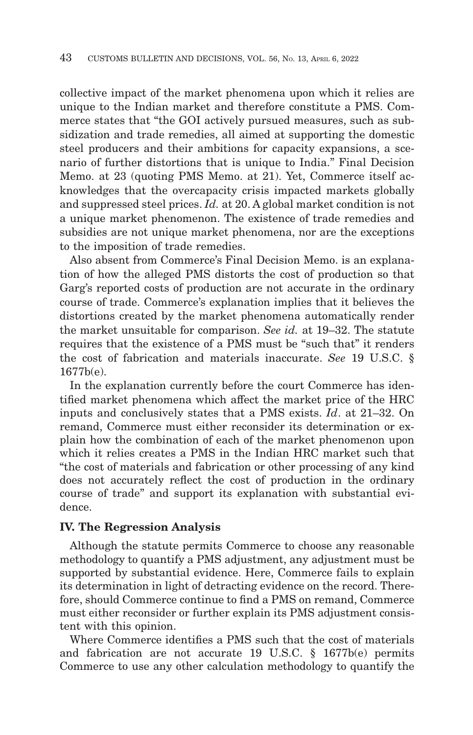collective impact of the market phenomena upon which it relies are unique to the Indian market and therefore constitute a PMS. Commerce states that "the GOI actively pursued measures, such as subsidization and trade remedies, all aimed at supporting the domestic steel producers and their ambitions for capacity expansions, a scenario of further distortions that is unique to India." Final Decision Memo. at 23 (quoting PMS Memo. at 21). Yet, Commerce itself acknowledges that the overcapacity crisis impacted markets globally and suppressed steel prices. *Id.* at 20. A global market condition is not a unique market phenomenon. The existence of trade remedies and subsidies are not unique market phenomena, nor are the exceptions to the imposition of trade remedies.

Also absent from Commerce's Final Decision Memo. is an explanation of how the alleged PMS distorts the cost of production so that Garg's reported costs of production are not accurate in the ordinary course of trade. Commerce's explanation implies that it believes the distortions created by the market phenomena automatically render the market unsuitable for comparison. *See id.* at 19–32. The statute requires that the existence of a PMS must be "such that" it renders the cost of fabrication and materials inaccurate. *See* 19 U.S.C. §  $1677h(e)$ .

In the explanation currently before the court Commerce has identified market phenomena which affect the market price of the HRC inputs and conclusively states that a PMS exists. *Id*. at 21–32. On remand, Commerce must either reconsider its determination or explain how the combination of each of the market phenomenon upon which it relies creates a PMS in the Indian HRC market such that "the cost of materials and fabrication or other processing of any kind does not accurately reflect the cost of production in the ordinary course of trade" and support its explanation with substantial evidence.

### **IV. The Regression Analysis**

Although the statute permits Commerce to choose any reasonable methodology to quantify a PMS adjustment, any adjustment must be supported by substantial evidence. Here, Commerce fails to explain its determination in light of detracting evidence on the record. Therefore, should Commerce continue to find a PMS on remand, Commerce must either reconsider or further explain its PMS adjustment consistent with this opinion.

Where Commerce identifies a PMS such that the cost of materials and fabrication are not accurate 19 U.S.C. § 1677b(e) permits Commerce to use any other calculation methodology to quantify the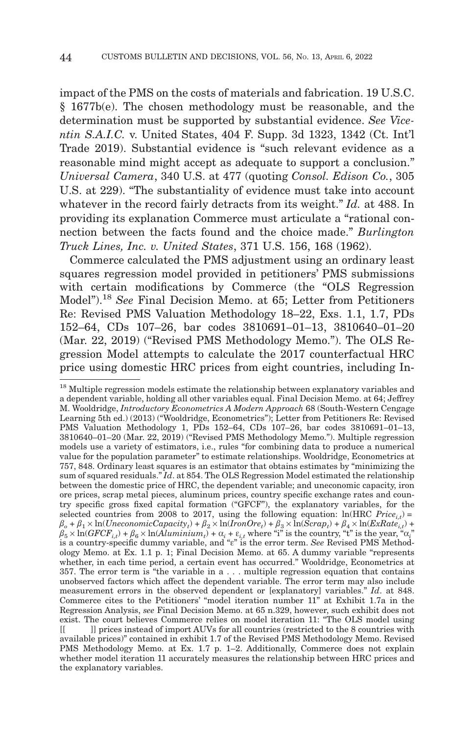impact of the PMS on the costs of materials and fabrication. 19 U.S.C. § 1677b(e). The chosen methodology must be reasonable, and the determination must be supported by substantial evidence. *See Vicentin S.A.I.C.* v. United States, 404 F. Supp. 3d 1323, 1342 (Ct. Int'l Trade 2019). Substantial evidence is "such relevant evidence as a reasonable mind might accept as adequate to support a conclusion." *Universal Camera*, 340 U.S. at 477 (quoting *Consol. Edison Co.*, 305 U.S. at 229). "The substantiality of evidence must take into account whatever in the record fairly detracts from its weight." *Id.* at 488. In providing its explanation Commerce must articulate a "rational connection between the facts found and the choice made." *Burlington Truck Lines, Inc. v. United States*, 371 U.S. 156, 168 (1962).

Commerce calculated the PMS adjustment using an ordinary least squares regression model provided in petitioners' PMS submissions with certain modifications by Commerce (the "OLS Regression Model").18 *See* Final Decision Memo. at 65; Letter from Petitioners Re: Revised PMS Valuation Methodology 18–22, Exs. 1.1, 1.7, PDs 152–64, CDs 107–26, bar codes 3810691–01–13, 3810640–01–20 (Mar. 22, 2019) ("Revised PMS Methodology Memo."). The OLS Regression Model attempts to calculate the 2017 counterfactual HRC price using domestic HRC prices from eight countries, including In-

<sup>&</sup>lt;sup>18</sup> Multiple regression models estimate the relationship between explanatory variables and a dependent variable, holding all other variables equal. Final Decision Memo. at 64; Jeffrey M. Wooldridge, *Introductory Econometrics A Modern Approach* 68 (South-Western Cengage Learning 5th ed.) (2013) ("Wooldridge, Econometrics"); Letter from Petitioners Re: Revised PMS Valuation Methodology 1, PDs 152–64, CDs 107–26, bar codes 3810691–01–13, 3810640–01–20 (Mar. 22, 2019) ("Revised PMS Methodology Memo."). Multiple regression models use a variety of estimators, i.e., rules "for combining data to produce a numerical value for the population parameter" to estimate relationships. Wooldridge, Econometrics at 757, 848. Ordinary least squares is an estimator that obtains estimates by "minimizing the sum of squared residuals." *Id*. at 854. The OLS Regression Model estimated the relationship between the domestic price of HRC, the dependent variable; and uneconomic capacity, iron ore prices, scrap metal pieces, aluminum prices, country specific exchange rates and country specific gross fixed capital formation ("GFCF"), the explanatory variables, for the selected countries from 2008 to 2017, using the following equation:  $\ln(\text{HRC } Price_{i,t}) =$  $\beta_o + \beta_1 \times \ln(Uneconomic Capacity_t) + \beta_2 \times \ln(Iron Ore_t) + \beta_3 \times \ln(Scrap_t) + \beta_4 \times \ln(ExRate_{i,t}) + \beta_5 \times \ln(Scrap_t) + \beta_6 \times \ln(Scrap_t) + \beta_7 \times \ln(Scrap_t) + \beta_8 \times \ln(Scrap_t) + \beta_9 \times \ln(Scrap_t) + \beta_9 \times \ln(Scrap_t) + \beta_9 \times \ln(Scrap_t) + \beta_9 \times \ln(Scrap_t) + \beta_9 \times \ln(Scrap_t) + \beta_9 \times \ln(Scrap_t) + \beta_1 \times \ln(Scrap_t) + \beta_$  $\beta_5 \times \ln(GFCF_{i,t}) + \beta_6 \times \ln(Aluminium_t) + \alpha_i + \varepsilon_{i,t}$  where "i" is the country, "t" is the year, " $\alpha_i$ " is a country-specific dummy variable, and "ε" is the error term. *See* Revised PMS Methodology Memo. at Ex. 1.1 p. 1; Final Decision Memo. at 65. A dummy variable "represents whether, in each time period, a certain event has occurred." Wooldridge, Econometrics at 357. The error term is "the variable in a . . . multiple regression equation that contains unobserved factors which affect the dependent variable. The error term may also include measurement errors in the observed dependent or [explanatory] variables." *Id*. at 848. Commerce cites to the Petitioners' "model iteration number 11" at Exhibit 1.7a in the Regression Analysis, *see* Final Decision Memo. at 65 n.329, however, such exhibit does not exist. The court believes Commerce relies on model iteration 11: "The OLS model using<br>
Il prices instead of import AUVs for all countries (restricted to the 8 countries with [[ ]] prices instead of import AUVs for all countries (restricted to the 8 countries with available prices)" contained in exhibit 1.7 of the Revised PMS Methodology Memo. Revised PMS Methodology Memo. at Ex. 1.7 p. 1–2. Additionally, Commerce does not explain whether model iteration 11 accurately measures the relationship between HRC prices and the explanatory variables.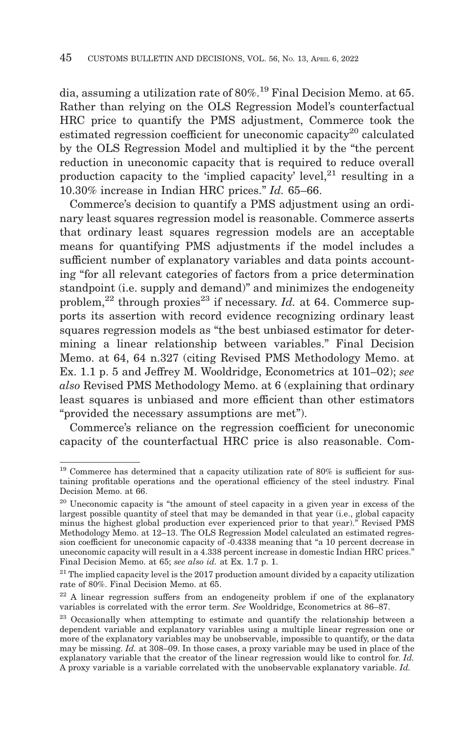dia, assuming a utilization rate of 80%.19 Final Decision Memo. at 65. Rather than relying on the OLS Regression Model's counterfactual HRC price to quantify the PMS adjustment, Commerce took the estimated regression coefficient for uneconomic capacity<sup>20</sup> calculated by the OLS Regression Model and multiplied it by the "the percent reduction in uneconomic capacity that is required to reduce overall production capacity to the 'implied capacity' level, $2<sup>1</sup>$  resulting in a 10.30% increase in Indian HRC prices." *Id.* 65–66.

Commerce's decision to quantify a PMS adjustment using an ordinary least squares regression model is reasonable. Commerce asserts that ordinary least squares regression models are an acceptable means for quantifying PMS adjustments if the model includes a sufficient number of explanatory variables and data points accounting "for all relevant categories of factors from a price determination standpoint (i.e. supply and demand)" and minimizes the endogeneity problem,<sup>22</sup> through proxies<sup>23</sup> if necessary. *Id.* at 64. Commerce supports its assertion with record evidence recognizing ordinary least squares regression models as "the best unbiased estimator for determining a linear relationship between variables." Final Decision Memo. at 64, 64 n.327 (citing Revised PMS Methodology Memo. at Ex. 1.1 p. 5 and Jeffrey M. Wooldridge, Econometrics at 101–02); *see also* Revised PMS Methodology Memo. at 6 (explaining that ordinary least squares is unbiased and more efficient than other estimators "provided the necessary assumptions are met").

Commerce's reliance on the regression coefficient for uneconomic capacity of the counterfactual HRC price is also reasonable. Com-

 $^{19}$  Commerce has determined that a capacity utilization rate of 80% is sufficient for sustaining profitable operations and the operational efficiency of the steel industry. Final Decision Memo. at 66.

<sup>&</sup>lt;sup>20</sup> Uneconomic capacity is "the amount of steel capacity in a given year in excess of the largest possible quantity of steel that may be demanded in that year (i.e., global capacity minus the highest global production ever experienced prior to that year)." Revised PMS Methodology Memo. at 12–13. The OLS Regression Model calculated an estimated regression coefficient for uneconomic capacity of -0.4338 meaning that "a 10 percent decrease in uneconomic capacity will result in a 4.338 percent increase in domestic Indian HRC prices." Final Decision Memo. at 65; *see also id.* at Ex. 1.7 p. 1.

 $21$  The implied capacity level is the 2017 production amount divided by a capacity utilization rate of 80%. Final Decision Memo. at 65.

<sup>&</sup>lt;sup>22</sup> A linear regression suffers from an endogeneity problem if one of the explanatory variables is correlated with the error term. *See* Wooldridge, Econometrics at 86–87.

<sup>&</sup>lt;sup>23</sup> Occasionally when attempting to estimate and quantify the relationship between a dependent variable and explanatory variables using a multiple linear regression one or more of the explanatory variables may be unobservable, impossible to quantify, or the data may be missing. *Id.* at 308–09. In those cases, a proxy variable may be used in place of the explanatory variable that the creator of the linear regression would like to control for. *Id.* A proxy variable is a variable correlated with the unobservable explanatory variable. *Id.*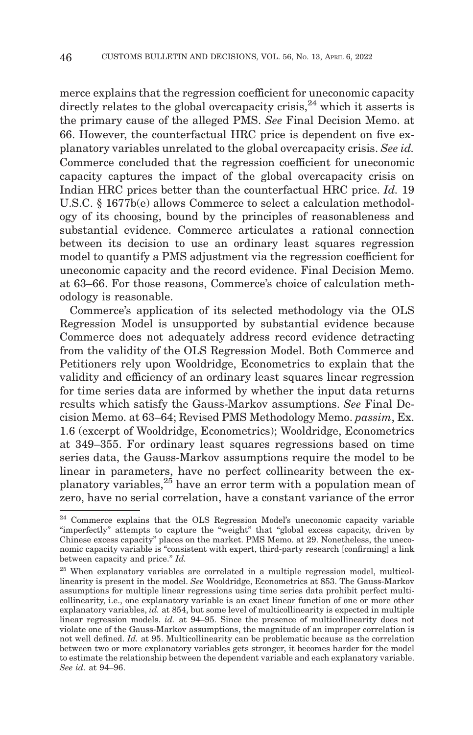merce explains that the regression coefficient for uneconomic capacity directly relates to the global overcapacity crisis,  $24$  which it asserts is the primary cause of the alleged PMS. *See* Final Decision Memo. at 66. However, the counterfactual HRC price is dependent on five explanatory variables unrelated to the global overcapacity crisis. *See id.* Commerce concluded that the regression coefficient for uneconomic capacity captures the impact of the global overcapacity crisis on Indian HRC prices better than the counterfactual HRC price. *Id.* 19 U.S.C. § 1677b(e) allows Commerce to select a calculation methodology of its choosing, bound by the principles of reasonableness and substantial evidence. Commerce articulates a rational connection between its decision to use an ordinary least squares regression model to quantify a PMS adjustment via the regression coefficient for uneconomic capacity and the record evidence. Final Decision Memo. at 63–66. For those reasons, Commerce's choice of calculation methodology is reasonable.

Commerce's application of its selected methodology via the OLS Regression Model is unsupported by substantial evidence because Commerce does not adequately address record evidence detracting from the validity of the OLS Regression Model. Both Commerce and Petitioners rely upon Wooldridge, Econometrics to explain that the validity and efficiency of an ordinary least squares linear regression for time series data are informed by whether the input data returns results which satisfy the Gauss-Markov assumptions. *See* Final Decision Memo. at 63–64; Revised PMS Methodology Memo. *passim*, Ex. 1.6 (excerpt of Wooldridge, Econometrics); Wooldridge, Econometrics at 349–355. For ordinary least squares regressions based on time series data, the Gauss-Markov assumptions require the model to be linear in parameters, have no perfect collinearity between the explanatory variables, $25$  have an error term with a population mean of zero, have no serial correlation, have a constant variance of the error

<sup>&</sup>lt;sup>24</sup> Commerce explains that the OLS Regression Model's uneconomic capacity variable "imperfectly" attempts to capture the "weight" that "global excess capacity, driven by Chinese excess capacity" places on the market. PMS Memo. at 29. Nonetheless, the uneconomic capacity variable is "consistent with expert, third-party research [confirming] a link between capacity and price." *Id.*

<sup>25</sup> When explanatory variables are correlated in a multiple regression model, multicollinearity is present in the model. *See* Wooldridge, Econometrics at 853. The Gauss-Markov assumptions for multiple linear regressions using time series data prohibit perfect multicollinearity, i.e., one explanatory variable is an exact linear function of one or more other explanatory variables, *id.* at 854, but some level of multicollinearity is expected in multiple linear regression models. *id.* at 94–95. Since the presence of multicollinearity does not violate one of the Gauss-Markov assumptions, the magnitude of an improper correlation is not well defined. *Id.* at 95. Multicollinearity can be problematic because as the correlation between two or more explanatory variables gets stronger, it becomes harder for the model to estimate the relationship between the dependent variable and each explanatory variable. *See id.* at 94–96.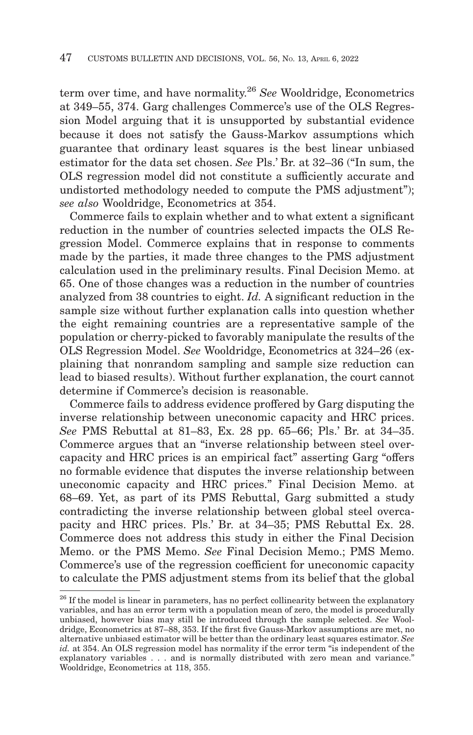term over time, and have normality.26 *See* Wooldridge, Econometrics at 349–55, 374. Garg challenges Commerce's use of the OLS Regression Model arguing that it is unsupported by substantial evidence because it does not satisfy the Gauss-Markov assumptions which guarantee that ordinary least squares is the best linear unbiased estimator for the data set chosen. *See* Pls.' Br. at 32–36 ("In sum, the OLS regression model did not constitute a sufficiently accurate and undistorted methodology needed to compute the PMS adjustment"); *see also* Wooldridge, Econometrics at 354.

Commerce fails to explain whether and to what extent a significant reduction in the number of countries selected impacts the OLS Regression Model. Commerce explains that in response to comments made by the parties, it made three changes to the PMS adjustment calculation used in the preliminary results. Final Decision Memo. at 65. One of those changes was a reduction in the number of countries analyzed from 38 countries to eight. *Id.* A significant reduction in the sample size without further explanation calls into question whether the eight remaining countries are a representative sample of the population or cherry-picked to favorably manipulate the results of the OLS Regression Model. *See* Wooldridge, Econometrics at 324–26 (explaining that nonrandom sampling and sample size reduction can lead to biased results). Without further explanation, the court cannot determine if Commerce's decision is reasonable.

Commerce fails to address evidence proffered by Garg disputing the inverse relationship between uneconomic capacity and HRC prices. *See* PMS Rebuttal at 81–83, Ex. 28 pp. 65–66; Pls.' Br. at 34–35. Commerce argues that an "inverse relationship between steel overcapacity and HRC prices is an empirical fact" asserting Garg "offers no formable evidence that disputes the inverse relationship between uneconomic capacity and HRC prices." Final Decision Memo. at 68–69. Yet, as part of its PMS Rebuttal, Garg submitted a study contradicting the inverse relationship between global steel overcapacity and HRC prices. Pls.' Br. at 34–35; PMS Rebuttal Ex. 28. Commerce does not address this study in either the Final Decision Memo. or the PMS Memo. *See* Final Decision Memo.; PMS Memo. Commerce's use of the regression coefficient for uneconomic capacity to calculate the PMS adjustment stems from its belief that the global

<sup>&</sup>lt;sup>26</sup> If the model is linear in parameters, has no perfect collinearity between the explanatory variables, and has an error term with a population mean of zero, the model is procedurally unbiased, however bias may still be introduced through the sample selected. *See* Wooldridge, Econometrics at 87–88, 353. If the first five Gauss-Markov assumptions are met, no alternative unbiased estimator will be better than the ordinary least squares estimator. *See id.* at 354. An OLS regression model has normality if the error term "is independent of the explanatory variables . . . and is normally distributed with zero mean and variance." Wooldridge, Econometrics at 118, 355.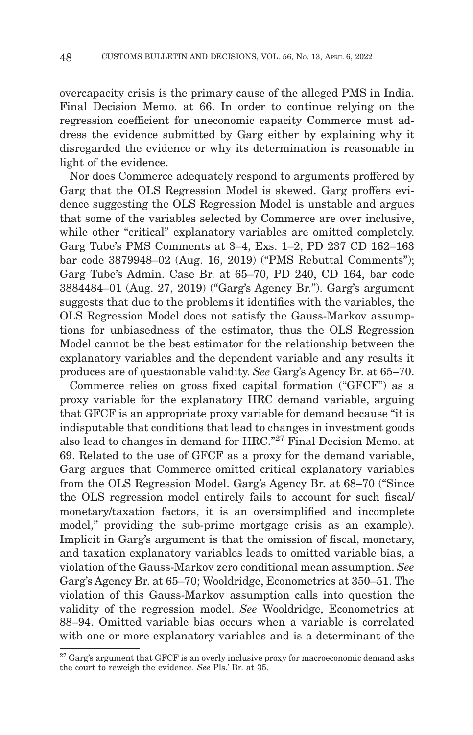overcapacity crisis is the primary cause of the alleged PMS in India. Final Decision Memo. at 66. In order to continue relying on the regression coefficient for uneconomic capacity Commerce must address the evidence submitted by Garg either by explaining why it disregarded the evidence or why its determination is reasonable in light of the evidence.

Nor does Commerce adequately respond to arguments proffered by Garg that the OLS Regression Model is skewed. Garg proffers evidence suggesting the OLS Regression Model is unstable and argues that some of the variables selected by Commerce are over inclusive, while other "critical" explanatory variables are omitted completely. Garg Tube's PMS Comments at 3–4, Exs. 1–2, PD 237 CD 162–163 bar code 3879948–02 (Aug. 16, 2019) ("PMS Rebuttal Comments"); Garg Tube's Admin. Case Br. at 65–70, PD 240, CD 164, bar code 3884484–01 (Aug. 27, 2019) ("Garg's Agency Br."). Garg's argument suggests that due to the problems it identifies with the variables, the OLS Regression Model does not satisfy the Gauss-Markov assumptions for unbiasedness of the estimator, thus the OLS Regression Model cannot be the best estimator for the relationship between the explanatory variables and the dependent variable and any results it produces are of questionable validity. *See* Garg's Agency Br. at 65–70.

Commerce relies on gross fixed capital formation ("GFCF") as a proxy variable for the explanatory HRC demand variable, arguing that GFCF is an appropriate proxy variable for demand because "it is indisputable that conditions that lead to changes in investment goods also lead to changes in demand for HRC."27 Final Decision Memo. at 69. Related to the use of GFCF as a proxy for the demand variable, Garg argues that Commerce omitted critical explanatory variables from the OLS Regression Model. Garg's Agency Br. at 68–70 ("Since the OLS regression model entirely fails to account for such fiscal/ monetary/taxation factors, it is an oversimplified and incomplete model," providing the sub-prime mortgage crisis as an example). Implicit in Garg's argument is that the omission of fiscal, monetary, and taxation explanatory variables leads to omitted variable bias, a violation of the Gauss-Markov zero conditional mean assumption. *See* Garg's Agency Br. at 65–70; Wooldridge, Econometrics at 350–51. The violation of this Gauss-Markov assumption calls into question the validity of the regression model. *See* Wooldridge, Econometrics at 88–94. Omitted variable bias occurs when a variable is correlated with one or more explanatory variables and is a determinant of the

 $27$  Garg's argument that GFCF is an overly inclusive proxy for macroeconomic demand asks the court to reweigh the evidence. *See* Pls.' Br. at 35.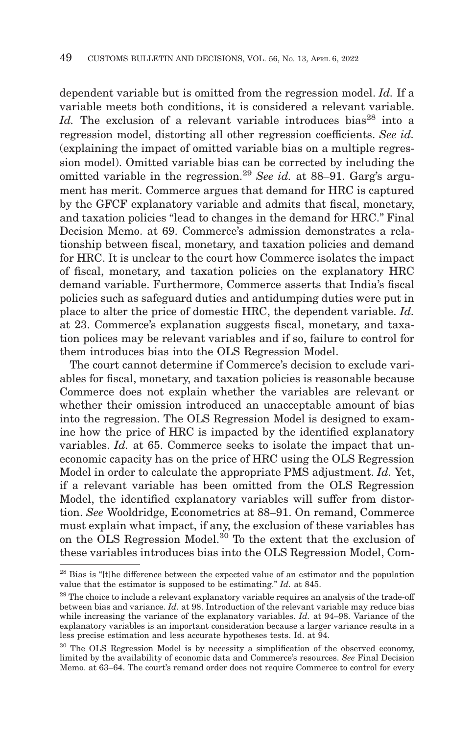dependent variable but is omitted from the regression model. *Id.* If a variable meets both conditions, it is considered a relevant variable. *Id.* The exclusion of a relevant variable introduces bias<sup>28</sup> into a regression model, distorting all other regression coefficients. *See id.* (explaining the impact of omitted variable bias on a multiple regression model). Omitted variable bias can be corrected by including the omitted variable in the regression.29 *See id.* at 88–91. Garg's argument has merit. Commerce argues that demand for HRC is captured by the GFCF explanatory variable and admits that fiscal, monetary, and taxation policies "lead to changes in the demand for HRC." Final Decision Memo. at 69. Commerce's admission demonstrates a relationship between fiscal, monetary, and taxation policies and demand for HRC. It is unclear to the court how Commerce isolates the impact of fiscal, monetary, and taxation policies on the explanatory HRC demand variable. Furthermore, Commerce asserts that India's fiscal policies such as safeguard duties and antidumping duties were put in place to alter the price of domestic HRC, the dependent variable. *Id.* at 23. Commerce's explanation suggests fiscal, monetary, and taxation polices may be relevant variables and if so, failure to control for them introduces bias into the OLS Regression Model.

The court cannot determine if Commerce's decision to exclude variables for fiscal, monetary, and taxation policies is reasonable because Commerce does not explain whether the variables are relevant or whether their omission introduced an unacceptable amount of bias into the regression. The OLS Regression Model is designed to examine how the price of HRC is impacted by the identified explanatory variables. *Id.* at 65. Commerce seeks to isolate the impact that uneconomic capacity has on the price of HRC using the OLS Regression Model in order to calculate the appropriate PMS adjustment. *Id.* Yet, if a relevant variable has been omitted from the OLS Regression Model, the identified explanatory variables will suffer from distortion. *See* Wooldridge, Econometrics at 88–91. On remand, Commerce must explain what impact, if any, the exclusion of these variables has on the OLS Regression Model.30 To the extent that the exclusion of these variables introduces bias into the OLS Regression Model, Com-

<sup>&</sup>lt;sup>28</sup> Bias is "[t]he difference between the expected value of an estimator and the population value that the estimator is supposed to be estimating." *Id.* at 845.

<sup>&</sup>lt;sup>29</sup> The choice to include a relevant explanatory variable requires an analysis of the trade-off between bias and variance. *Id.* at 98. Introduction of the relevant variable may reduce bias while increasing the variance of the explanatory variables. *Id.* at 94–98. Variance of the explanatory variables is an important consideration because a larger variance results in a less precise estimation and less accurate hypotheses tests. Id. at 94.

<sup>30</sup> The OLS Regression Model is by necessity a simplification of the observed economy, limited by the availability of economic data and Commerce's resources. *See* Final Decision Memo. at 63–64. The court's remand order does not require Commerce to control for every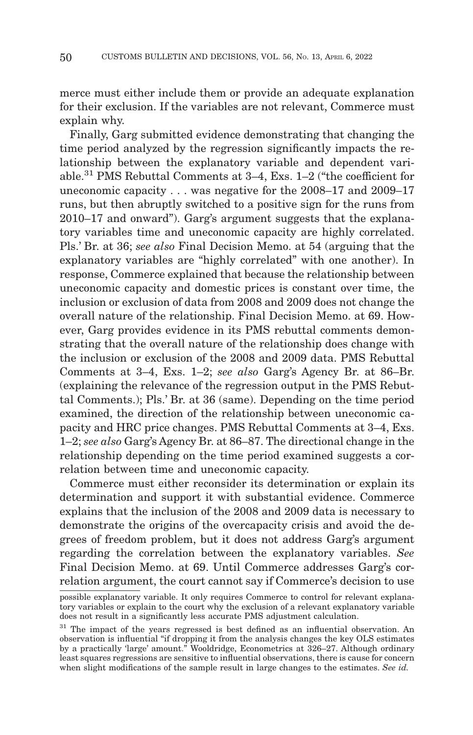merce must either include them or provide an adequate explanation for their exclusion. If the variables are not relevant, Commerce must explain why.

Finally, Garg submitted evidence demonstrating that changing the time period analyzed by the regression significantly impacts the relationship between the explanatory variable and dependent variable.31 PMS Rebuttal Comments at 3–4, Exs. 1–2 ("the coefficient for uneconomic capacity . . . was negative for the 2008–17 and 2009–17 runs, but then abruptly switched to a positive sign for the runs from 2010–17 and onward"). Garg's argument suggests that the explanatory variables time and uneconomic capacity are highly correlated. Pls.' Br. at 36; *see also* Final Decision Memo. at 54 (arguing that the explanatory variables are "highly correlated" with one another). In response, Commerce explained that because the relationship between uneconomic capacity and domestic prices is constant over time, the inclusion or exclusion of data from 2008 and 2009 does not change the overall nature of the relationship. Final Decision Memo. at 69. However, Garg provides evidence in its PMS rebuttal comments demonstrating that the overall nature of the relationship does change with the inclusion or exclusion of the 2008 and 2009 data. PMS Rebuttal Comments at 3–4, Exs. 1–2; *see also* Garg's Agency Br. at 86–Br. (explaining the relevance of the regression output in the PMS Rebuttal Comments.); Pls.' Br. at 36 (same). Depending on the time period examined, the direction of the relationship between uneconomic capacity and HRC price changes. PMS Rebuttal Comments at 3–4, Exs. 1–2; *see also* Garg's Agency Br. at 86–87. The directional change in the relationship depending on the time period examined suggests a correlation between time and uneconomic capacity.

Commerce must either reconsider its determination or explain its determination and support it with substantial evidence. Commerce explains that the inclusion of the 2008 and 2009 data is necessary to demonstrate the origins of the overcapacity crisis and avoid the degrees of freedom problem, but it does not address Garg's argument regarding the correlation between the explanatory variables. *See* Final Decision Memo. at 69. Until Commerce addresses Garg's correlation argument, the court cannot say if Commerce's decision to use

possible explanatory variable. It only requires Commerce to control for relevant explanatory variables or explain to the court why the exclusion of a relevant explanatory variable does not result in a significantly less accurate PMS adjustment calculation.

 $31$  The impact of the years regressed is best defined as an influential observation. An observation is influential "if dropping it from the analysis changes the key OLS estimates by a practically 'large' amount." Wooldridge, Econometrics at 326–27. Although ordinary least squares regressions are sensitive to influential observations, there is cause for concern when slight modifications of the sample result in large changes to the estimates. *See id.*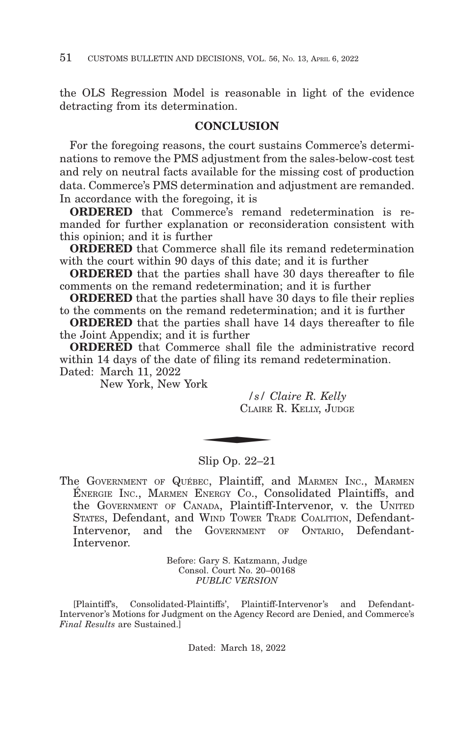the OLS Regression Model is reasonable in light of the evidence detracting from its determination.

#### **CONCLUSION**

For the foregoing reasons, the court sustains Commerce's determinations to remove the PMS adjustment from the sales-below-cost test and rely on neutral facts available for the missing cost of production data. Commerce's PMS determination and adjustment are remanded. In accordance with the foregoing, it is

**ORDERED** that Commerce's remand redetermination is remanded for further explanation or reconsideration consistent with this opinion; and it is further

**ORDERED** that Commerce shall file its remand redetermination with the court within 90 days of this date; and it is further

**ORDERED** that the parties shall have 30 days thereafter to file comments on the remand redetermination; and it is further

**ORDERED** that the parties shall have 30 days to file their replies to the comments on the remand redetermination; and it is further

**ORDERED** that the parties shall have 14 days thereafter to file the Joint Appendix; and it is further

**ORDERED** that Commerce shall file the administrative record within 14 days of the date of filing its remand redetermination.

Dated: March 11, 2022

New York, New York

*/s/ Claire R. Kelly* CLAIRE R. KELLY, JUDGE  $\frac{1}{s}$  /s/ C<br>CLAIRE

### Slip Op. 22–21

The GOVERNMENT OF QUÉBEC, Plaintiff, and MARMEN INC., MARMEN ÉNERGIE INC., MARMEN ENERGY CO., Consolidated Plaintiffs, and the GOVERNMENT OF CANADA, Plaintiff-Intervenor, v. the UNITED STATES, Defendant, and WIND TOWER TRADE COALITION, Defendant-Intervenor, and the GOVERNMENT OF ONTARIO, Defendant-Intervenor.

> Before: Gary S. Katzmann, Judge Consol. Court No. 20–00168 *PUBLIC VERSION*

[Plaintiff's, Consolidated-Plaintiffs', Plaintiff-Intervenor's and Defendant-Intervenor's Motions for Judgment on the Agency Record are Denied, and Commerce's *Final Results* are Sustained.]

Dated: March 18, 2022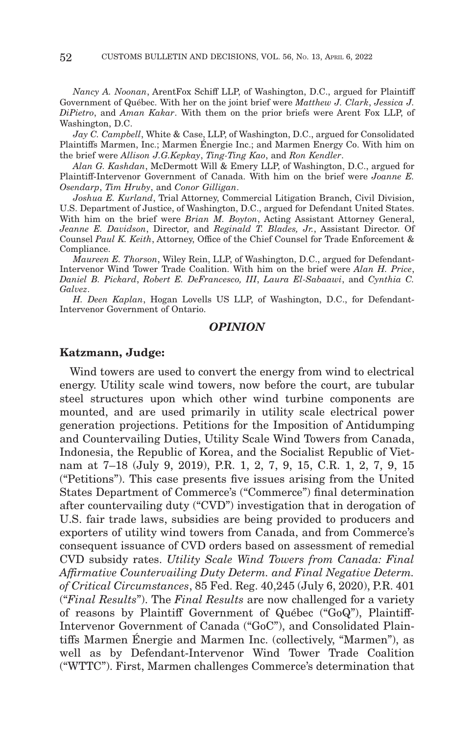*Nancy A. Noonan*, ArentFox Schiff LLP, of Washington, D.C., argued for Plaintiff Government of Québec. With her on the joint brief were *Matthew J. Clark*, *Jessica J. DiPietro*, and *Aman Kakar*. With them on the prior briefs were Arent Fox LLP, of Washington, D.C.

*Jay C. Campbell*, White & Case, LLP, of Washington, D.C., argued for Consolidated Plaintiffs Marmen, Inc.; Marmen Énergie Inc.; and Marmen Energy Co. With him on the brief were *Allison J.G.Kepkay*, *Ting-Ting Kao*, and *Ron Kendler*.

*Alan G. Kashdan*, McDermott Will & Emery LLP, of Washington, D.C., argued for Plaintiff-Intervenor Government of Canada. With him on the brief were *Joanne E. Osendarp*, *Tim Hruby*, and *Conor Gilligan*.

*Joshua E. Kurland*, Trial Attorney, Commercial Litigation Branch, Civil Division, U.S. Department of Justice, of Washington, D.C., argued for Defendant United States. With him on the brief were *Brian M. Boyton*, Acting Assistant Attorney General, *Jeanne E. Davidson*, Director, and *Reginald T. Blades, Jr.*, Assistant Director. Of Counsel *Paul K. Keith*, Attorney, Office of the Chief Counsel for Trade Enforcement & Compliance.

*Maureen E. Thorson*, Wiley Rein, LLP, of Washington, D.C., argued for Defendant-Intervenor Wind Tower Trade Coalition. With him on the brief were *Alan H. Price*, *Daniel B. Pickard*, *Robert E. DeFrancesco, III*, *Laura El-Sabaawi*, and *Cynthia C. Galvez*.

*H. Deen Kaplan*, Hogan Lovells US LLP, of Washington, D.C., for Defendant-Intervenor Government of Ontario.

#### *OPINION*

#### **Katzmann, Judge:**

Wind towers are used to convert the energy from wind to electrical energy. Utility scale wind towers, now before the court, are tubular steel structures upon which other wind turbine components are mounted, and are used primarily in utility scale electrical power generation projections. Petitions for the Imposition of Antidumping and Countervailing Duties, Utility Scale Wind Towers from Canada, Indonesia, the Republic of Korea, and the Socialist Republic of Vietnam at 7–18 (July 9, 2019), P.R. 1, 2, 7, 9, 15, C.R. 1, 2, 7, 9, 15 ("Petitions"). This case presents five issues arising from the United States Department of Commerce's ("Commerce") final determination after countervailing duty ("CVD") investigation that in derogation of U.S. fair trade laws, subsidies are being provided to producers and exporters of utility wind towers from Canada, and from Commerce's consequent issuance of CVD orders based on assessment of remedial CVD subsidy rates. *Utility Scale Wind Towers from Canada: Final Affirmative Countervailing Duty Determ. and Final Negative Determ. of Critical Circumstances*, 85 Fed. Reg. 40,245 (July 6, 2020), P.R. 401 ("*Final Results*"). The *Final Results* are now challenged for a variety of reasons by Plaintiff Government of Québec ("GoQ"), Plaintiff-Intervenor Government of Canada ("GoC"), and Consolidated Plaintiffs Marmen Énergie and Marmen Inc. (collectively, "Marmen"), as well as by Defendant-Intervenor Wind Tower Trade Coalition ("WTTC"). First, Marmen challenges Commerce's determination that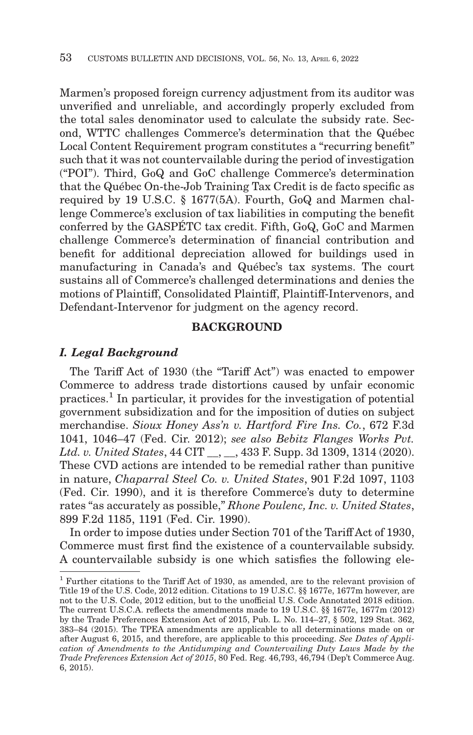Marmen's proposed foreign currency adjustment from its auditor was unverified and unreliable, and accordingly properly excluded from the total sales denominator used to calculate the subsidy rate. Second, WTTC challenges Commerce's determination that the Québec Local Content Requirement program constitutes a "recurring benefit" such that it was not countervailable during the period of investigation ("POI"). Third, GoQ and GoC challenge Commerce's determination that the Québec On-the-Job Training Tax Credit is de facto specific as required by 19 U.S.C. § 1677(5A). Fourth, GoQ and Marmen challenge Commerce's exclusion of tax liabilities in computing the benefit conferred by the GASPÉTC tax credit. Fifth, GoQ, GoC and Marmen challenge Commerce's determination of financial contribution and benefit for additional depreciation allowed for buildings used in manufacturing in Canada's and Québec's tax systems. The court sustains all of Commerce's challenged determinations and denies the motions of Plaintiff, Consolidated Plaintiff, Plaintiff-Intervenors, and Defendant-Intervenor for judgment on the agency record.

## **BACKGROUND**

### *I. Legal Background*

The Tariff Act of 1930 (the "Tariff Act") was enacted to empower Commerce to address trade distortions caused by unfair economic  $practices<sup>1</sup>$  In particular, it provides for the investigation of potential government subsidization and for the imposition of duties on subject merchandise. *Sioux Honey Ass'n v. Hartford Fire Ins. Co.*, 672 F.3d 1041, 1046–47 (Fed. Cir. 2012); *see also Bebitz Flanges Works Pvt. Ltd. v. United States*, 44 CIT \_\_, \_\_, 433 F. Supp. 3d 1309, 1314 (2020). These CVD actions are intended to be remedial rather than punitive in nature, *Chaparral Steel Co. v. United States*, 901 F.2d 1097, 1103 (Fed. Cir. 1990), and it is therefore Commerce's duty to determine rates "as accurately as possible," *Rhone Poulenc, Inc. v. United States*, 899 F.2d 1185, 1191 (Fed. Cir. 1990).

In order to impose duties under Section 701 of the Tariff Act of 1930, Commerce must first find the existence of a countervailable subsidy. A countervailable subsidy is one which satisfies the following ele-

<sup>1</sup> Further citations to the Tariff Act of 1930, as amended, are to the relevant provision of Title 19 of the U.S. Code, 2012 edition. Citations to 19 U.S.C. §§ 1677e, 1677m however, are not to the U.S. Code, 2012 edition, but to the unofficial U.S. Code Annotated 2018 edition. The current U.S.C.A. reflects the amendments made to 19 U.S.C. §§ 1677e, 1677m (2012) by the Trade Preferences Extension Act of 2015, Pub. L. No. 114–27, § 502, 129 Stat. 362, 383–84 (2015). The TPEA amendments are applicable to all determinations made on or after August 6, 2015, and therefore, are applicable to this proceeding. *See Dates of Application of Amendments to the Antidumping and Countervailing Duty Laws Made by the Trade Preferences Extension Act of 2015*, 80 Fed. Reg. 46,793, 46,794 (Dep't Commerce Aug. 6, 2015).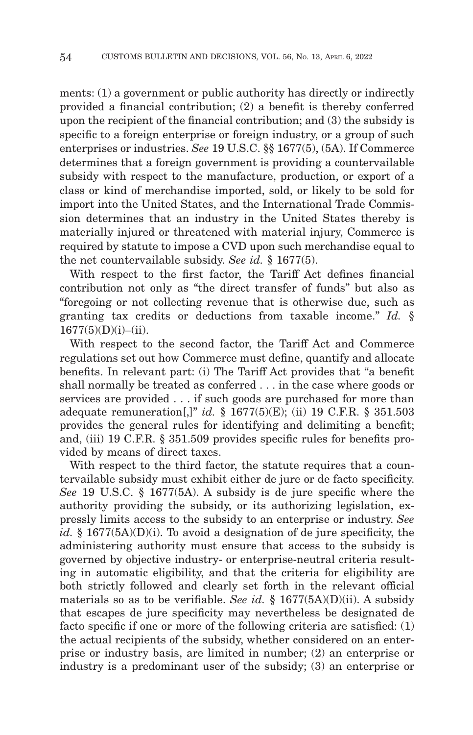ments: (1) a government or public authority has directly or indirectly provided a financial contribution; (2) a benefit is thereby conferred upon the recipient of the financial contribution; and (3) the subsidy is specific to a foreign enterprise or foreign industry, or a group of such enterprises or industries. *See* 19 U.S.C. §§ 1677(5), (5A). If Commerce determines that a foreign government is providing a countervailable subsidy with respect to the manufacture, production, or export of a class or kind of merchandise imported, sold, or likely to be sold for import into the United States, and the International Trade Commission determines that an industry in the United States thereby is materially injured or threatened with material injury, Commerce is required by statute to impose a CVD upon such merchandise equal to the net countervailable subsidy. *See id.* § 1677(5).

With respect to the first factor, the Tariff Act defines financial contribution not only as "the direct transfer of funds" but also as "foregoing or not collecting revenue that is otherwise due, such as granting tax credits or deductions from taxable income." *Id.* §  $1677(5)(D)(i)–(ii)$ .

With respect to the second factor, the Tariff Act and Commerce regulations set out how Commerce must define, quantify and allocate benefits. In relevant part: (i) The Tariff Act provides that "a benefit shall normally be treated as conferred . . . in the case where goods or services are provided . . . if such goods are purchased for more than adequate remuneration[,]" *id.* § 1677(5)(E); (ii) 19 C.F.R. § 351.503 provides the general rules for identifying and delimiting a benefit; and, (iii) 19 C.F.R. § 351.509 provides specific rules for benefits provided by means of direct taxes.

With respect to the third factor, the statute requires that a countervailable subsidy must exhibit either de jure or de facto specificity. *See* 19 U.S.C. § 1677(5A). A subsidy is de jure specific where the authority providing the subsidy, or its authorizing legislation, expressly limits access to the subsidy to an enterprise or industry. *See id.* § 1677(5A)(D)(i). To avoid a designation of de jure specificity, the administering authority must ensure that access to the subsidy is governed by objective industry- or enterprise-neutral criteria resulting in automatic eligibility, and that the criteria for eligibility are both strictly followed and clearly set forth in the relevant official materials so as to be verifiable. *See id.* § 1677(5A)(D)(ii). A subsidy that escapes de jure specificity may nevertheless be designated de facto specific if one or more of the following criteria are satisfied: (1) the actual recipients of the subsidy, whether considered on an enterprise or industry basis, are limited in number; (2) an enterprise or industry is a predominant user of the subsidy; (3) an enterprise or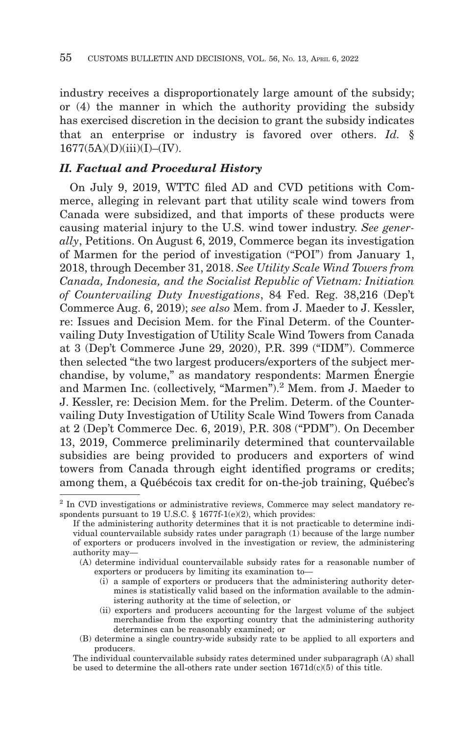industry receives a disproportionately large amount of the subsidy; or (4) the manner in which the authority providing the subsidy has exercised discretion in the decision to grant the subsidy indicates that an enterprise or industry is favored over others. *Id.* §  $1677(5A)(D)(iii)(I)$ –(IV).

### *II. Factual and Procedural History*

On July 9, 2019, WTTC filed AD and CVD petitions with Commerce, alleging in relevant part that utility scale wind towers from Canada were subsidized, and that imports of these products were causing material injury to the U.S. wind tower industry. *See generally*, Petitions. On August 6, 2019, Commerce began its investigation of Marmen for the period of investigation ("POI") from January 1, 2018, through December 31, 2018. *See Utility Scale Wind Towers from Canada, Indonesia, and the Socialist Republic of Vietnam: Initiation of Countervailing Duty Investigations*, 84 Fed. Reg. 38,216 (Dep't Commerce Aug. 6, 2019); *see also* Mem. from J. Maeder to J. Kessler, re: Issues and Decision Mem. for the Final Determ. of the Countervailing Duty Investigation of Utility Scale Wind Towers from Canada at 3 (Dep't Commerce June 29, 2020), P.R. 399 ("IDM"). Commerce then selected "the two largest producers/exporters of the subject merchandise, by volume," as mandatory respondents: Marmen Énergie and Marmen Inc. (collectively, "Marmen").<sup>2</sup> Mem. from J. Maeder to J. Kessler, re: Decision Mem. for the Prelim. Determ. of the Countervailing Duty Investigation of Utility Scale Wind Towers from Canada at 2 (Dep't Commerce Dec. 6, 2019), P.R. 308 ("PDM"). On December 13, 2019, Commerce preliminarily determined that countervailable subsidies are being provided to producers and exporters of wind towers from Canada through eight identified programs or credits; among them, a Québécois tax credit for on-the-job training, Québec's

- (i) a sample of exporters or producers that the administering authority determines is statistically valid based on the information available to the administering authority at the time of selection, or
- (ii) exporters and producers accounting for the largest volume of the subject merchandise from the exporting country that the administering authority determines can be reasonably examined; or
- (B) determine a single country-wide subsidy rate to be applied to all exporters and producers.

<sup>2</sup> In CVD investigations or administrative reviews, Commerce may select mandatory respondents pursuant to 19 U.S.C. § 1677f-1(e)(2), which provides:

If the administering authority determines that it is not practicable to determine individual countervailable subsidy rates under paragraph (1) because of the large number of exporters or producers involved in the investigation or review, the administering authority may—

<sup>(</sup>A) determine individual countervailable subsidy rates for a reasonable number of exporters or producers by limiting its examination to—

The individual countervailable subsidy rates determined under subparagraph (A) shall be used to determine the all-others rate under section  $1671d(c)(5)$  of this title.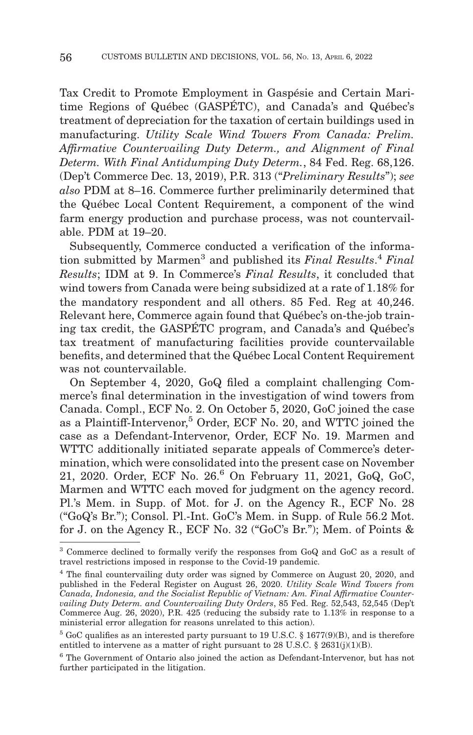Tax Credit to Promote Employment in Gaspésie and Certain Maritime Regions of Québec (GASPÉTC), and Canada's and Québec's treatment of depreciation for the taxation of certain buildings used in manufacturing. *Utility Scale Wind Towers From Canada: Prelim. Affirmative Countervailing Duty Determ., and Alignment of Final Determ. With Final Antidumping Duty Determ.*, 84 Fed. Reg. 68,126. (Dep't Commerce Dec. 13, 2019), P.R. 313 ("*Preliminary Results*"); *see also* PDM at 8–16. Commerce further preliminarily determined that the Québec Local Content Requirement, a component of the wind farm energy production and purchase process, was not countervailable. PDM at 19–20.

Subsequently, Commerce conducted a verification of the information submitted by Marmen<sup>3</sup> and published its *Final Results*.<sup>4</sup> Final *Results*; IDM at 9. In Commerce's *Final Results*, it concluded that wind towers from Canada were being subsidized at a rate of 1.18% for the mandatory respondent and all others. 85 Fed. Reg at 40,246. Relevant here, Commerce again found that Québec's on-the-job training tax credit, the GASPÉTC program, and Canada's and Québec's tax treatment of manufacturing facilities provide countervailable benefits, and determined that the Québec Local Content Requirement was not countervailable.

On September 4, 2020, GoQ filed a complaint challenging Commerce's final determination in the investigation of wind towers from Canada. Compl., ECF No. 2. On October 5, 2020, GoC joined the case as a Plaintiff-Intervenor,<sup>5</sup> Order, ECF No. 20, and WTTC joined the case as a Defendant-Intervenor, Order, ECF No. 19. Marmen and WTTC additionally initiated separate appeals of Commerce's determination, which were consolidated into the present case on November 21, 2020. Order, ECF No. 26.6 On February 11, 2021, GoQ, GoC, Marmen and WTTC each moved for judgment on the agency record. Pl.'s Mem. in Supp. of Mot. for J. on the Agency R., ECF No. 28 ("GoQ's Br."); Consol. Pl.-Int. GoC's Mem. in Supp. of Rule 56.2 Mot. for J. on the Agency R., ECF No. 32 ("GoC's Br."); Mem. of Points &

<sup>3</sup> Commerce declined to formally verify the responses from GoQ and GoC as a result of travel restrictions imposed in response to the Covid-19 pandemic.

<sup>4</sup> The final countervailing duty order was signed by Commerce on August 20, 2020, and published in the Federal Register on August 26, 2020. *Utility Scale Wind Towers from Canada, Indonesia, and the Socialist Republic of Vietnam: Am. Final Affirmative Countervailing Duty Determ. and Countervailing Duty Orders*, 85 Fed. Reg. 52,543, 52,545 (Dep't Commerce Aug. 26, 2020), P.R. 425 (reducing the subsidy rate to 1.13% in response to a ministerial error allegation for reasons unrelated to this action).

 $5$  GoC qualifies as an interested party pursuant to 19 U.S.C. § 1677(9)(B), and is therefore entitled to intervene as a matter of right pursuant to 28 U.S.C. § 2631(j)(1)(B).

<sup>6</sup> The Government of Ontario also joined the action as Defendant-Intervenor, but has not further participated in the litigation.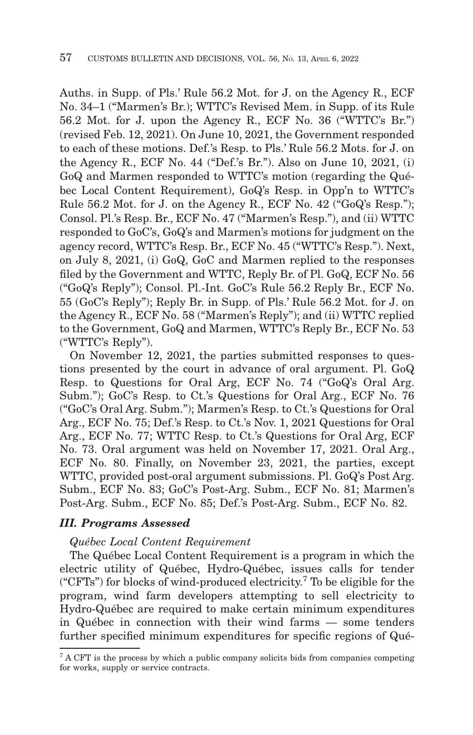Auths. in Supp. of Pls.' Rule 56.2 Mot. for J. on the Agency R., ECF No. 34–1 ("Marmen's Br.); WTTC's Revised Mem. in Supp. of its Rule 56.2 Mot. for J. upon the Agency R., ECF No. 36 ("WTTC's Br.") (revised Feb. 12, 2021). On June 10, 2021, the Government responded to each of these motions. Def.'s Resp. to Pls.' Rule 56.2 Mots. for J. on the Agency R., ECF No. 44 ("Def.'s Br."). Also on June 10, 2021, (i) GoQ and Marmen responded to WTTC's motion (regarding the Québec Local Content Requirement), GoQ's Resp. in Opp'n to WTTC's Rule 56.2 Mot. for J. on the Agency R., ECF No. 42 ("GoQ's Resp."); Consol. Pl.'s Resp. Br., ECF No. 47 ("Marmen's Resp."), and (ii) WTTC responded to GoC's, GoQ's and Marmen's motions for judgment on the agency record, WTTC's Resp. Br., ECF No. 45 ("WTTC's Resp."). Next, on July 8, 2021, (i) GoQ, GoC and Marmen replied to the responses filed by the Government and WTTC, Reply Br. of Pl. GoQ, ECF No. 56 ("GoQ's Reply"); Consol. Pl.-Int. GoC's Rule 56.2 Reply Br., ECF No. 55 (GoC's Reply"); Reply Br. in Supp. of Pls.' Rule 56.2 Mot. for J. on the Agency R., ECF No. 58 ("Marmen's Reply"); and (ii) WTTC replied to the Government, GoQ and Marmen, WTTC's Reply Br., ECF No. 53 ("WTTC's Reply").

On November 12, 2021, the parties submitted responses to questions presented by the court in advance of oral argument. Pl. GoQ Resp. to Questions for Oral Arg, ECF No. 74 ("GoQ's Oral Arg. Subm."); GoC's Resp. to Ct.'s Questions for Oral Arg., ECF No. 76 ("GoC's Oral Arg. Subm."); Marmen's Resp. to Ct.'s Questions for Oral Arg., ECF No. 75; Def.'s Resp. to Ct.'s Nov. 1, 2021 Questions for Oral Arg., ECF No. 77; WTTC Resp. to Ct.'s Questions for Oral Arg, ECF No. 73. Oral argument was held on November 17, 2021. Oral Arg., ECF No. 80. Finally, on November 23, 2021, the parties, except WTTC, provided post-oral argument submissions. Pl. GoQ's Post Arg. Subm., ECF No. 83; GoC's Post-Arg. Subm., ECF No. 81; Marmen's Post-Arg. Subm., ECF No. 85; Def.'s Post-Arg. Subm., ECF No. 82.

### *III. Programs Assessed*

#### *Québec Local Content Requirement*

The Québec Local Content Requirement is a program in which the electric utility of Québec, Hydro-Québec, issues calls for tender ("CFTs") for blocks of wind-produced electricity.<sup>7</sup> To be eligible for the program, wind farm developers attempting to sell electricity to Hydro-Québec are required to make certain minimum expenditures in Québec in connection with their wind farms — some tenders further specified minimum expenditures for specific regions of Qué-

 $^7$  A CFT is the process by which a public company solicits bids from companies competing for works, supply or service contracts.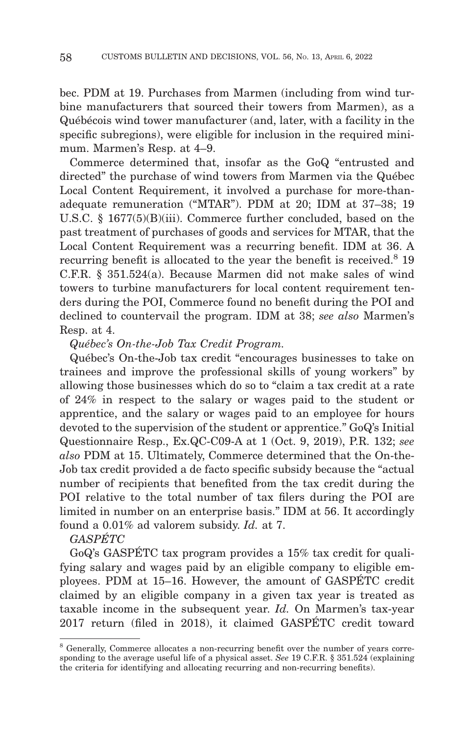bec. PDM at 19. Purchases from Marmen (including from wind turbine manufacturers that sourced their towers from Marmen), as a Québécois wind tower manufacturer (and, later, with a facility in the specific subregions), were eligible for inclusion in the required minimum. Marmen's Resp. at 4–9.

Commerce determined that, insofar as the GoQ "entrusted and directed" the purchase of wind towers from Marmen via the Québec Local Content Requirement, it involved a purchase for more-thanadequate remuneration ("MTAR"). PDM at 20; IDM at 37–38; 19 U.S.C. § 1677(5)(B)(iii). Commerce further concluded, based on the past treatment of purchases of goods and services for MTAR, that the Local Content Requirement was a recurring benefit. IDM at 36. A recurring benefit is allocated to the year the benefit is received.<sup>8</sup> 19 C.F.R. § 351.524(a). Because Marmen did not make sales of wind towers to turbine manufacturers for local content requirement tenders during the POI, Commerce found no benefit during the POI and declined to countervail the program. IDM at 38; *see also* Marmen's Resp. at 4.

## *Québec's On-the-Job Tax Credit Program.*

Québec's On-the-Job tax credit "encourages businesses to take on trainees and improve the professional skills of young workers" by allowing those businesses which do so to "claim a tax credit at a rate of 24% in respect to the salary or wages paid to the student or apprentice, and the salary or wages paid to an employee for hours devoted to the supervision of the student or apprentice." GoQ's Initial Questionnaire Resp., Ex.QC-C09-A at 1 (Oct. 9, 2019), P.R. 132; *see also* PDM at 15. Ultimately, Commerce determined that the On-the-Job tax credit provided a de facto specific subsidy because the "actual number of recipients that benefited from the tax credit during the POI relative to the total number of tax filers during the POI are limited in number on an enterprise basis." IDM at 56. It accordingly found a 0.01% ad valorem subsidy. *Id.* at 7.

# *GASPÉTC*

GoQ's GASPÉTC tax program provides a 15% tax credit for qualifying salary and wages paid by an eligible company to eligible employees. PDM at 15–16. However, the amount of GASPÉTC credit claimed by an eligible company in a given tax year is treated as taxable income in the subsequent year. *Id.* On Marmen's tax-year 2017 return (filed in 2018), it claimed GASPÉTC credit toward

<sup>8</sup> Generally, Commerce allocates a non-recurring benefit over the number of years corresponding to the average useful life of a physical asset. *See* 19 C.F.R. § 351.524 (explaining the criteria for identifying and allocating recurring and non-recurring benefits).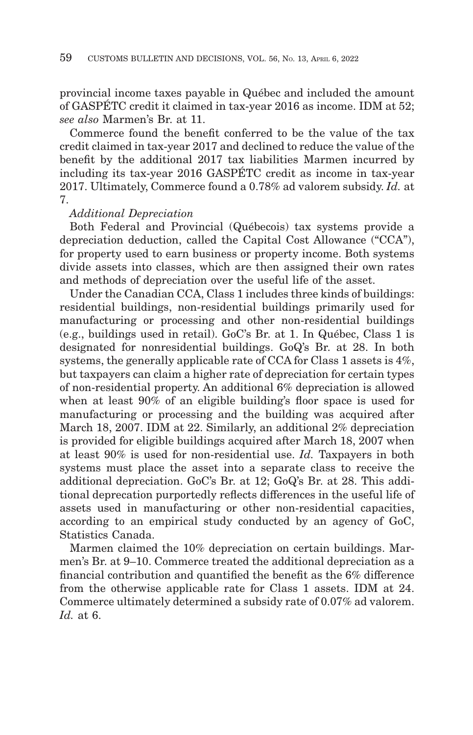provincial income taxes payable in Québec and included the amount of GASPÉTC credit it claimed in tax-year 2016 as income. IDM at 52; *see also* Marmen's Br. at 11.

Commerce found the benefit conferred to be the value of the tax credit claimed in tax-year 2017 and declined to reduce the value of the benefit by the additional 2017 tax liabilities Marmen incurred by including its tax-year 2016 GASPÉTC credit as income in tax-year 2017. Ultimately, Commerce found a 0.78% ad valorem subsidy. *Id.* at 7.

### *Additional Depreciation*

Both Federal and Provincial (Québecois) tax systems provide a depreciation deduction, called the Capital Cost Allowance ("CCA"), for property used to earn business or property income. Both systems divide assets into classes, which are then assigned their own rates and methods of depreciation over the useful life of the asset.

Under the Canadian CCA, Class 1 includes three kinds of buildings: residential buildings, non-residential buildings primarily used for manufacturing or processing and other non-residential buildings (e.g., buildings used in retail). GoC's Br. at 1. In Québec, Class 1 is designated for nonresidential buildings. GoQ's Br. at 28. In both systems, the generally applicable rate of CCA for Class 1 assets is 4%, but taxpayers can claim a higher rate of depreciation for certain types of non-residential property. An additional 6% depreciation is allowed when at least 90% of an eligible building's floor space is used for manufacturing or processing and the building was acquired after March 18, 2007. IDM at 22. Similarly, an additional 2% depreciation is provided for eligible buildings acquired after March 18, 2007 when at least 90% is used for non-residential use. *Id.* Taxpayers in both systems must place the asset into a separate class to receive the additional depreciation. GoC's Br. at 12; GoQ's Br. at 28. This additional deprecation purportedly reflects differences in the useful life of assets used in manufacturing or other non-residential capacities, according to an empirical study conducted by an agency of GoC, Statistics Canada.

Marmen claimed the 10% depreciation on certain buildings. Marmen's Br. at 9–10. Commerce treated the additional depreciation as a financial contribution and quantified the benefit as the 6% difference from the otherwise applicable rate for Class 1 assets. IDM at 24. Commerce ultimately determined a subsidy rate of 0.07% ad valorem. *Id.* at 6.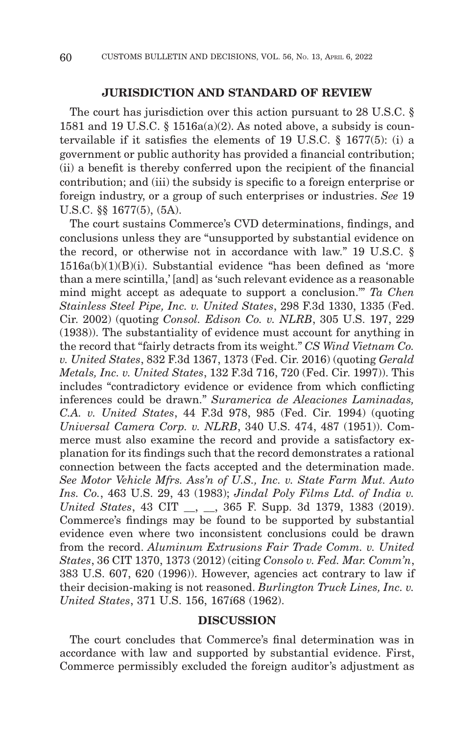### **JURISDICTION AND STANDARD OF REVIEW**

The court has jurisdiction over this action pursuant to 28 U.S.C. § 1581 and 19 U.S.C. § 1516a(a)(2). As noted above, a subsidy is countervailable if it satisfies the elements of 19 U.S.C. § 1677(5): (i) a government or public authority has provided a financial contribution; (ii) a benefit is thereby conferred upon the recipient of the financial contribution; and (iii) the subsidy is specific to a foreign enterprise or foreign industry, or a group of such enterprises or industries. *See* 19 U.S.C. §§ 1677(5), (5A).

The court sustains Commerce's CVD determinations, findings, and conclusions unless they are "unsupported by substantial evidence on the record, or otherwise not in accordance with law." 19 U.S.C. § 1516a(b)(1)(B)(i). Substantial evidence "has been defined as 'more than a mere scintilla,' [and] as 'such relevant evidence as a reasonable mind might accept as adequate to support a conclusion.'" *Ta Chen Stainless Steel Pipe, Inc. v. United States*, 298 F.3d 1330, 1335 (Fed. Cir. 2002) (quoting *Consol. Edison Co. v. NLRB*, 305 U.S. 197, 229 (1938)). The substantiality of evidence must account for anything in the record that "fairly detracts from its weight." *CS Wind Vietnam Co. v. United States*, 832 F.3d 1367, 1373 (Fed. Cir. 2016) (quoting *Gerald Metals, Inc. v. United States*, 132 F.3d 716, 720 (Fed. Cir. 1997)). This includes "contradictory evidence or evidence from which conflicting inferences could be drawn." *Suramerica de Aleaciones Laminadas, C.A. v. United States*, 44 F.3d 978, 985 (Fed. Cir. 1994) (quoting *Universal Camera Corp. v. NLRB*, 340 U.S. 474, 487 (1951)). Commerce must also examine the record and provide a satisfactory explanation for its findings such that the record demonstrates a rational connection between the facts accepted and the determination made. *See Motor Vehicle Mfrs. Ass'n of U.S., Inc. v. State Farm Mut. Auto Ins. Co.*, 463 U.S. 29, 43 (1983); *Jindal Poly Films Ltd. of India v. United States*, 43 CIT \_\_, \_\_, 365 F. Supp. 3d 1379, 1383 (2019). Commerce's findings may be found to be supported by substantial evidence even where two inconsistent conclusions could be drawn from the record. *Aluminum Extrusions Fair Trade Comm. v. United States*, 36 CIT 1370, 1373 (2012) (citing *Consolo v. Fed. Mar. Comm'n*, 383 U.S. 607, 620 (1996)). However, agencies act contrary to law if their decision-making is not reasoned. *Burlington Truck Lines, Inc. v. United States*, 371 U.S. 156, 167í68 (1962).

#### **DISCUSSION**

The court concludes that Commerce's final determination was in accordance with law and supported by substantial evidence. First, Commerce permissibly excluded the foreign auditor's adjustment as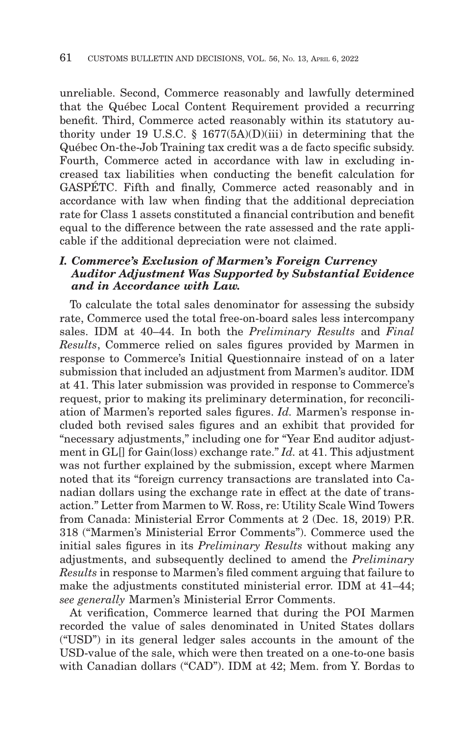unreliable. Second, Commerce reasonably and lawfully determined that the Québec Local Content Requirement provided a recurring benefit. Third, Commerce acted reasonably within its statutory authority under 19 U.S.C. § 1677(5A)(D)(iii) in determining that the Québec On-the-Job Training tax credit was a de facto specific subsidy. Fourth, Commerce acted in accordance with law in excluding increased tax liabilities when conducting the benefit calculation for GASPÉTC. Fifth and finally, Commerce acted reasonably and in accordance with law when finding that the additional depreciation rate for Class 1 assets constituted a financial contribution and benefit equal to the difference between the rate assessed and the rate applicable if the additional depreciation were not claimed.

# *I. Commerce's Exclusion of Marmen's Foreign Currency Auditor Adjustment Was Supported by Substantial Evidence and in Accordance with Law.*

To calculate the total sales denominator for assessing the subsidy rate, Commerce used the total free-on-board sales less intercompany sales. IDM at 40–44. In both the *Preliminary Results* and *Final Results*, Commerce relied on sales figures provided by Marmen in response to Commerce's Initial Questionnaire instead of on a later submission that included an adjustment from Marmen's auditor. IDM at 41. This later submission was provided in response to Commerce's request, prior to making its preliminary determination, for reconciliation of Marmen's reported sales figures. *Id.* Marmen's response included both revised sales figures and an exhibit that provided for "necessary adjustments," including one for "Year End auditor adjustment in GL[] for Gain(loss) exchange rate." *Id.* at 41. This adjustment was not further explained by the submission, except where Marmen noted that its "foreign currency transactions are translated into Canadian dollars using the exchange rate in effect at the date of transaction." Letter from Marmen to W. Ross, re: Utility Scale Wind Towers from Canada: Ministerial Error Comments at 2 (Dec. 18, 2019) P.R. 318 ("Marmen's Ministerial Error Comments"). Commerce used the initial sales figures in its *Preliminary Results* without making any adjustments, and subsequently declined to amend the *Preliminary Results* in response to Marmen's filed comment arguing that failure to make the adjustments constituted ministerial error. IDM at 41–44; *see generally* Marmen's Ministerial Error Comments.

At verification, Commerce learned that during the POI Marmen recorded the value of sales denominated in United States dollars ("USD") in its general ledger sales accounts in the amount of the USD-value of the sale, which were then treated on a one-to-one basis with Canadian dollars ("CAD"). IDM at 42; Mem. from Y. Bordas to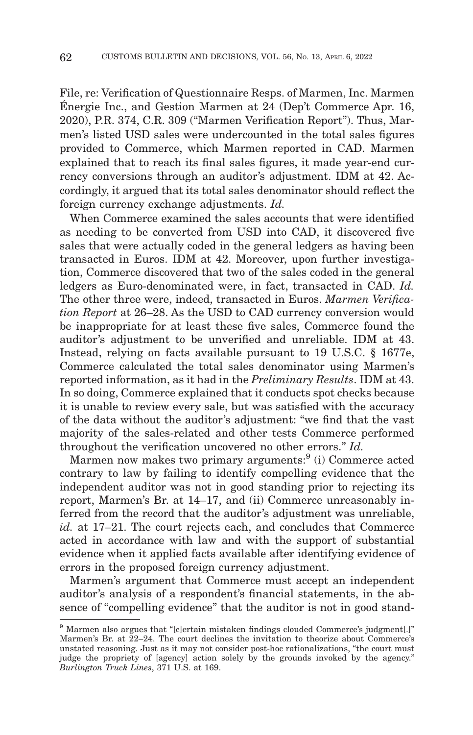File, re: Verification of Questionnaire Resps. of Marmen, Inc. Marmen Énergie Inc., and Gestion Marmen at 24 (Dep't Commerce Apr. 16, 2020), P.R. 374, C.R. 309 ("Marmen Verification Report"). Thus, Marmen's listed USD sales were undercounted in the total sales figures provided to Commerce, which Marmen reported in CAD. Marmen explained that to reach its final sales figures, it made year-end currency conversions through an auditor's adjustment. IDM at 42. Accordingly, it argued that its total sales denominator should reflect the foreign currency exchange adjustments. *Id.*

When Commerce examined the sales accounts that were identified as needing to be converted from USD into CAD, it discovered five sales that were actually coded in the general ledgers as having been transacted in Euros. IDM at 42. Moreover, upon further investigation, Commerce discovered that two of the sales coded in the general ledgers as Euro-denominated were, in fact, transacted in CAD. *Id.* The other three were, indeed, transacted in Euros. *Marmen Verification Report* at 26–28. As the USD to CAD currency conversion would be inappropriate for at least these five sales, Commerce found the auditor's adjustment to be unverified and unreliable. IDM at 43. Instead, relying on facts available pursuant to 19 U.S.C. § 1677e, Commerce calculated the total sales denominator using Marmen's reported information, as it had in the *Preliminary Results*. IDM at 43. In so doing, Commerce explained that it conducts spot checks because it is unable to review every sale, but was satisfied with the accuracy of the data without the auditor's adjustment: "we find that the vast majority of the sales-related and other tests Commerce performed throughout the verification uncovered no other errors." *Id.*

Marmen now makes two primary arguments:<sup>9</sup> (i) Commerce acted contrary to law by failing to identify compelling evidence that the independent auditor was not in good standing prior to rejecting its report, Marmen's Br. at 14–17, and (ii) Commerce unreasonably inferred from the record that the auditor's adjustment was unreliable, *id.* at 17–21. The court rejects each, and concludes that Commerce acted in accordance with law and with the support of substantial evidence when it applied facts available after identifying evidence of errors in the proposed foreign currency adjustment.

Marmen's argument that Commerce must accept an independent auditor's analysis of a respondent's financial statements, in the absence of "compelling evidence" that the auditor is not in good stand-

 $9$  Marmen also argues that "[c]ertain mistaken findings clouded Commerce's judgment[.]" Marmen's Br. at 22–24. The court declines the invitation to theorize about Commerce's unstated reasoning. Just as it may not consider post-hoc rationalizations, "the court must judge the propriety of [agency] action solely by the grounds invoked by the agency." *Burlington Truck Lines*, 371 U.S. at 169.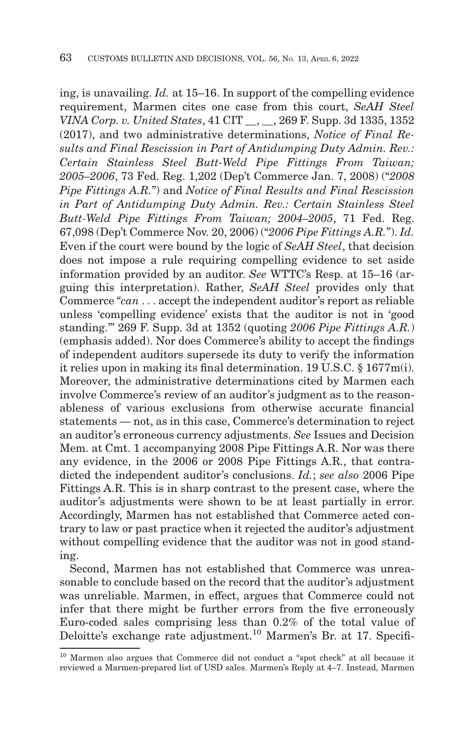ing, is unavailing. *Id.* at 15–16. In support of the compelling evidence requirement, Marmen cites one case from this court, *SeAH Steel VINA Corp. v. United States*, 41 CIT \_\_, \_\_, 269 F. Supp. 3d 1335, 1352 (2017), and two administrative determinations, *Notice of Final Results and Final Rescission in Part of Antidumping Duty Admin. Rev.: Certain Stainless Steel Butt-Weld Pipe Fittings From Taiwan; 2005–2006*, 73 Fed. Reg. 1,202 (Dep't Commerce Jan. 7, 2008) ("*2008 Pipe Fittings A.R.*") and *Notice of Final Results and Final Rescission in Part of Antidumping Duty Admin. Rev.: Certain Stainless Steel Butt-Weld Pipe Fittings From Taiwan; 2004–2005*, 71 Fed. Reg. 67,098 (Dep't Commerce Nov. 20, 2006) ("*2006 Pipe Fittings A.R.*"). *Id.* Even if the court were bound by the logic of *SeAH Steel*, that decision does not impose a rule requiring compelling evidence to set aside information provided by an auditor. *See* WTTC's Resp. at 15–16 (arguing this interpretation). Rather, *SeAH Steel* provides only that Commerce "*can* . . . accept the independent auditor's report as reliable unless 'compelling evidence' exists that the auditor is not in 'good standing.'" 269 F. Supp. 3d at 1352 (quoting *2006 Pipe Fittings A.R.*) (emphasis added). Nor does Commerce's ability to accept the findings of independent auditors supersede its duty to verify the information it relies upon in making its final determination. 19 U.S.C. § 1677m(i). Moreover, the administrative determinations cited by Marmen each involve Commerce's review of an auditor's judgment as to the reasonableness of various exclusions from otherwise accurate financial statements — not, as in this case, Commerce's determination to reject an auditor's erroneous currency adjustments. *See* Issues and Decision Mem. at Cmt. 1 accompanying 2008 Pipe Fittings A.R. Nor was there any evidence, in the 2006 or 2008 Pipe Fittings A.R., that contradicted the independent auditor's conclusions. *Id.*; *see also* 2006 Pipe Fittings A.R. This is in sharp contrast to the present case, where the auditor's adjustments were shown to be at least partially in error. Accordingly, Marmen has not established that Commerce acted contrary to law or past practice when it rejected the auditor's adjustment without compelling evidence that the auditor was not in good standing.

Second, Marmen has not established that Commerce was unreasonable to conclude based on the record that the auditor's adjustment was unreliable. Marmen, in effect, argues that Commerce could not infer that there might be further errors from the five erroneously Euro-coded sales comprising less than 0.2% of the total value of Deloitte's exchange rate adjustment.10 Marmen's Br. at 17. Specifi-

<sup>10</sup> Marmen also argues that Commerce did not conduct a "spot check" at all because it reviewed a Marmen-prepared list of USD sales. Marmen's Reply at 4–7. Instead, Marmen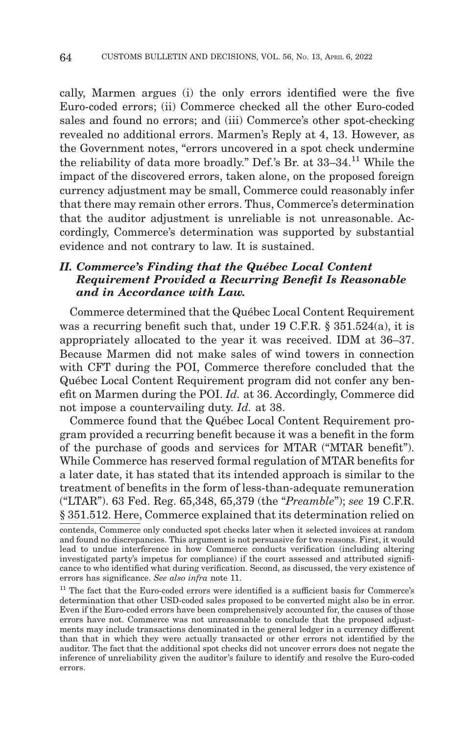cally, Marmen argues (i) the only errors identified were the five Euro-coded errors; (ii) Commerce checked all the other Euro-coded sales and found no errors; and (iii) Commerce's other spot-checking revealed no additional errors. Marmen's Reply at 4, 13. However, as the Government notes, "errors uncovered in a spot check undermine the reliability of data more broadly." Def.'s Br. at 33–34.11 While the impact of the discovered errors, taken alone, on the proposed foreign currency adjustment may be small, Commerce could reasonably infer that there may remain other errors. Thus, Commerce's determination that the auditor adjustment is unreliable is not unreasonable. Accordingly, Commerce's determination was supported by substantial evidence and not contrary to law. It is sustained.

# *II. Commerce's Finding that the Québec Local Content Requirement Provided a Recurring Benefit Is Reasonable and in Accordance with Law.*

Commerce determined that the Québec Local Content Requirement was a recurring benefit such that, under 19 C.F.R. § 351.524(a), it is appropriately allocated to the year it was received. IDM at 36–37. Because Marmen did not make sales of wind towers in connection with CFT during the POI, Commerce therefore concluded that the Québec Local Content Requirement program did not confer any benefit on Marmen during the POI. *Id.* at 36. Accordingly, Commerce did not impose a countervailing duty. *Id.* at 38.

Commerce found that the Québec Local Content Requirement program provided a recurring benefit because it was a benefit in the form of the purchase of goods and services for MTAR ("MTAR benefit"). While Commerce has reserved formal regulation of MTAR benefits for a later date, it has stated that its intended approach is similar to the treatment of benefits in the form of less-than-adequate remuneration ("LTAR"). 63 Fed. Reg. 65,348, 65,379 (the "*Preamble*"); *see* 19 C.F.R. § 351.512. Here, Commerce explained that its determination relied on

contends, Commerce only conducted spot checks later when it selected invoices at random and found no discrepancies. This argument is not persuasive for two reasons. First, it would lead to undue interference in how Commerce conducts verification (including altering investigated party's impetus for compliance) if the court assessed and attributed significance to who identified what during verification. Second, as discussed, the very existence of errors has significance. *See also infra* note 11.

<sup>&</sup>lt;sup>11</sup> The fact that the Euro-coded errors were identified is a sufficient basis for Commerce's determination that other USD-coded sales proposed to be converted might also be in error. Even if the Euro-coded errors have been comprehensively accounted for, the causes of those errors have not. Commerce was not unreasonable to conclude that the proposed adjustments may include transactions denominated in the general ledger in a currency different than that in which they were actually transacted or other errors not identified by the auditor. The fact that the additional spot checks did not uncover errors does not negate the inference of unreliability given the auditor's failure to identify and resolve the Euro-coded errors.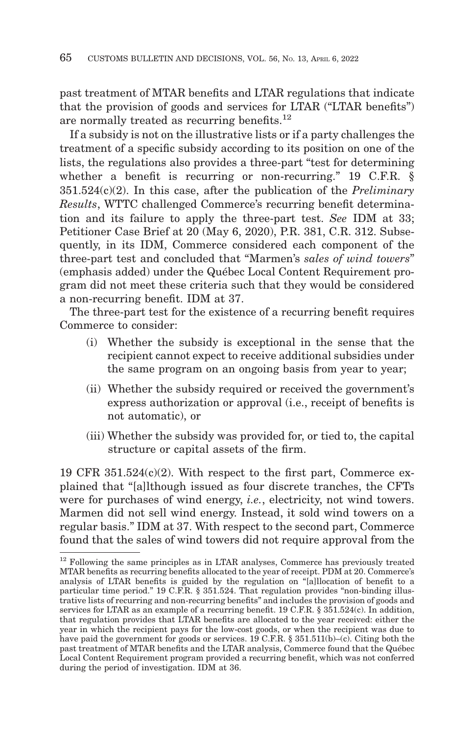past treatment of MTAR benefits and LTAR regulations that indicate that the provision of goods and services for LTAR ("LTAR benefits") are normally treated as recurring benefits.12

If a subsidy is not on the illustrative lists or if a party challenges the treatment of a specific subsidy according to its position on one of the lists, the regulations also provides a three-part "test for determining whether a benefit is recurring or non-recurring." 19 C.F.R. § 351.524(c)(2). In this case, after the publication of the *Preliminary Results*, WTTC challenged Commerce's recurring benefit determination and its failure to apply the three-part test. *See* IDM at 33; Petitioner Case Brief at 20 (May 6, 2020), P.R. 381, C.R. 312. Subsequently, in its IDM, Commerce considered each component of the three-part test and concluded that "Marmen's *sales of wind towers*" (emphasis added) under the Québec Local Content Requirement program did not meet these criteria such that they would be considered a non-recurring benefit. IDM at 37.

The three-part test for the existence of a recurring benefit requires Commerce to consider:

- (i) Whether the subsidy is exceptional in the sense that the recipient cannot expect to receive additional subsidies under the same program on an ongoing basis from year to year;
- (ii) Whether the subsidy required or received the government's express authorization or approval (i.e., receipt of benefits is not automatic), or
- (iii) Whether the subsidy was provided for, or tied to, the capital structure or capital assets of the firm.

19 CFR 351.524(c)(2). With respect to the first part, Commerce explained that "[a]lthough issued as four discrete tranches, the CFTs were for purchases of wind energy, *i.e.*, electricity, not wind towers. Marmen did not sell wind energy. Instead, it sold wind towers on a regular basis." IDM at 37. With respect to the second part, Commerce found that the sales of wind towers did not require approval from the

<sup>&</sup>lt;sup>12</sup> Following the same principles as in LTAR analyses, Commerce has previously treated MTAR benefits as recurring benefits allocated to the year of receipt. PDM at 20. Commerce's analysis of LTAR benefits is guided by the regulation on "[a]llocation of benefit to a particular time period." 19 C.F.R. § 351.524. That regulation provides "non-binding illustrative lists of recurring and non-recurring benefits" and includes the provision of goods and services for LTAR as an example of a recurring benefit. 19 C.F.R. § 351.524(c). In addition, that regulation provides that LTAR benefits are allocated to the year received: either the year in which the recipient pays for the low-cost goods, or when the recipient was due to have paid the government for goods or services. 19 C.F.R. § 351.511(b)–(c). Citing both the past treatment of MTAR benefits and the LTAR analysis, Commerce found that the Québec Local Content Requirement program provided a recurring benefit, which was not conferred during the period of investigation. IDM at 36.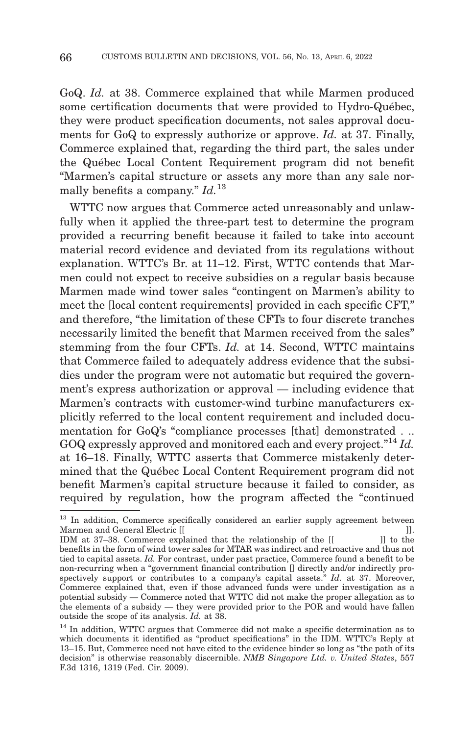GoQ. *Id.* at 38. Commerce explained that while Marmen produced some certification documents that were provided to Hydro-Québec, they were product specification documents, not sales approval documents for GoQ to expressly authorize or approve. *Id.* at 37. Finally, Commerce explained that, regarding the third part, the sales under the Québec Local Content Requirement program did not benefit "Marmen's capital structure or assets any more than any sale normally benefits a company." *Id.*<sup>13</sup>

WTTC now argues that Commerce acted unreasonably and unlawfully when it applied the three-part test to determine the program provided a recurring benefit because it failed to take into account material record evidence and deviated from its regulations without explanation. WTTC's Br. at 11–12. First, WTTC contends that Marmen could not expect to receive subsidies on a regular basis because Marmen made wind tower sales "contingent on Marmen's ability to meet the [local content requirements] provided in each specific CFT," and therefore, "the limitation of these CFTs to four discrete tranches necessarily limited the benefit that Marmen received from the sales" stemming from the four CFTs. *Id.* at 14. Second, WTTC maintains that Commerce failed to adequately address evidence that the subsidies under the program were not automatic but required the government's express authorization or approval — including evidence that Marmen's contracts with customer-wind turbine manufacturers explicitly referred to the local content requirement and included documentation for GoQ's "compliance processes [that] demonstrated ... GOQ expressly approved and monitored each and every project."14 *Id.* at 16–18. Finally, WTTC asserts that Commerce mistakenly determined that the Québec Local Content Requirement program did not benefit Marmen's capital structure because it failed to consider, as required by regulation, how the program affected the "continued

<sup>&</sup>lt;sup>13</sup> In addition, Commerce specifically considered an earlier supply agreement between Marmen and General Electric [[<br>IDM at 37–38. Commerce explained that the relationship of the [[ ] ]].

IDM at 37-38. Commerce explained that the relationship of the [[ benefits in the form of wind tower sales for MTAR was indirect and retroactive and thus not tied to capital assets. *Id.* For contrast, under past practice, Commerce found a benefit to be non-recurring when a "government financial contribution [] directly and/or indirectly prospectively support or contributes to a company's capital assets." *Id.* at 37. Moreover, Commerce explained that, even if those advanced funds were under investigation as a potential subsidy — Commerce noted that WTTC did not make the proper allegation as to the elements of a subsidy — they were provided prior to the POR and would have fallen outside the scope of its analysis. *Id.* at 38.

<sup>&</sup>lt;sup>14</sup> In addition, WTTC argues that Commerce did not make a specific determination as to which documents it identified as "product specifications" in the IDM. WTTC's Reply at 13–15. But, Commerce need not have cited to the evidence binder so long as "the path of its decision" is otherwise reasonably discernible. *NMB Singapore Ltd. v. United States*, 557 F.3d 1316, 1319 (Fed. Cir. 2009).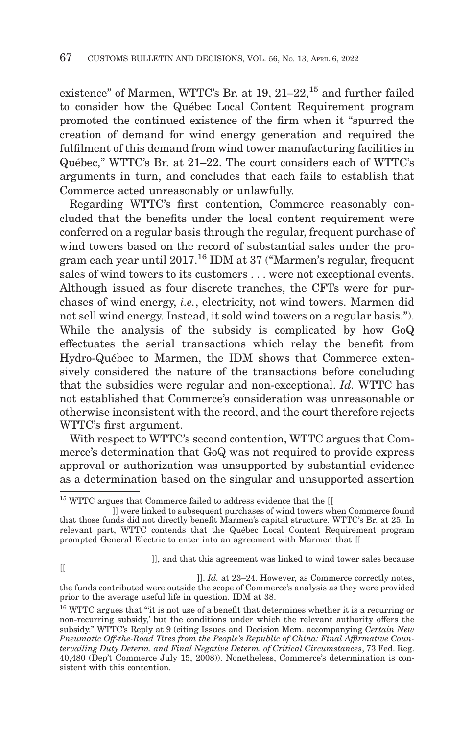existence" of Marmen, WTTC's Br. at 19, 21–22,<sup>15</sup> and further failed to consider how the Québec Local Content Requirement program promoted the continued existence of the firm when it "spurred the creation of demand for wind energy generation and required the fulfilment of this demand from wind tower manufacturing facilities in Québec," WTTC's Br. at 21–22. The court considers each of WTTC's arguments in turn, and concludes that each fails to establish that Commerce acted unreasonably or unlawfully.

Regarding WTTC's first contention, Commerce reasonably concluded that the benefits under the local content requirement were conferred on a regular basis through the regular, frequent purchase of wind towers based on the record of substantial sales under the program each year until 2017.16 IDM at 37 ("Marmen's regular, frequent sales of wind towers to its customers . . . were not exceptional events. Although issued as four discrete tranches, the CFTs were for purchases of wind energy, *i.e.*, electricity, not wind towers. Marmen did not sell wind energy. Instead, it sold wind towers on a regular basis."). While the analysis of the subsidy is complicated by how GoQ effectuates the serial transactions which relay the benefit from Hydro-Québec to Marmen, the IDM shows that Commerce extensively considered the nature of the transactions before concluding that the subsidies were regular and non-exceptional. *Id.* WTTC has not established that Commerce's consideration was unreasonable or otherwise inconsistent with the record, and the court therefore rejects WTTC's first argument.

With respect to WTTC's second contention, WTTC argues that Commerce's determination that GoQ was not required to provide express approval or authorization was unsupported by substantial evidence as a determination based on the singular and unsupported assertion

 $\sqrt{2}$ 

]], and that this agreement was linked to wind tower sales because

 $^{15}$  WTTC argues that Commerce failed to address evidence that the  $\left[ \right]$ 

<sup>]]</sup> were linked to subsequent purchases of wind towers when Commerce found that those funds did not directly benefit Marmen's capital structure. WTTC's Br. at 25. In relevant part, WTTC contends that the Québec Local Content Requirement program prompted General Electric to enter into an agreement with Marmen that [[

 <sup>]].</sup> *Id.* at 23–24. However, as Commerce correctly notes, the funds contributed were outside the scope of Commerce's analysis as they were provided prior to the average useful life in question. IDM at 38.

<sup>&</sup>lt;sup>16</sup> WTTC argues that ""it is not use of a benefit that determines whether it is a recurring or non-recurring subsidy,' but the conditions under which the relevant authority offers the subsidy." WTTC's Reply at 9 (citing Issues and Decision Mem. accompanying *Certain New Pneumatic Off-the-Road Tires from the People's Republic of China: Final Affirmative Countervailing Duty Determ. and Final Negative Determ. of Critical Circumstances*, 73 Fed. Reg. 40,480 (Dep't Commerce July 15, 2008)). Nonetheless, Commerce's determination is consistent with this contention.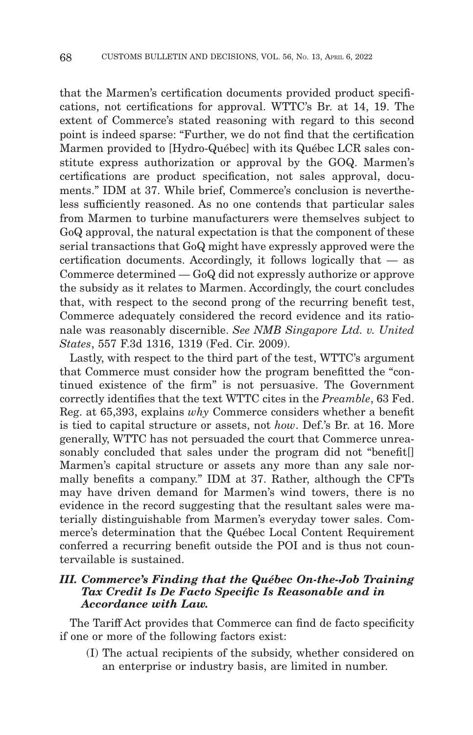that the Marmen's certification documents provided product specifications, not certifications for approval. WTTC's Br. at 14, 19. The extent of Commerce's stated reasoning with regard to this second point is indeed sparse: "Further, we do not find that the certification Marmen provided to [Hydro-Québec] with its Québec LCR sales constitute express authorization or approval by the GOQ. Marmen's certifications are product specification, not sales approval, documents." IDM at 37. While brief, Commerce's conclusion is nevertheless sufficiently reasoned. As no one contends that particular sales from Marmen to turbine manufacturers were themselves subject to GoQ approval, the natural expectation is that the component of these serial transactions that GoQ might have expressly approved were the certification documents. Accordingly, it follows logically that — as Commerce determined — GoQ did not expressly authorize or approve the subsidy as it relates to Marmen. Accordingly, the court concludes that, with respect to the second prong of the recurring benefit test, Commerce adequately considered the record evidence and its rationale was reasonably discernible. *See NMB Singapore Ltd. v. United States*, 557 F.3d 1316, 1319 (Fed. Cir. 2009).

Lastly, with respect to the third part of the test, WTTC's argument that Commerce must consider how the program benefitted the "continued existence of the firm" is not persuasive. The Government correctly identifies that the text WTTC cites in the *Preamble*, 63 Fed. Reg. at 65,393, explains *why* Commerce considers whether a benefit is tied to capital structure or assets, not *how*. Def.'s Br. at 16. More generally, WTTC has not persuaded the court that Commerce unreasonably concluded that sales under the program did not "benefit[] Marmen's capital structure or assets any more than any sale normally benefits a company." IDM at 37. Rather, although the CFTs may have driven demand for Marmen's wind towers, there is no evidence in the record suggesting that the resultant sales were materially distinguishable from Marmen's everyday tower sales. Commerce's determination that the Québec Local Content Requirement conferred a recurring benefit outside the POI and is thus not countervailable is sustained.

### *III. Commerce's Finding that the Québec On-the-Job Training Tax Credit Is De Facto Specific Is Reasonable and in Accordance with Law.*

The Tariff Act provides that Commerce can find de facto specificity if one or more of the following factors exist:

(I) The actual recipients of the subsidy, whether considered on an enterprise or industry basis, are limited in number.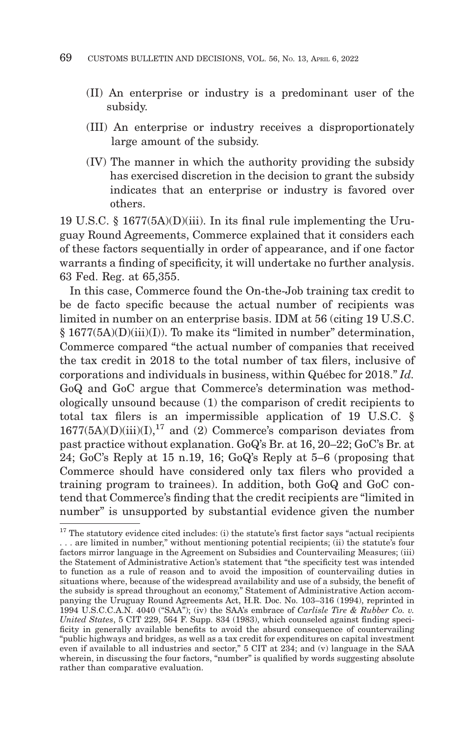- (II) An enterprise or industry is a predominant user of the subsidy.
- (III) An enterprise or industry receives a disproportionately large amount of the subsidy.
- (IV) The manner in which the authority providing the subsidy has exercised discretion in the decision to grant the subsidy indicates that an enterprise or industry is favored over others.

19 U.S.C. § 1677(5A)(D)(iii). In its final rule implementing the Uruguay Round Agreements, Commerce explained that it considers each of these factors sequentially in order of appearance, and if one factor warrants a finding of specificity, it will undertake no further analysis. 63 Fed. Reg. at 65,355.

In this case, Commerce found the On-the-Job training tax credit to be de facto specific because the actual number of recipients was limited in number on an enterprise basis. IDM at 56 (citing 19 U.S.C. § 1677(5A)(D)(iii)(I)). To make its "limited in number" determination, Commerce compared "the actual number of companies that received the tax credit in 2018 to the total number of tax filers, inclusive of corporations and individuals in business, within Québec for 2018." *Id.* GoQ and GoC argue that Commerce's determination was methodologically unsound because (1) the comparison of credit recipients to total tax filers is an impermissible application of 19 U.S.C. §  $1677(5A)(D)(iii)(I),<sup>17</sup>$  and  $(2)$  Commerce's comparison deviates from past practice without explanation. GoQ's Br. at 16, 20–22; GoC's Br. at 24; GoC's Reply at 15 n.19, 16; GoQ's Reply at 5–6 (proposing that Commerce should have considered only tax filers who provided a training program to trainees). In addition, both GoQ and GoC contend that Commerce's finding that the credit recipients are "limited in number" is unsupported by substantial evidence given the number

 $^{\rm 17}$  The statutory evidence cited includes: (i) the statute's first factor says "actual recipients . . . are limited in number," without mentioning potential recipients; (ii) the statute's four factors mirror language in the Agreement on Subsidies and Countervailing Measures; (iii) the Statement of Administrative Action's statement that "the specificity test was intended to function as a rule of reason and to avoid the imposition of countervailing duties in situations where, because of the widespread availability and use of a subsidy, the benefit of the subsidy is spread throughout an economy," Statement of Administrative Action accompanying the Uruguay Round Agreements Act, H.R. Doc. No. 103–316 (1994), reprinted in 1994 U.S.C.C.A.N. 4040 ("SAA"); (iv) the SAA's embrace of *Carlisle Tire & Rubber Co. v. United States*, 5 CIT 229, 564 F. Supp. 834 (1983), which counseled against finding specificity in generally available benefits to avoid the absurd consequence of countervailing "public highways and bridges, as well as a tax credit for expenditures on capital investment even if available to all industries and sector," 5 CIT at 234; and (v) language in the SAA wherein, in discussing the four factors, "number" is qualified by words suggesting absolute rather than comparative evaluation.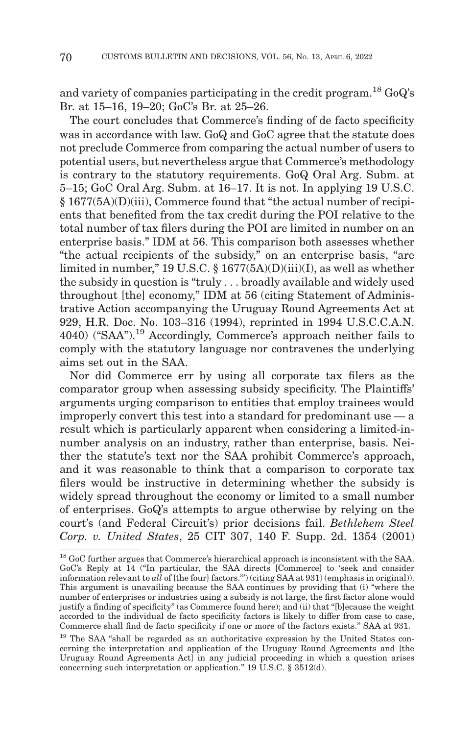and variety of companies participating in the credit program.<sup>18</sup>  $GoQ's$ Br. at 15–16, 19–20; GoC's Br. at 25–26.

The court concludes that Commerce's finding of de facto specificity was in accordance with law. GoQ and GoC agree that the statute does not preclude Commerce from comparing the actual number of users to potential users, but nevertheless argue that Commerce's methodology is contrary to the statutory requirements. GoQ Oral Arg. Subm. at 5–15; GoC Oral Arg. Subm. at 16–17. It is not. In applying 19 U.S.C. § 1677(5A)(D)(iii), Commerce found that "the actual number of recipients that benefited from the tax credit during the POI relative to the total number of tax filers during the POI are limited in number on an enterprise basis." IDM at 56. This comparison both assesses whether "the actual recipients of the subsidy," on an enterprise basis, "are limited in number," 19 U.S.C. § 1677(5A)(D)(iii)(I), as well as whether the subsidy in question is "truly . . . broadly available and widely used throughout [the] economy," IDM at 56 (citing Statement of Administrative Action accompanying the Uruguay Round Agreements Act at 929, H.R. Doc. No. 103–316 (1994), reprinted in 1994 U.S.C.C.A.N. 4040) ("SAA").19 Accordingly, Commerce's approach neither fails to comply with the statutory language nor contravenes the underlying aims set out in the SAA.

Nor did Commerce err by using all corporate tax filers as the comparator group when assessing subsidy specificity. The Plaintiffs' arguments urging comparison to entities that employ trainees would improperly convert this test into a standard for predominant use  $-$  a result which is particularly apparent when considering a limited-innumber analysis on an industry, rather than enterprise, basis. Neither the statute's text nor the SAA prohibit Commerce's approach, and it was reasonable to think that a comparison to corporate tax filers would be instructive in determining whether the subsidy is widely spread throughout the economy or limited to a small number of enterprises. GoQ's attempts to argue otherwise by relying on the court's (and Federal Circuit's) prior decisions fail. *Bethlehem Steel Corp. v. United States*, 25 CIT 307, 140 F. Supp. 2d. 1354 (2001)

<sup>18</sup> GoC further argues that Commerce's hierarchical approach is inconsistent with the SAA. GoC's Reply at 14 ("In particular, the SAA directs [Commerce] to 'seek and consider information relevant to *all* of {the four} factors.'") (citing SAA at 931) (emphasis in original)). This argument is unavailing because the SAA continues by providing that (i) "where the number of enterprises or industries using a subsidy is not large, the first factor alone would justify a finding of specificity" (as Commerce found here); and (ii) that "[b]ecause the weight accorded to the individual de facto specificity factors is likely to differ from case to case, Commerce shall find de facto specificity if one or more of the factors exists." SAA at 931.

<sup>&</sup>lt;sup>19</sup> The SAA "shall be regarded as an authoritative expression by the United States concerning the interpretation and application of the Uruguay Round Agreements and [the Uruguay Round Agreements Act] in any judicial proceeding in which a question arises concerning such interpretation or application." 19 U.S.C. § 3512(d).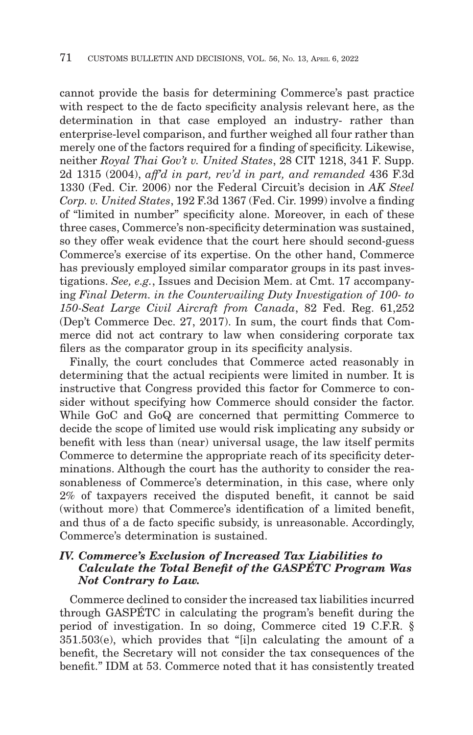cannot provide the basis for determining Commerce's past practice with respect to the de facto specificity analysis relevant here, as the determination in that case employed an industry- rather than enterprise-level comparison, and further weighed all four rather than merely one of the factors required for a finding of specificity. Likewise, neither *Royal Thai Gov't v. United States*, 28 CIT 1218, 341 F. Supp. 2d 1315 (2004), *aff'd in part, rev'd in part, and remanded* 436 F.3d 1330 (Fed. Cir. 2006) nor the Federal Circuit's decision in *AK Steel Corp. v. United States*, 192 F.3d 1367 (Fed. Cir. 1999) involve a finding of "limited in number" specificity alone. Moreover, in each of these three cases, Commerce's non-specificity determination was sustained, so they offer weak evidence that the court here should second-guess Commerce's exercise of its expertise. On the other hand, Commerce has previously employed similar comparator groups in its past investigations. *See, e.g.*, Issues and Decision Mem. at Cmt. 17 accompanying *Final Determ. in the Countervailing Duty Investigation of 100- to 150-Seat Large Civil Aircraft from Canada*, 82 Fed. Reg. 61,252 (Dep't Commerce Dec. 27, 2017). In sum, the court finds that Commerce did not act contrary to law when considering corporate tax filers as the comparator group in its specificity analysis.

Finally, the court concludes that Commerce acted reasonably in determining that the actual recipients were limited in number. It is instructive that Congress provided this factor for Commerce to consider without specifying how Commerce should consider the factor. While GoC and GoQ are concerned that permitting Commerce to decide the scope of limited use would risk implicating any subsidy or benefit with less than (near) universal usage, the law itself permits Commerce to determine the appropriate reach of its specificity determinations. Although the court has the authority to consider the reasonableness of Commerce's determination, in this case, where only 2% of taxpayers received the disputed benefit, it cannot be said (without more) that Commerce's identification of a limited benefit, and thus of a de facto specific subsidy, is unreasonable. Accordingly, Commerce's determination is sustained.

## *IV. Commerce's Exclusion of Increased Tax Liabilities to Calculate the Total Benefit of the GASPÉTC Program Was Not Contrary to Law.*

Commerce declined to consider the increased tax liabilities incurred through GASPÉTC in calculating the program's benefit during the period of investigation. In so doing, Commerce cited 19 C.F.R. § 351.503(e), which provides that "[i]n calculating the amount of a benefit, the Secretary will not consider the tax consequences of the benefit." IDM at 53. Commerce noted that it has consistently treated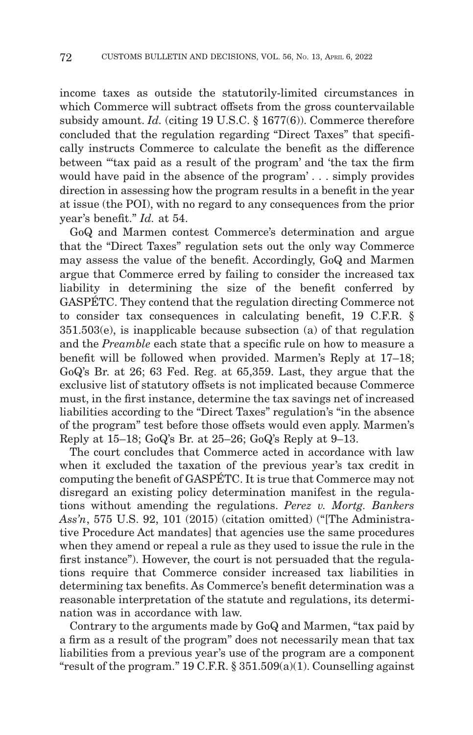income taxes as outside the statutorily-limited circumstances in which Commerce will subtract offsets from the gross countervailable subsidy amount. *Id.* (citing 19 U.S.C. § 1677(6)). Commerce therefore concluded that the regulation regarding "Direct Taxes" that specifically instructs Commerce to calculate the benefit as the difference between "'tax paid as a result of the program' and 'the tax the firm would have paid in the absence of the program' . . . simply provides direction in assessing how the program results in a benefit in the year at issue (the POI), with no regard to any consequences from the prior year's benefit." *Id.* at 54.

GoQ and Marmen contest Commerce's determination and argue that the "Direct Taxes" regulation sets out the only way Commerce may assess the value of the benefit. Accordingly, GoQ and Marmen argue that Commerce erred by failing to consider the increased tax liability in determining the size of the benefit conferred by GASPÉTC. They contend that the regulation directing Commerce not to consider tax consequences in calculating benefit, 19 C.F.R. § 351.503(e), is inapplicable because subsection (a) of that regulation and the *Preamble* each state that a specific rule on how to measure a benefit will be followed when provided. Marmen's Reply at 17–18; GoQ's Br. at 26; 63 Fed. Reg. at 65,359. Last, they argue that the exclusive list of statutory offsets is not implicated because Commerce must, in the first instance, determine the tax savings net of increased liabilities according to the "Direct Taxes" regulation's "in the absence of the program" test before those offsets would even apply. Marmen's Reply at 15–18; GoQ's Br. at 25–26; GoQ's Reply at 9–13.

The court concludes that Commerce acted in accordance with law when it excluded the taxation of the previous year's tax credit in computing the benefit of GASPÉTC. It is true that Commerce may not disregard an existing policy determination manifest in the regulations without amending the regulations. *Perez v. Mortg. Bankers Ass'n*, 575 U.S. 92, 101 (2015) (citation omitted) ("[The Administrative Procedure Act mandates] that agencies use the same procedures when they amend or repeal a rule as they used to issue the rule in the first instance"). However, the court is not persuaded that the regulations require that Commerce consider increased tax liabilities in determining tax benefits. As Commerce's benefit determination was a reasonable interpretation of the statute and regulations, its determination was in accordance with law.

Contrary to the arguments made by GoQ and Marmen, "tax paid by a firm as a result of the program" does not necessarily mean that tax liabilities from a previous year's use of the program are a component "result of the program." 19 C.F.R.  $\S 351.509(a)(1)$ . Counselling against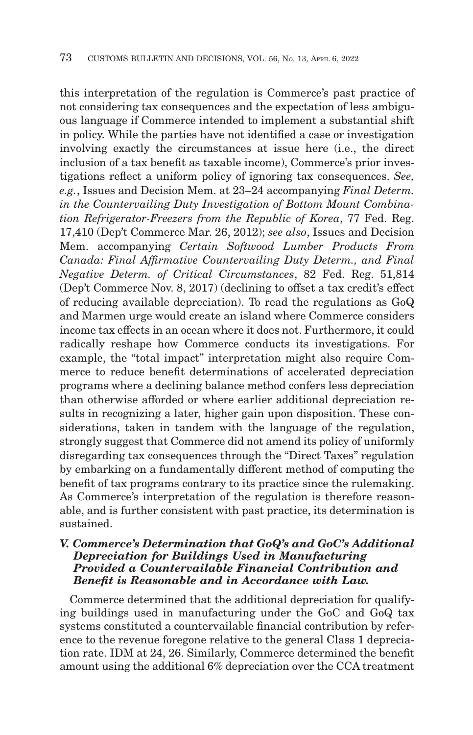this interpretation of the regulation is Commerce's past practice of not considering tax consequences and the expectation of less ambiguous language if Commerce intended to implement a substantial shift in policy. While the parties have not identified a case or investigation involving exactly the circumstances at issue here (i.e., the direct inclusion of a tax benefit as taxable income), Commerce's prior investigations reflect a uniform policy of ignoring tax consequences. *See, e.g.*, Issues and Decision Mem. at 23–24 accompanying *Final Determ. in the Countervailing Duty Investigation of Bottom Mount Combination Refrigerator-Freezers from the Republic of Korea*, 77 Fed. Reg. 17,410 (Dep't Commerce Mar. 26, 2012); *see also*, Issues and Decision Mem. accompanying *Certain Softwood Lumber Products From Canada: Final Affirmative Countervailing Duty Determ., and Final Negative Determ. of Critical Circumstances*, 82 Fed. Reg. 51,814 (Dep't Commerce Nov. 8, 2017) (declining to offset a tax credit's effect of reducing available depreciation). To read the regulations as GoQ and Marmen urge would create an island where Commerce considers income tax effects in an ocean where it does not. Furthermore, it could radically reshape how Commerce conducts its investigations. For example, the "total impact" interpretation might also require Commerce to reduce benefit determinations of accelerated depreciation programs where a declining balance method confers less depreciation than otherwise afforded or where earlier additional depreciation results in recognizing a later, higher gain upon disposition. These considerations, taken in tandem with the language of the regulation, strongly suggest that Commerce did not amend its policy of uniformly disregarding tax consequences through the "Direct Taxes" regulation by embarking on a fundamentally different method of computing the benefit of tax programs contrary to its practice since the rulemaking. As Commerce's interpretation of the regulation is therefore reasonable, and is further consistent with past practice, its determination is sustained.

## *V. Commerce's Determination that GoQ's and GoC's Additional Depreciation for Buildings Used in Manufacturing Provided a Countervailable Financial Contribution and Benefit is Reasonable and in Accordance with Law.*

Commerce determined that the additional depreciation for qualifying buildings used in manufacturing under the GoC and GoQ tax systems constituted a countervailable financial contribution by reference to the revenue foregone relative to the general Class 1 depreciation rate. IDM at 24, 26. Similarly, Commerce determined the benefit amount using the additional 6% depreciation over the CCA treatment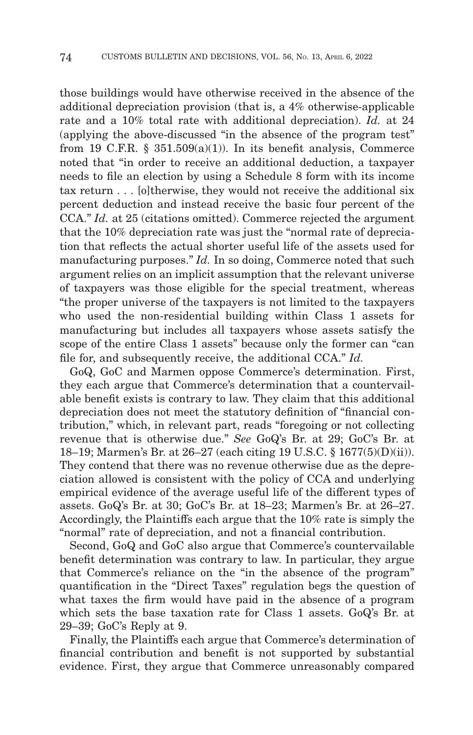those buildings would have otherwise received in the absence of the additional depreciation provision (that is, a 4% otherwise-applicable rate and a 10% total rate with additional depreciation). *Id.* at 24 (applying the above-discussed "in the absence of the program test" from 19 C.F.R.  $\S$  351.509(a)(1)). In its benefit analysis, Commerce noted that "in order to receive an additional deduction, a taxpayer needs to file an election by using a Schedule 8 form with its income tax return . . . [o]therwise, they would not receive the additional six percent deduction and instead receive the basic four percent of the CCA." *Id.* at 25 (citations omitted). Commerce rejected the argument that the 10% depreciation rate was just the "normal rate of depreciation that reflects the actual shorter useful life of the assets used for manufacturing purposes." *Id.* In so doing, Commerce noted that such argument relies on an implicit assumption that the relevant universe of taxpayers was those eligible for the special treatment, whereas "the proper universe of the taxpayers is not limited to the taxpayers who used the non-residential building within Class 1 assets for manufacturing but includes all taxpayers whose assets satisfy the scope of the entire Class 1 assets" because only the former can "can file for, and subsequently receive, the additional CCA." *Id.*

GoQ, GoC and Marmen oppose Commerce's determination. First, they each argue that Commerce's determination that a countervailable benefit exists is contrary to law. They claim that this additional depreciation does not meet the statutory definition of "financial contribution," which, in relevant part, reads "foregoing or not collecting revenue that is otherwise due." *See* GoQ's Br. at 29; GoC's Br. at 18–19; Marmen's Br. at 26–27 (each citing 19 U.S.C. § 1677(5)(D)(ii)). They contend that there was no revenue otherwise due as the depreciation allowed is consistent with the policy of CCA and underlying empirical evidence of the average useful life of the different types of assets. GoQ's Br. at 30; GoC's Br. at 18–23; Marmen's Br. at 26–27. Accordingly, the Plaintiffs each argue that the 10% rate is simply the "normal" rate of depreciation, and not a financial contribution.

Second, GoQ and GoC also argue that Commerce's countervailable benefit determination was contrary to law. In particular, they argue that Commerce's reliance on the "in the absence of the program" quantification in the "Direct Taxes" regulation begs the question of what taxes the firm would have paid in the absence of a program which sets the base taxation rate for Class 1 assets. GoQ's Br. at 29–39; GoC's Reply at 9.

Finally, the Plaintiffs each argue that Commerce's determination of financial contribution and benefit is not supported by substantial evidence. First, they argue that Commerce unreasonably compared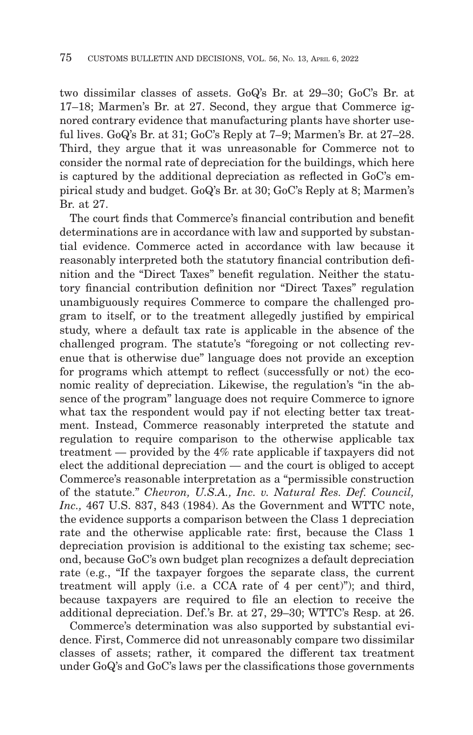two dissimilar classes of assets. GoQ's Br. at 29–30; GoC's Br. at 17–18; Marmen's Br. at 27. Second, they argue that Commerce ignored contrary evidence that manufacturing plants have shorter useful lives. GoQ's Br. at 31; GoC's Reply at 7–9; Marmen's Br. at 27–28. Third, they argue that it was unreasonable for Commerce not to consider the normal rate of depreciation for the buildings, which here is captured by the additional depreciation as reflected in GoC's empirical study and budget. GoQ's Br. at 30; GoC's Reply at 8; Marmen's Br. at 27.

The court finds that Commerce's financial contribution and benefit determinations are in accordance with law and supported by substantial evidence. Commerce acted in accordance with law because it reasonably interpreted both the statutory financial contribution definition and the "Direct Taxes" benefit regulation. Neither the statutory financial contribution definition nor "Direct Taxes" regulation unambiguously requires Commerce to compare the challenged program to itself, or to the treatment allegedly justified by empirical study, where a default tax rate is applicable in the absence of the challenged program. The statute's "foregoing or not collecting revenue that is otherwise due" language does not provide an exception for programs which attempt to reflect (successfully or not) the economic reality of depreciation. Likewise, the regulation's "in the absence of the program" language does not require Commerce to ignore what tax the respondent would pay if not electing better tax treatment. Instead, Commerce reasonably interpreted the statute and regulation to require comparison to the otherwise applicable tax treatment — provided by the 4% rate applicable if taxpayers did not elect the additional depreciation — and the court is obliged to accept Commerce's reasonable interpretation as a "permissible construction of the statute." *Chevron, U.S.A., Inc. v. Natural Res. Def. Council, Inc.,* 467 U.S. 837, 843 (1984). As the Government and WTTC note, the evidence supports a comparison between the Class 1 depreciation rate and the otherwise applicable rate: first, because the Class 1 depreciation provision is additional to the existing tax scheme; second, because GoC's own budget plan recognizes a default depreciation rate (e.g., "If the taxpayer forgoes the separate class, the current treatment will apply (i.e. a CCA rate of 4 per cent)"); and third, because taxpayers are required to file an election to receive the additional depreciation. Def.'s Br. at 27, 29–30; WTTC's Resp. at 26.

Commerce's determination was also supported by substantial evidence. First, Commerce did not unreasonably compare two dissimilar classes of assets; rather, it compared the different tax treatment under GoQ's and GoC's laws per the classifications those governments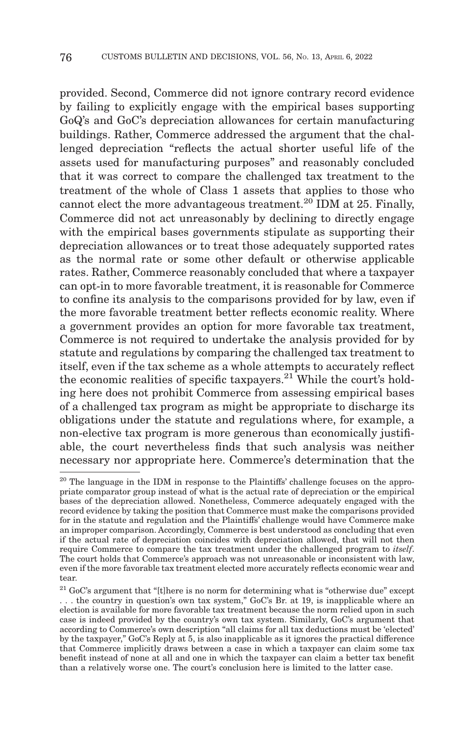provided. Second, Commerce did not ignore contrary record evidence by failing to explicitly engage with the empirical bases supporting GoQ's and GoC's depreciation allowances for certain manufacturing buildings. Rather, Commerce addressed the argument that the challenged depreciation "reflects the actual shorter useful life of the assets used for manufacturing purposes" and reasonably concluded that it was correct to compare the challenged tax treatment to the treatment of the whole of Class 1 assets that applies to those who cannot elect the more advantageous treatment.<sup>20</sup> IDM at 25. Finally, Commerce did not act unreasonably by declining to directly engage with the empirical bases governments stipulate as supporting their depreciation allowances or to treat those adequately supported rates as the normal rate or some other default or otherwise applicable rates. Rather, Commerce reasonably concluded that where a taxpayer can opt-in to more favorable treatment, it is reasonable for Commerce to confine its analysis to the comparisons provided for by law, even if the more favorable treatment better reflects economic reality. Where a government provides an option for more favorable tax treatment, Commerce is not required to undertake the analysis provided for by statute and regulations by comparing the challenged tax treatment to itself, even if the tax scheme as a whole attempts to accurately reflect the economic realities of specific taxpayers.<sup>21</sup> While the court's holding here does not prohibit Commerce from assessing empirical bases of a challenged tax program as might be appropriate to discharge its obligations under the statute and regulations where, for example, a non-elective tax program is more generous than economically justifiable, the court nevertheless finds that such analysis was neither necessary nor appropriate here. Commerce's determination that the

<sup>&</sup>lt;sup>20</sup> The language in the IDM in response to the Plaintiffs' challenge focuses on the appropriate comparator group instead of what is the actual rate of depreciation or the empirical bases of the depreciation allowed. Nonetheless, Commerce adequately engaged with the record evidence by taking the position that Commerce must make the comparisons provided for in the statute and regulation and the Plaintiffs' challenge would have Commerce make an improper comparison. Accordingly, Commerce is best understood as concluding that even if the actual rate of depreciation coincides with depreciation allowed, that will not then require Commerce to compare the tax treatment under the challenged program to *itself*. The court holds that Commerce's approach was not unreasonable or inconsistent with law, even if the more favorable tax treatment elected more accurately reflects economic wear and tear.

 $21$  GoC's argument that "[t]here is no norm for determining what is "otherwise due" except . . . the country in question's own tax system," GoC's Br. at 19, is inapplicable where an election is available for more favorable tax treatment because the norm relied upon in such case is indeed provided by the country's own tax system. Similarly, GoC's argument that according to Commerce's own description "all claims for all tax deductions must be 'elected' by the taxpayer," GoC's Reply at 5, is also inapplicable as it ignores the practical difference that Commerce implicitly draws between a case in which a taxpayer can claim some tax benefit instead of none at all and one in which the taxpayer can claim a better tax benefit than a relatively worse one. The court's conclusion here is limited to the latter case.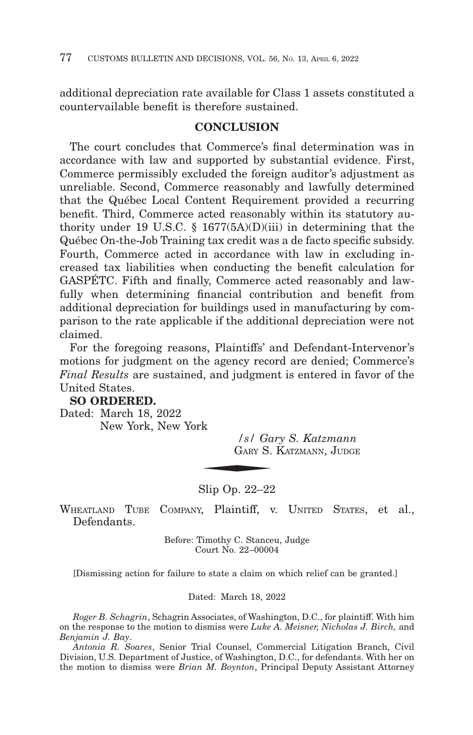additional depreciation rate available for Class 1 assets constituted a countervailable benefit is therefore sustained.

### **CONCLUSION**

The court concludes that Commerce's final determination was in accordance with law and supported by substantial evidence. First, Commerce permissibly excluded the foreign auditor's adjustment as unreliable. Second, Commerce reasonably and lawfully determined that the Québec Local Content Requirement provided a recurring benefit. Third, Commerce acted reasonably within its statutory authority under 19 U.S.C. § 1677(5A)(D)(iii) in determining that the Québec On-the-Job Training tax credit was a de facto specific subsidy. Fourth, Commerce acted in accordance with law in excluding increased tax liabilities when conducting the benefit calculation for GASPÉTC. Fifth and finally, Commerce acted reasonably and lawfully when determining financial contribution and benefit from additional depreciation for buildings used in manufacturing by comparison to the rate applicable if the additional depreciation were not claimed.

For the foregoing reasons, Plaintiffs' and Defendant-Intervenor's motions for judgment on the agency record are denied; Commerce's *Final Results* are sustained, and judgment is entered in favor of the United States.

#### **SO ORDERED.**

Dated: March 18, 2022 New York, New York

*/s/ Gary S. Katzmann*  $\frac{|s|}{\text{GARY S.}}$ GARY S. KATZMANN, JUDGE

Slip Op. 22–22

WHEATLAND TUBE COMPANY, Plaintiff, v. UNITED STATES, et al., Defendants.

> Before: Timothy C. Stanceu, Judge Court No. 22–00004

[Dismissing action for failure to state a claim on which relief can be granted.]

Dated: March 18, 2022

*Roger B. Schagrin*, Schagrin Associates, of Washington, D.C., for plaintiff. With him on the response to the motion to dismiss were *Luke A. Meisner, Nicholas J. Birch,* and *Benjamin J. Bay*.

*Antonia R. Soares*, Senior Trial Counsel, Commercial Litigation Branch, Civil Division, U.S. Department of Justice, of Washington, D.C., for defendants. With her on the motion to dismiss were *Brian M. Boynton*, Principal Deputy Assistant Attorney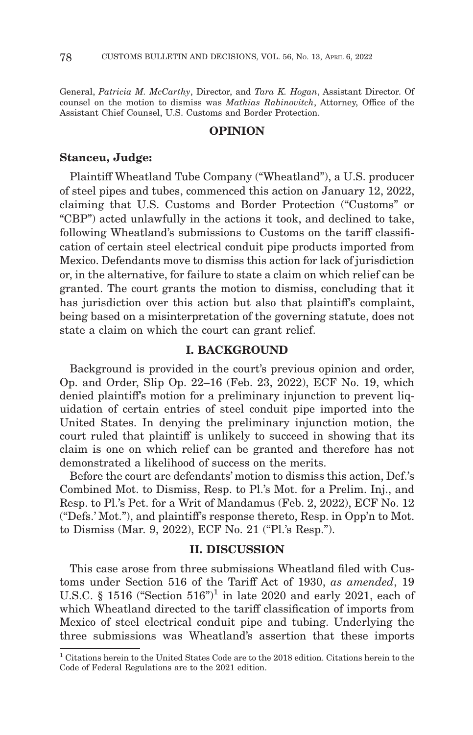General, *Patricia M. McCarthy*, Director, and *Tara K. Hogan*, Assistant Director. Of counsel on the motion to dismiss was *Mathias Rabinovitch*, Attorney, Office of the Assistant Chief Counsel, U.S. Customs and Border Protection.

#### **OPINION**

#### **Stanceu, Judge:**

Plaintiff Wheatland Tube Company ("Wheatland"), a U.S. producer of steel pipes and tubes, commenced this action on January 12, 2022, claiming that U.S. Customs and Border Protection ("Customs" or "CBP") acted unlawfully in the actions it took, and declined to take, following Wheatland's submissions to Customs on the tariff classification of certain steel electrical conduit pipe products imported from Mexico. Defendants move to dismiss this action for lack of jurisdiction or, in the alternative, for failure to state a claim on which relief can be granted. The court grants the motion to dismiss, concluding that it has jurisdiction over this action but also that plaintiff's complaint, being based on a misinterpretation of the governing statute, does not state a claim on which the court can grant relief.

### **I. BACKGROUND**

Background is provided in the court's previous opinion and order, Op. and Order, Slip Op. 22–16 (Feb. 23, 2022), ECF No. 19, which denied plaintiff's motion for a preliminary injunction to prevent liquidation of certain entries of steel conduit pipe imported into the United States. In denying the preliminary injunction motion, the court ruled that plaintiff is unlikely to succeed in showing that its claim is one on which relief can be granted and therefore has not demonstrated a likelihood of success on the merits.

Before the court are defendants' motion to dismiss this action, Def.'s Combined Mot. to Dismiss, Resp. to Pl.'s Mot. for a Prelim. Inj., and Resp. to Pl.'s Pet. for a Writ of Mandamus (Feb. 2, 2022), ECF No. 12 ("Defs.' Mot."), and plaintiff's response thereto, Resp. in Opp'n to Mot. to Dismiss (Mar. 9, 2022), ECF No. 21 ("Pl.'s Resp.").

### **II. DISCUSSION**

This case arose from three submissions Wheatland filed with Customs under Section 516 of the Tariff Act of 1930, *as amended*, 19 U.S.C. § 1516 ("Section 516")<sup>1</sup> in late 2020 and early 2021, each of which Wheatland directed to the tariff classification of imports from Mexico of steel electrical conduit pipe and tubing. Underlying the three submissions was Wheatland's assertion that these imports

<sup>1</sup> Citations herein to the United States Code are to the 2018 edition. Citations herein to the Code of Federal Regulations are to the 2021 edition.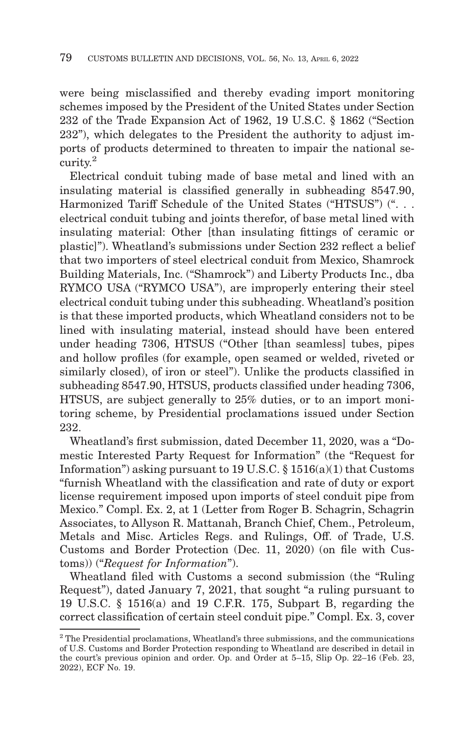were being misclassified and thereby evading import monitoring schemes imposed by the President of the United States under Section 232 of the Trade Expansion Act of 1962, 19 U.S.C. § 1862 ("Section 232"), which delegates to the President the authority to adjust imports of products determined to threaten to impair the national security.2

Electrical conduit tubing made of base metal and lined with an insulating material is classified generally in subheading 8547.90, Harmonized Tariff Schedule of the United States ("HTSUS") (". . . electrical conduit tubing and joints therefor, of base metal lined with insulating material: Other [than insulating fittings of ceramic or plastic]"). Wheatland's submissions under Section 232 reflect a belief that two importers of steel electrical conduit from Mexico, Shamrock Building Materials, Inc. ("Shamrock") and Liberty Products Inc., dba RYMCO USA ("RYMCO USA"), are improperly entering their steel electrical conduit tubing under this subheading. Wheatland's position is that these imported products, which Wheatland considers not to be lined with insulating material, instead should have been entered under heading 7306, HTSUS ("Other [than seamless] tubes, pipes and hollow profiles (for example, open seamed or welded, riveted or similarly closed), of iron or steel"). Unlike the products classified in subheading 8547.90, HTSUS, products classified under heading 7306, HTSUS, are subject generally to 25% duties, or to an import monitoring scheme, by Presidential proclamations issued under Section 232.

Wheatland's first submission, dated December 11, 2020, was a "Domestic Interested Party Request for Information" (the "Request for Information") asking pursuant to 19 U.S.C.  $\S$  1516(a)(1) that Customs "furnish Wheatland with the classification and rate of duty or export license requirement imposed upon imports of steel conduit pipe from Mexico." Compl. Ex. 2, at 1 (Letter from Roger B. Schagrin, Schagrin Associates, to Allyson R. Mattanah, Branch Chief, Chem., Petroleum, Metals and Misc. Articles Regs. and Rulings, Off. of Trade, U.S. Customs and Border Protection (Dec. 11, 2020) (on file with Customs)) ("*Request for Information*").

Wheatland filed with Customs a second submission (the "Ruling Request"), dated January 7, 2021, that sought "a ruling pursuant to 19 U.S.C. § 1516(a) and 19 C.F.R. 175, Subpart B, regarding the correct classification of certain steel conduit pipe." Compl. Ex. 3, cover

 $2$ <sup>2</sup> The Presidential proclamations, Wheatland's three submissions, and the communications of U.S. Customs and Border Protection responding to Wheatland are described in detail in the court's previous opinion and order. Op. and Order at 5–15, Slip Op. 22–16 (Feb. 23, 2022), ECF No. 19.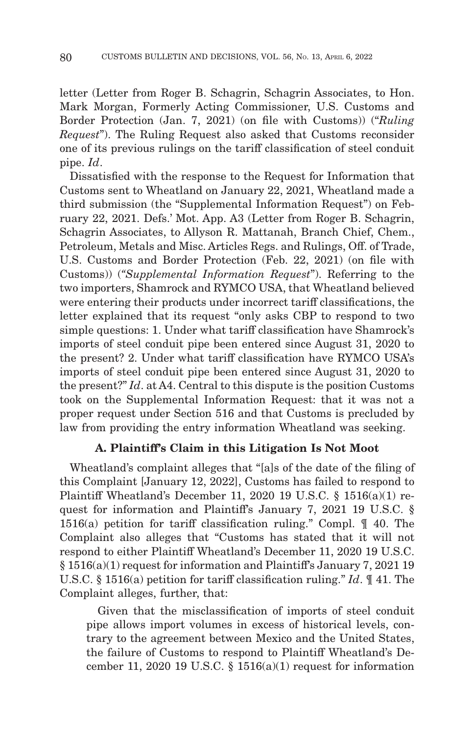letter (Letter from Roger B. Schagrin, Schagrin Associates, to Hon. Mark Morgan, Formerly Acting Commissioner, U.S. Customs and Border Protection (Jan. 7, 2021) (on file with Customs)) ("*Ruling Request*"). The Ruling Request also asked that Customs reconsider one of its previous rulings on the tariff classification of steel conduit pipe. *Id*.

Dissatisfied with the response to the Request for Information that Customs sent to Wheatland on January 22, 2021, Wheatland made a third submission (the "Supplemental Information Request") on February 22, 2021. Defs.' Mot. App. A3 (Letter from Roger B. Schagrin, Schagrin Associates, to Allyson R. Mattanah, Branch Chief, Chem., Petroleum, Metals and Misc. Articles Regs. and Rulings, Off. of Trade, U.S. Customs and Border Protection (Feb. 22, 2021) (on file with Customs)) (*"Supplemental Information Request*"). Referring to the two importers, Shamrock and RYMCO USA, that Wheatland believed were entering their products under incorrect tariff classifications, the letter explained that its request "only asks CBP to respond to two simple questions: 1. Under what tariff classification have Shamrock's imports of steel conduit pipe been entered since August 31, 2020 to the present? 2. Under what tariff classification have RYMCO USA's imports of steel conduit pipe been entered since August 31, 2020 to the present?" *Id*. at A4. Central to this dispute is the position Customs took on the Supplemental Information Request: that it was not a proper request under Section 516 and that Customs is precluded by law from providing the entry information Wheatland was seeking.

### **A. Plaintiff's Claim in this Litigation Is Not Moot**

Wheatland's complaint alleges that "[a]s of the date of the filing of this Complaint [January 12, 2022], Customs has failed to respond to Plaintiff Wheatland's December 11, 2020 19 U.S.C. § 1516(a)(1) request for information and Plaintiff's January 7, 2021 19 U.S.C. § 1516(a) petition for tariff classification ruling." Compl. ¶ 40. The Complaint also alleges that "Customs has stated that it will not respond to either Plaintiff Wheatland's December 11, 2020 19 U.S.C.  $§ 1516(a)(1)$  request for information and Plaintiff's January 7, 2021 19 U.S.C. § 1516(a) petition for tariff classification ruling." *Id*. ¶ 41. The Complaint alleges, further, that:

 Given that the misclassification of imports of steel conduit pipe allows import volumes in excess of historical levels, contrary to the agreement between Mexico and the United States, the failure of Customs to respond to Plaintiff Wheatland's December 11, 2020 19 U.S.C.  $\S$  1516(a)(1) request for information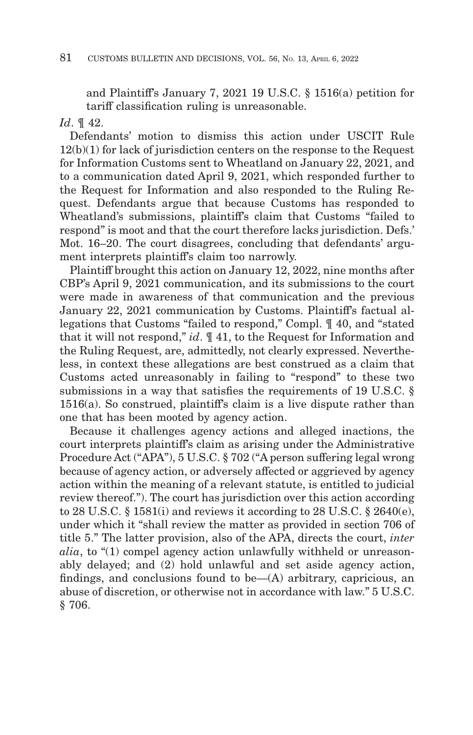and Plaintiff's January 7, 2021 19 U.S.C. § 1516(a) petition for tariff classification ruling is unreasonable.

*Id*. ¶ 42.

Defendants' motion to dismiss this action under USCIT Rule 12(b)(1) for lack of jurisdiction centers on the response to the Request for Information Customs sent to Wheatland on January 22, 2021, and to a communication dated April 9, 2021, which responded further to the Request for Information and also responded to the Ruling Request. Defendants argue that because Customs has responded to Wheatland's submissions, plaintiff's claim that Customs "failed to respond" is moot and that the court therefore lacks jurisdiction. Defs.' Mot. 16–20. The court disagrees, concluding that defendants' argument interprets plaintiff's claim too narrowly.

Plaintiff brought this action on January 12, 2022, nine months after CBP's April 9, 2021 communication, and its submissions to the court were made in awareness of that communication and the previous January 22, 2021 communication by Customs. Plaintiff's factual allegations that Customs "failed to respond," Compl. ¶ 40, and "stated that it will not respond," *id*. ¶ 41, to the Request for Information and the Ruling Request, are, admittedly, not clearly expressed. Nevertheless, in context these allegations are best construed as a claim that Customs acted unreasonably in failing to "respond" to these two submissions in a way that satisfies the requirements of 19 U.S.C. § 1516(a). So construed, plaintiff's claim is a live dispute rather than one that has been mooted by agency action.

Because it challenges agency actions and alleged inactions, the court interprets plaintiff's claim as arising under the Administrative Procedure Act ("APA"), 5 U.S.C. § 702 ("A person suffering legal wrong because of agency action, or adversely affected or aggrieved by agency action within the meaning of a relevant statute, is entitled to judicial review thereof."). The court has jurisdiction over this action according to 28 U.S.C.  $\S$  1581(i) and reviews it according to 28 U.S.C.  $\S$  2640(e), under which it "shall review the matter as provided in section 706 of title 5." The latter provision, also of the APA, directs the court, *inter alia*, to "(1) compel agency action unlawfully withheld or unreasonably delayed; and (2) hold unlawful and set aside agency action, findings, and conclusions found to be— $(A)$  arbitrary, capricious, an abuse of discretion, or otherwise not in accordance with law." 5 U.S.C. § 706.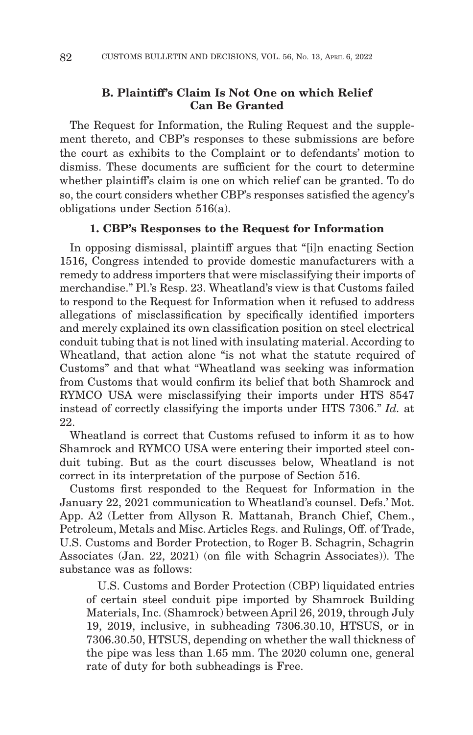# **B. Plaintiff's Claim Is Not One on which Relief Can Be Granted**

The Request for Information, the Ruling Request and the supplement thereto, and CBP's responses to these submissions are before the court as exhibits to the Complaint or to defendants' motion to dismiss. These documents are sufficient for the court to determine whether plaintiff's claim is one on which relief can be granted. To do so, the court considers whether CBP's responses satisfied the agency's obligations under Section 516(a).

### **1. CBP's Responses to the Request for Information**

In opposing dismissal, plaintiff argues that "[i]n enacting Section 1516, Congress intended to provide domestic manufacturers with a remedy to address importers that were misclassifying their imports of merchandise." Pl.'s Resp. 23. Wheatland's view is that Customs failed to respond to the Request for Information when it refused to address allegations of misclassification by specifically identified importers and merely explained its own classification position on steel electrical conduit tubing that is not lined with insulating material. According to Wheatland, that action alone "is not what the statute required of Customs" and that what "Wheatland was seeking was information from Customs that would confirm its belief that both Shamrock and RYMCO USA were misclassifying their imports under HTS 8547 instead of correctly classifying the imports under HTS 7306." *Id.* at 22.

Wheatland is correct that Customs refused to inform it as to how Shamrock and RYMCO USA were entering their imported steel conduit tubing. But as the court discusses below, Wheatland is not correct in its interpretation of the purpose of Section 516.

Customs first responded to the Request for Information in the January 22, 2021 communication to Wheatland's counsel. Defs.' Mot. App. A2 (Letter from Allyson R. Mattanah, Branch Chief, Chem., Petroleum, Metals and Misc. Articles Regs. and Rulings, Off. of Trade, U.S. Customs and Border Protection, to Roger B. Schagrin, Schagrin Associates (Jan. 22, 2021) (on file with Schagrin Associates)). The substance was as follows:

 U.S. Customs and Border Protection (CBP) liquidated entries of certain steel conduit pipe imported by Shamrock Building Materials, Inc. (Shamrock) between April 26, 2019, through July 19, 2019, inclusive, in subheading 7306.30.10, HTSUS, or in 7306.30.50, HTSUS, depending on whether the wall thickness of the pipe was less than 1.65 mm. The 2020 column one, general rate of duty for both subheadings is Free.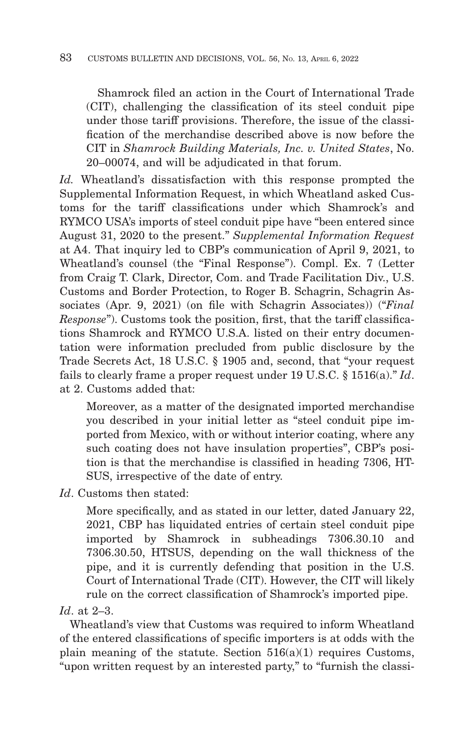Shamrock filed an action in the Court of International Trade (CIT), challenging the classification of its steel conduit pipe under those tariff provisions. Therefore, the issue of the classification of the merchandise described above is now before the CIT in *Shamrock Building Materials, Inc. v. United States*, No. 20–00074, and will be adjudicated in that forum.

*Id.* Wheatland's dissatisfaction with this response prompted the Supplemental Information Request, in which Wheatland asked Customs for the tariff classifications under which Shamrock's and RYMCO USA's imports of steel conduit pipe have "been entered since August 31, 2020 to the present." *Supplemental Information Request* at A4. That inquiry led to CBP's communication of April 9, 2021, to Wheatland's counsel (the "Final Response"). Compl. Ex. 7 (Letter from Craig T. Clark, Director, Com. and Trade Facilitation Div., U.S. Customs and Border Protection, to Roger B. Schagrin, Schagrin Associates (Apr. 9, 2021) (on file with Schagrin Associates)) ("*Final Response*"). Customs took the position, first, that the tariff classifications Shamrock and RYMCO U.S.A. listed on their entry documentation were information precluded from public disclosure by the Trade Secrets Act, 18 U.S.C. § 1905 and, second, that "your request fails to clearly frame a proper request under 19 U.S.C. § 1516(a)." *Id*. at 2. Customs added that:

Moreover, as a matter of the designated imported merchandise you described in your initial letter as "steel conduit pipe imported from Mexico, with or without interior coating, where any such coating does not have insulation properties", CBP's position is that the merchandise is classified in heading 7306, HT-SUS, irrespective of the date of entry.

*Id*. Customs then stated:

More specifically, and as stated in our letter, dated January 22, 2021, CBP has liquidated entries of certain steel conduit pipe imported by Shamrock in subheadings 7306.30.10 and 7306.30.50, HTSUS, depending on the wall thickness of the pipe, and it is currently defending that position in the U.S. Court of International Trade (CIT). However, the CIT will likely rule on the correct classification of Shamrock's imported pipe.

Wheatland's view that Customs was required to inform Wheatland of the entered classifications of specific importers is at odds with the plain meaning of the statute. Section  $516(a)(1)$  requires Customs, "upon written request by an interested party," to "furnish the classi-

*Id*. at 2–3.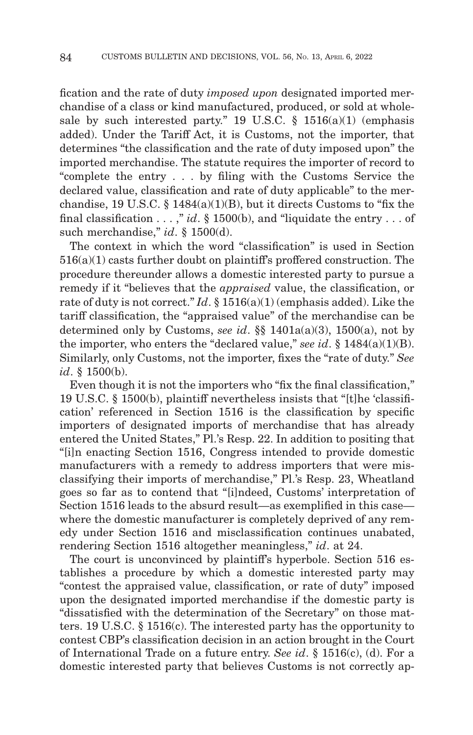fication and the rate of duty *imposed upon* designated imported merchandise of a class or kind manufactured, produced, or sold at wholesale by such interested party." 19 U.S.C.  $\S$  1516(a)(1) (emphasis added). Under the Tariff Act, it is Customs, not the importer, that determines "the classification and the rate of duty imposed upon" the imported merchandise. The statute requires the importer of record to "complete the entry . . . by filing with the Customs Service the declared value, classification and rate of duty applicable" to the merchandise, 19 U.S.C. § 1484(a)(1)(B), but it directs Customs to "fix the final classification  $\dots$ ," *id*. § 1500(b), and "liquidate the entry  $\dots$  of such merchandise," *id*. § 1500(d).

The context in which the word "classification" is used in Section  $516(a)(1)$  casts further doubt on plaintiff's proffered construction. The procedure thereunder allows a domestic interested party to pursue a remedy if it "believes that the *appraised* value, the classification, or rate of duty is not correct." *Id*. § 1516(a)(1) (emphasis added). Like the tariff classification, the "appraised value" of the merchandise can be determined only by Customs, *see id*. §§ 1401a(a)(3), 1500(a), not by the importer, who enters the "declared value," *see id.*  $\S$  1484(a)(1)(B). Similarly, only Customs, not the importer, fixes the "rate of duty." *See id*. § 1500(b).

Even though it is not the importers who "fix the final classification," 19 U.S.C. § 1500(b), plaintiff nevertheless insists that "[t]he 'classification' referenced in Section 1516 is the classification by specific importers of designated imports of merchandise that has already entered the United States," Pl.'s Resp. 22. In addition to positing that "[i]n enacting Section 1516, Congress intended to provide domestic manufacturers with a remedy to address importers that were misclassifying their imports of merchandise," Pl.'s Resp. 23, Wheatland goes so far as to contend that "[i]ndeed, Customs' interpretation of Section 1516 leads to the absurd result—as exemplified in this case where the domestic manufacturer is completely deprived of any remedy under Section 1516 and misclassification continues unabated, rendering Section 1516 altogether meaningless," *id*. at 24.

The court is unconvinced by plaintiff's hyperbole. Section 516 establishes a procedure by which a domestic interested party may "contest the appraised value, classification, or rate of duty" imposed upon the designated imported merchandise if the domestic party is "dissatisfied with the determination of the Secretary" on those matters. 19 U.S.C. § 1516(c). The interested party has the opportunity to contest CBP's classification decision in an action brought in the Court of International Trade on a future entry. *See id*. § 1516(c), (d). For a domestic interested party that believes Customs is not correctly ap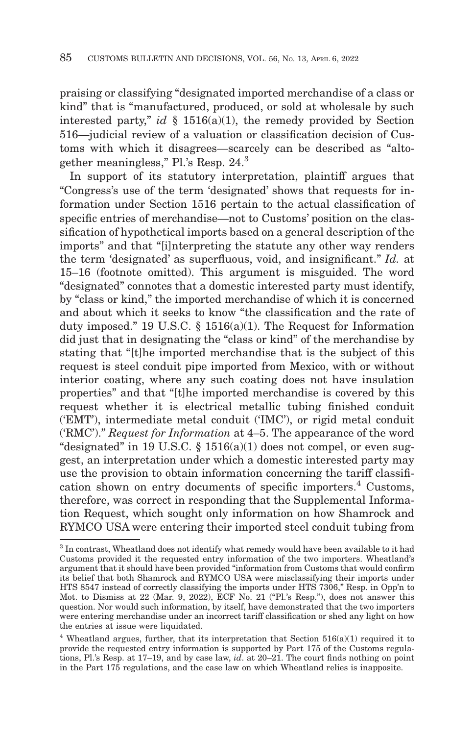praising or classifying "designated imported merchandise of a class or kind" that is "manufactured, produced, or sold at wholesale by such interested party," *id* § 1516(a)(1), the remedy provided by Section 516—judicial review of a valuation or classification decision of Customs with which it disagrees—scarcely can be described as "altogether meaningless," Pl.'s Resp. 24.3

In support of its statutory interpretation, plaintiff argues that "Congress's use of the term 'designated' shows that requests for information under Section 1516 pertain to the actual classification of specific entries of merchandise—not to Customs' position on the classification of hypothetical imports based on a general description of the imports" and that "[i]nterpreting the statute any other way renders the term 'designated' as superfluous, void, and insignificant." *Id.* at 15–16 (footnote omitted). This argument is misguided. The word "designated" connotes that a domestic interested party must identify, by "class or kind," the imported merchandise of which it is concerned and about which it seeks to know "the classification and the rate of duty imposed." 19 U.S.C.  $\S$  1516(a)(1). The Request for Information did just that in designating the "class or kind" of the merchandise by stating that "[t]he imported merchandise that is the subject of this request is steel conduit pipe imported from Mexico, with or without interior coating, where any such coating does not have insulation properties" and that "[t]he imported merchandise is covered by this request whether it is electrical metallic tubing finished conduit ('EMT'), intermediate metal conduit ('IMC'), or rigid metal conduit ('RMC')." *Request for Information* at 4–5. The appearance of the word "designated" in 19 U.S.C.  $\S$  1516(a)(1) does not compel, or even suggest, an interpretation under which a domestic interested party may use the provision to obtain information concerning the tariff classification shown on entry documents of specific importers.<sup>4</sup> Customs, therefore, was correct in responding that the Supplemental Information Request, which sought only information on how Shamrock and RYMCO USA were entering their imported steel conduit tubing from

 $^3$  In contrast, Wheatland does not identify what remedy would have been available to it had Customs provided it the requested entry information of the two importers. Wheatland's argument that it should have been provided "information from Customs that would confirm its belief that both Shamrock and RYMCO USA were misclassifying their imports under HTS 8547 instead of correctly classifying the imports under HTS 7306," Resp. in Opp'n to Mot. to Dismiss at 22 (Mar. 9, 2022), ECF No. 21 ("Pl.'s Resp."), does not answer this question. Nor would such information, by itself, have demonstrated that the two importers were entering merchandise under an incorrect tariff classification or shed any light on how the entries at issue were liquidated.

 $4$  Wheatland argues, further, that its interpretation that Section 516(a)(1) required it to provide the requested entry information is supported by Part 175 of the Customs regulations, Pl.'s Resp. at 17–19, and by case law, *id*. at 20–21. The court finds nothing on point in the Part 175 regulations, and the case law on which Wheatland relies is inapposite.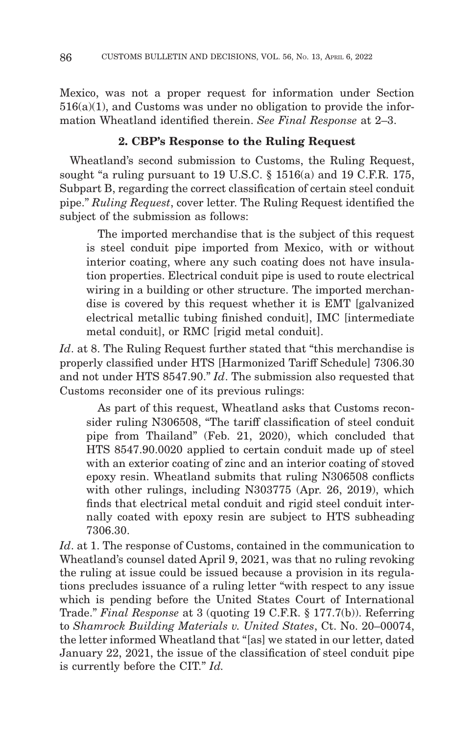Mexico, was not a proper request for information under Section 516(a)(1), and Customs was under no obligation to provide the information Wheatland identified therein. *See Final Response* at 2–3.

### **2. CBP's Response to the Ruling Request**

Wheatland's second submission to Customs, the Ruling Request, sought "a ruling pursuant to 19 U.S.C. § 1516(a) and 19 C.F.R. 175, Subpart B, regarding the correct classification of certain steel conduit pipe." *Ruling Request*, cover letter. The Ruling Request identified the subject of the submission as follows:

 The imported merchandise that is the subject of this request is steel conduit pipe imported from Mexico, with or without interior coating, where any such coating does not have insulation properties. Electrical conduit pipe is used to route electrical wiring in a building or other structure. The imported merchandise is covered by this request whether it is EMT [galvanized electrical metallic tubing finished conduit], IMC [intermediate metal conduit], or RMC [rigid metal conduit].

*Id*. at 8. The Ruling Request further stated that "this merchandise is properly classified under HTS [Harmonized Tariff Schedule] 7306.30 and not under HTS 8547.90." *Id*. The submission also requested that Customs reconsider one of its previous rulings:

 As part of this request, Wheatland asks that Customs reconsider ruling N306508, "The tariff classification of steel conduit pipe from Thailand" (Feb. 21, 2020), which concluded that HTS 8547.90.0020 applied to certain conduit made up of steel with an exterior coating of zinc and an interior coating of stoved epoxy resin. Wheatland submits that ruling N306508 conflicts with other rulings, including N303775 (Apr. 26, 2019), which finds that electrical metal conduit and rigid steel conduit internally coated with epoxy resin are subject to HTS subheading 7306.30.

*Id*. at 1. The response of Customs, contained in the communication to Wheatland's counsel dated April 9, 2021, was that no ruling revoking the ruling at issue could be issued because a provision in its regulations precludes issuance of a ruling letter "with respect to any issue which is pending before the United States Court of International Trade." *Final Response* at 3 (quoting 19 C.F.R. § 177.7(b)). Referring to *Shamrock Building Materials v. United States*, Ct. No. 20–00074, the letter informed Wheatland that "[as] we stated in our letter, dated January 22, 2021, the issue of the classification of steel conduit pipe is currently before the CIT." *Id.*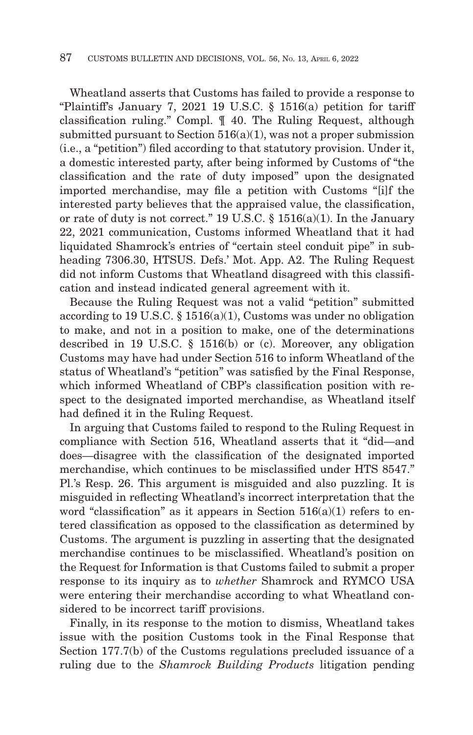Wheatland asserts that Customs has failed to provide a response to "Plaintiff's January 7, 2021 19 U.S.C. § 1516(a) petition for tariff classification ruling." Compl. ¶ 40. The Ruling Request, although submitted pursuant to Section  $516(a)(1)$ , was not a proper submission (i.e., a "petition") filed according to that statutory provision. Under it, a domestic interested party, after being informed by Customs of "the classification and the rate of duty imposed" upon the designated imported merchandise, may file a petition with Customs "[i]f the interested party believes that the appraised value, the classification, or rate of duty is not correct." 19 U.S.C. § 1516(a)(1). In the January 22, 2021 communication, Customs informed Wheatland that it had liquidated Shamrock's entries of "certain steel conduit pipe" in subheading 7306.30, HTSUS. Defs.' Mot. App. A2. The Ruling Request did not inform Customs that Wheatland disagreed with this classification and instead indicated general agreement with it.

Because the Ruling Request was not a valid "petition" submitted according to 19 U.S.C. § 1516(a)(1), Customs was under no obligation to make, and not in a position to make, one of the determinations described in 19 U.S.C. § 1516(b) or (c). Moreover, any obligation Customs may have had under Section 516 to inform Wheatland of the status of Wheatland's "petition" was satisfied by the Final Response, which informed Wheatland of CBP's classification position with respect to the designated imported merchandise, as Wheatland itself had defined it in the Ruling Request.

In arguing that Customs failed to respond to the Ruling Request in compliance with Section 516, Wheatland asserts that it "did—and does—disagree with the classification of the designated imported merchandise, which continues to be misclassified under HTS 8547." Pl.'s Resp. 26. This argument is misguided and also puzzling. It is misguided in reflecting Wheatland's incorrect interpretation that the word "classification" as it appears in Section  $516(a)(1)$  refers to entered classification as opposed to the classification as determined by Customs. The argument is puzzling in asserting that the designated merchandise continues to be misclassified. Wheatland's position on the Request for Information is that Customs failed to submit a proper response to its inquiry as to *whether* Shamrock and RYMCO USA were entering their merchandise according to what Wheatland considered to be incorrect tariff provisions.

Finally, in its response to the motion to dismiss, Wheatland takes issue with the position Customs took in the Final Response that Section 177.7(b) of the Customs regulations precluded issuance of a ruling due to the *Shamrock Building Products* litigation pending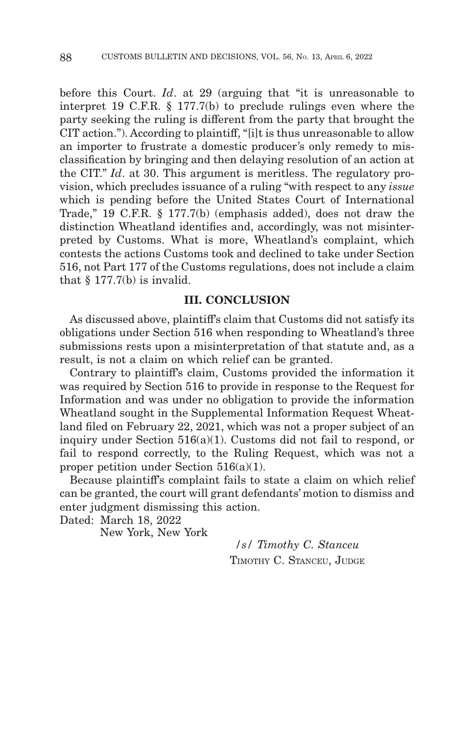before this Court. *Id*. at 29 (arguing that "it is unreasonable to interpret 19 C.F.R. § 177.7(b) to preclude rulings even where the party seeking the ruling is different from the party that brought the CIT action."). According to plaintiff, "[i]t is thus unreasonable to allow an importer to frustrate a domestic producer's only remedy to misclassification by bringing and then delaying resolution of an action at the CIT." *Id*. at 30. This argument is meritless. The regulatory provision, which precludes issuance of a ruling "with respect to any *issue* which is pending before the United States Court of International Trade," 19 C.F.R. § 177.7(b) (emphasis added), does not draw the distinction Wheatland identifies and, accordingly, was not misinterpreted by Customs. What is more, Wheatland's complaint, which contests the actions Customs took and declined to take under Section 516, not Part 177 of the Customs regulations, does not include a claim that  $§ 177.7(b)$  is invalid.

## **III. CONCLUSION**

As discussed above, plaintiff's claim that Customs did not satisfy its obligations under Section 516 when responding to Wheatland's three submissions rests upon a misinterpretation of that statute and, as a result, is not a claim on which relief can be granted.

Contrary to plaintiff's claim, Customs provided the information it was required by Section 516 to provide in response to the Request for Information and was under no obligation to provide the information Wheatland sought in the Supplemental Information Request Wheatland filed on February 22, 2021, which was not a proper subject of an inquiry under Section 516(a)(1). Customs did not fail to respond, or fail to respond correctly, to the Ruling Request, which was not a proper petition under Section 516(a)(1).

Because plaintiff's complaint fails to state a claim on which relief can be granted, the court will grant defendants' motion to dismiss and enter judgment dismissing this action.

Dated: March 18, 2022

New York, New York

*/s/ Timothy C. Stanceu* TIMOTHY C. STANCEU, JUDGE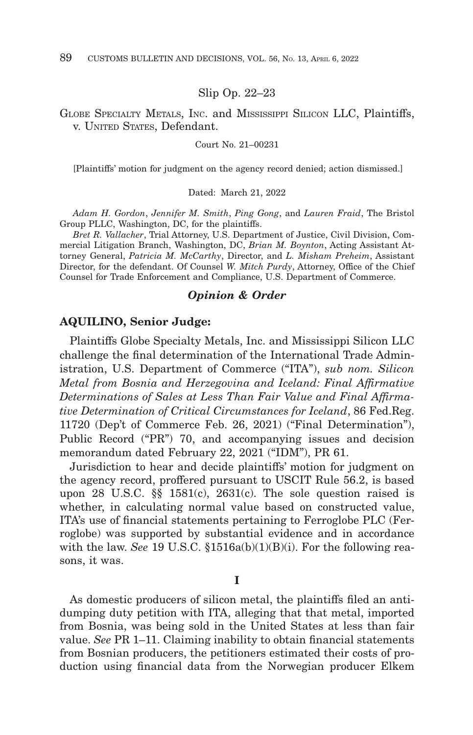### Slip Op. 22–23

### GLOBE SPECIALTY METALS, INC. and MISSISSIPPI SILICON LLC, Plaintiffs, v. UNITED STATES, Defendant.

Court No. 21–00231

[Plaintiffs' motion for judgment on the agency record denied; action dismissed.]

Dated: March 21, 2022

*Adam H. Gordon*, *Jennifer M. Smith*, *Ping Gong*, and *Lauren Fraid*, The Bristol Group PLLC, Washington, DC, for the plaintiffs.

*Bret R. Vallacher*, Trial Attorney, U.S. Department of Justice, Civil Division, Commercial Litigation Branch, Washington, DC, *Brian M. Boynton*, Acting Assistant Attorney General, *Patricia M. McCarthy*, Director, and *L. Misham Preheim*, Assistant Director, for the defendant. Of Counsel *W. Mitch Purdy*, Attorney, Office of the Chief Counsel for Trade Enforcement and Compliance, U.S. Department of Commerce.

## *Opinion & Order*

#### **AQUILINO, Senior Judge:**

Plaintiffs Globe Specialty Metals, Inc. and Mississippi Silicon LLC challenge the final determination of the International Trade Administration, U.S. Department of Commerce ("ITA"), *sub nom. Silicon Metal from Bosnia and Herzegovina and Iceland: Final Affirmative Determinations of Sales at Less Than Fair Value and Final Affirmative Determination of Critical Circumstances for Iceland*, 86 Fed.Reg. 11720 (Dep't of Commerce Feb. 26, 2021) ("Final Determination"), Public Record ("PR") 70, and accompanying issues and decision memorandum dated February 22, 2021 ("IDM"), PR 61.

Jurisdiction to hear and decide plaintiffs' motion for judgment on the agency record, proffered pursuant to USCIT Rule 56.2, is based upon 28 U.S.C. §§ 1581(c), 2631(c). The sole question raised is whether, in calculating normal value based on constructed value, ITA's use of financial statements pertaining to Ferroglobe PLC (Ferroglobe) was supported by substantial evidence and in accordance with the law. *See* 19 U.S.C. §1516a(b)(1)(B)(i). For the following reasons, it was.

**I**

As domestic producers of silicon metal, the plaintiffs filed an antidumping duty petition with ITA, alleging that that metal, imported from Bosnia, was being sold in the United States at less than fair value. *See* PR 1–11. Claiming inability to obtain financial statements from Bosnian producers, the petitioners estimated their costs of production using financial data from the Norwegian producer Elkem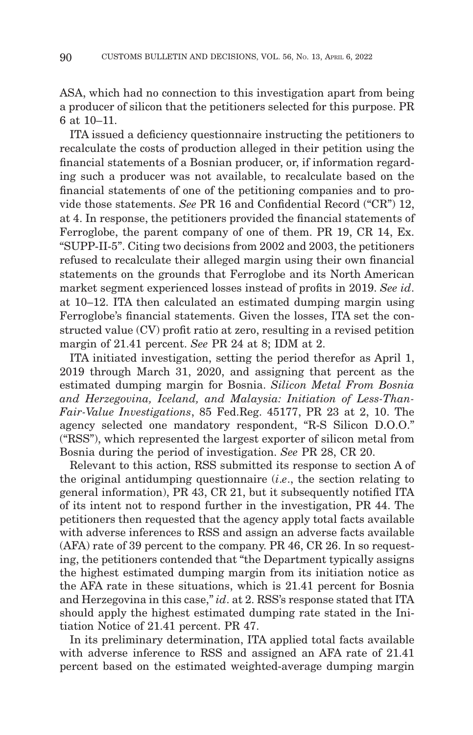ASA, which had no connection to this investigation apart from being a producer of silicon that the petitioners selected for this purpose. PR 6 at 10–11.

ITA issued a deficiency questionnaire instructing the petitioners to recalculate the costs of production alleged in their petition using the financial statements of a Bosnian producer, or, if information regarding such a producer was not available, to recalculate based on the financial statements of one of the petitioning companies and to provide those statements. *See* PR 16 and Confidential Record ("CR") 12, at 4. In response, the petitioners provided the financial statements of Ferroglobe, the parent company of one of them. PR 19, CR 14, Ex. "SUPP-II-5". Citing two decisions from 2002 and 2003, the petitioners refused to recalculate their alleged margin using their own financial statements on the grounds that Ferroglobe and its North American market segment experienced losses instead of profits in 2019. *See id*. at 10–12. ITA then calculated an estimated dumping margin using Ferroglobe's financial statements. Given the losses, ITA set the constructed value (CV) profit ratio at zero, resulting in a revised petition margin of 21.41 percent. *See* PR 24 at 8; IDM at 2.

ITA initiated investigation, setting the period therefor as April 1, 2019 through March 31, 2020, and assigning that percent as the estimated dumping margin for Bosnia. *Silicon Metal From Bosnia and Herzegovina, Iceland, and Malaysia: Initiation of Less-Than-Fair-Value Investigations*, 85 Fed.Reg. 45177, PR 23 at 2, 10. The agency selected one mandatory respondent, "R-S Silicon D.O.O." ("RSS"), which represented the largest exporter of silicon metal from Bosnia during the period of investigation. *See* PR 28, CR 20.

Relevant to this action, RSS submitted its response to section A of the original antidumping questionnaire (*i*.*e*., the section relating to general information), PR 43, CR 21, but it subsequently notified ITA of its intent not to respond further in the investigation, PR 44. The petitioners then requested that the agency apply total facts available with adverse inferences to RSS and assign an adverse facts available (AFA) rate of 39 percent to the company. PR 46, CR 26. In so requesting, the petitioners contended that "the Department typically assigns the highest estimated dumping margin from its initiation notice as the AFA rate in these situations, which is 21.41 percent for Bosnia and Herzegovina in this case," *id*. at 2. RSS's response stated that ITA should apply the highest estimated dumping rate stated in the Initiation Notice of 21.41 percent. PR 47.

In its preliminary determination, ITA applied total facts available with adverse inference to RSS and assigned an AFA rate of 21.41 percent based on the estimated weighted-average dumping margin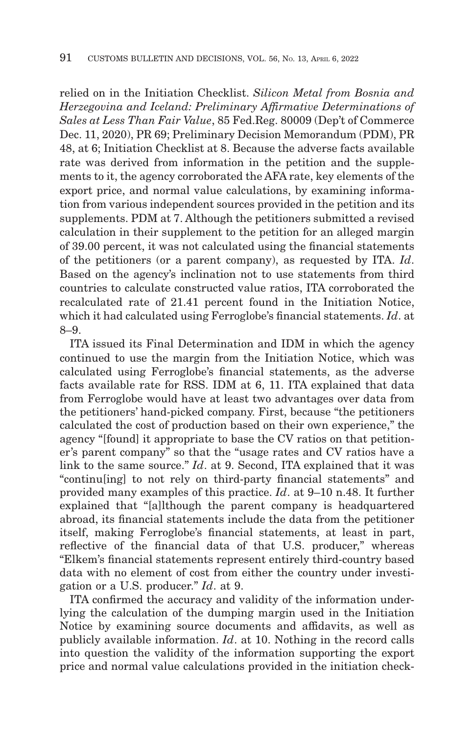relied on in the Initiation Checklist. *Silicon Metal from Bosnia and Herzegovina and Iceland: Preliminary Affirmative Determinations of Sales at Less Than Fair Value*, 85 Fed.Reg. 80009 (Dep't of Commerce Dec. 11, 2020), PR 69; Preliminary Decision Memorandum (PDM), PR 48, at 6; Initiation Checklist at 8. Because the adverse facts available rate was derived from information in the petition and the supplements to it, the agency corroborated the AFA rate, key elements of the export price, and normal value calculations, by examining information from various independent sources provided in the petition and its supplements. PDM at 7. Although the petitioners submitted a revised calculation in their supplement to the petition for an alleged margin of 39.00 percent, it was not calculated using the financial statements of the petitioners (or a parent company), as requested by ITA. *Id*. Based on the agency's inclination not to use statements from third countries to calculate constructed value ratios, ITA corroborated the recalculated rate of 21.41 percent found in the Initiation Notice, which it had calculated using Ferroglobe's financial statements. *Id*. at 8–9.

ITA issued its Final Determination and IDM in which the agency continued to use the margin from the Initiation Notice, which was calculated using Ferroglobe's financial statements, as the adverse facts available rate for RSS. IDM at 6, 11. ITA explained that data from Ferroglobe would have at least two advantages over data from the petitioners' hand-picked company. First, because "the petitioners calculated the cost of production based on their own experience," the agency "[found] it appropriate to base the CV ratios on that petitioner's parent company" so that the "usage rates and CV ratios have a link to the same source." *Id*. at 9. Second, ITA explained that it was "continu[ing] to not rely on third-party financial statements" and provided many examples of this practice. *Id*. at 9–10 n.48. It further explained that "[a]lthough the parent company is headquartered abroad, its financial statements include the data from the petitioner itself, making Ferroglobe's financial statements, at least in part, reflective of the financial data of that U.S. producer," whereas "Elkem's financial statements represent entirely third-country based data with no element of cost from either the country under investigation or a U.S. producer." *Id*. at 9.

ITA confirmed the accuracy and validity of the information underlying the calculation of the dumping margin used in the Initiation Notice by examining source documents and affidavits, as well as publicly available information. *Id*. at 10. Nothing in the record calls into question the validity of the information supporting the export price and normal value calculations provided in the initiation check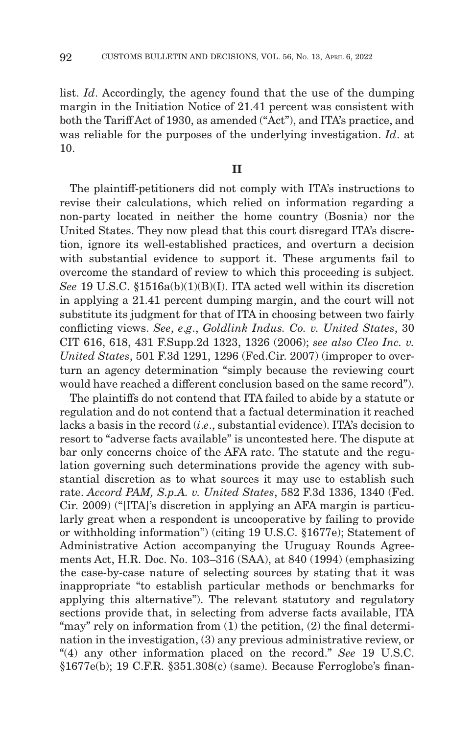list. *Id*. Accordingly, the agency found that the use of the dumping margin in the Initiation Notice of 21.41 percent was consistent with both the Tariff Act of 1930, as amended ("Act"), and ITA's practice, and was reliable for the purposes of the underlying investigation. *Id*. at 10.

## **II**

The plaintiff-petitioners did not comply with ITA's instructions to revise their calculations, which relied on information regarding a non-party located in neither the home country (Bosnia) nor the United States. They now plead that this court disregard ITA's discretion, ignore its well-established practices, and overturn a decision with substantial evidence to support it. These arguments fail to overcome the standard of review to which this proceeding is subject. *See* 19 U.S.C. §1516a(b)(1)(B)(I). ITA acted well within its discretion in applying a 21.41 percent dumping margin, and the court will not substitute its judgment for that of ITA in choosing between two fairly conflicting views. *See*, *e*.*g*., *Goldlink Indus. Co. v. United States*, 30 CIT 616, 618, 431 F.Supp.2d 1323, 1326 (2006); *see also Cleo Inc. v. United States*, 501 F.3d 1291, 1296 (Fed.Cir. 2007) (improper to overturn an agency determination "simply because the reviewing court would have reached a different conclusion based on the same record").

The plaintiffs do not contend that ITA failed to abide by a statute or regulation and do not contend that a factual determination it reached lacks a basis in the record (*i*.*e*., substantial evidence). ITA's decision to resort to "adverse facts available" is uncontested here. The dispute at bar only concerns choice of the AFA rate. The statute and the regulation governing such determinations provide the agency with substantial discretion as to what sources it may use to establish such rate. *Accord PAM, S.p.A. v. United States*, 582 F.3d 1336, 1340 (Fed. Cir. 2009) ("[ITA]'s discretion in applying an AFA margin is particularly great when a respondent is uncooperative by failing to provide or withholding information") (citing 19 U.S.C. §1677e); Statement of Administrative Action accompanying the Uruguay Rounds Agreements Act, H.R. Doc. No. 103–316 (SAA), at 840 (1994) (emphasizing the case-by-case nature of selecting sources by stating that it was inappropriate "to establish particular methods or benchmarks for applying this alternative"). The relevant statutory and regulatory sections provide that, in selecting from adverse facts available, ITA "may" rely on information from (1) the petition, (2) the final determination in the investigation, (3) any previous administrative review, or "(4) any other information placed on the record." *See* 19 U.S.C. §1677e(b); 19 C.F.R. §351.308(c) (same). Because Ferroglobe's finan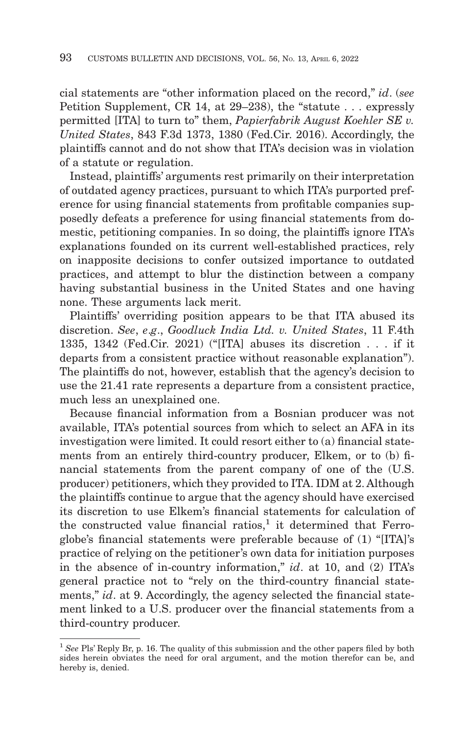cial statements are "other information placed on the record," *id*. (*see* Petition Supplement, CR 14, at 29–238), the "statute . . . expressly permitted [ITA] to turn to" them, *Papierfabrik August Koehler SE v. United States*, 843 F.3d 1373, 1380 (Fed.Cir. 2016). Accordingly, the plaintiffs cannot and do not show that ITA's decision was in violation of a statute or regulation.

Instead, plaintiffs' arguments rest primarily on their interpretation of outdated agency practices, pursuant to which ITA's purported preference for using financial statements from profitable companies supposedly defeats a preference for using financial statements from domestic, petitioning companies. In so doing, the plaintiffs ignore ITA's explanations founded on its current well-established practices, rely on inapposite decisions to confer outsized importance to outdated practices, and attempt to blur the distinction between a company having substantial business in the United States and one having none. These arguments lack merit.

Plaintiffs' overriding position appears to be that ITA abused its discretion. *See*, *e*.*g*., *Goodluck India Ltd. v. United States*, 11 F.4th 1335, 1342 (Fed.Cir. 2021) ("[ITA] abuses its discretion . . . if it departs from a consistent practice without reasonable explanation"). The plaintiffs do not, however, establish that the agency's decision to use the 21.41 rate represents a departure from a consistent practice, much less an unexplained one.

Because financial information from a Bosnian producer was not available, ITA's potential sources from which to select an AFA in its investigation were limited. It could resort either to (a) financial statements from an entirely third-country producer, Elkem, or to (b) financial statements from the parent company of one of the (U.S. producer) petitioners, which they provided to ITA. IDM at 2. Although the plaintiffs continue to argue that the agency should have exercised its discretion to use Elkem's financial statements for calculation of the constructed value financial ratios, $<sup>1</sup>$  it determined that Ferro-</sup> globe's financial statements were preferable because of (1) "[ITA]'s practice of relying on the petitioner's own data for initiation purposes in the absence of in-country information," *id*. at 10, and (2) ITA's general practice not to "rely on the third-country financial statements," *id.* at 9. Accordingly, the agency selected the financial statement linked to a U.S. producer over the financial statements from a third-country producer.

<sup>1</sup>*See* Pls' Reply Br, p. 16. The quality of this submission and the other papers filed by both sides herein obviates the need for oral argument, and the motion therefor can be, and hereby is, denied.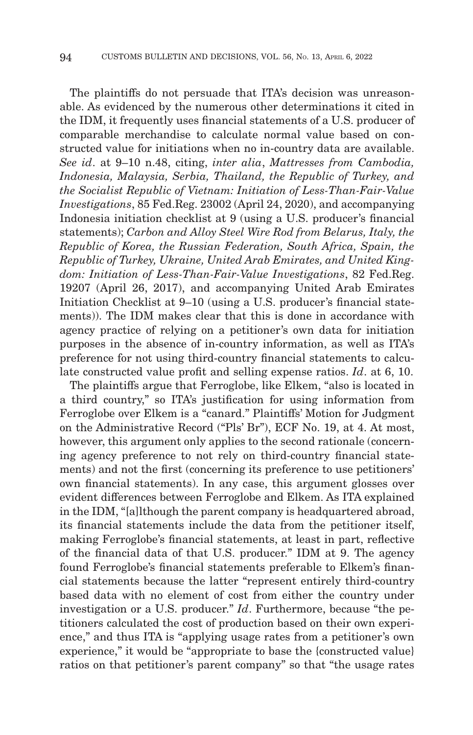The plaintiffs do not persuade that ITA's decision was unreasonable. As evidenced by the numerous other determinations it cited in the IDM, it frequently uses financial statements of a U.S. producer of comparable merchandise to calculate normal value based on constructed value for initiations when no in-country data are available. *See id*. at 9–10 n.48, citing, *inter alia*, *Mattresses from Cambodia, Indonesia, Malaysia, Serbia, Thailand, the Republic of Turkey, and the Socialist Republic of Vietnam: Initiation of Less-Than-Fair-Value Investigations*, 85 Fed.Reg. 23002 (April 24, 2020), and accompanying Indonesia initiation checklist at 9 (using a U.S. producer's financial statements); *Carbon and Alloy Steel Wire Rod from Belarus, Italy, the Republic of Korea, the Russian Federation, South Africa, Spain, the Republic of Turkey, Ukraine, United Arab Emirates, and United Kingdom: Initiation of Less-Than-Fair-Value Investigations*, 82 Fed.Reg. 19207 (April 26, 2017), and accompanying United Arab Emirates Initiation Checklist at 9–10 (using a U.S. producer's financial statements)). The IDM makes clear that this is done in accordance with agency practice of relying on a petitioner's own data for initiation purposes in the absence of in-country information, as well as ITA's preference for not using third-country financial statements to calculate constructed value profit and selling expense ratios. *Id*. at 6, 10.

The plaintiffs argue that Ferroglobe, like Elkem, "also is located in a third country," so ITA's justification for using information from Ferroglobe over Elkem is a "canard." Plaintiffs' Motion for Judgment on the Administrative Record ("Pls' Br"), ECF No. 19, at 4. At most, however, this argument only applies to the second rationale (concerning agency preference to not rely on third-country financial statements) and not the first (concerning its preference to use petitioners' own financial statements). In any case, this argument glosses over evident differences between Ferroglobe and Elkem. As ITA explained in the IDM, "[a]lthough the parent company is headquartered abroad, its financial statements include the data from the petitioner itself, making Ferroglobe's financial statements, at least in part, reflective of the financial data of that U.S. producer." IDM at 9. The agency found Ferroglobe's financial statements preferable to Elkem's financial statements because the latter "represent entirely third-country based data with no element of cost from either the country under investigation or a U.S. producer." *Id*. Furthermore, because "the petitioners calculated the cost of production based on their own experience," and thus ITA is "applying usage rates from a petitioner's own experience," it would be "appropriate to base the {constructed value} ratios on that petitioner's parent company" so that "the usage rates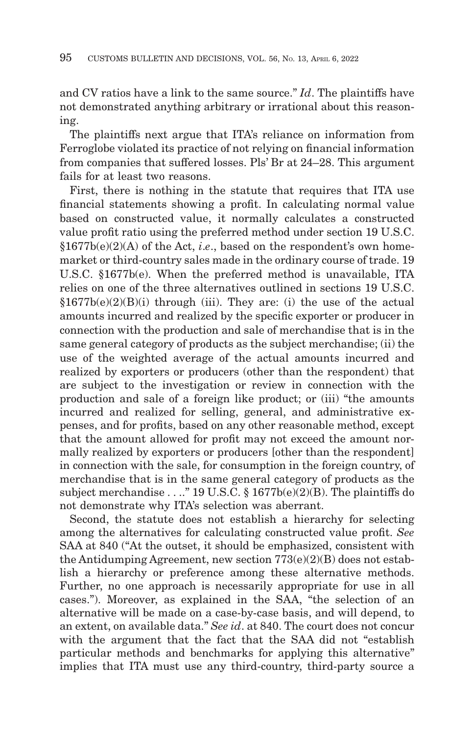and CV ratios have a link to the same source." *Id*. The plaintiffs have not demonstrated anything arbitrary or irrational about this reasoning.

The plaintiffs next argue that ITA's reliance on information from Ferroglobe violated its practice of not relying on financial information from companies that suffered losses. Pls' Br at 24–28. This argument fails for at least two reasons.

First, there is nothing in the statute that requires that ITA use financial statements showing a profit. In calculating normal value based on constructed value, it normally calculates a constructed value profit ratio using the preferred method under section 19 U.S.C. §1677b(e)(2)(A) of the Act, *i*.*e*., based on the respondent's own homemarket or third-country sales made in the ordinary course of trade. 19 U.S.C. §1677b(e). When the preferred method is unavailable, ITA relies on one of the three alternatives outlined in sections 19 U.S.C.  $§1677b(e)(2)(B)(i)$  through (iii). They are: (i) the use of the actual amounts incurred and realized by the specific exporter or producer in connection with the production and sale of merchandise that is in the same general category of products as the subject merchandise; (ii) the use of the weighted average of the actual amounts incurred and realized by exporters or producers (other than the respondent) that are subject to the investigation or review in connection with the production and sale of a foreign like product; or (iii) "the amounts incurred and realized for selling, general, and administrative expenses, and for profits, based on any other reasonable method, except that the amount allowed for profit may not exceed the amount normally realized by exporters or producers [other than the respondent] in connection with the sale, for consumption in the foreign country, of merchandise that is in the same general category of products as the subject merchandise . . .." 19 U.S.C.  $\S 1677b(e)(2)(B)$ . The plaintiffs do not demonstrate why ITA's selection was aberrant.

Second, the statute does not establish a hierarchy for selecting among the alternatives for calculating constructed value profit. *See* SAA at 840 ("At the outset, it should be emphasized, consistent with the Antidumping Agreement, new section  $773(e)(2)(B)$  does not establish a hierarchy or preference among these alternative methods. Further, no one approach is necessarily appropriate for use in all cases."). Moreover, as explained in the SAA, "the selection of an alternative will be made on a case-by-case basis, and will depend, to an extent, on available data." *See id*. at 840. The court does not concur with the argument that the fact that the SAA did not "establish particular methods and benchmarks for applying this alternative" implies that ITA must use any third-country, third-party source a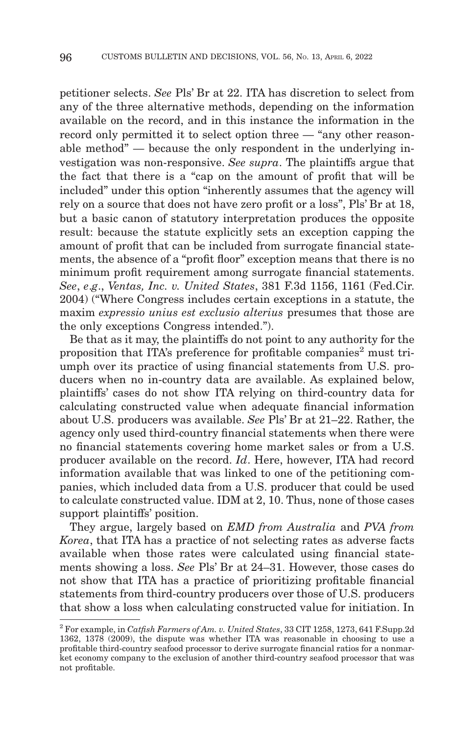petitioner selects. *See* Pls' Br at 22. ITA has discretion to select from any of the three alternative methods, depending on the information available on the record, and in this instance the information in the record only permitted it to select option three — "any other reasonable method" — because the only respondent in the underlying investigation was non-responsive. *See supra*. The plaintiffs argue that the fact that there is a "cap on the amount of profit that will be included" under this option "inherently assumes that the agency will rely on a source that does not have zero profit or a loss", Pls' Br at 18, but a basic canon of statutory interpretation produces the opposite result: because the statute explicitly sets an exception capping the amount of profit that can be included from surrogate financial statements, the absence of a "profit floor" exception means that there is no minimum profit requirement among surrogate financial statements. *See*, *e*.*g*., *Ventas, Inc. v. United States*, 381 F.3d 1156, 1161 (Fed.Cir. 2004) ("Where Congress includes certain exceptions in a statute, the maxim *expressio unius est exclusio alterius* presumes that those are the only exceptions Congress intended.").

Be that as it may, the plaintiffs do not point to any authority for the proposition that ITA's preference for profitable companies<sup>2</sup> must triumph over its practice of using financial statements from U.S. producers when no in-country data are available. As explained below, plaintiffs' cases do not show ITA relying on third-country data for calculating constructed value when adequate financial information about U.S. producers was available. *See* Pls' Br at 21–22. Rather, the agency only used third-country financial statements when there were no financial statements covering home market sales or from a U.S. producer available on the record. *Id*. Here, however, ITA had record information available that was linked to one of the petitioning companies, which included data from a U.S. producer that could be used to calculate constructed value. IDM at 2, 10. Thus, none of those cases support plaintiffs' position.

They argue, largely based on *EMD from Australia* and *PVA from Korea*, that ITA has a practice of not selecting rates as adverse facts available when those rates were calculated using financial statements showing a loss. *See* Pls' Br at 24–31. However, those cases do not show that ITA has a practice of prioritizing profitable financial statements from third-country producers over those of U.S. producers that show a loss when calculating constructed value for initiation. In

<sup>2</sup> For example, in *Catfish Farmers of Am. v. United States*, 33 CIT 1258, 1273, 641 F.Supp.2d 1362, 1378 (2009), the dispute was whether ITA was reasonable in choosing to use a profitable third-country seafood processor to derive surrogate financial ratios for a nonmarket economy company to the exclusion of another third-country seafood processor that was not profitable.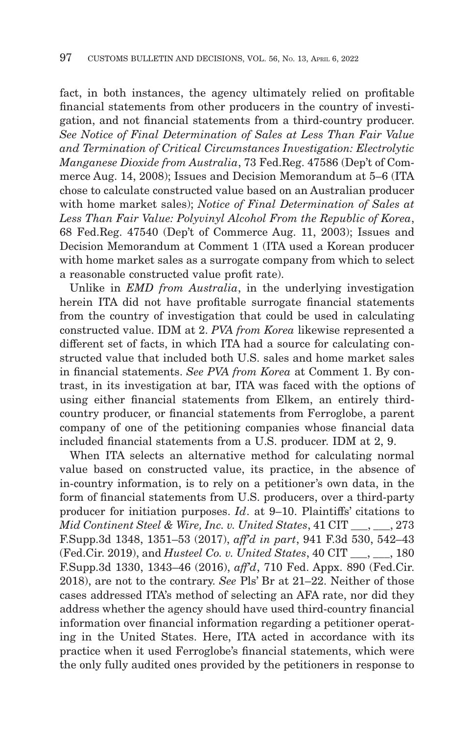fact, in both instances, the agency ultimately relied on profitable financial statements from other producers in the country of investigation, and not financial statements from a third-country producer. *See Notice of Final Determination of Sales at Less Than Fair Value and Termination of Critical Circumstances Investigation: Electrolytic Manganese Dioxide from Australia*, 73 Fed.Reg. 47586 (Dep't of Commerce Aug. 14, 2008); Issues and Decision Memorandum at 5–6 (ITA chose to calculate constructed value based on an Australian producer with home market sales); *Notice of Final Determination of Sales at Less Than Fair Value: Polyvinyl Alcohol From the Republic of Korea*, 68 Fed.Reg. 47540 (Dep't of Commerce Aug. 11, 2003); Issues and Decision Memorandum at Comment 1 (ITA used a Korean producer with home market sales as a surrogate company from which to select a reasonable constructed value profit rate).

Unlike in *EMD from Australia*, in the underlying investigation herein ITA did not have profitable surrogate financial statements from the country of investigation that could be used in calculating constructed value. IDM at 2. *PVA from Korea* likewise represented a different set of facts, in which ITA had a source for calculating constructed value that included both U.S. sales and home market sales in financial statements. *See PVA from Korea* at Comment 1. By contrast, in its investigation at bar, ITA was faced with the options of using either financial statements from Elkem, an entirely thirdcountry producer, or financial statements from Ferroglobe, a parent company of one of the petitioning companies whose financial data included financial statements from a U.S. producer. IDM at 2, 9.

When ITA selects an alternative method for calculating normal value based on constructed value, its practice, in the absence of in-country information, is to rely on a petitioner's own data, in the form of financial statements from U.S. producers, over a third-party producer for initiation purposes. *Id*. at 9–10. Plaintiffs' citations to *Mid Continent Steel & Wire, Inc. v. United States*, 41 CIT \_\_\_, \_\_\_, 273 F.Supp.3d 1348, 1351–53 (2017), *aff'd in part*, 941 F.3d 530, 542–43 (Fed.Cir. 2019), and *Husteel Co. v. United States*, 40 CIT \_\_\_, \_\_\_, 180 F.Supp.3d 1330, 1343–46 (2016), *aff'd*, 710 Fed. Appx. 890 (Fed.Cir. 2018), are not to the contrary. *See* Pls' Br at 21–22. Neither of those cases addressed ITA's method of selecting an AFA rate, nor did they address whether the agency should have used third-country financial information over financial information regarding a petitioner operating in the United States. Here, ITA acted in accordance with its practice when it used Ferroglobe's financial statements, which were the only fully audited ones provided by the petitioners in response to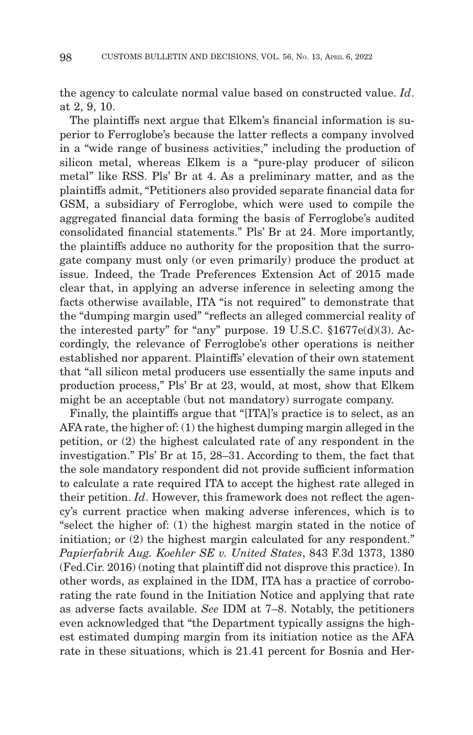the agency to calculate normal value based on constructed value. *Id*. at 2, 9, 10.

The plaintiffs next argue that Elkem's financial information is superior to Ferroglobe's because the latter reflects a company involved in a "wide range of business activities," including the production of silicon metal, whereas Elkem is a "pure-play producer of silicon metal" like RSS. Pls' Br at 4. As a preliminary matter, and as the plaintiffs admit, "Petitioners also provided separate financial data for GSM, a subsidiary of Ferroglobe, which were used to compile the aggregated financial data forming the basis of Ferroglobe's audited consolidated financial statements." Pls' Br at 24. More importantly, the plaintiffs adduce no authority for the proposition that the surrogate company must only (or even primarily) produce the product at issue. Indeed, the Trade Preferences Extension Act of 2015 made clear that, in applying an adverse inference in selecting among the facts otherwise available, ITA "is not required" to demonstrate that the "dumping margin used" "reflects an alleged commercial reality of the interested party" for "any" purpose. 19 U.S.C. §1677e(d)(3). Accordingly, the relevance of Ferroglobe's other operations is neither established nor apparent. Plaintiffs' elevation of their own statement that "all silicon metal producers use essentially the same inputs and production process," Pls' Br at 23, would, at most, show that Elkem might be an acceptable (but not mandatory) surrogate company.

Finally, the plaintiffs argue that "[ITA]'s practice is to select, as an AFA rate, the higher of: (1) the highest dumping margin alleged in the petition, or (2) the highest calculated rate of any respondent in the investigation." Pls' Br at 15, 28–31. According to them, the fact that the sole mandatory respondent did not provide sufficient information to calculate a rate required ITA to accept the highest rate alleged in their petition. *Id*. However, this framework does not reflect the agency's current practice when making adverse inferences, which is to "select the higher of: (1) the highest margin stated in the notice of initiation; or (2) the highest margin calculated for any respondent." *Papierfabrik Aug. Koehler SE v. United States*, 843 F.3d 1373, 1380 (Fed.Cir. 2016) (noting that plaintiff did not disprove this practice). In other words, as explained in the IDM, ITA has a practice of corroborating the rate found in the Initiation Notice and applying that rate as adverse facts available. *See* IDM at 7–8. Notably, the petitioners even acknowledged that "the Department typically assigns the highest estimated dumping margin from its initiation notice as the AFA rate in these situations, which is 21.41 percent for Bosnia and Her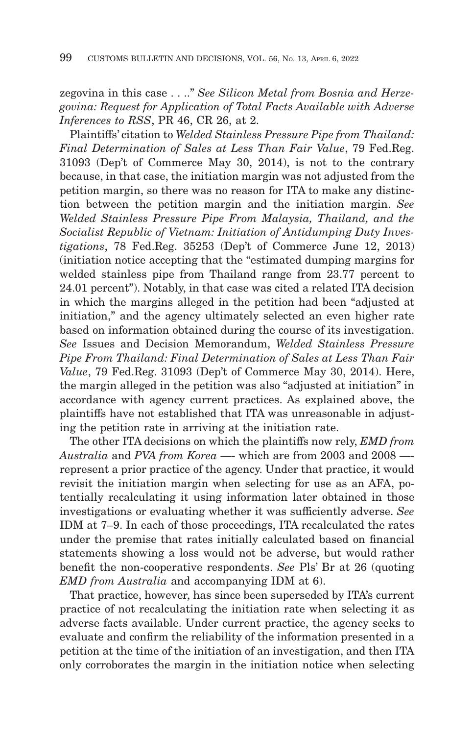zegovina in this case . . .." *See Silicon Metal from Bosnia and Herzegovina: Request for Application of Total Facts Available with Adverse Inferences to RSS*, PR 46, CR 26, at 2.

Plaintiffs' citation to *Welded Stainless Pressure Pipe from Thailand: Final Determination of Sales at Less Than Fair Value*, 79 Fed.Reg. 31093 (Dep't of Commerce May 30, 2014), is not to the contrary because, in that case, the initiation margin was not adjusted from the petition margin, so there was no reason for ITA to make any distinction between the petition margin and the initiation margin. *See Welded Stainless Pressure Pipe From Malaysia, Thailand, and the Socialist Republic of Vietnam: Initiation of Antidumping Duty Investigations*, 78 Fed.Reg. 35253 (Dep't of Commerce June 12, 2013) (initiation notice accepting that the "estimated dumping margins for welded stainless pipe from Thailand range from 23.77 percent to 24.01 percent"). Notably, in that case was cited a related ITA decision in which the margins alleged in the petition had been "adjusted at initiation," and the agency ultimately selected an even higher rate based on information obtained during the course of its investigation. *See* Issues and Decision Memorandum, *Welded Stainless Pressure Pipe From Thailand: Final Determination of Sales at Less Than Fair Value*, 79 Fed.Reg. 31093 (Dep't of Commerce May 30, 2014). Here, the margin alleged in the petition was also "adjusted at initiation" in accordance with agency current practices. As explained above, the plaintiffs have not established that ITA was unreasonable in adjusting the petition rate in arriving at the initiation rate.

The other ITA decisions on which the plaintiffs now rely, *EMD from Australia* and *PVA from Korea* —- which are from 2003 and 2008 — represent a prior practice of the agency. Under that practice, it would revisit the initiation margin when selecting for use as an AFA, potentially recalculating it using information later obtained in those investigations or evaluating whether it was sufficiently adverse. *See* IDM at 7–9. In each of those proceedings, ITA recalculated the rates under the premise that rates initially calculated based on financial statements showing a loss would not be adverse, but would rather benefit the non-cooperative respondents. *See* Pls' Br at 26 (quoting *EMD from Australia* and accompanying IDM at 6).

That practice, however, has since been superseded by ITA's current practice of not recalculating the initiation rate when selecting it as adverse facts available. Under current practice, the agency seeks to evaluate and confirm the reliability of the information presented in a petition at the time of the initiation of an investigation, and then ITA only corroborates the margin in the initiation notice when selecting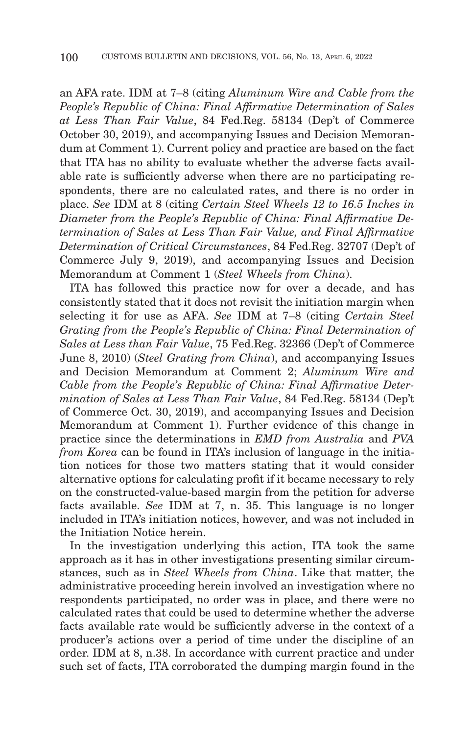an AFA rate. IDM at 7–8 (citing *Aluminum Wire and Cable from the People's Republic of China: Final Affirmative Determination of Sales at Less Than Fair Value*, 84 Fed.Reg. 58134 (Dep't of Commerce October 30, 2019), and accompanying Issues and Decision Memorandum at Comment 1). Current policy and practice are based on the fact that ITA has no ability to evaluate whether the adverse facts available rate is sufficiently adverse when there are no participating respondents, there are no calculated rates, and there is no order in place. *See* IDM at 8 (citing *Certain Steel Wheels 12 to 16.5 Inches in Diameter from the People's Republic of China: Final Affirmative Determination of Sales at Less Than Fair Value, and Final Affirmative Determination of Critical Circumstances*, 84 Fed.Reg. 32707 (Dep't of Commerce July 9, 2019), and accompanying Issues and Decision Memorandum at Comment 1 (*Steel Wheels from China*).

ITA has followed this practice now for over a decade, and has consistently stated that it does not revisit the initiation margin when selecting it for use as AFA. *See* IDM at 7–8 (citing *Certain Steel Grating from the People's Republic of China: Final Determination of Sales at Less than Fair Value*, 75 Fed.Reg. 32366 (Dep't of Commerce June 8, 2010) (*Steel Grating from China*), and accompanying Issues and Decision Memorandum at Comment 2; *Aluminum Wire and Cable from the People's Republic of China: Final Affirmative Determination of Sales at Less Than Fair Value*, 84 Fed.Reg. 58134 (Dep't of Commerce Oct. 30, 2019), and accompanying Issues and Decision Memorandum at Comment 1). Further evidence of this change in practice since the determinations in *EMD from Australia* and *PVA from Korea* can be found in ITA's inclusion of language in the initiation notices for those two matters stating that it would consider alternative options for calculating profit if it became necessary to rely on the constructed-value-based margin from the petition for adverse facts available. *See* IDM at 7, n. 35. This language is no longer included in ITA's initiation notices, however, and was not included in the Initiation Notice herein.

In the investigation underlying this action, ITA took the same approach as it has in other investigations presenting similar circumstances, such as in *Steel Wheels from China*. Like that matter, the administrative proceeding herein involved an investigation where no respondents participated, no order was in place, and there were no calculated rates that could be used to determine whether the adverse facts available rate would be sufficiently adverse in the context of a producer's actions over a period of time under the discipline of an order. IDM at 8, n.38. In accordance with current practice and under such set of facts, ITA corroborated the dumping margin found in the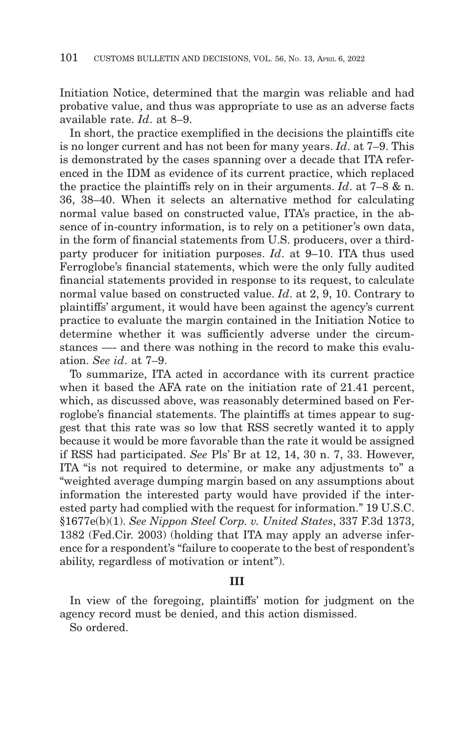Initiation Notice, determined that the margin was reliable and had probative value, and thus was appropriate to use as an adverse facts available rate. *Id*. at 8–9.

In short, the practice exemplified in the decisions the plaintiffs cite is no longer current and has not been for many years. *Id*. at 7–9. This is demonstrated by the cases spanning over a decade that ITA referenced in the IDM as evidence of its current practice, which replaced the practice the plaintiffs rely on in their arguments. *Id*. at 7–8 & n. 36, 38–40. When it selects an alternative method for calculating normal value based on constructed value, ITA's practice, in the absence of in-country information, is to rely on a petitioner's own data, in the form of financial statements from U.S. producers, over a thirdparty producer for initiation purposes. *Id*. at 9–10. ITA thus used Ferroglobe's financial statements, which were the only fully audited financial statements provided in response to its request, to calculate normal value based on constructed value. *Id*. at 2, 9, 10. Contrary to plaintiffs' argument, it would have been against the agency's current practice to evaluate the margin contained in the Initiation Notice to determine whether it was sufficiently adverse under the circumstances —- and there was nothing in the record to make this evaluation. *See id*. at 7–9.

To summarize, ITA acted in accordance with its current practice when it based the AFA rate on the initiation rate of 21.41 percent, which, as discussed above, was reasonably determined based on Ferroglobe's financial statements. The plaintiffs at times appear to suggest that this rate was so low that RSS secretly wanted it to apply because it would be more favorable than the rate it would be assigned if RSS had participated. *See* Pls' Br at 12, 14, 30 n. 7, 33. However, ITA "is not required to determine, or make any adjustments to" a "weighted average dumping margin based on any assumptions about information the interested party would have provided if the interested party had complied with the request for information." 19 U.S.C. §1677e(b)(1). *See Nippon Steel Corp. v. United States*, 337 F.3d 1373, 1382 (Fed.Cir. 2003) (holding that ITA may apply an adverse inference for a respondent's "failure to cooperate to the best of respondent's ability, regardless of motivation or intent").

### **III**

In view of the foregoing, plaintiffs' motion for judgment on the agency record must be denied, and this action dismissed.

So ordered.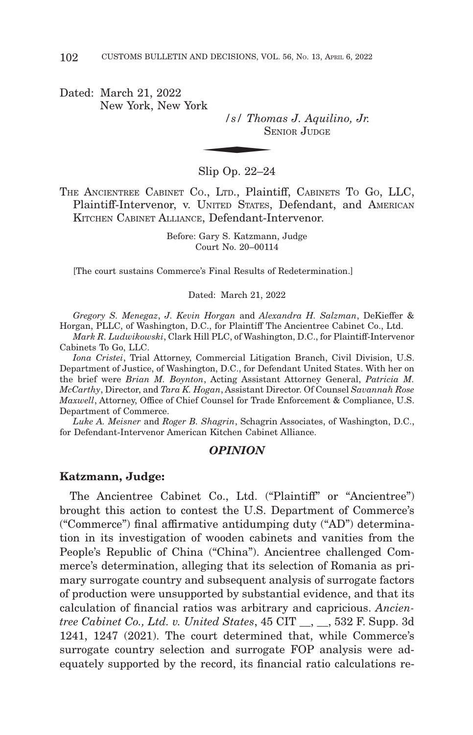Dated: March 21, 2022 New York, New York

*/s/ Thomas J. Aquilino, Jr.*  $\frac{1}{s}$  /  $\frac{s}{s}$  Thom SENIOR JIIDGE

Slip Op. 22–24

THE ANCIENTREE CABINET CO., LTD., Plaintiff, CABINETS TO GO, LLC, Plaintiff-Intervenor, v. UNITED STATES, Defendant, and AMERICAN KITCHEN CABINET ALLIANCE, Defendant-Intervenor.

> Before: Gary S. Katzmann, Judge Court No. 20–00114

[The court sustains Commerce's Final Results of Redetermination.]

Dated: March 21, 2022

*Gregory S. Menegaz*, *J. Kevin Horgan* and *Alexandra H. Salzman*, DeKieffer & Horgan, PLLC, of Washington, D.C., for Plaintiff The Ancientree Cabinet Co., Ltd.

*Mark R. Ludwikowski*, Clark Hill PLC, of Washington, D.C., for Plaintiff-Intervenor Cabinets To Go, LLC.

*Iona Cristei*, Trial Attorney, Commercial Litigation Branch, Civil Division, U.S. Department of Justice, of Washington, D.C., for Defendant United States. With her on the brief were *Brian M. Boynton*, Acting Assistant Attorney General, *Patricia M. McCarthy*, Director, and *Tara K. Hogan*, Assistant Director. Of Counsel *Savannah Rose Maxwell*, Attorney, Office of Chief Counsel for Trade Enforcement & Compliance, U.S. Department of Commerce.

*Luke A. Meisner* and *Roger B. Shagrin*, Schagrin Associates, of Washington, D.C., for Defendant-Intervenor American Kitchen Cabinet Alliance.

### *OPINION*

#### **Katzmann, Judge:**

The Ancientree Cabinet Co., Ltd. ("Plaintiff" or "Ancientree") brought this action to contest the U.S. Department of Commerce's ("Commerce") final affirmative antidumping duty ("AD") determination in its investigation of wooden cabinets and vanities from the People's Republic of China ("China"). Ancientree challenged Commerce's determination, alleging that its selection of Romania as primary surrogate country and subsequent analysis of surrogate factors of production were unsupported by substantial evidence, and that its calculation of financial ratios was arbitrary and capricious. *Ancientree Cabinet Co., Ltd. v. United States*, 45 CIT \_\_, \_\_, 532 F. Supp. 3d 1241, 1247 (2021). The court determined that, while Commerce's surrogate country selection and surrogate FOP analysis were adequately supported by the record, its financial ratio calculations re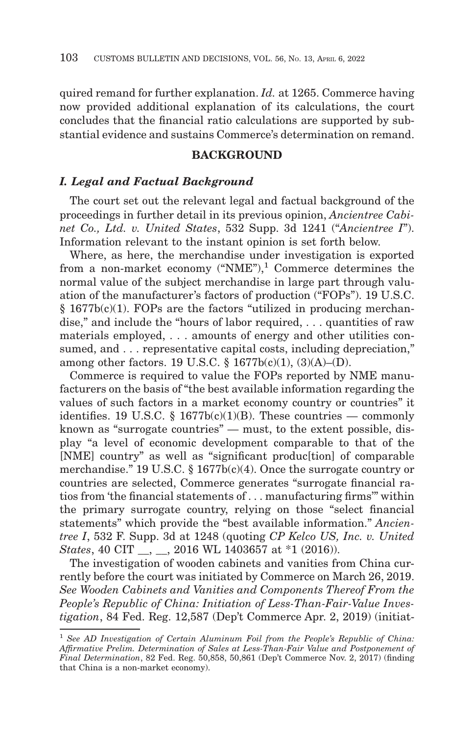quired remand for further explanation. *Id.* at 1265. Commerce having now provided additional explanation of its calculations, the court concludes that the financial ratio calculations are supported by substantial evidence and sustains Commerce's determination on remand.

## **BACKGROUND**

## *I. Legal and Factual Background*

The court set out the relevant legal and factual background of the proceedings in further detail in its previous opinion, *Ancientree Cabinet Co., Ltd. v. United States*, 532 Supp. 3d 1241 ("*Ancientree I*"). Information relevant to the instant opinion is set forth below.

Where, as here, the merchandise under investigation is exported from a non-market economy ("NME"),<sup>1</sup> Commerce determines the normal value of the subject merchandise in large part through valuation of the manufacturer's factors of production ("FOPs"). 19 U.S.C. § 1677b(c)(1). FOPs are the factors "utilized in producing merchandise," and include the "hours of labor required, . . . quantities of raw materials employed, . . . amounts of energy and other utilities consumed, and . . . representative capital costs, including depreciation," among other factors. 19 U.S.C. § 1677b(c)(1), (3)(A)–(D).

Commerce is required to value the FOPs reported by NME manufacturers on the basis of "the best available information regarding the values of such factors in a market economy country or countries" it identifies. 19 U.S.C. § 1677b(c)(1)(B). These countries — commonly known as "surrogate countries" — must, to the extent possible, display "a level of economic development comparable to that of the [NME] country" as well as "significant produc[tion] of comparable merchandise." 19 U.S.C. § 1677b(c)(4). Once the surrogate country or countries are selected, Commerce generates "surrogate financial ratios from 'the financial statements of . . . manufacturing firms'" within the primary surrogate country, relying on those "select financial statements" which provide the "best available information." *Ancientree I*, 532 F. Supp. 3d at 1248 (quoting *CP Kelco US, Inc. v. United States*, 40 CIT \_\_, \_\_, 2016 WL 1403657 at \*1 (2016)).

The investigation of wooden cabinets and vanities from China currently before the court was initiated by Commerce on March 26, 2019. *See Wooden Cabinets and Vanities and Components Thereof From the People's Republic of China: Initiation of Less-Than-Fair-Value Investigation*, 84 Fed. Reg. 12,587 (Dep't Commerce Apr. 2, 2019) (initiat-

<sup>1</sup>*See AD Investigation of Certain Aluminum Foil from the People's Republic of China: Affirmative Prelim. Determination of Sales at Less-Than-Fair Value and Postponement of Final Determination*, 82 Fed. Reg. 50,858, 50,861 (Dep't Commerce Nov. 2, 2017) (finding that China is a non-market economy).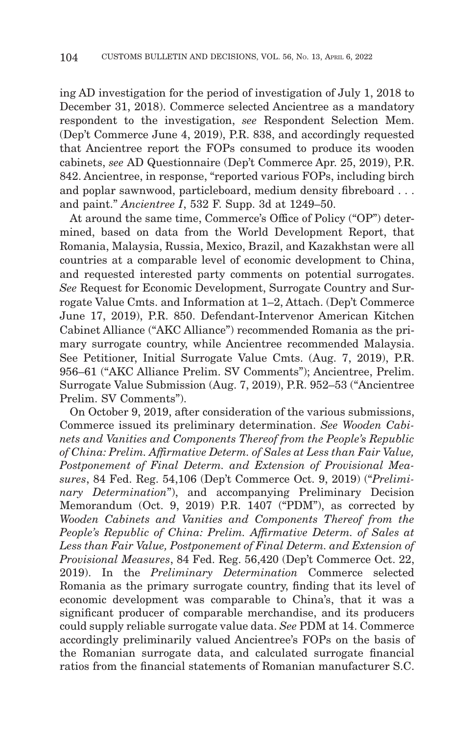ing AD investigation for the period of investigation of July 1, 2018 to December 31, 2018). Commerce selected Ancientree as a mandatory respondent to the investigation, *see* Respondent Selection Mem. (Dep't Commerce June 4, 2019), P.R. 838, and accordingly requested that Ancientree report the FOPs consumed to produce its wooden cabinets, *see* AD Questionnaire (Dep't Commerce Apr. 25, 2019), P.R. 842. Ancientree, in response, "reported various FOPs, including birch and poplar sawnwood, particleboard, medium density fibreboard . . . and paint." *Ancientree I*, 532 F. Supp. 3d at 1249–50.

At around the same time, Commerce's Office of Policy ("OP") determined, based on data from the World Development Report, that Romania, Malaysia, Russia, Mexico, Brazil, and Kazakhstan were all countries at a comparable level of economic development to China, and requested interested party comments on potential surrogates. *See* Request for Economic Development, Surrogate Country and Surrogate Value Cmts. and Information at 1–2, Attach. (Dep't Commerce June 17, 2019), P.R. 850. Defendant-Intervenor American Kitchen Cabinet Alliance ("AKC Alliance") recommended Romania as the primary surrogate country, while Ancientree recommended Malaysia. See Petitioner, Initial Surrogate Value Cmts. (Aug. 7, 2019), P.R. 956–61 ("AKC Alliance Prelim. SV Comments"); Ancientree, Prelim. Surrogate Value Submission (Aug. 7, 2019), P.R. 952–53 ("Ancientree Prelim. SV Comments").

On October 9, 2019, after consideration of the various submissions, Commerce issued its preliminary determination. *See Wooden Cabinets and Vanities and Components Thereof from the People's Republic of China: Prelim. Affirmative Determ. of Sales at Less than Fair Value, Postponement of Final Determ. and Extension of Provisional Measures*, 84 Fed. Reg. 54,106 (Dep't Commerce Oct. 9, 2019) ("*Preliminary Determination*"), and accompanying Preliminary Decision Memorandum (Oct. 9, 2019) P.R. 1407 ("PDM"), as corrected by *Wooden Cabinets and Vanities and Components Thereof from the People's Republic of China: Prelim. Affirmative Determ. of Sales at Less than Fair Value, Postponement of Final Determ. and Extension of Provisional Measures*, 84 Fed. Reg. 56,420 (Dep't Commerce Oct. 22, 2019). In the *Preliminary Determination* Commerce selected Romania as the primary surrogate country, finding that its level of economic development was comparable to China's, that it was a significant producer of comparable merchandise, and its producers could supply reliable surrogate value data. *See* PDM at 14. Commerce accordingly preliminarily valued Ancientree's FOPs on the basis of the Romanian surrogate data, and calculated surrogate financial ratios from the financial statements of Romanian manufacturer S.C.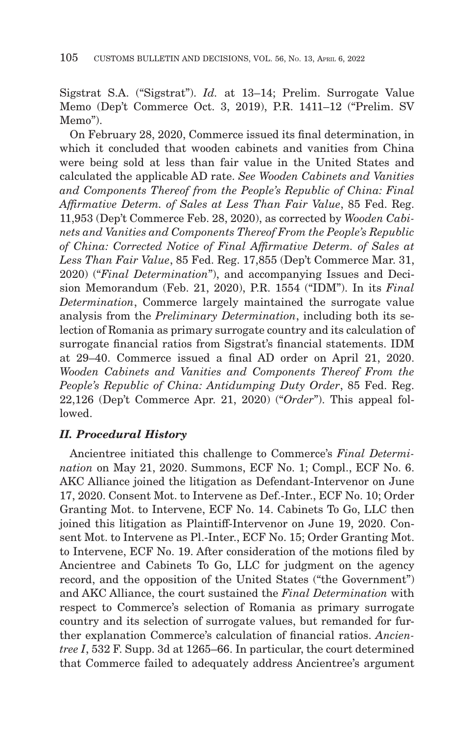Sigstrat S.A. ("Sigstrat"). *Id.* at 13–14; Prelim. Surrogate Value Memo (Dep't Commerce Oct. 3, 2019), P.R. 1411–12 ("Prelim. SV Memo").

On February 28, 2020, Commerce issued its final determination, in which it concluded that wooden cabinets and vanities from China were being sold at less than fair value in the United States and calculated the applicable AD rate. *See Wooden Cabinets and Vanities and Components Thereof from the People's Republic of China: Final Affirmative Determ. of Sales at Less Than Fair Value*, 85 Fed. Reg. 11,953 (Dep't Commerce Feb. 28, 2020), as corrected by *Wooden Cabinets and Vanities and Components Thereof From the People's Republic of China: Corrected Notice of Final Affirmative Determ. of Sales at Less Than Fair Value*, 85 Fed. Reg. 17,855 (Dep't Commerce Mar. 31, 2020) ("*Final Determination*"), and accompanying Issues and Decision Memorandum (Feb. 21, 2020), P.R. 1554 ("IDM"). In its *Final Determination*, Commerce largely maintained the surrogate value analysis from the *Preliminary Determination*, including both its selection of Romania as primary surrogate country and its calculation of surrogate financial ratios from Sigstrat's financial statements. IDM at 29–40. Commerce issued a final AD order on April 21, 2020. *Wooden Cabinets and Vanities and Components Thereof From the People's Republic of China: Antidumping Duty Order*, 85 Fed. Reg. 22,126 (Dep't Commerce Apr. 21, 2020) ("*Order*"). This appeal followed.

# *II. Procedural History*

Ancientree initiated this challenge to Commerce's *Final Determination* on May 21, 2020. Summons, ECF No. 1; Compl., ECF No. 6. AKC Alliance joined the litigation as Defendant-Intervenor on June 17, 2020. Consent Mot. to Intervene as Def.-Inter., ECF No. 10; Order Granting Mot. to Intervene, ECF No. 14. Cabinets To Go, LLC then joined this litigation as Plaintiff-Intervenor on June 19, 2020. Consent Mot. to Intervene as Pl.-Inter., ECF No. 15; Order Granting Mot. to Intervene, ECF No. 19. After consideration of the motions filed by Ancientree and Cabinets To Go, LLC for judgment on the agency record, and the opposition of the United States ("the Government") and AKC Alliance, the court sustained the *Final Determination* with respect to Commerce's selection of Romania as primary surrogate country and its selection of surrogate values, but remanded for further explanation Commerce's calculation of financial ratios. *Ancientree I*, 532 F. Supp. 3d at 1265–66. In particular, the court determined that Commerce failed to adequately address Ancientree's argument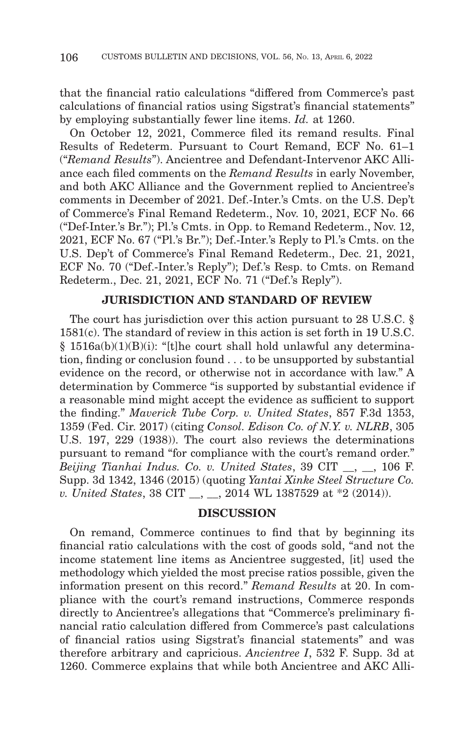that the financial ratio calculations "differed from Commerce's past calculations of financial ratios using Sigstrat's financial statements" by employing substantially fewer line items. *Id.* at 1260.

On October 12, 2021, Commerce filed its remand results. Final Results of Redeterm. Pursuant to Court Remand, ECF No. 61–1 ("*Remand Results*"). Ancientree and Defendant-Intervenor AKC Alliance each filed comments on the *Remand Results* in early November, and both AKC Alliance and the Government replied to Ancientree's comments in December of 2021. Def.-Inter.'s Cmts. on the U.S. Dep't of Commerce's Final Remand Redeterm., Nov. 10, 2021, ECF No. 66 ("Def-Inter.'s Br."); Pl.'s Cmts. in Opp. to Remand Redeterm., Nov. 12, 2021, ECF No. 67 ("Pl.'s Br."); Def.-Inter.'s Reply to Pl.'s Cmts. on the U.S. Dep't of Commerce's Final Remand Redeterm., Dec. 21, 2021, ECF No. 70 ("Def.-Inter.'s Reply"); Def.'s Resp. to Cmts. on Remand Redeterm., Dec. 21, 2021, ECF No. 71 ("Def.'s Reply").

## **JURISDICTION AND STANDARD OF REVIEW**

The court has jurisdiction over this action pursuant to 28 U.S.C. § 1581(c). The standard of review in this action is set forth in 19 U.S.C. § 1516a(b)(1)(B)(i): "[t]he court shall hold unlawful any determination, finding or conclusion found . . . to be unsupported by substantial evidence on the record, or otherwise not in accordance with law." A determination by Commerce "is supported by substantial evidence if a reasonable mind might accept the evidence as sufficient to support the finding." *Maverick Tube Corp. v. United States*, 857 F.3d 1353, 1359 (Fed. Cir. 2017) (citing *Consol. Edison Co. of N.Y. v. NLRB*, 305 U.S. 197, 229 (1938)). The court also reviews the determinations pursuant to remand "for compliance with the court's remand order." *Beijing Tianhai Indus. Co. v. United States*, 39 CIT \_\_, \_\_, 106 F. Supp. 3d 1342, 1346 (2015) (quoting *Yantai Xinke Steel Structure Co. v. United States*, 38 CIT \_\_, \_\_, 2014 WL 1387529 at \*2 (2014)).

#### **DISCUSSION**

On remand, Commerce continues to find that by beginning its financial ratio calculations with the cost of goods sold, "and not the income statement line items as Ancientree suggested, [it] used the methodology which yielded the most precise ratios possible, given the information present on this record." *Remand Results* at 20. In compliance with the court's remand instructions, Commerce responds directly to Ancientree's allegations that "Commerce's preliminary financial ratio calculation differed from Commerce's past calculations of financial ratios using Sigstrat's financial statements" and was therefore arbitrary and capricious. *Ancientree I*, 532 F. Supp. 3d at 1260. Commerce explains that while both Ancientree and AKC Alli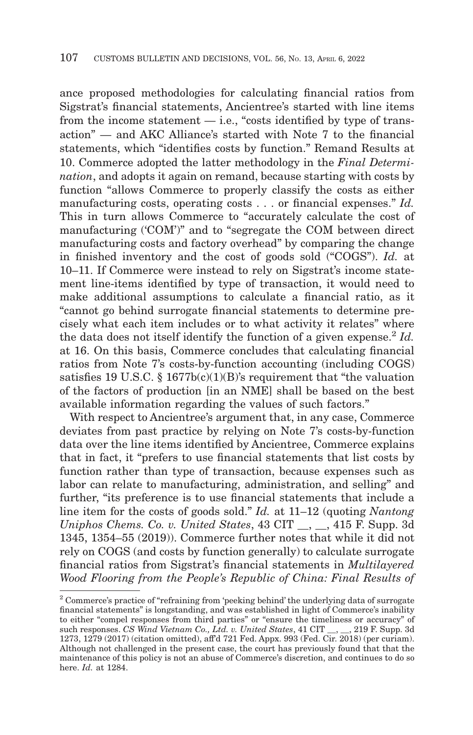ance proposed methodologies for calculating financial ratios from Sigstrat's financial statements, Ancientree's started with line items from the income statement  $-$  i.e., "costs identified by type of transaction" — and AKC Alliance's started with Note 7 to the financial statements, which "identifies costs by function." Remand Results at 10. Commerce adopted the latter methodology in the *Final Determination*, and adopts it again on remand, because starting with costs by function "allows Commerce to properly classify the costs as either manufacturing costs, operating costs . . . or financial expenses." *Id.* This in turn allows Commerce to "accurately calculate the cost of manufacturing ('COM')" and to "segregate the COM between direct manufacturing costs and factory overhead" by comparing the change in finished inventory and the cost of goods sold ("COGS"). *Id.* at 10–11. If Commerce were instead to rely on Sigstrat's income statement line-items identified by type of transaction, it would need to make additional assumptions to calculate a financial ratio, as it "cannot go behind surrogate financial statements to determine precisely what each item includes or to what activity it relates" where the data does not itself identify the function of a given expense.<sup>2</sup>  $Id$ . at 16. On this basis, Commerce concludes that calculating financial ratios from Note 7's costs-by-function accounting (including COGS) satisfies 19 U.S.C. § 1677b(c)(1)(B)'s requirement that "the valuation of the factors of production [in an NME] shall be based on the best available information regarding the values of such factors."

With respect to Ancientree's argument that, in any case, Commerce deviates from past practice by relying on Note 7's costs-by-function data over the line items identified by Ancientree, Commerce explains that in fact, it "prefers to use financial statements that list costs by function rather than type of transaction, because expenses such as labor can relate to manufacturing, administration, and selling" and further, "its preference is to use financial statements that include a line item for the costs of goods sold." *Id.* at 11–12 (quoting *Nantong Uniphos Chems. Co. v. United States,* 43 CIT , 415 F. Supp. 3d 1345, 1354–55 (2019)). Commerce further notes that while it did not rely on COGS (and costs by function generally) to calculate surrogate financial ratios from Sigstrat's financial statements in *Multilayered Wood Flooring from the People's Republic of China: Final Results of*

<sup>&</sup>lt;sup>2</sup> Commerce's practice of "refraining from 'peeking behind' the underlying data of surrogate financial statements" is longstanding, and was established in light of Commerce's inability to either "compel responses from third parties" or "ensure the timeliness or accuracy" of such responses. *CS Wind Vietnam Co., Ltd. v. United States*, 41 CIT \_\_, \_\_, 219 F. Supp. 3d 1273, 1279 (2017) (citation omitted), aff'd 721 Fed. Appx. 993 (Fed. Cir. 2018) (per curiam). Although not challenged in the present case, the court has previously found that that the maintenance of this policy is not an abuse of Commerce's discretion, and continues to do so here. *Id.* at 1284.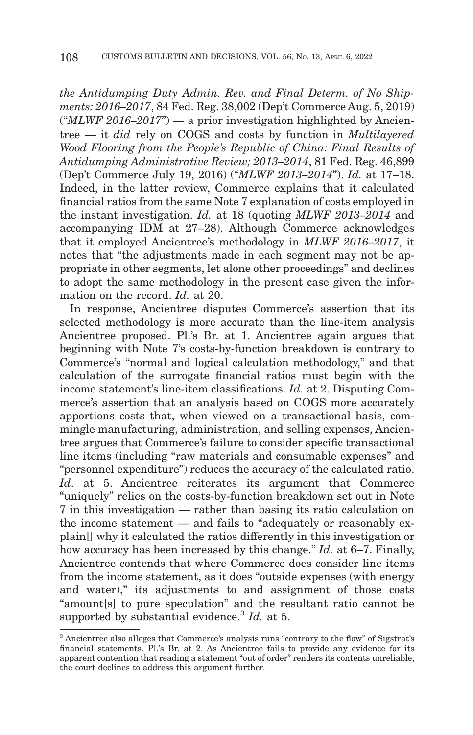*the Antidumping Duty Admin. Rev. and Final Determ. of No Shipments: 2016–2017*, 84 Fed. Reg. 38,002 (Dep't Commerce Aug. 5, 2019) ("*MLWF 2016–2017*") — a prior investigation highlighted by Ancientree — it *did* rely on COGS and costs by function in *Multilayered Wood Flooring from the People's Republic of China: Final Results of Antidumping Administrative Review; 2013–2014*, 81 Fed. Reg. 46,899 (Dep't Commerce July 19, 2016) ("*MLWF 2013–2014*"). *Id.* at 17–18. Indeed, in the latter review, Commerce explains that it calculated financial ratios from the same Note 7 explanation of costs employed in the instant investigation. *Id.* at 18 (quoting *MLWF 2013–2014* and accompanying IDM at 27–28). Although Commerce acknowledges that it employed Ancientree's methodology in *MLWF 2016–2017*, it notes that "the adjustments made in each segment may not be appropriate in other segments, let alone other proceedings" and declines to adopt the same methodology in the present case given the information on the record. *Id.* at 20.

In response, Ancientree disputes Commerce's assertion that its selected methodology is more accurate than the line-item analysis Ancientree proposed. Pl.'s Br. at 1. Ancientree again argues that beginning with Note 7's costs-by-function breakdown is contrary to Commerce's "normal and logical calculation methodology," and that calculation of the surrogate financial ratios must begin with the income statement's line-item classifications. *Id.* at 2. Disputing Commerce's assertion that an analysis based on COGS more accurately apportions costs that, when viewed on a transactional basis, commingle manufacturing, administration, and selling expenses, Ancientree argues that Commerce's failure to consider specific transactional line items (including "raw materials and consumable expenses" and "personnel expenditure") reduces the accuracy of the calculated ratio. *Id*. at 5. Ancientree reiterates its argument that Commerce "uniquely" relies on the costs-by-function breakdown set out in Note 7 in this investigation — rather than basing its ratio calculation on the income statement — and fails to "adequately or reasonably explain[] why it calculated the ratios differently in this investigation or how accuracy has been increased by this change." *Id.* at 6–7. Finally, Ancientree contends that where Commerce does consider line items from the income statement, as it does "outside expenses (with energy and water)," its adjustments to and assignment of those costs "amount[s] to pure speculation" and the resultant ratio cannot be supported by substantial evidence.3 *Id.* at 5.

<sup>3</sup> Ancientree also alleges that Commerce's analysis runs "contrary to the flow" of Sigstrat's financial statements. Pl.'s Br. at 2. As Ancientree fails to provide any evidence for its apparent contention that reading a statement "out of order" renders its contents unreliable, the court declines to address this argument further.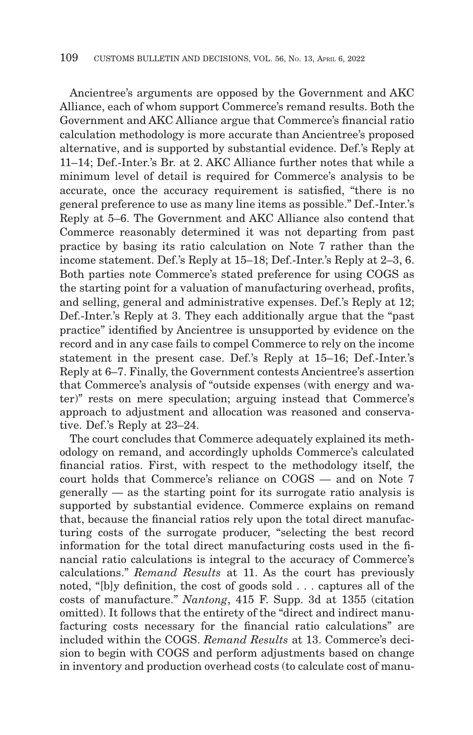Ancientree's arguments are opposed by the Government and AKC Alliance, each of whom support Commerce's remand results. Both the Government and AKC Alliance argue that Commerce's financial ratio calculation methodology is more accurate than Ancientree's proposed alternative, and is supported by substantial evidence. Def.'s Reply at 11–14; Def.-Inter.'s Br. at 2. AKC Alliance further notes that while a minimum level of detail is required for Commerce's analysis to be accurate, once the accuracy requirement is satisfied, "there is no general preference to use as many line items as possible." Def.-Inter.'s Reply at 5–6. The Government and AKC Alliance also contend that Commerce reasonably determined it was not departing from past practice by basing its ratio calculation on Note 7 rather than the income statement. Def.'s Reply at 15–18; Def.-Inter.'s Reply at 2–3, 6. Both parties note Commerce's stated preference for using COGS as the starting point for a valuation of manufacturing overhead, profits, and selling, general and administrative expenses. Def.'s Reply at 12; Def.-Inter.'s Reply at 3. They each additionally argue that the "past practice" identified by Ancientree is unsupported by evidence on the record and in any case fails to compel Commerce to rely on the income statement in the present case. Def.'s Reply at 15–16; Def.-Inter.'s Reply at 6–7. Finally, the Government contests Ancientree's assertion that Commerce's analysis of "outside expenses (with energy and water)" rests on mere speculation; arguing instead that Commerce's approach to adjustment and allocation was reasoned and conservative. Def.'s Reply at 23–24.

The court concludes that Commerce adequately explained its methodology on remand, and accordingly upholds Commerce's calculated financial ratios. First, with respect to the methodology itself, the court holds that Commerce's reliance on COGS — and on Note 7 generally — as the starting point for its surrogate ratio analysis is supported by substantial evidence. Commerce explains on remand that, because the financial ratios rely upon the total direct manufacturing costs of the surrogate producer, "selecting the best record information for the total direct manufacturing costs used in the financial ratio calculations is integral to the accuracy of Commerce's calculations." *Remand Results* at 11. As the court has previously noted, "[b]y definition, the cost of goods sold . . . captures all of the costs of manufacture." *Nantong*, 415 F. Supp. 3d at 1355 (citation omitted). It follows that the entirety of the "direct and indirect manufacturing costs necessary for the financial ratio calculations" are included within the COGS. *Remand Results* at 13. Commerce's decision to begin with COGS and perform adjustments based on change in inventory and production overhead costs (to calculate cost of manu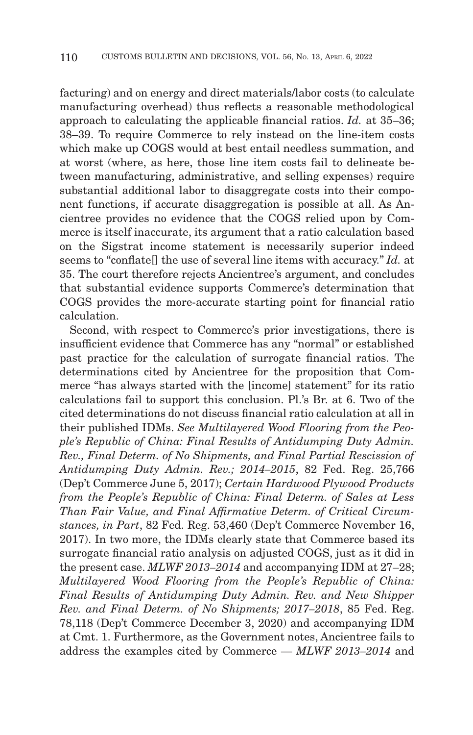facturing) and on energy and direct materials/labor costs (to calculate manufacturing overhead) thus reflects a reasonable methodological approach to calculating the applicable financial ratios. *Id.* at 35–36; 38–39. To require Commerce to rely instead on the line-item costs which make up COGS would at best entail needless summation, and at worst (where, as here, those line item costs fail to delineate between manufacturing, administrative, and selling expenses) require substantial additional labor to disaggregate costs into their component functions, if accurate disaggregation is possible at all. As Ancientree provides no evidence that the COGS relied upon by Commerce is itself inaccurate, its argument that a ratio calculation based on the Sigstrat income statement is necessarily superior indeed seems to "conflate[] the use of several line items with accuracy." *Id.* at 35. The court therefore rejects Ancientree's argument, and concludes that substantial evidence supports Commerce's determination that COGS provides the more-accurate starting point for financial ratio calculation.

Second, with respect to Commerce's prior investigations, there is insufficient evidence that Commerce has any "normal" or established past practice for the calculation of surrogate financial ratios. The determinations cited by Ancientree for the proposition that Commerce "has always started with the [income] statement" for its ratio calculations fail to support this conclusion. Pl.'s Br. at 6. Two of the cited determinations do not discuss financial ratio calculation at all in their published IDMs. *See Multilayered Wood Flooring from the People's Republic of China: Final Results of Antidumping Duty Admin. Rev., Final Determ. of No Shipments, and Final Partial Rescission of Antidumping Duty Admin. Rev.; 2014–2015*, 82 Fed. Reg. 25,766 (Dep't Commerce June 5, 2017); *Certain Hardwood Plywood Products from the People's Republic of China: Final Determ. of Sales at Less Than Fair Value, and Final Affirmative Determ. of Critical Circumstances, in Part*, 82 Fed. Reg. 53,460 (Dep't Commerce November 16, 2017). In two more, the IDMs clearly state that Commerce based its surrogate financial ratio analysis on adjusted COGS, just as it did in the present case. *MLWF 2013–2014* and accompanying IDM at 27–28; *Multilayered Wood Flooring from the People's Republic of China: Final Results of Antidumping Duty Admin. Rev. and New Shipper Rev. and Final Determ. of No Shipments; 2017–2018*, 85 Fed. Reg. 78,118 (Dep't Commerce December 3, 2020) and accompanying IDM at Cmt. 1. Furthermore, as the Government notes, Ancientree fails to address the examples cited by Commerce — *MLWF 2013–2014* and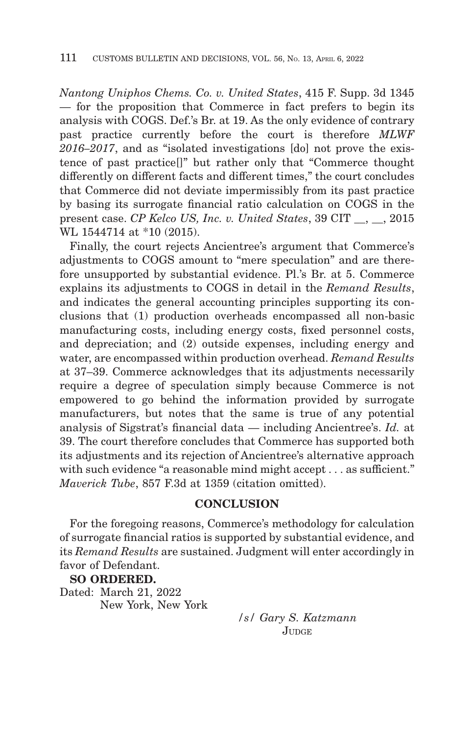*Nantong Uniphos Chems. Co. v. United States*, 415 F. Supp. 3d 1345 — for the proposition that Commerce in fact prefers to begin its analysis with COGS. Def.'s Br. at 19. As the only evidence of contrary past practice currently before the court is therefore *MLWF 2016–2017*, and as "isolated investigations [do] not prove the existence of past practice[]" but rather only that "Commerce thought differently on different facts and different times," the court concludes that Commerce did not deviate impermissibly from its past practice by basing its surrogate financial ratio calculation on COGS in the present case. *CP Kelco US, Inc. v. United States*, 39 CIT \_\_, \_\_, 2015 WL 1544714 at \*10 (2015).

Finally, the court rejects Ancientree's argument that Commerce's adjustments to COGS amount to "mere speculation" and are therefore unsupported by substantial evidence. Pl.'s Br. at 5. Commerce explains its adjustments to COGS in detail in the *Remand Results*, and indicates the general accounting principles supporting its conclusions that (1) production overheads encompassed all non-basic manufacturing costs, including energy costs, fixed personnel costs, and depreciation; and (2) outside expenses, including energy and water, are encompassed within production overhead. *Remand Results* at 37–39. Commerce acknowledges that its adjustments necessarily require a degree of speculation simply because Commerce is not empowered to go behind the information provided by surrogate manufacturers, but notes that the same is true of any potential analysis of Sigstrat's financial data — including Ancientree's. *Id.* at 39. The court therefore concludes that Commerce has supported both its adjustments and its rejection of Ancientree's alternative approach with such evidence "a reasonable mind might accept . . . as sufficient." *Maverick Tube*, 857 F.3d at 1359 (citation omitted).

#### **CONCLUSION**

For the foregoing reasons, Commerce's methodology for calculation of surrogate financial ratios is supported by substantial evidence, and its *Remand Results* are sustained. Judgment will enter accordingly in favor of Defendant.

**SO ORDERED.** Dated: March 21, 2022

New York, New York

*/s/ Gary S. Katzmann* **JUDGE**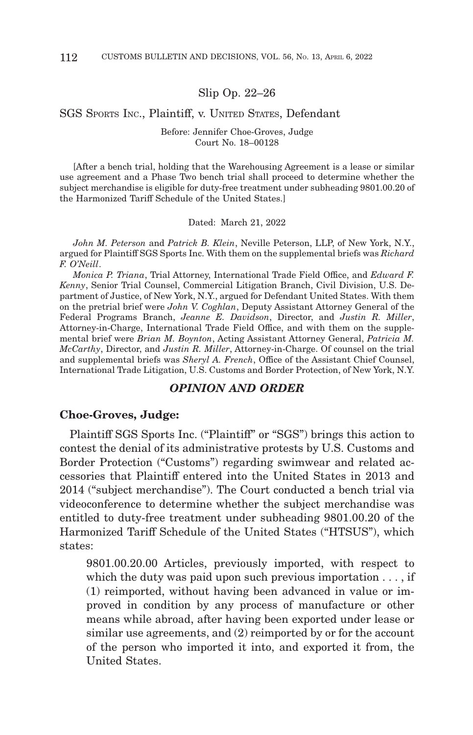#### Slip Op. 22–26

#### SGS SPORTS INC., Plaintiff, v. UNITED STATES, Defendant

#### Before: Jennifer Choe-Groves, Judge Court No. 18–00128

[After a bench trial, holding that the Warehousing Agreement is a lease or similar use agreement and a Phase Two bench trial shall proceed to determine whether the subject merchandise is eligible for duty-free treatment under subheading 9801.00.20 of the Harmonized Tariff Schedule of the United States.]

#### Dated: March 21, 2022

*John M. Peterson* and *Patrick B. Klein*, Neville Peterson, LLP, of New York, N.Y., argued for Plaintiff SGS Sports Inc. With them on the supplemental briefs was *Richard F. O'Neill*.

*Monica P. Triana*, Trial Attorney, International Trade Field Office, and *Edward F. Kenny*, Senior Trial Counsel, Commercial Litigation Branch, Civil Division, U.S. Department of Justice, of New York, N.Y., argued for Defendant United States. With them on the pretrial brief were *John V. Coghlan*, Deputy Assistant Attorney General of the Federal Programs Branch, *Jeanne E. Davidson*, Director, and *Justin R. Miller*, Attorney-in-Charge, International Trade Field Office, and with them on the supplemental brief were *Brian M. Boynton*, Acting Assistant Attorney General, *Patricia M. McCarthy*, Director, and *Justin R. Miller*, Attorney-in-Charge. Of counsel on the trial and supplemental briefs was *Sheryl A. French*, Office of the Assistant Chief Counsel, International Trade Litigation, U.S. Customs and Border Protection, of New York, N.Y.

#### *OPINION AND ORDER*

#### **Choe-Groves, Judge:**

Plaintiff SGS Sports Inc. ("Plaintiff" or "SGS") brings this action to contest the denial of its administrative protests by U.S. Customs and Border Protection ("Customs") regarding swimwear and related accessories that Plaintiff entered into the United States in 2013 and 2014 ("subject merchandise"). The Court conducted a bench trial via videoconference to determine whether the subject merchandise was entitled to duty-free treatment under subheading 9801.00.20 of the Harmonized Tariff Schedule of the United States ("HTSUS"), which states:

9801.00.20.00 Articles, previously imported, with respect to which the duty was paid upon such previous importation  $\dots$ , if (1) reimported, without having been advanced in value or improved in condition by any process of manufacture or other means while abroad, after having been exported under lease or similar use agreements, and (2) reimported by or for the account of the person who imported it into, and exported it from, the United States.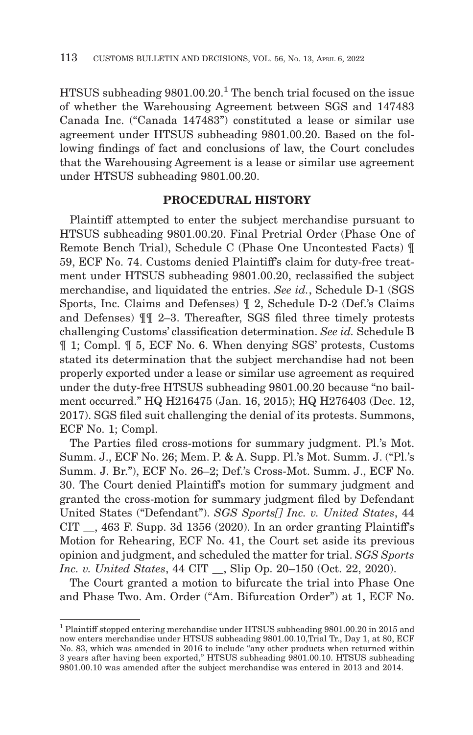HTSUS subheading  $9801.00.20$ <sup>1</sup>. The bench trial focused on the issue of whether the Warehousing Agreement between SGS and 147483 Canada Inc. ("Canada 147483") constituted a lease or similar use agreement under HTSUS subheading 9801.00.20. Based on the following findings of fact and conclusions of law, the Court concludes that the Warehousing Agreement is a lease or similar use agreement under HTSUS subheading 9801.00.20.

### **PROCEDURAL HISTORY**

Plaintiff attempted to enter the subject merchandise pursuant to HTSUS subheading 9801.00.20. Final Pretrial Order (Phase One of Remote Bench Trial), Schedule C (Phase One Uncontested Facts) ¶ 59, ECF No. 74. Customs denied Plaintiff's claim for duty-free treatment under HTSUS subheading 9801.00.20, reclassified the subject merchandise, and liquidated the entries. *See id.*, Schedule D-1 (SGS Sports, Inc. Claims and Defenses) ¶ 2, Schedule D-2 (Def.'s Claims and Defenses) ¶¶ 2–3. Thereafter, SGS filed three timely protests challenging Customs' classification determination. *See id.* Schedule B ¶ 1; Compl. ¶ 5, ECF No. 6. When denying SGS' protests, Customs stated its determination that the subject merchandise had not been properly exported under a lease or similar use agreement as required under the duty-free HTSUS subheading 9801.00.20 because "no bailment occurred." HQ H216475 (Jan. 16, 2015); HQ H276403 (Dec. 12, 2017). SGS filed suit challenging the denial of its protests. Summons, ECF No. 1; Compl.

The Parties filed cross-motions for summary judgment. Pl.'s Mot. Summ. J., ECF No. 26; Mem. P. & A. Supp. Pl.'s Mot. Summ. J. ("Pl.'s Summ. J. Br."), ECF No. 26–2; Def.'s Cross-Mot. Summ. J., ECF No. 30. The Court denied Plaintiff's motion for summary judgment and granted the cross-motion for summary judgment filed by Defendant United States ("Defendant"). *SGS Sports[] Inc. v. United States*, 44 CIT  $\_\_$ , 463 F. Supp. 3d 1356 (2020). In an order granting Plaintiff's Motion for Rehearing, ECF No. 41, the Court set aside its previous opinion and judgment, and scheduled the matter for trial. *SGS Sports Inc. v. United States,* 44 CIT . Slip Op. 20–150 (Oct. 22, 2020).

The Court granted a motion to bifurcate the trial into Phase One and Phase Two. Am. Order ("Am. Bifurcation Order") at 1, ECF No.

<sup>1</sup> Plaintiff stopped entering merchandise under HTSUS subheading 9801.00.20 in 2015 and now enters merchandise under HTSUS subheading 9801.00.10,Trial Tr., Day 1, at 80, ECF No. 83, which was amended in 2016 to include "any other products when returned within 3 years after having been exported," HTSUS subheading 9801.00.10. HTSUS subheading 9801.00.10 was amended after the subject merchandise was entered in 2013 and 2014.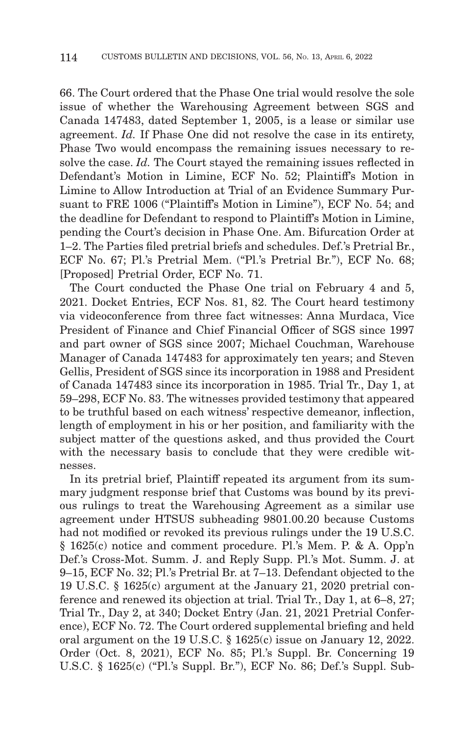66. The Court ordered that the Phase One trial would resolve the sole issue of whether the Warehousing Agreement between SGS and Canada 147483, dated September 1, 2005, is a lease or similar use agreement. *Id.* If Phase One did not resolve the case in its entirety, Phase Two would encompass the remaining issues necessary to resolve the case. *Id.* The Court stayed the remaining issues reflected in Defendant's Motion in Limine, ECF No. 52; Plaintiff's Motion in Limine to Allow Introduction at Trial of an Evidence Summary Pursuant to FRE 1006 ("Plaintiff's Motion in Limine"), ECF No. 54; and the deadline for Defendant to respond to Plaintiff's Motion in Limine, pending the Court's decision in Phase One. Am. Bifurcation Order at 1–2. The Parties filed pretrial briefs and schedules. Def.'s Pretrial Br., ECF No. 67; Pl.'s Pretrial Mem. ("Pl.'s Pretrial Br."), ECF No. 68; [Proposed] Pretrial Order, ECF No. 71.

The Court conducted the Phase One trial on February 4 and 5, 2021. Docket Entries, ECF Nos. 81, 82. The Court heard testimony via videoconference from three fact witnesses: Anna Murdaca, Vice President of Finance and Chief Financial Officer of SGS since 1997 and part owner of SGS since 2007; Michael Couchman, Warehouse Manager of Canada 147483 for approximately ten years; and Steven Gellis, President of SGS since its incorporation in 1988 and President of Canada 147483 since its incorporation in 1985. Trial Tr., Day 1, at 59–298, ECF No. 83. The witnesses provided testimony that appeared to be truthful based on each witness' respective demeanor, inflection, length of employment in his or her position, and familiarity with the subject matter of the questions asked, and thus provided the Court with the necessary basis to conclude that they were credible witnesses.

In its pretrial brief, Plaintiff repeated its argument from its summary judgment response brief that Customs was bound by its previous rulings to treat the Warehousing Agreement as a similar use agreement under HTSUS subheading 9801.00.20 because Customs had not modified or revoked its previous rulings under the 19 U.S.C. § 1625(c) notice and comment procedure. Pl.'s Mem. P. & A. Opp'n Def.'s Cross-Mot. Summ. J. and Reply Supp. Pl.'s Mot. Summ. J. at 9–15, ECF No. 32; Pl.'s Pretrial Br. at 7–13. Defendant objected to the 19 U.S.C. § 1625(c) argument at the January 21, 2020 pretrial conference and renewed its objection at trial. Trial Tr., Day 1, at 6–8, 27; Trial Tr., Day 2, at 340; Docket Entry (Jan. 21, 2021 Pretrial Conference), ECF No. 72. The Court ordered supplemental briefing and held oral argument on the 19 U.S.C. § 1625(c) issue on January 12, 2022. Order (Oct. 8, 2021), ECF No. 85; Pl.'s Suppl. Br. Concerning 19 U.S.C. § 1625(c) ("Pl.'s Suppl. Br."), ECF No. 86; Def.'s Suppl. Sub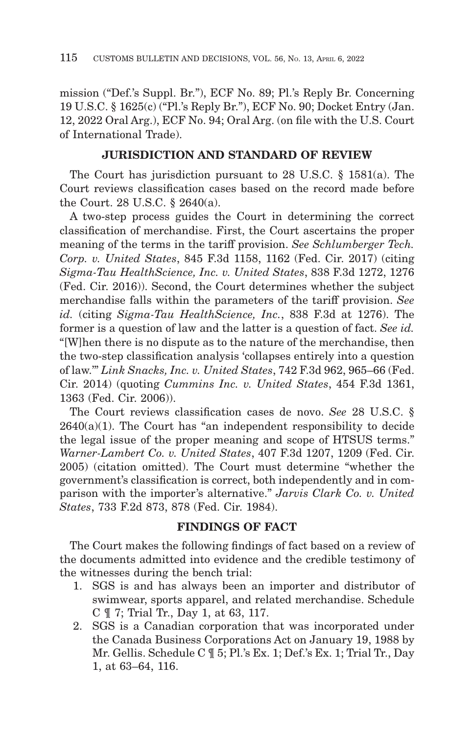mission ("Def.'s Suppl. Br."), ECF No. 89; Pl.'s Reply Br. Concerning 19 U.S.C. § 1625(c) ("Pl.'s Reply Br."), ECF No. 90; Docket Entry (Jan. 12, 2022 Oral Arg.), ECF No. 94; Oral Arg. (on file with the U.S. Court of International Trade).

### **JURISDICTION AND STANDARD OF REVIEW**

The Court has jurisdiction pursuant to 28 U.S.C. § 1581(a). The Court reviews classification cases based on the record made before the Court. 28 U.S.C. § 2640(a).

A two-step process guides the Court in determining the correct classification of merchandise. First, the Court ascertains the proper meaning of the terms in the tariff provision. *See Schlumberger Tech. Corp. v. United States*, 845 F.3d 1158, 1162 (Fed. Cir. 2017) (citing *Sigma-Tau HealthScience, Inc. v. United States*, 838 F.3d 1272, 1276 (Fed. Cir. 2016)). Second, the Court determines whether the subject merchandise falls within the parameters of the tariff provision. *See id.* (citing *Sigma-Tau HealthScience, Inc.*, 838 F.3d at 1276). The former is a question of law and the latter is a question of fact. *See id.* "[W]hen there is no dispute as to the nature of the merchandise, then the two-step classification analysis 'collapses entirely into a question of law.'" *Link Snacks, Inc. v. United States*, 742 F.3d 962, 965–66 (Fed. Cir. 2014) (quoting *Cummins Inc. v. United States*, 454 F.3d 1361, 1363 (Fed. Cir. 2006)).

The Court reviews classification cases de novo. *See* 28 U.S.C. §  $2640(a)(1)$ . The Court has "an independent responsibility to decide the legal issue of the proper meaning and scope of HTSUS terms." *Warner-Lambert Co. v. United States*, 407 F.3d 1207, 1209 (Fed. Cir. 2005) (citation omitted). The Court must determine "whether the government's classification is correct, both independently and in comparison with the importer's alternative." *Jarvis Clark Co. v. United States*, 733 F.2d 873, 878 (Fed. Cir. 1984).

#### **FINDINGS OF FACT**

The Court makes the following findings of fact based on a review of the documents admitted into evidence and the credible testimony of the witnesses during the bench trial:

- 1. SGS is and has always been an importer and distributor of swimwear, sports apparel, and related merchandise. Schedule C ¶ 7; Trial Tr., Day 1, at 63, 117.
- 2. SGS is a Canadian corporation that was incorporated under the Canada Business Corporations Act on January 19, 1988 by Mr. Gellis. Schedule C ¶ 5; Pl.'s Ex. 1; Def.'s Ex. 1; Trial Tr., Day 1, at 63–64, 116.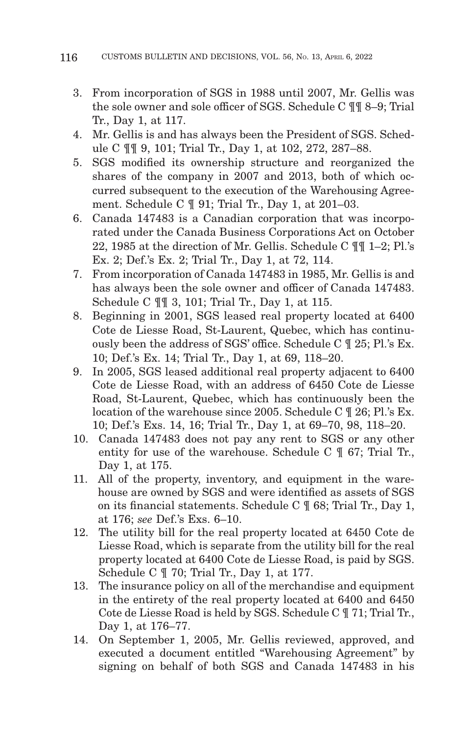- 3. From incorporation of SGS in 1988 until 2007, Mr. Gellis was the sole owner and sole officer of SGS. Schedule C ¶¶ 8–9; Trial Tr., Day 1, at 117.
- 4. Mr. Gellis is and has always been the President of SGS. Schedule C ¶¶ 9, 101; Trial Tr., Day 1, at 102, 272, 287–88.
- 5. SGS modified its ownership structure and reorganized the shares of the company in 2007 and 2013, both of which occurred subsequent to the execution of the Warehousing Agreement. Schedule C ¶ 91; Trial Tr., Day 1, at 201–03.
- 6. Canada 147483 is a Canadian corporation that was incorporated under the Canada Business Corporations Act on October 22, 1985 at the direction of Mr. Gellis. Schedule C ¶¶ 1–2; Pl.'s Ex. 2; Def.'s Ex. 2; Trial Tr., Day 1, at 72, 114.
- 7. From incorporation of Canada 147483 in 1985, Mr. Gellis is and has always been the sole owner and officer of Canada 147483. Schedule C ¶¶ 3, 101; Trial Tr., Day 1, at 115.
- 8. Beginning in 2001, SGS leased real property located at 6400 Cote de Liesse Road, St-Laurent, Quebec, which has continuously been the address of SGS' office. Schedule C ¶ 25; Pl.'s Ex. 10; Def.'s Ex. 14; Trial Tr., Day 1, at 69, 118–20.
- 9. In 2005, SGS leased additional real property adjacent to 6400 Cote de Liesse Road, with an address of 6450 Cote de Liesse Road, St-Laurent, Quebec, which has continuously been the location of the warehouse since 2005. Schedule C ¶ 26; Pl.'s Ex. 10; Def.'s Exs. 14, 16; Trial Tr., Day 1, at 69–70, 98, 118–20.
- 10. Canada 147483 does not pay any rent to SGS or any other entity for use of the warehouse. Schedule C  $\parallel$  67; Trial Tr., Day 1, at 175.
- 11. All of the property, inventory, and equipment in the warehouse are owned by SGS and were identified as assets of SGS on its financial statements. Schedule C ¶ 68; Trial Tr., Day 1, at 176; *see* Def.'s Exs. 6–10.
- 12. The utility bill for the real property located at 6450 Cote de Liesse Road, which is separate from the utility bill for the real property located at 6400 Cote de Liesse Road, is paid by SGS. Schedule C  $\mathcal{I}$  70; Trial Tr., Day 1, at 177.
- 13. The insurance policy on all of the merchandise and equipment in the entirety of the real property located at 6400 and 6450 Cote de Liesse Road is held by SGS. Schedule C ¶ 71; Trial Tr., Day 1, at 176–77.
- 14. On September 1, 2005, Mr. Gellis reviewed, approved, and executed a document entitled "Warehousing Agreement" by signing on behalf of both SGS and Canada 147483 in his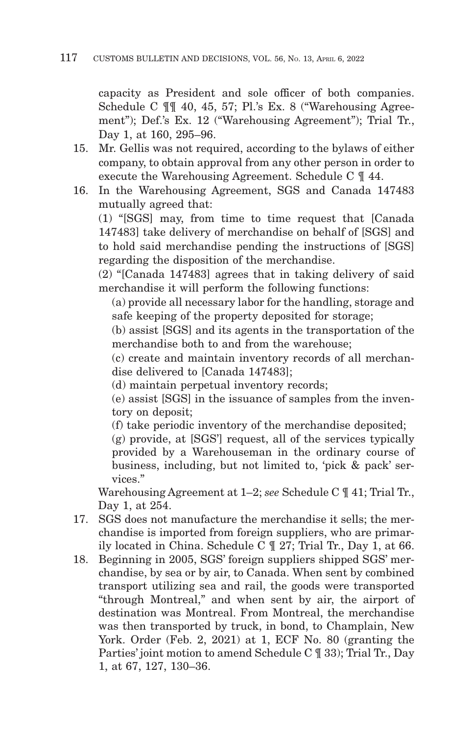capacity as President and sole officer of both companies. Schedule C ¶¶ 40, 45, 57; Pl.'s Ex. 8 ("Warehousing Agreement"); Def.'s Ex. 12 ("Warehousing Agreement"); Trial Tr., Day 1, at 160, 295–96.

- 15. Mr. Gellis was not required, according to the bylaws of either company, to obtain approval from any other person in order to execute the Warehousing Agreement. Schedule C ¶ 44.
- 16. In the Warehousing Agreement, SGS and Canada 147483 mutually agreed that:

(1) "[SGS] may, from time to time request that [Canada 147483] take delivery of merchandise on behalf of [SGS] and to hold said merchandise pending the instructions of [SGS] regarding the disposition of the merchandise.

(2) "[Canada 147483] agrees that in taking delivery of said merchandise it will perform the following functions:

 (a) provide all necessary labor for the handling, storage and safe keeping of the property deposited for storage;

(b) assist [SGS] and its agents in the transportation of the merchandise both to and from the warehouse;

(c) create and maintain inventory records of all merchandise delivered to [Canada 147483];

(d) maintain perpetual inventory records;

(e) assist [SGS] in the issuance of samples from the inventory on deposit;

(f) take periodic inventory of the merchandise deposited;

(g) provide, at [SGS'] request, all of the services typically provided by a Warehouseman in the ordinary course of business, including, but not limited to, 'pick & pack' services."

Warehousing Agreement at 1–2; *see* Schedule C ¶ 41; Trial Tr., Day 1, at 254.

- 17. SGS does not manufacture the merchandise it sells; the merchandise is imported from foreign suppliers, who are primarily located in China. Schedule C ¶ 27; Trial Tr., Day 1, at 66.
- 18. Beginning in 2005, SGS' foreign suppliers shipped SGS' merchandise, by sea or by air, to Canada. When sent by combined transport utilizing sea and rail, the goods were transported "through Montreal," and when sent by air, the airport of destination was Montreal. From Montreal, the merchandise was then transported by truck, in bond, to Champlain, New York. Order (Feb. 2, 2021) at 1, ECF No. 80 (granting the Parties' joint motion to amend Schedule C ¶ 33); Trial Tr., Day 1, at 67, 127, 130–36.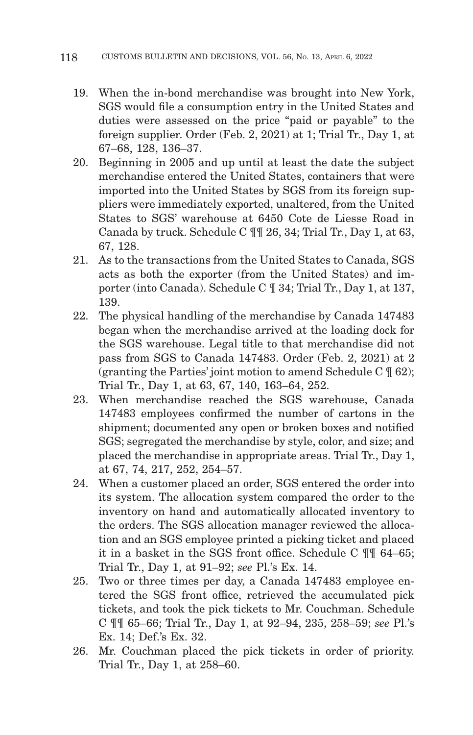- 19. When the in-bond merchandise was brought into New York, SGS would file a consumption entry in the United States and duties were assessed on the price "paid or payable" to the foreign supplier. Order (Feb. 2, 2021) at 1; Trial Tr., Day 1, at 67–68, 128, 136–37.
- 20. Beginning in 2005 and up until at least the date the subject merchandise entered the United States, containers that were imported into the United States by SGS from its foreign suppliers were immediately exported, unaltered, from the United States to SGS' warehouse at 6450 Cote de Liesse Road in Canada by truck. Schedule C ¶¶ 26, 34; Trial Tr., Day 1, at 63, 67, 128.
- 21. As to the transactions from the United States to Canada, SGS acts as both the exporter (from the United States) and importer (into Canada). Schedule C ¶ 34; Trial Tr., Day 1, at 137, 139.
- 22. The physical handling of the merchandise by Canada 147483 began when the merchandise arrived at the loading dock for the SGS warehouse. Legal title to that merchandise did not pass from SGS to Canada 147483. Order (Feb. 2, 2021) at 2 (granting the Parties' joint motion to amend Schedule C  $\mathcal{T}$  62); Trial Tr., Day 1, at 63, 67, 140, 163–64, 252.
- 23. When merchandise reached the SGS warehouse, Canada 147483 employees confirmed the number of cartons in the shipment; documented any open or broken boxes and notified SGS; segregated the merchandise by style, color, and size; and placed the merchandise in appropriate areas. Trial Tr., Day 1, at 67, 74, 217, 252, 254–57.
- 24. When a customer placed an order, SGS entered the order into its system. The allocation system compared the order to the inventory on hand and automatically allocated inventory to the orders. The SGS allocation manager reviewed the allocation and an SGS employee printed a picking ticket and placed it in a basket in the SGS front office. Schedule C ¶¶ 64–65; Trial Tr., Day 1, at 91–92; *see* Pl.'s Ex. 14.
- 25. Two or three times per day, a Canada 147483 employee entered the SGS front office, retrieved the accumulated pick tickets, and took the pick tickets to Mr. Couchman. Schedule C ¶¶ 65–66; Trial Tr., Day 1, at 92–94, 235, 258–59; *see* Pl.'s Ex. 14; Def.'s Ex. 32.
- 26. Mr. Couchman placed the pick tickets in order of priority. Trial Tr., Day 1, at 258–60.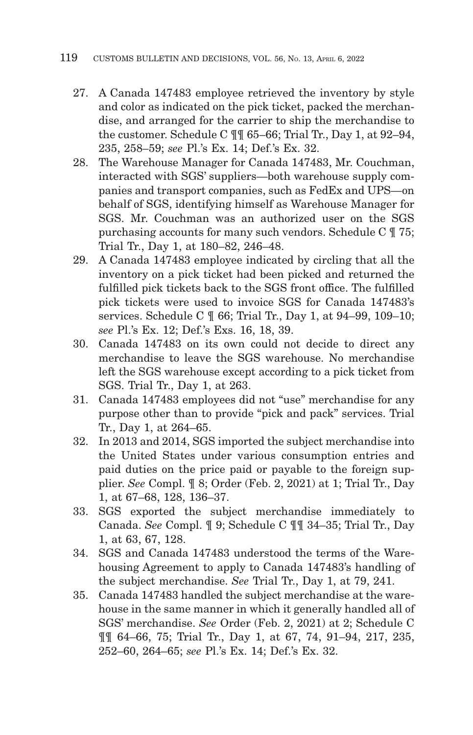- 27. A Canada 147483 employee retrieved the inventory by style and color as indicated on the pick ticket, packed the merchandise, and arranged for the carrier to ship the merchandise to the customer. Schedule C ¶¶ 65–66; Trial Tr., Day 1, at 92–94, 235, 258–59; *see* Pl.'s Ex. 14; Def.'s Ex. 32.
- 28. The Warehouse Manager for Canada 147483, Mr. Couchman, interacted with SGS' suppliers—both warehouse supply companies and transport companies, such as FedEx and UPS—on behalf of SGS, identifying himself as Warehouse Manager for SGS. Mr. Couchman was an authorized user on the SGS purchasing accounts for many such vendors. Schedule C ¶ 75; Trial Tr., Day 1, at 180–82, 246–48.
- 29. A Canada 147483 employee indicated by circling that all the inventory on a pick ticket had been picked and returned the fulfilled pick tickets back to the SGS front office. The fulfilled pick tickets were used to invoice SGS for Canada 147483's services. Schedule C ¶ 66; Trial Tr., Day 1, at 94–99, 109–10; *see* Pl.'s Ex. 12; Def.'s Exs. 16, 18, 39.
- 30. Canada 147483 on its own could not decide to direct any merchandise to leave the SGS warehouse. No merchandise left the SGS warehouse except according to a pick ticket from SGS. Trial Tr., Day 1, at 263.
- 31. Canada 147483 employees did not "use" merchandise for any purpose other than to provide "pick and pack" services. Trial Tr., Day 1, at 264–65.
- 32. In 2013 and 2014, SGS imported the subject merchandise into the United States under various consumption entries and paid duties on the price paid or payable to the foreign supplier. *See* Compl. ¶ 8; Order (Feb. 2, 2021) at 1; Trial Tr., Day 1, at 67–68, 128, 136–37.
- 33. SGS exported the subject merchandise immediately to Canada. *See* Compl. ¶ 9; Schedule C ¶¶ 34–35; Trial Tr., Day 1, at 63, 67, 128.
- 34. SGS and Canada 147483 understood the terms of the Warehousing Agreement to apply to Canada 147483's handling of the subject merchandise. *See* Trial Tr., Day 1, at 79, 241.
- 35. Canada 147483 handled the subject merchandise at the warehouse in the same manner in which it generally handled all of SGS' merchandise. *See* Order (Feb. 2, 2021) at 2; Schedule C ¶¶ 64–66, 75; Trial Tr., Day 1, at 67, 74, 91–94, 217, 235, 252–60, 264–65; *see* Pl.'s Ex. 14; Def.'s Ex. 32.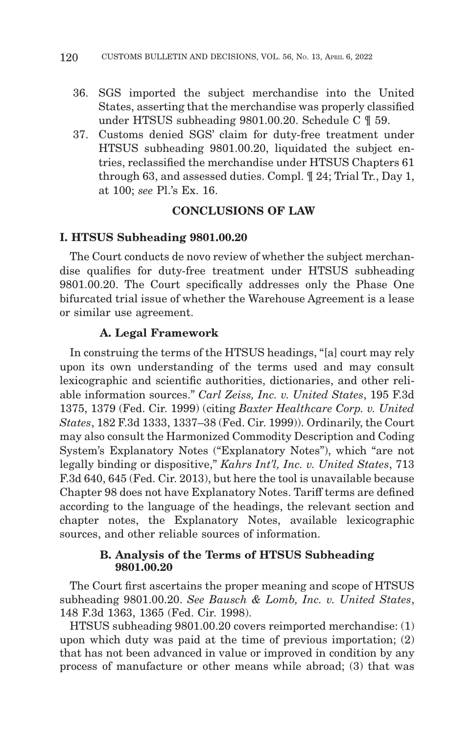- 36. SGS imported the subject merchandise into the United States, asserting that the merchandise was properly classified under HTSUS subheading 9801.00.20. Schedule C ¶ 59.
- 37. Customs denied SGS' claim for duty-free treatment under HTSUS subheading 9801.00.20, liquidated the subject entries, reclassified the merchandise under HTSUS Chapters 61 through 63, and assessed duties. Compl. ¶ 24; Trial Tr., Day 1, at 100; *see* Pl.'s Ex. 16.

## **CONCLUSIONS OF LAW**

## **I. HTSUS Subheading 9801.00.20**

The Court conducts de novo review of whether the subject merchandise qualifies for duty-free treatment under HTSUS subheading 9801.00.20. The Court specifically addresses only the Phase One bifurcated trial issue of whether the Warehouse Agreement is a lease or similar use agreement.

## **A. Legal Framework**

In construing the terms of the HTSUS headings, "[a] court may rely upon its own understanding of the terms used and may consult lexicographic and scientific authorities, dictionaries, and other reliable information sources." *Carl Zeiss, Inc. v. United States*, 195 F.3d 1375, 1379 (Fed. Cir. 1999) (citing *Baxter Healthcare Corp. v. United States*, 182 F.3d 1333, 1337–38 (Fed. Cir. 1999)). Ordinarily, the Court may also consult the Harmonized Commodity Description and Coding System's Explanatory Notes ("Explanatory Notes"), which "are not legally binding or dispositive," *Kahrs Int'l, Inc. v. United States*, 713 F.3d 640, 645 (Fed. Cir. 2013), but here the tool is unavailable because Chapter 98 does not have Explanatory Notes. Tariff terms are defined according to the language of the headings, the relevant section and chapter notes, the Explanatory Notes, available lexicographic sources, and other reliable sources of information.

### **B. Analysis of the Terms of HTSUS Subheading 9801.00.20**

The Court first ascertains the proper meaning and scope of HTSUS subheading 9801.00.20. *See Bausch & Lomb, Inc. v. United States*, 148 F.3d 1363, 1365 (Fed. Cir. 1998).

HTSUS subheading 9801.00.20 covers reimported merchandise: (1) upon which duty was paid at the time of previous importation; (2) that has not been advanced in value or improved in condition by any process of manufacture or other means while abroad; (3) that was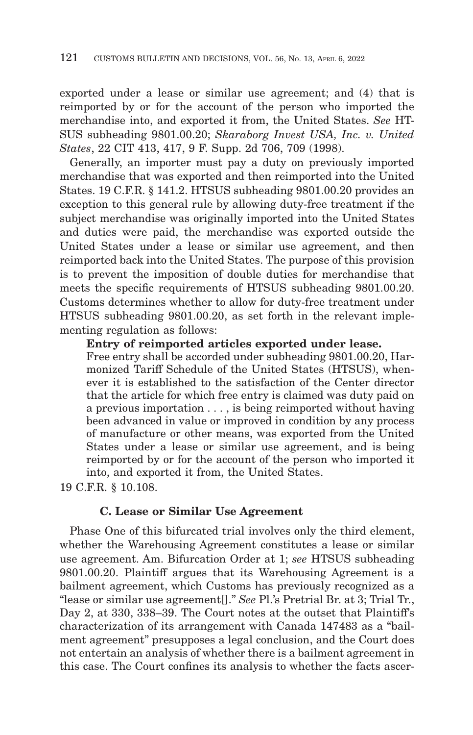exported under a lease or similar use agreement; and (4) that is reimported by or for the account of the person who imported the merchandise into, and exported it from, the United States. *See* HT-SUS subheading 9801.00.20; *Skaraborg Invest USA, Inc. v. United States*, 22 CIT 413, 417, 9 F. Supp. 2d 706, 709 (1998).

Generally, an importer must pay a duty on previously imported merchandise that was exported and then reimported into the United States. 19 C.F.R. § 141.2. HTSUS subheading 9801.00.20 provides an exception to this general rule by allowing duty-free treatment if the subject merchandise was originally imported into the United States and duties were paid, the merchandise was exported outside the United States under a lease or similar use agreement, and then reimported back into the United States. The purpose of this provision is to prevent the imposition of double duties for merchandise that meets the specific requirements of HTSUS subheading 9801.00.20. Customs determines whether to allow for duty-free treatment under HTSUS subheading 9801.00.20, as set forth in the relevant implementing regulation as follows:

#### **Entry of reimported articles exported under lease.**

Free entry shall be accorded under subheading 9801.00.20, Harmonized Tariff Schedule of the United States (HTSUS), whenever it is established to the satisfaction of the Center director that the article for which free entry is claimed was duty paid on a previous importation . . . , is being reimported without having been advanced in value or improved in condition by any process of manufacture or other means, was exported from the United States under a lease or similar use agreement, and is being reimported by or for the account of the person who imported it into, and exported it from, the United States.

19 C.F.R. § 10.108.

#### **C. Lease or Similar Use Agreement**

Phase One of this bifurcated trial involves only the third element, whether the Warehousing Agreement constitutes a lease or similar use agreement. Am. Bifurcation Order at 1; *see* HTSUS subheading 9801.00.20. Plaintiff argues that its Warehousing Agreement is a bailment agreement, which Customs has previously recognized as a "lease or similar use agreement[]." *See* Pl.'s Pretrial Br. at 3; Trial Tr., Day 2, at 330, 338–39. The Court notes at the outset that Plaintiff's characterization of its arrangement with Canada 147483 as a "bailment agreement" presupposes a legal conclusion, and the Court does not entertain an analysis of whether there is a bailment agreement in this case. The Court confines its analysis to whether the facts ascer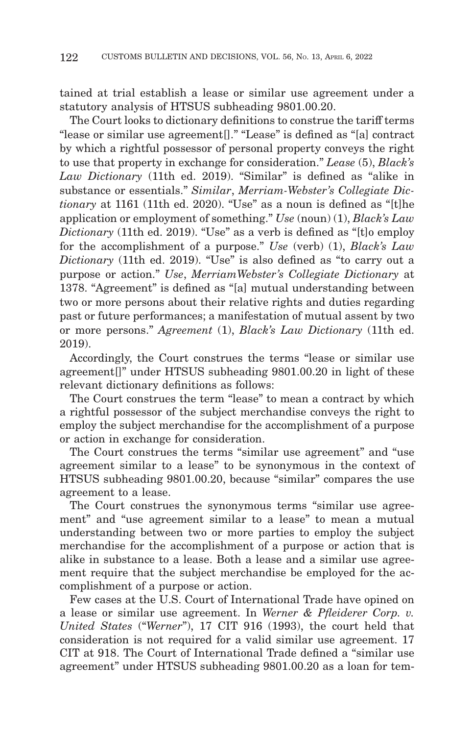tained at trial establish a lease or similar use agreement under a statutory analysis of HTSUS subheading 9801.00.20.

The Court looks to dictionary definitions to construe the tariff terms "lease or similar use agreement[]." "Lease" is defined as "[a] contract by which a rightful possessor of personal property conveys the right to use that property in exchange for consideration." *Lease* (5), *Black's Law Dictionary* (11th ed. 2019). "Similar" is defined as "alike in substance or essentials." *Similar*, *Merriam-Webster's Collegiate Dictionary* at 1161 (11th ed. 2020). "Use" as a noun is defined as "[t]he application or employment of something." *Use* (noun) (1), *Black's Law Dictionary* (11th ed. 2019). "Use" as a verb is defined as "[t]o employ for the accomplishment of a purpose." *Use* (verb) (1), *Black's Law Dictionary* (11th ed. 2019). "Use" is also defined as "to carry out a purpose or action." *Use*, *MerriamWebster's Collegiate Dictionary* at 1378. "Agreement" is defined as "[a] mutual understanding between two or more persons about their relative rights and duties regarding past or future performances; a manifestation of mutual assent by two or more persons." *Agreement* (1), *Black's Law Dictionary* (11th ed. 2019).

Accordingly, the Court construes the terms "lease or similar use agreement[]" under HTSUS subheading 9801.00.20 in light of these relevant dictionary definitions as follows:

The Court construes the term "lease" to mean a contract by which a rightful possessor of the subject merchandise conveys the right to employ the subject merchandise for the accomplishment of a purpose or action in exchange for consideration.

The Court construes the terms "similar use agreement" and "use agreement similar to a lease" to be synonymous in the context of HTSUS subheading 9801.00.20, because "similar" compares the use agreement to a lease.

The Court construes the synonymous terms "similar use agreement" and "use agreement similar to a lease" to mean a mutual understanding between two or more parties to employ the subject merchandise for the accomplishment of a purpose or action that is alike in substance to a lease. Both a lease and a similar use agreement require that the subject merchandise be employed for the accomplishment of a purpose or action.

Few cases at the U.S. Court of International Trade have opined on a lease or similar use agreement. In *Werner & Pfleiderer Corp. v. United States* ("*Werner*"), 17 CIT 916 (1993), the court held that consideration is not required for a valid similar use agreement. 17 CIT at 918. The Court of International Trade defined a "similar use agreement" under HTSUS subheading 9801.00.20 as a loan for tem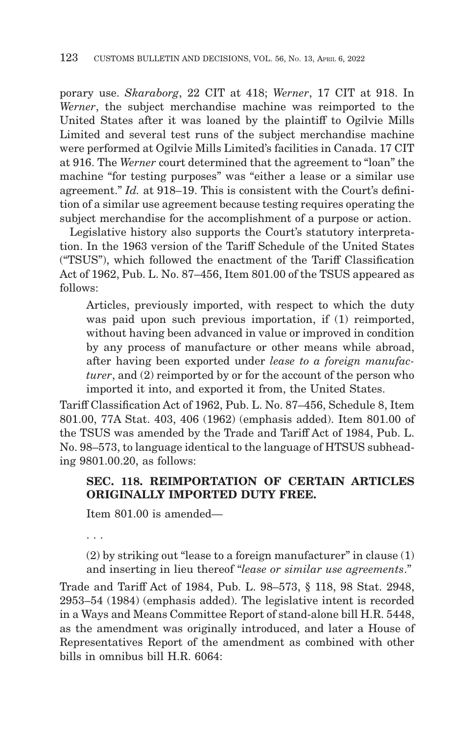porary use. *Skaraborg*, 22 CIT at 418; *Werner*, 17 CIT at 918. In *Werner*, the subject merchandise machine was reimported to the United States after it was loaned by the plaintiff to Ogilvie Mills Limited and several test runs of the subject merchandise machine were performed at Ogilvie Mills Limited's facilities in Canada. 17 CIT at 916. The *Werner* court determined that the agreement to "loan" the machine "for testing purposes" was "either a lease or a similar use agreement." *Id.* at 918–19. This is consistent with the Court's definition of a similar use agreement because testing requires operating the subject merchandise for the accomplishment of a purpose or action.

Legislative history also supports the Court's statutory interpretation. In the 1963 version of the Tariff Schedule of the United States ("TSUS"), which followed the enactment of the Tariff Classification Act of 1962, Pub. L. No. 87–456, Item 801.00 of the TSUS appeared as follows:

Articles, previously imported, with respect to which the duty was paid upon such previous importation, if (1) reimported, without having been advanced in value or improved in condition by any process of manufacture or other means while abroad, after having been exported under *lease to a foreign manufacturer*, and (2) reimported by or for the account of the person who imported it into, and exported it from, the United States.

Tariff Classification Act of 1962, Pub. L. No. 87–456, Schedule 8, Item 801.00, 77A Stat. 403, 406 (1962) (emphasis added). Item 801.00 of the TSUS was amended by the Trade and Tariff Act of 1984, Pub. L. No. 98–573, to language identical to the language of HTSUS subheading 9801.00.20, as follows:

## **SEC. 118. REIMPORTATION OF CERTAIN ARTICLES ORIGINALLY IMPORTED DUTY FREE.**

Item 801.00 is amended—

. . .

 $(2)$  by striking out "lease to a foreign manufacturer" in clause  $(1)$ and inserting in lieu thereof "*lease or similar use agreements*."

Trade and Tariff Act of 1984, Pub. L. 98–573, § 118, 98 Stat. 2948, 2953–54 (1984) (emphasis added). The legislative intent is recorded in a Ways and Means Committee Report of stand-alone bill H.R. 5448, as the amendment was originally introduced, and later a House of Representatives Report of the amendment as combined with other bills in omnibus bill H.R. 6064: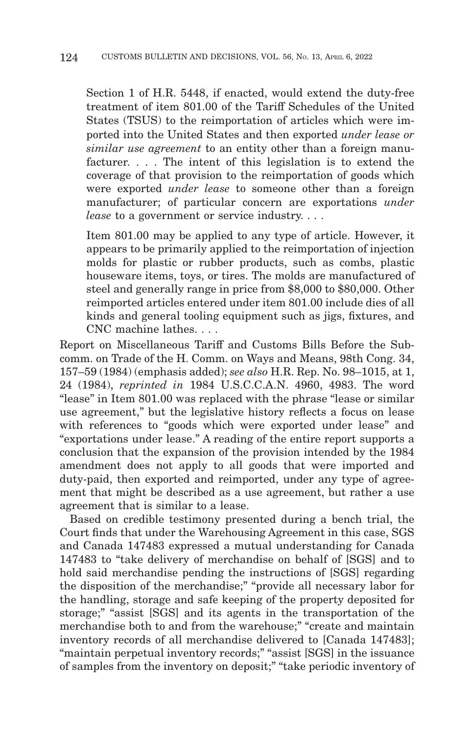Section 1 of H.R. 5448, if enacted, would extend the duty-free treatment of item 801.00 of the Tariff Schedules of the United States (TSUS) to the reimportation of articles which were imported into the United States and then exported *under lease or similar use agreement* to an entity other than a foreign manufacturer. . . . The intent of this legislation is to extend the coverage of that provision to the reimportation of goods which were exported *under lease* to someone other than a foreign manufacturer; of particular concern are exportations *under lease* to a government or service industry. . . .

Item 801.00 may be applied to any type of article. However, it appears to be primarily applied to the reimportation of injection molds for plastic or rubber products, such as combs, plastic houseware items, toys, or tires. The molds are manufactured of steel and generally range in price from \$8,000 to \$80,000. Other reimported articles entered under item 801.00 include dies of all kinds and general tooling equipment such as jigs, fixtures, and CNC machine lathes. . . .

Report on Miscellaneous Tariff and Customs Bills Before the Subcomm. on Trade of the H. Comm. on Ways and Means, 98th Cong. 34, 157–59 (1984) (emphasis added); *see also* H.R. Rep. No. 98–1015, at 1, 24 (1984), *reprinted in* 1984 U.S.C.C.A.N. 4960, 4983. The word "lease" in Item 801.00 was replaced with the phrase "lease or similar use agreement," but the legislative history reflects a focus on lease with references to "goods which were exported under lease" and "exportations under lease." A reading of the entire report supports a conclusion that the expansion of the provision intended by the 1984 amendment does not apply to all goods that were imported and duty-paid, then exported and reimported, under any type of agreement that might be described as a use agreement, but rather a use agreement that is similar to a lease.

Based on credible testimony presented during a bench trial, the Court finds that under the Warehousing Agreement in this case, SGS and Canada 147483 expressed a mutual understanding for Canada 147483 to "take delivery of merchandise on behalf of [SGS] and to hold said merchandise pending the instructions of [SGS] regarding the disposition of the merchandise;" "provide all necessary labor for the handling, storage and safe keeping of the property deposited for storage;" "assist [SGS] and its agents in the transportation of the merchandise both to and from the warehouse;" "create and maintain inventory records of all merchandise delivered to [Canada 147483]; "maintain perpetual inventory records;" "assist [SGS] in the issuance of samples from the inventory on deposit;" "take periodic inventory of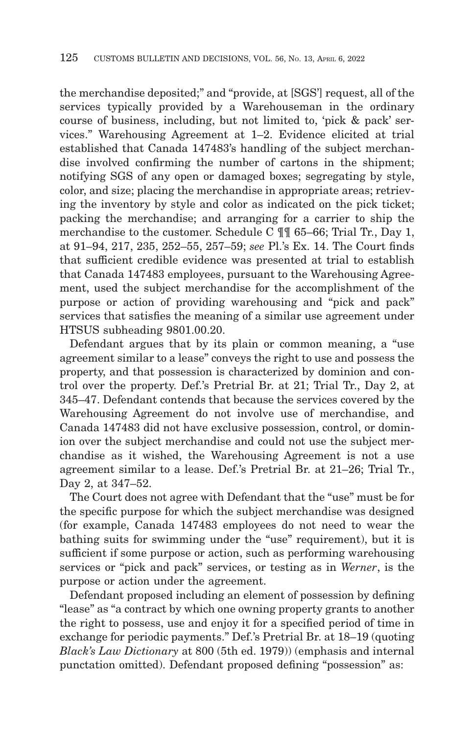the merchandise deposited;" and "provide, at [SGS'] request, all of the services typically provided by a Warehouseman in the ordinary course of business, including, but not limited to, 'pick & pack' services." Warehousing Agreement at 1–2. Evidence elicited at trial established that Canada 147483's handling of the subject merchandise involved confirming the number of cartons in the shipment; notifying SGS of any open or damaged boxes; segregating by style, color, and size; placing the merchandise in appropriate areas; retrieving the inventory by style and color as indicated on the pick ticket; packing the merchandise; and arranging for a carrier to ship the merchandise to the customer. Schedule C ¶¶ 65–66; Trial Tr., Day 1, at 91–94, 217, 235, 252–55, 257–59; *see* Pl.'s Ex. 14. The Court finds that sufficient credible evidence was presented at trial to establish that Canada 147483 employees, pursuant to the Warehousing Agreement, used the subject merchandise for the accomplishment of the purpose or action of providing warehousing and "pick and pack" services that satisfies the meaning of a similar use agreement under HTSUS subheading 9801.00.20.

Defendant argues that by its plain or common meaning, a "use agreement similar to a lease" conveys the right to use and possess the property, and that possession is characterized by dominion and control over the property. Def.'s Pretrial Br. at 21; Trial Tr., Day 2, at 345–47. Defendant contends that because the services covered by the Warehousing Agreement do not involve use of merchandise, and Canada 147483 did not have exclusive possession, control, or dominion over the subject merchandise and could not use the subject merchandise as it wished, the Warehousing Agreement is not a use agreement similar to a lease. Def.'s Pretrial Br. at 21–26; Trial Tr., Day 2, at 347–52.

The Court does not agree with Defendant that the "use" must be for the specific purpose for which the subject merchandise was designed (for example, Canada 147483 employees do not need to wear the bathing suits for swimming under the "use" requirement), but it is sufficient if some purpose or action, such as performing warehousing services or "pick and pack" services, or testing as in *Werner*, is the purpose or action under the agreement.

Defendant proposed including an element of possession by defining "lease" as "a contract by which one owning property grants to another the right to possess, use and enjoy it for a specified period of time in exchange for periodic payments." Def.'s Pretrial Br. at 18–19 (quoting *Black's Law Dictionary* at 800 (5th ed. 1979)) (emphasis and internal punctation omitted). Defendant proposed defining "possession" as: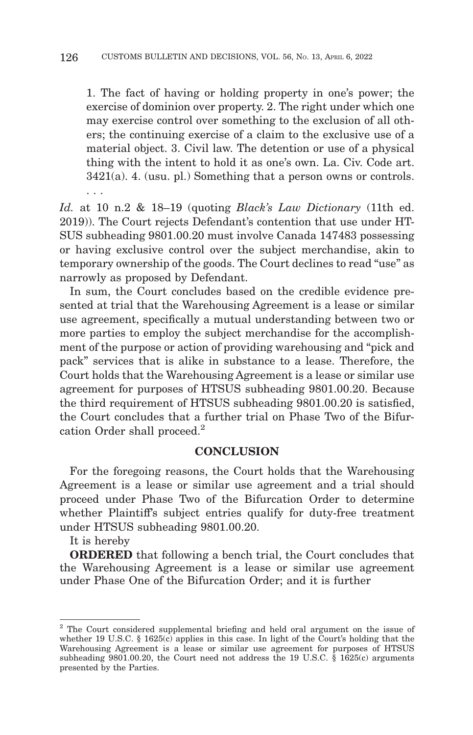1. The fact of having or holding property in one's power; the exercise of dominion over property. 2. The right under which one may exercise control over something to the exclusion of all others; the continuing exercise of a claim to the exclusive use of a material object. 3. Civil law. The detention or use of a physical thing with the intent to hold it as one's own. La. Civ. Code art.  $3421(a)$ . 4. (usu. pl.) Something that a person owns or controls. . . .

*Id.* at 10 n.2 & 18–19 (quoting *Black's Law Dictionary* (11th ed. 2019)). The Court rejects Defendant's contention that use under HT-SUS subheading 9801.00.20 must involve Canada 147483 possessing or having exclusive control over the subject merchandise, akin to temporary ownership of the goods. The Court declines to read "use" as narrowly as proposed by Defendant.

In sum, the Court concludes based on the credible evidence presented at trial that the Warehousing Agreement is a lease or similar use agreement, specifically a mutual understanding between two or more parties to employ the subject merchandise for the accomplishment of the purpose or action of providing warehousing and "pick and pack" services that is alike in substance to a lease. Therefore, the Court holds that the Warehousing Agreement is a lease or similar use agreement for purposes of HTSUS subheading 9801.00.20. Because the third requirement of HTSUS subheading 9801.00.20 is satisfied, the Court concludes that a further trial on Phase Two of the Bifurcation Order shall proceed.<sup>2</sup>

### **CONCLUSION**

For the foregoing reasons, the Court holds that the Warehousing Agreement is a lease or similar use agreement and a trial should proceed under Phase Two of the Bifurcation Order to determine whether Plaintiff's subject entries qualify for duty-free treatment under HTSUS subheading 9801.00.20.

It is hereby

**ORDERED** that following a bench trial, the Court concludes that the Warehousing Agreement is a lease or similar use agreement under Phase One of the Bifurcation Order; and it is further

<sup>2</sup> The Court considered supplemental briefing and held oral argument on the issue of whether 19 U.S.C. § 1625 $(c)$  applies in this case. In light of the Court's holding that the Warehousing Agreement is a lease or similar use agreement for purposes of HTSUS subheading 9801.00.20, the Court need not address the 19 U.S.C. § 1625(c) arguments presented by the Parties.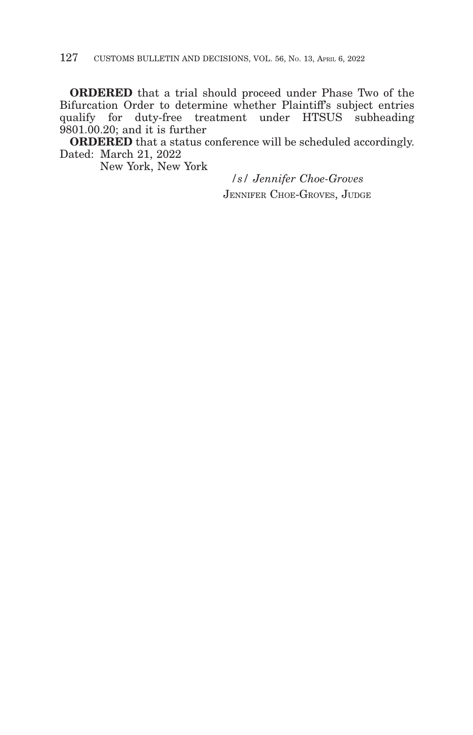**ORDERED** that a trial should proceed under Phase Two of the Bifurcation Order to determine whether Plaintiff's subject entries qualify for duty-free treatment under HTSUS subheading 9801.00.20; and it is further

**ORDERED** that a status conference will be scheduled accordingly. Dated: March 21, 2022

New York, New York

*/s/ Jennifer Choe-Groves* JENNIFER CHOE-GROVES, JUDGE